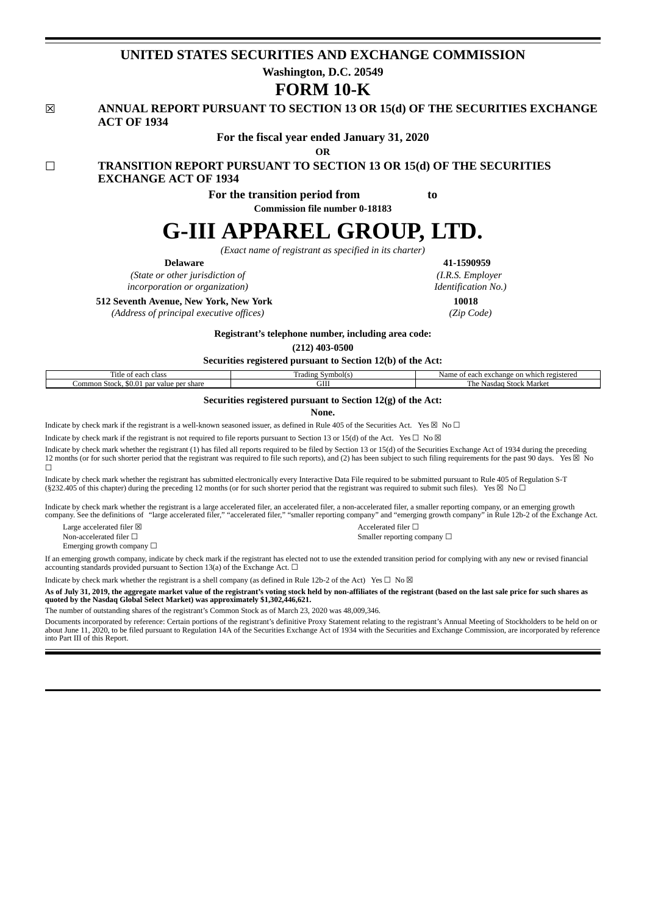# **UNITED STATES SECURITIES AND EXCHANGE COMMISSION**

**Washington, D.C. 20549**

# **FORM 10-K**

☒ **ANNUAL REPORT PURSUANT TO SECTION 13 OR 15(d) OF THE SECURITIES EXCHANGE ACT OF 1934**

**For the fiscal year ended January 31, 2020**

**OR**

☐ **TRANSITION REPORT PURSUANT TO SECTION 13 OR 15(d) OF THE SECURITIES EXCHANGE ACT OF 1934**

**For the transition period from to**

# **Commission file number 0-18183**

# **G-III APPAREL GROUP, LTD.**

*(Exact name of registrant as specified in its charter)*

**Delaware**

*(State or other jurisdiction of incorporation or organization)*

*(I.R.S. Employer Identification No.)* **10018**

*(Zip Code)*

**41-1590959**

**512 Seventh Avenue, New York, New York**

*(Address of principal executive offices)*

**Registrant's telephone number, including area code:**

**(212) 403-0500**

**Securities registered pursuant to Section 12(b) of the Act:**

| fitle<br>class<br>o la<br>$\sim$<br>0Ť<br><b>FAUL</b>  | $\sim$<br>Symbol(s)<br>radın | registered<br>each<br>' on<br>ı which.<br>ΩŤ<br>exo<br>Name<br>$\ldots$ nange i |  |
|--------------------------------------------------------|------------------------------|---------------------------------------------------------------------------------|--|
| value per<br>.ommor<br>n Stock.<br>share<br>υd<br>wv.v | UII                          | <b>CONTRACT</b><br>-Nasda<br>r he<br>stock<br>Marke                             |  |
|                                                        |                              |                                                                                 |  |

#### **Securities registered pursuant to Section 12(g) of the Act:**

**None.**

Indicate by check mark if the registrant is a well-known seasoned issuer, as defined in Rule 405 of the Securities Act. Yes  $\boxtimes\,$  No  $\Box$ 

Indicate by check mark if the registrant is not required to file reports pursuant to Section 13 or 15(d) of the Act. Yes  $\Box$  No  $\boxtimes$ 

Indicate by check mark whether the registrant (1) has filed all reports required to be filed by Section 13 or 15(d) of the Securities Exchange Act of 1934 during the preceding 12 months (or for such shorter period that the registrant was required to file such reports), and (2) has been subject to such filing requirements for the past 90 days. Yes  $\boxtimes$  No  $\Box$ 

Indicate by check mark whether the registrant has submitted electronically every Interactive Data File required to be submitted pursuant to Rule 405 of Regulation S-T (§232.405 of this chapter) during the preceding 12 months (or for such shorter period that the registrant was required to submit such files). Yes  $\boxtimes$  No  $\Box$ 

Indicate by check mark whether the registrant is a large accelerated filer, an accelerated filer, a non-accelerated filer, a smaller reporting company, or an emerging growth company. See the definitions of "large accelerated filer," "accelerated filer," "smaller reporting company" and "emerging growth company" in Rule 12b-2 of the Exchange Act.

Large accelerated filer  $\boxdot$ Non-accelerated filer □ state  $\Box$  Smaller reporting company  $\Box$ 

Emerging growth company  $\Box$ 

If an emerging growth company, indicate by check mark if the registrant has elected not to use the extended transition period for complying with any new or revised financial accounting standards provided pursuant to Section 13(a) of the Exchange Act.  $\Box$ 

Indicate by check mark whether the registrant is a shell company (as defined in Rule 12b-2 of the Act) Yes  $\Box$  No  $\boxtimes$ 

As of July 31, 2019, the aggregate market value of the registrant's voting stock held by non-affiliates of the registrant (based on the last sale price for such shares as **quoted by the Nasdaq Global Select Market) was approximately \$1,302,446,621.**

The number of outstanding shares of the registrant's Common Stock as of March 23, 2020 was 48,009,346.

Documents incorporated by reference: Certain portions of the registrant's definitive Proxy Statement relating to the registrant's Annual Meeting of Stockholders to be held on or<br>about June 11, 2020, to be filed pursuant to into Part III of this Report.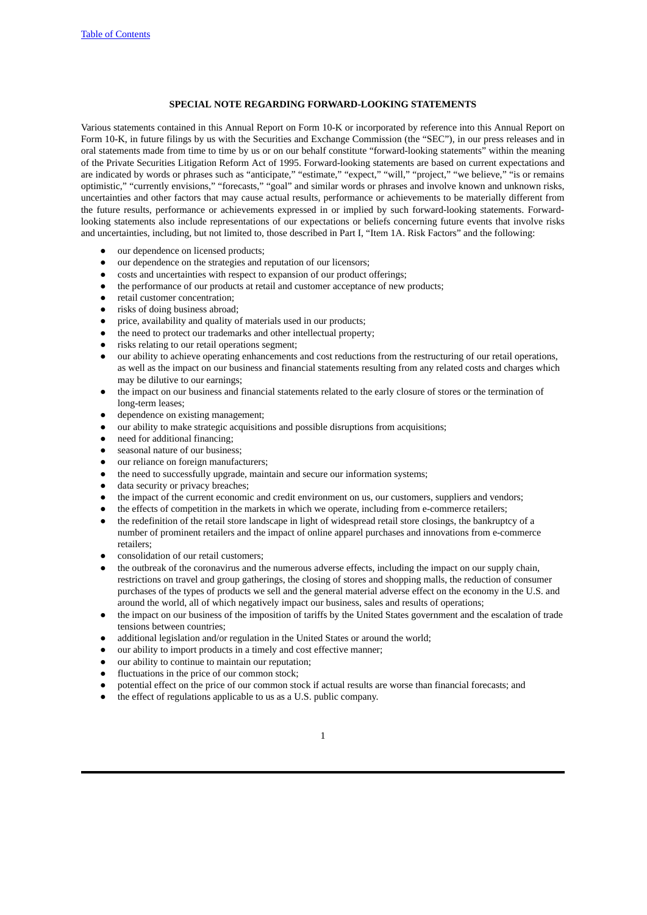# **SPECIAL NOTE REGARDING FORWARD-LOOKING STATEMENTS**

Various statements contained in this Annual Report on Form 10-K or incorporated by reference into this Annual Report on Form 10-K, in future filings by us with the Securities and Exchange Commission (the "SEC"), in our press releases and in oral statements made from time to time by us or on our behalf constitute "forward-looking statements" within the meaning of the Private Securities Litigation Reform Act of 1995. Forward-looking statements are based on current expectations and are indicated by words or phrases such as "anticipate," "estimate," "expect," "will," "project," "we believe," "is or remains optimistic," "currently envisions," "forecasts," "goal" and similar words or phrases and involve known and unknown risks, uncertainties and other factors that may cause actual results, performance or achievements to be materially different from the future results, performance or achievements expressed in or implied by such forward-looking statements. Forwardlooking statements also include representations of our expectations or beliefs concerning future events that involve risks and uncertainties, including, but not limited to, those described in Part I, "Item 1A. Risk Factors" and the following:

- our dependence on licensed products;
- our dependence on the strategies and reputation of our licensors;
- costs and uncertainties with respect to expansion of our product offerings;
- the performance of our products at retail and customer acceptance of new products;
- retail customer concentration;
- risks of doing business abroad;
- price, availability and quality of materials used in our products;
- the need to protect our trademarks and other intellectual property;
- risks relating to our retail operations segment;
- our ability to achieve operating enhancements and cost reductions from the restructuring of our retail operations, as well as the impact on our business and financial statements resulting from any related costs and charges which may be dilutive to our earnings;
- the impact on our business and financial statements related to the early closure of stores or the termination of long-term leases;
- dependence on existing management;
- our ability to make strategic acquisitions and possible disruptions from acquisitions;
- need for additional financing;
- seasonal nature of our business;
- our reliance on foreign manufacturers;
- the need to successfully upgrade, maintain and secure our information systems;
- data security or privacy breaches;
- the impact of the current economic and credit environment on us, our customers, suppliers and vendors;
- the effects of competition in the markets in which we operate, including from e-commerce retailers;
- the redefinition of the retail store landscape in light of widespread retail store closings, the bankruptcy of a number of prominent retailers and the impact of online apparel purchases and innovations from e-commerce retailers;
- consolidation of our retail customers:
- the outbreak of the coronavirus and the numerous adverse effects, including the impact on our supply chain, restrictions on travel and group gatherings, the closing of stores and shopping malls, the reduction of consumer purchases of the types of products we sell and the general material adverse effect on the economy in the U.S. and around the world, all of which negatively impact our business, sales and results of operations;
- the impact on our business of the imposition of tariffs by the United States government and the escalation of trade tensions between countries;
- additional legislation and/or regulation in the United States or around the world;
- our ability to import products in a timely and cost effective manner;
- our ability to continue to maintain our reputation;
- fluctuations in the price of our common stock;
- potential effect on the price of our common stock if actual results are worse than financial forecasts; and
- the effect of regulations applicable to us as a U.S. public company.
	- 1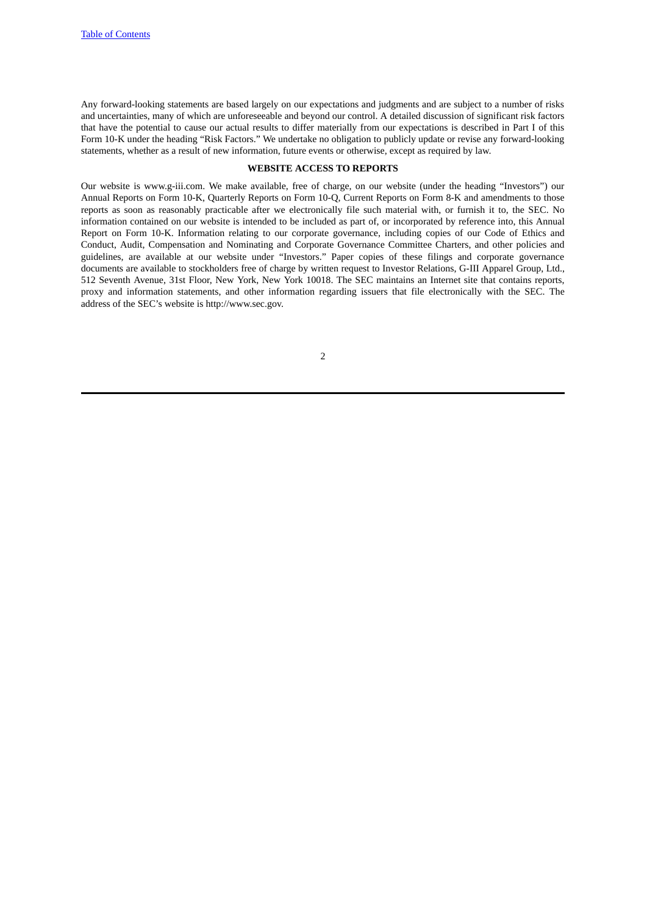Any forward-looking statements are based largely on our expectations and judgments and are subject to a number of risks and uncertainties, many of which are unforeseeable and beyond our control. A detailed discussion of significant risk factors that have the potential to cause our actual results to differ materially from our expectations is described in Part I of this Form 10-K under the heading "Risk Factors." We undertake no obligation to publicly update or revise any forward-looking statements, whether as a result of new information, future events or otherwise, except as required by law.

#### **WEBSITE ACCESS TO REPORTS**

Our website is www.g-iii.com. We make available, free of charge, on our website (under the heading "Investors") our Annual Reports on Form 10-K, Quarterly Reports on Form 10-Q, Current Reports on Form 8-K and amendments to those reports as soon as reasonably practicable after we electronically file such material with, or furnish it to, the SEC. No information contained on our website is intended to be included as part of, or incorporated by reference into, this Annual Report on Form 10-K. Information relating to our corporate governance, including copies of our Code of Ethics and Conduct, Audit, Compensation and Nominating and Corporate Governance Committee Charters, and other policies and guidelines, are available at our website under "Investors." Paper copies of these filings and corporate governance documents are available to stockholders free of charge by written request to Investor Relations, G-III Apparel Group, Ltd., 512 Seventh Avenue, 31st Floor, New York, New York 10018. The SEC maintains an Internet site that contains reports, proxy and information statements, and other information regarding issuers that file electronically with the SEC. The address of the SEC's website is http://www.sec.gov.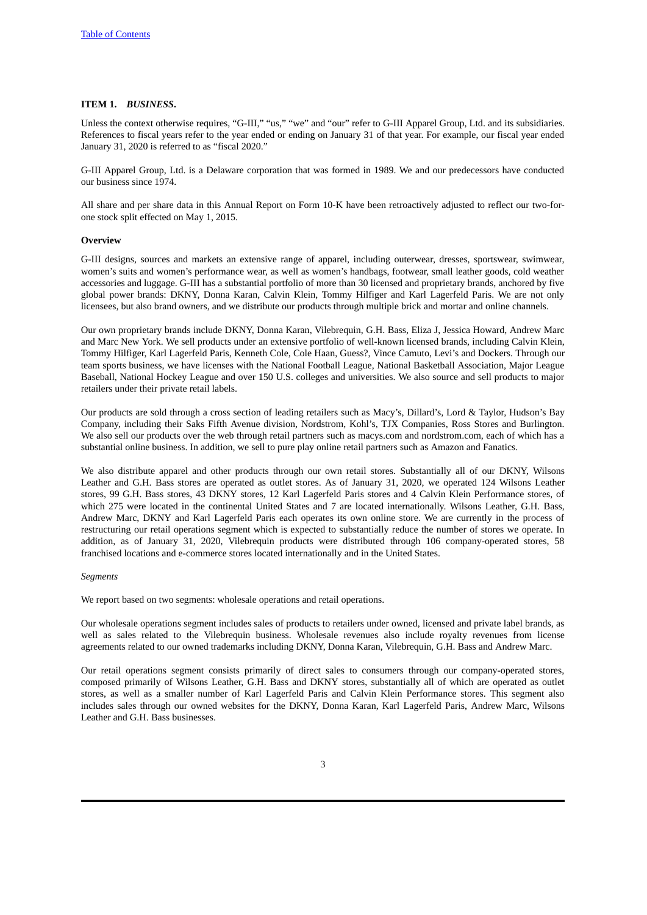# **ITEM 1.** *BUSINESS***.**

Unless the context otherwise requires, "G-III," "us," "we" and "our" refer to G-III Apparel Group, Ltd. and its subsidiaries. References to fiscal years refer to the year ended or ending on January 31 of that year. For example, our fiscal year ended January 31, 2020 is referred to as "fiscal 2020."

G-III Apparel Group, Ltd. is a Delaware corporation that was formed in 1989. We and our predecessors have conducted our business since 1974.

All share and per share data in this Annual Report on Form 10-K have been retroactively adjusted to reflect our two-forone stock split effected on May 1, 2015.

#### **Overview**

G-III designs, sources and markets an extensive range of apparel, including outerwear, dresses, sportswear, swimwear, women's suits and women's performance wear, as well as women's handbags, footwear, small leather goods, cold weather accessories and luggage. G-III has a substantial portfolio of more than 30 licensed and proprietary brands, anchored by five global power brands: DKNY, Donna Karan, Calvin Klein, Tommy Hilfiger and Karl Lagerfeld Paris. We are not only licensees, but also brand owners, and we distribute our products through multiple brick and mortar and online channels.

Our own proprietary brands include DKNY, Donna Karan, Vilebrequin, G.H. Bass, Eliza J, Jessica Howard, Andrew Marc and Marc New York. We sell products under an extensive portfolio of well-known licensed brands, including Calvin Klein, Tommy Hilfiger, Karl Lagerfeld Paris, Kenneth Cole, Cole Haan, Guess?, Vince Camuto, Levi's and Dockers. Through our team sports business, we have licenses with the National Football League, National Basketball Association, Major League Baseball, National Hockey League and over 150 U.S. colleges and universities. We also source and sell products to major retailers under their private retail labels.

Our products are sold through a cross section of leading retailers such as Macy's, Dillard's, Lord & Taylor, Hudson's Bay Company, including their Saks Fifth Avenue division, Nordstrom, Kohl's, TJX Companies, Ross Stores and Burlington. We also sell our products over the web through retail partners such as macys.com and nordstrom.com, each of which has a substantial online business. In addition, we sell to pure play online retail partners such as Amazon and Fanatics.

We also distribute apparel and other products through our own retail stores. Substantially all of our DKNY, Wilsons Leather and G.H. Bass stores are operated as outlet stores. As of January 31, 2020, we operated 124 Wilsons Leather stores, 99 G.H. Bass stores, 43 DKNY stores, 12 Karl Lagerfeld Paris stores and 4 Calvin Klein Performance stores, of which 275 were located in the continental United States and 7 are located internationally. Wilsons Leather, G.H. Bass, Andrew Marc, DKNY and Karl Lagerfeld Paris each operates its own online store. We are currently in the process of restructuring our retail operations segment which is expected to substantially reduce the number of stores we operate. In addition, as of January 31, 2020, Vilebrequin products were distributed through 106 company-operated stores, 58 franchised locations and e-commerce stores located internationally and in the United States.

#### *Segments*

We report based on two segments: wholesale operations and retail operations.

Our wholesale operations segment includes sales of products to retailers under owned, licensed and private label brands, as well as sales related to the Vilebrequin business. Wholesale revenues also include royalty revenues from license agreements related to our owned trademarks including DKNY, Donna Karan, Vilebrequin, G.H. Bass and Andrew Marc.

Our retail operations segment consists primarily of direct sales to consumers through our company-operated stores, composed primarily of Wilsons Leather, G.H. Bass and DKNY stores, substantially all of which are operated as outlet stores, as well as a smaller number of Karl Lagerfeld Paris and Calvin Klein Performance stores. This segment also includes sales through our owned websites for the DKNY, Donna Karan, Karl Lagerfeld Paris, Andrew Marc, Wilsons Leather and G.H. Bass businesses.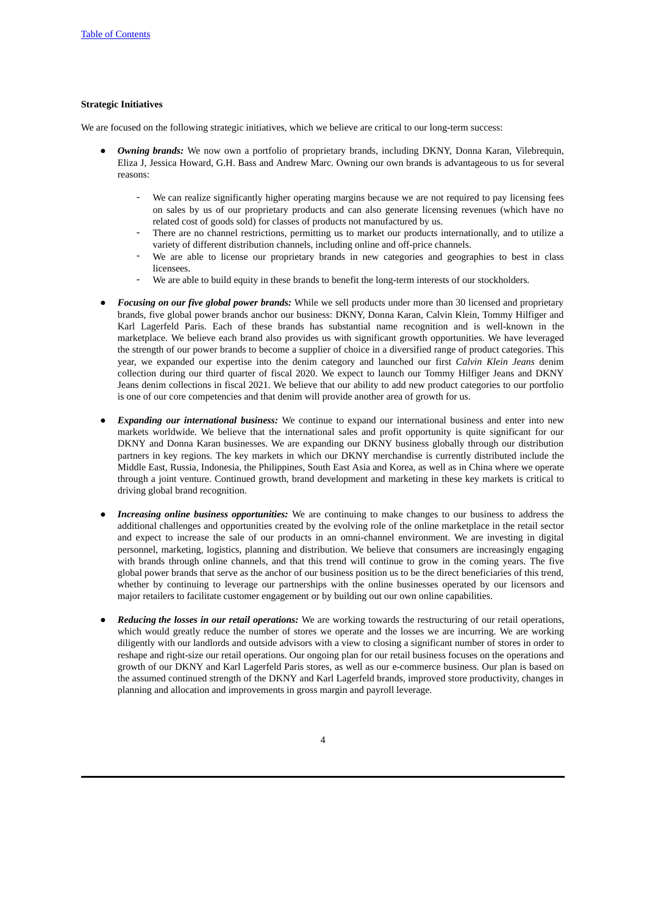# **Strategic Initiatives**

We are focused on the following strategic initiatives, which we believe are critical to our long-term success:

- *Owning brands:* We now own a portfolio of proprietary brands, including DKNY, Donna Karan, Vilebrequin, Eliza J, Jessica Howard, G.H. Bass and Andrew Marc. Owning our own brands is advantageous to us for several reasons:
	- We can realize significantly higher operating margins because we are not required to pay licensing fees on sales by us of our proprietary products and can also generate licensing revenues (which have no related cost of goods sold) for classes of products not manufactured by us.
	- There are no channel restrictions, permitting us to market our products internationally, and to utilize a variety of different distribution channels, including online and off-price channels.
	- We are able to license our proprietary brands in new categories and geographies to best in class licensees.
	- We are able to build equity in these brands to benefit the long-term interests of our stockholders.
- *Focusing on our five global power brands:* While we sell products under more than 30 licensed and proprietary brands, five global power brands anchor our business: DKNY, Donna Karan, Calvin Klein, Tommy Hilfiger and Karl Lagerfeld Paris. Each of these brands has substantial name recognition and is well-known in the marketplace. We believe each brand also provides us with significant growth opportunities. We have leveraged the strength of our power brands to become a supplier of choice in a diversified range of product categories. This year, we expanded our expertise into the denim category and launched our first *Calvin Klein Jeans* denim collection during our third quarter of fiscal 2020. We expect to launch our Tommy Hilfiger Jeans and DKNY Jeans denim collections in fiscal 2021. We believe that our ability to add new product categories to our portfolio is one of our core competencies and that denim will provide another area of growth for us.
- *Expanding our international business:* We continue to expand our international business and enter into new markets worldwide. We believe that the international sales and profit opportunity is quite significant for our DKNY and Donna Karan businesses. We are expanding our DKNY business globally through our distribution partners in key regions. The key markets in which our DKNY merchandise is currently distributed include the Middle East, Russia, Indonesia, the Philippines, South East Asia and Korea, as well as in China where we operate through a joint venture. Continued growth, brand development and marketing in these key markets is critical to driving global brand recognition.
- *Increasing online business opportunities:* We are continuing to make changes to our business to address the additional challenges and opportunities created by the evolving role of the online marketplace in the retail sector and expect to increase the sale of our products in an omni-channel environment. We are investing in digital personnel, marketing, logistics, planning and distribution. We believe that consumers are increasingly engaging with brands through online channels, and that this trend will continue to grow in the coming years. The five global power brands that serve as the anchor of our business position us to be the direct beneficiaries of this trend, whether by continuing to leverage our partnerships with the online businesses operated by our licensors and major retailers to facilitate customer engagement or by building out our own online capabilities.
- *Reducing the losses in our retail operations:* We are working towards the restructuring of our retail operations, which would greatly reduce the number of stores we operate and the losses we are incurring. We are working diligently with our landlords and outside advisors with a view to closing a significant number of stores in order to reshape and right-size our retail operations. Our ongoing plan for our retail business focuses on the operations and growth of our DKNY and Karl Lagerfeld Paris stores, as well as our e-commerce business. Our plan is based on the assumed continued strength of the DKNY and Karl Lagerfeld brands, improved store productivity, changes in planning and allocation and improvements in gross margin and payroll leverage.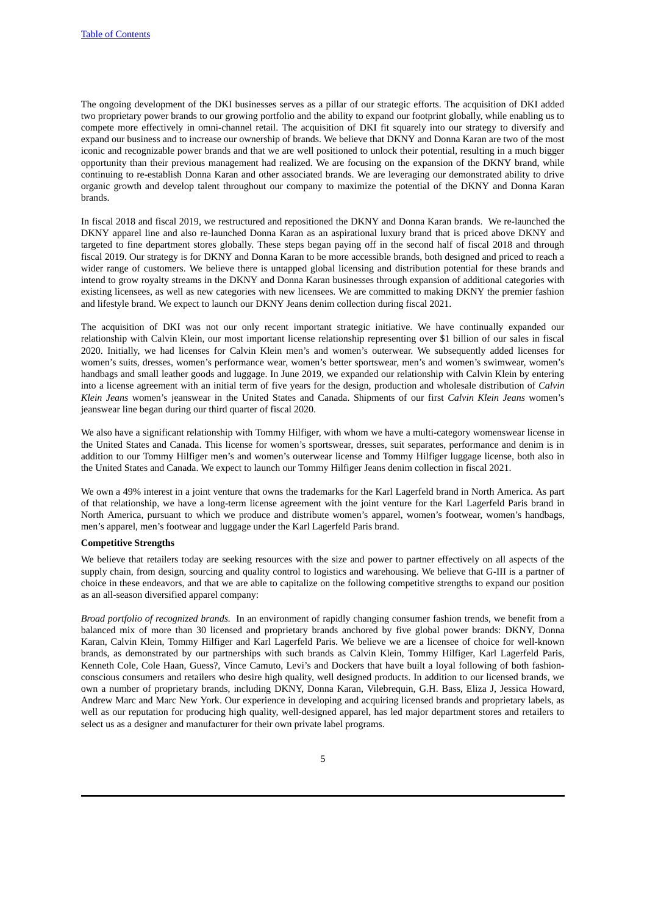The ongoing development of the DKI businesses serves as a pillar of our strategic efforts. The acquisition of DKI added two proprietary power brands to our growing portfolio and the ability to expand our footprint globally, while enabling us to compete more effectively in omni-channel retail. The acquisition of DKI fit squarely into our strategy to diversify and expand our business and to increase our ownership of brands. We believe that DKNY and Donna Karan are two of the most iconic and recognizable power brands and that we are well positioned to unlock their potential, resulting in a much bigger opportunity than their previous management had realized. We are focusing on the expansion of the DKNY brand, while continuing to re-establish Donna Karan and other associated brands. We are leveraging our demonstrated ability to drive organic growth and develop talent throughout our company to maximize the potential of the DKNY and Donna Karan brands.

In fiscal 2018 and fiscal 2019, we restructured and repositioned the DKNY and Donna Karan brands. We re-launched the DKNY apparel line and also re-launched Donna Karan as an aspirational luxury brand that is priced above DKNY and targeted to fine department stores globally. These steps began paying off in the second half of fiscal 2018 and through fiscal 2019. Our strategy is for DKNY and Donna Karan to be more accessible brands, both designed and priced to reach a wider range of customers. We believe there is untapped global licensing and distribution potential for these brands and intend to grow royalty streams in the DKNY and Donna Karan businesses through expansion of additional categories with existing licensees, as well as new categories with new licensees. We are committed to making DKNY the premier fashion and lifestyle brand. We expect to launch our DKNY Jeans denim collection during fiscal 2021.

The acquisition of DKI was not our only recent important strategic initiative. We have continually expanded our relationship with Calvin Klein, our most important license relationship representing over \$1 billion of our sales in fiscal 2020. Initially, we had licenses for Calvin Klein men's and women's outerwear. We subsequently added licenses for women's suits, dresses, women's performance wear, women's better sportswear, men's and women's swimwear, women's handbags and small leather goods and luggage. In June 2019, we expanded our relationship with Calvin Klein by entering into a license agreement with an initial term of five years for the design, production and wholesale distribution of *Calvin Klein Jeans* women's jeanswear in the United States and Canada. Shipments of our first *Calvin Klein Jeans* women's jeanswear line began during our third quarter of fiscal 2020.

We also have a significant relationship with Tommy Hilfiger, with whom we have a multi-category womenswear license in the United States and Canada. This license for women's sportswear, dresses, suit separates, performance and denim is in addition to our Tommy Hilfiger men's and women's outerwear license and Tommy Hilfiger luggage license, both also in the United States and Canada. We expect to launch our Tommy Hilfiger Jeans denim collection in fiscal 2021.

We own a 49% interest in a joint venture that owns the trademarks for the Karl Lagerfeld brand in North America. As part of that relationship, we have a long-term license agreement with the joint venture for the Karl Lagerfeld Paris brand in North America, pursuant to which we produce and distribute women's apparel, women's footwear, women's handbags, men's apparel, men's footwear and luggage under the Karl Lagerfeld Paris brand.

# **Competitive Strengths**

We believe that retailers today are seeking resources with the size and power to partner effectively on all aspects of the supply chain, from design, sourcing and quality control to logistics and warehousing. We believe that G-III is a partner of choice in these endeavors, and that we are able to capitalize on the following competitive strengths to expand our position as an all-season diversified apparel company:

*Broad portfolio of recognized brands.* In an environment of rapidly changing consumer fashion trends, we benefit from a balanced mix of more than 30 licensed and proprietary brands anchored by five global power brands: DKNY, Donna Karan, Calvin Klein, Tommy Hilfiger and Karl Lagerfeld Paris. We believe we are a licensee of choice for well-known brands, as demonstrated by our partnerships with such brands as Calvin Klein, Tommy Hilfiger, Karl Lagerfeld Paris, Kenneth Cole, Cole Haan, Guess?, Vince Camuto, Levi's and Dockers that have built a loyal following of both fashionconscious consumers and retailers who desire high quality, well designed products. In addition to our licensed brands, we own a number of proprietary brands, including DKNY, Donna Karan, Vilebrequin, G.H. Bass, Eliza J, Jessica Howard, Andrew Marc and Marc New York. Our experience in developing and acquiring licensed brands and proprietary labels, as well as our reputation for producing high quality, well-designed apparel, has led major department stores and retailers to select us as a designer and manufacturer for their own private label programs.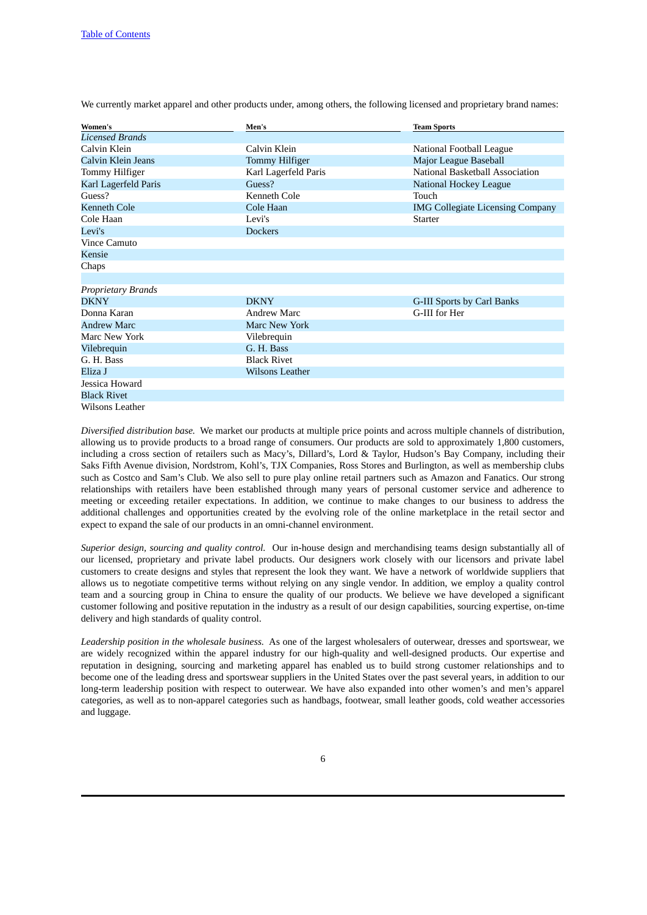| Women's                   | Men's                  | <b>Team Sports</b>                      |  |
|---------------------------|------------------------|-----------------------------------------|--|
| <b>Licensed Brands</b>    |                        |                                         |  |
| Calvin Klein              | Calvin Klein           | National Football League                |  |
| Calvin Klein Jeans        | <b>Tommy Hilfiger</b>  | Major League Baseball                   |  |
| Tommy Hilfiger            | Karl Lagerfeld Paris   | National Basketball Association         |  |
| Karl Lagerfeld Paris      | Guess?                 | National Hockey League                  |  |
| Guess?                    | <b>Kenneth Cole</b>    | Touch                                   |  |
| <b>Kenneth Cole</b>       | Cole Haan              | <b>IMG Collegiate Licensing Company</b> |  |
| Cole Haan                 | Levi's                 | <b>Starter</b>                          |  |
| Levi's                    | <b>Dockers</b>         |                                         |  |
| Vince Camuto              |                        |                                         |  |
| Kensie                    |                        |                                         |  |
| Chaps                     |                        |                                         |  |
|                           |                        |                                         |  |
| <b>Proprietary Brands</b> |                        |                                         |  |
| <b>DKNY</b>               | <b>DKNY</b>            | G-III Sports by Carl Banks              |  |
| Donna Karan               | Andrew Marc            | G-III for Her                           |  |
| Andrew Marc               | Marc New York          |                                         |  |
| Marc New York             | Vilebrequin            |                                         |  |
| Vilebrequin               | G. H. Bass             |                                         |  |
| G. H. Bass                | <b>Black Rivet</b>     |                                         |  |
| Eliza J                   | <b>Wilsons Leather</b> |                                         |  |
| Jessica Howard            |                        |                                         |  |
| <b>Black Rivet</b>        |                        |                                         |  |
| Wilsons Leather           |                        |                                         |  |

We currently market apparel and other products under, among others, the following licensed and proprietary brand names:

*Diversified distribution base.* We market our products at multiple price points and across multiple channels of distribution, allowing us to provide products to a broad range of consumers. Our products are sold to approximately 1,800 customers, including a cross section of retailers such as Macy's, Dillard's, Lord & Taylor, Hudson's Bay Company, including their Saks Fifth Avenue division, Nordstrom, Kohl's, TJX Companies, Ross Stores and Burlington, as well as membership clubs such as Costco and Sam's Club. We also sell to pure play online retail partners such as Amazon and Fanatics. Our strong relationships with retailers have been established through many years of personal customer service and adherence to meeting or exceeding retailer expectations. In addition, we continue to make changes to our business to address the additional challenges and opportunities created by the evolving role of the online marketplace in the retail sector and expect to expand the sale of our products in an omni-channel environment.

*Superior design, sourcing and quality control.* Our in-house design and merchandising teams design substantially all of our licensed, proprietary and private label products. Our designers work closely with our licensors and private label customers to create designs and styles that represent the look they want. We have a network of worldwide suppliers that allows us to negotiate competitive terms without relying on any single vendor. In addition, we employ a quality control team and a sourcing group in China to ensure the quality of our products. We believe we have developed a significant customer following and positive reputation in the industry as a result of our design capabilities, sourcing expertise, on-time delivery and high standards of quality control.

*Leadership position in the wholesale business.* As one of the largest wholesalers of outerwear, dresses and sportswear, we are widely recognized within the apparel industry for our high-quality and well-designed products. Our expertise and reputation in designing, sourcing and marketing apparel has enabled us to build strong customer relationships and to become one of the leading dress and sportswear suppliers in the United States over the past several years, in addition to our long-term leadership position with respect to outerwear. We have also expanded into other women's and men's apparel categories, as well as to non-apparel categories such as handbags, footwear, small leather goods, cold weather accessories and luggage.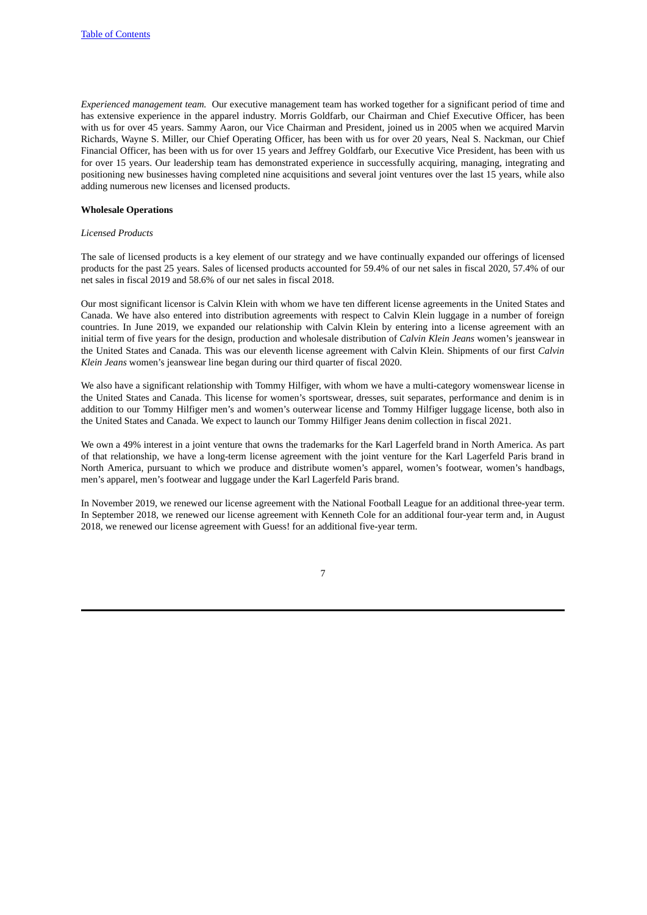*Experienced management team.* Our executive management team has worked together for a significant period of time and has extensive experience in the apparel industry. Morris Goldfarb, our Chairman and Chief Executive Officer, has been with us for over 45 years. Sammy Aaron, our Vice Chairman and President, joined us in 2005 when we acquired Marvin Richards, Wayne S. Miller, our Chief Operating Officer, has been with us for over 20 years, Neal S. Nackman, our Chief Financial Officer, has been with us for over 15 years and Jeffrey Goldfarb, our Executive Vice President, has been with us for over 15 years. Our leadership team has demonstrated experience in successfully acquiring, managing, integrating and positioning new businesses having completed nine acquisitions and several joint ventures over the last 15 years, while also adding numerous new licenses and licensed products.

#### **Wholesale Operations**

#### *Licensed Products*

The sale of licensed products is a key element of our strategy and we have continually expanded our offerings of licensed products for the past 25 years. Sales of licensed products accounted for 59.4% of our net sales in fiscal 2020, 57.4% of our net sales in fiscal 2019 and 58.6% of our net sales in fiscal 2018.

Our most significant licensor is Calvin Klein with whom we have ten different license agreements in the United States and Canada. We have also entered into distribution agreements with respect to Calvin Klein luggage in a number of foreign countries. In June 2019, we expanded our relationship with Calvin Klein by entering into a license agreement with an initial term of five years for the design, production and wholesale distribution of *Calvin Klein Jeans* women's jeanswear in the United States and Canada. This was our eleventh license agreement with Calvin Klein. Shipments of our first *Calvin Klein Jeans* women's jeanswear line began during our third quarter of fiscal 2020.

We also have a significant relationship with Tommy Hilfiger, with whom we have a multi-category womenswear license in the United States and Canada. This license for women's sportswear, dresses, suit separates, performance and denim is in addition to our Tommy Hilfiger men's and women's outerwear license and Tommy Hilfiger luggage license, both also in the United States and Canada. We expect to launch our Tommy Hilfiger Jeans denim collection in fiscal 2021.

We own a 49% interest in a joint venture that owns the trademarks for the Karl Lagerfeld brand in North America. As part of that relationship, we have a long-term license agreement with the joint venture for the Karl Lagerfeld Paris brand in North America, pursuant to which we produce and distribute women's apparel, women's footwear, women's handbags, men's apparel, men's footwear and luggage under the Karl Lagerfeld Paris brand.

In November 2019, we renewed our license agreement with the National Football League for an additional three-year term. In September 2018, we renewed our license agreement with Kenneth Cole for an additional four-year term and, in August 2018, we renewed our license agreement with Guess! for an additional five-year term.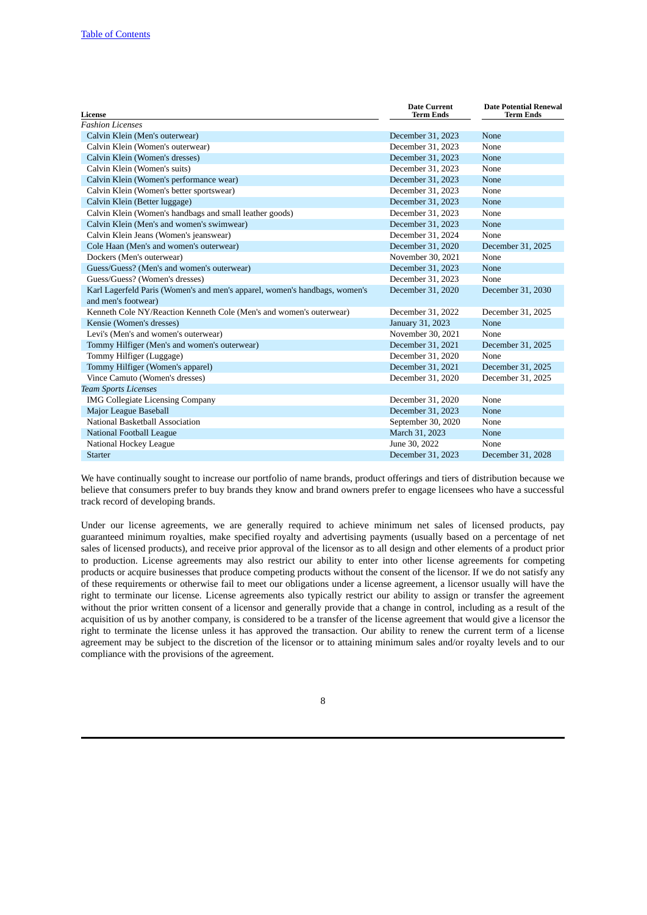| <b>License</b>                                                             | <b>Date Current</b><br><b>Term Ends</b> | <b>Date Potential Renewal</b><br><b>Term Ends</b> |
|----------------------------------------------------------------------------|-----------------------------------------|---------------------------------------------------|
| <b>Fashion Licenses</b>                                                    |                                         |                                                   |
| Calvin Klein (Men's outerwear)                                             | December 31, 2023                       | None                                              |
| Calvin Klein (Women's outerwear)                                           | December 31, 2023                       | None                                              |
| Calvin Klein (Women's dresses)                                             | December 31, 2023                       | None                                              |
| Calvin Klein (Women's suits)                                               | December 31, 2023                       | None                                              |
| Calvin Klein (Women's performance wear)                                    | December 31, 2023                       | None                                              |
| Calvin Klein (Women's better sportswear)                                   | December 31, 2023                       | None                                              |
| Calvin Klein (Better luggage)                                              | December 31, 2023                       | None                                              |
| Calvin Klein (Women's handbags and small leather goods)                    | December 31, 2023                       | None                                              |
| Calvin Klein (Men's and women's swimwear)                                  | December 31, 2023                       | None                                              |
| Calvin Klein Jeans (Women's jeanswear)                                     | December 31, 2024                       | None                                              |
| Cole Haan (Men's and women's outerwear)                                    | December 31, 2020                       | December 31, 2025                                 |
| Dockers (Men's outerwear)                                                  | November 30, 2021                       | None                                              |
| Guess/Guess? (Men's and women's outerwear)                                 | December 31, 2023                       | None                                              |
| Guess/Guess? (Women's dresses)                                             | December 31, 2023                       | None                                              |
| Karl Lagerfeld Paris (Women's and men's apparel, women's handbags, women's | December 31, 2020                       | December 31, 2030                                 |
| and men's footwear)                                                        |                                         |                                                   |
| Kenneth Cole NY/Reaction Kenneth Cole (Men's and women's outerwear)        | December 31, 2022                       | December 31, 2025                                 |
| Kensie (Women's dresses)                                                   | January 31, 2023                        | None                                              |
| Levi's (Men's and women's outerwear)                                       | November 30, 2021                       | None                                              |
| Tommy Hilfiger (Men's and women's outerwear)                               | December 31, 2021                       | December 31, 2025                                 |
| Tommy Hilfiger (Luggage)                                                   | December 31, 2020                       | None                                              |
| Tommy Hilfiger (Women's apparel)                                           | December 31, 2021                       | December 31, 2025                                 |
| Vince Camuto (Women's dresses)                                             | December 31, 2020                       | December 31, 2025                                 |
| <b>Team Sports Licenses</b>                                                |                                         |                                                   |
| <b>IMG Collegiate Licensing Company</b>                                    | December 31, 2020                       | None                                              |
| Major League Baseball                                                      | December 31, 2023                       | None                                              |
| National Basketball Association                                            | September 30, 2020                      | None                                              |
| National Football League                                                   | March 31, 2023                          | None                                              |
| National Hockey League                                                     | June 30, 2022                           | None                                              |
| <b>Starter</b>                                                             | December 31, 2023                       | December 31, 2028                                 |

We have continually sought to increase our portfolio of name brands, product offerings and tiers of distribution because we believe that consumers prefer to buy brands they know and brand owners prefer to engage licensees who have a successful track record of developing brands.

Under our license agreements, we are generally required to achieve minimum net sales of licensed products, pay guaranteed minimum royalties, make specified royalty and advertising payments (usually based on a percentage of net sales of licensed products), and receive prior approval of the licensor as to all design and other elements of a product prior to production. License agreements may also restrict our ability to enter into other license agreements for competing products or acquire businesses that produce competing products without the consent of the licensor. If we do not satisfy any of these requirements or otherwise fail to meet our obligations under a license agreement, a licensor usually will have the right to terminate our license. License agreements also typically restrict our ability to assign or transfer the agreement without the prior written consent of a licensor and generally provide that a change in control, including as a result of the acquisition of us by another company, is considered to be a transfer of the license agreement that would give a licensor the right to terminate the license unless it has approved the transaction. Our ability to renew the current term of a license agreement may be subject to the discretion of the licensor or to attaining minimum sales and/or royalty levels and to our compliance with the provisions of the agreement.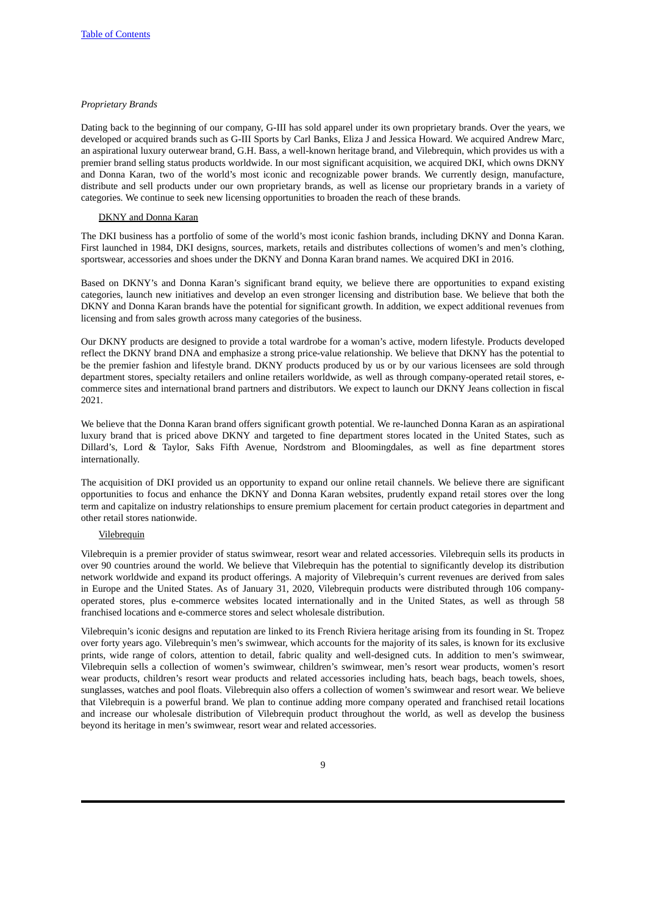# *Proprietary Brands*

Dating back to the beginning of our company, G-III has sold apparel under its own proprietary brands. Over the years, we developed or acquired brands such as G-III Sports by Carl Banks, Eliza J and Jessica Howard. We acquired Andrew Marc, an aspirational luxury outerwear brand, G.H. Bass, a well-known heritage brand, and Vilebrequin, which provides us with a premier brand selling status products worldwide. In our most significant acquisition, we acquired DKI, which owns DKNY and Donna Karan, two of the world's most iconic and recognizable power brands. We currently design, manufacture, distribute and sell products under our own proprietary brands, as well as license our proprietary brands in a variety of categories. We continue to seek new licensing opportunities to broaden the reach of these brands.

#### DKNY and Donna Karan

The DKI business has a portfolio of some of the world's most iconic fashion brands, including DKNY and Donna Karan. First launched in 1984, DKI designs, sources, markets, retails and distributes collections of women's and men's clothing, sportswear, accessories and shoes under the DKNY and Donna Karan brand names. We acquired DKI in 2016.

Based on DKNY's and Donna Karan's significant brand equity, we believe there are opportunities to expand existing categories, launch new initiatives and develop an even stronger licensing and distribution base. We believe that both the DKNY and Donna Karan brands have the potential for significant growth. In addition, we expect additional revenues from licensing and from sales growth across many categories of the business.

Our DKNY products are designed to provide a total wardrobe for a woman's active, modern lifestyle. Products developed reflect the DKNY brand DNA and emphasize a strong price-value relationship. We believe that DKNY has the potential to be the premier fashion and lifestyle brand. DKNY products produced by us or by our various licensees are sold through department stores, specialty retailers and online retailers worldwide, as well as through company-operated retail stores, ecommerce sites and international brand partners and distributors. We expect to launch our DKNY Jeans collection in fiscal 2021.

We believe that the Donna Karan brand offers significant growth potential. We re-launched Donna Karan as an aspirational luxury brand that is priced above DKNY and targeted to fine department stores located in the United States, such as Dillard's, Lord & Taylor, Saks Fifth Avenue, Nordstrom and Bloomingdales, as well as fine department stores internationally.

The acquisition of DKI provided us an opportunity to expand our online retail channels. We believe there are significant opportunities to focus and enhance the DKNY and Donna Karan websites, prudently expand retail stores over the long term and capitalize on industry relationships to ensure premium placement for certain product categories in department and other retail stores nationwide.

# **Vilebrequin**

Vilebrequin is a premier provider of status swimwear, resort wear and related accessories. Vilebrequin sells its products in over 90 countries around the world. We believe that Vilebrequin has the potential to significantly develop its distribution network worldwide and expand its product offerings. A majority of Vilebrequin's current revenues are derived from sales in Europe and the United States. As of January 31, 2020, Vilebrequin products were distributed through 106 companyoperated stores, plus e-commerce websites located internationally and in the United States, as well as through 58 franchised locations and e-commerce stores and select wholesale distribution.

Vilebrequin's iconic designs and reputation are linked to its French Riviera heritage arising from its founding in St. Tropez over forty years ago. Vilebrequin's men's swimwear, which accounts for the majority of its sales, is known for its exclusive prints, wide range of colors, attention to detail, fabric quality and well-designed cuts. In addition to men's swimwear, Vilebrequin sells a collection of women's swimwear, children's swimwear, men's resort wear products, women's resort wear products, children's resort wear products and related accessories including hats, beach bags, beach towels, shoes, sunglasses, watches and pool floats. Vilebrequin also offers a collection of women's swimwear and resort wear. We believe that Vilebrequin is a powerful brand. We plan to continue adding more company operated and franchised retail locations and increase our wholesale distribution of Vilebrequin product throughout the world, as well as develop the business beyond its heritage in men's swimwear, resort wear and related accessories.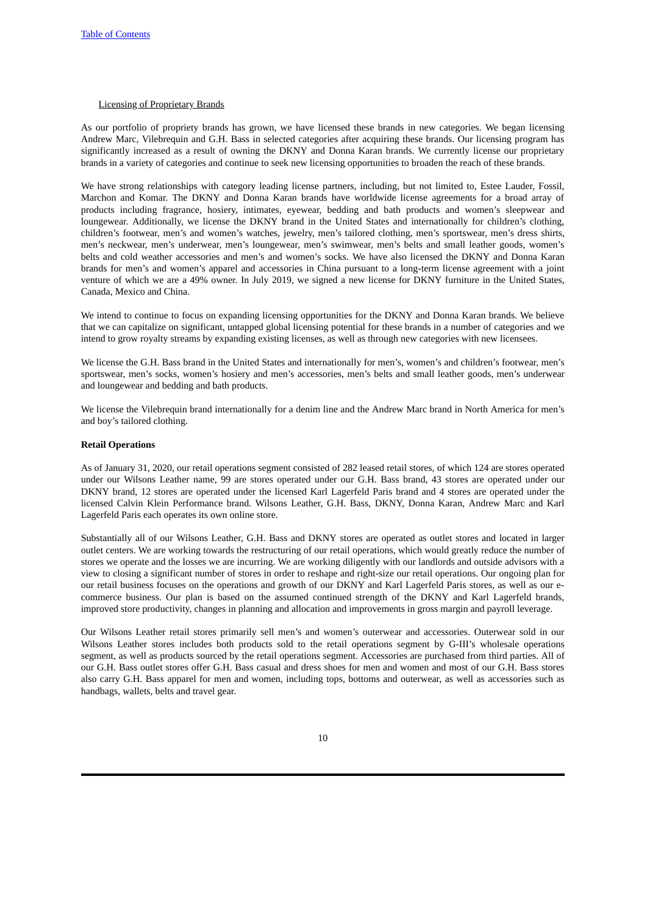# Licensing of Proprietary Brands

As our portfolio of propriety brands has grown, we have licensed these brands in new categories. We began licensing Andrew Marc, Vilebrequin and G.H. Bass in selected categories after acquiring these brands. Our licensing program has significantly increased as a result of owning the DKNY and Donna Karan brands. We currently license our proprietary brands in a variety of categories and continue to seek new licensing opportunities to broaden the reach of these brands.

We have strong relationships with category leading license partners, including, but not limited to, Estee Lauder, Fossil, Marchon and Komar. The DKNY and Donna Karan brands have worldwide license agreements for a broad array of products including fragrance, hosiery, intimates, eyewear, bedding and bath products and women's sleepwear and loungewear. Additionally, we license the DKNY brand in the United States and internationally for children's clothing, children's footwear, men's and women's watches, jewelry, men's tailored clothing, men's sportswear, men's dress shirts, men's neckwear, men's underwear, men's loungewear, men's swimwear, men's belts and small leather goods, women's belts and cold weather accessories and men's and women's socks. We have also licensed the DKNY and Donna Karan brands for men's and women's apparel and accessories in China pursuant to a long-term license agreement with a joint venture of which we are a 49% owner. In July 2019, we signed a new license for DKNY furniture in the United States, Canada, Mexico and China.

We intend to continue to focus on expanding licensing opportunities for the DKNY and Donna Karan brands. We believe that we can capitalize on significant, untapped global licensing potential for these brands in a number of categories and we intend to grow royalty streams by expanding existing licenses, as well as through new categories with new licensees.

We license the G.H. Bass brand in the United States and internationally for men's, women's and children's footwear, men's sportswear, men's socks, women's hosiery and men's accessories, men's belts and small leather goods, men's underwear and loungewear and bedding and bath products.

We license the Vilebrequin brand internationally for a denim line and the Andrew Marc brand in North America for men's and boy's tailored clothing.

# **Retail Operations**

As of January 31, 2020, our retail operations segment consisted of 282 leased retail stores, of which 124 are stores operated under our Wilsons Leather name, 99 are stores operated under our G.H. Bass brand, 43 stores are operated under our DKNY brand, 12 stores are operated under the licensed Karl Lagerfeld Paris brand and 4 stores are operated under the licensed Calvin Klein Performance brand. Wilsons Leather, G.H. Bass, DKNY, Donna Karan, Andrew Marc and Karl Lagerfeld Paris each operates its own online store.

Substantially all of our Wilsons Leather, G.H. Bass and DKNY stores are operated as outlet stores and located in larger outlet centers. We are working towards the restructuring of our retail operations, which would greatly reduce the number of stores we operate and the losses we are incurring. We are working diligently with our landlords and outside advisors with a view to closing a significant number of stores in order to reshape and right-size our retail operations. Our ongoing plan for our retail business focuses on the operations and growth of our DKNY and Karl Lagerfeld Paris stores, as well as our ecommerce business. Our plan is based on the assumed continued strength of the DKNY and Karl Lagerfeld brands, improved store productivity, changes in planning and allocation and improvements in gross margin and payroll leverage.

Our Wilsons Leather retail stores primarily sell men's and women's outerwear and accessories. Outerwear sold in our Wilsons Leather stores includes both products sold to the retail operations segment by G-III's wholesale operations segment, as well as products sourced by the retail operations segment. Accessories are purchased from third parties. All of our G.H. Bass outlet stores offer G.H. Bass casual and dress shoes for men and women and most of our G.H. Bass stores also carry G.H. Bass apparel for men and women, including tops, bottoms and outerwear, as well as accessories such as handbags, wallets, belts and travel gear.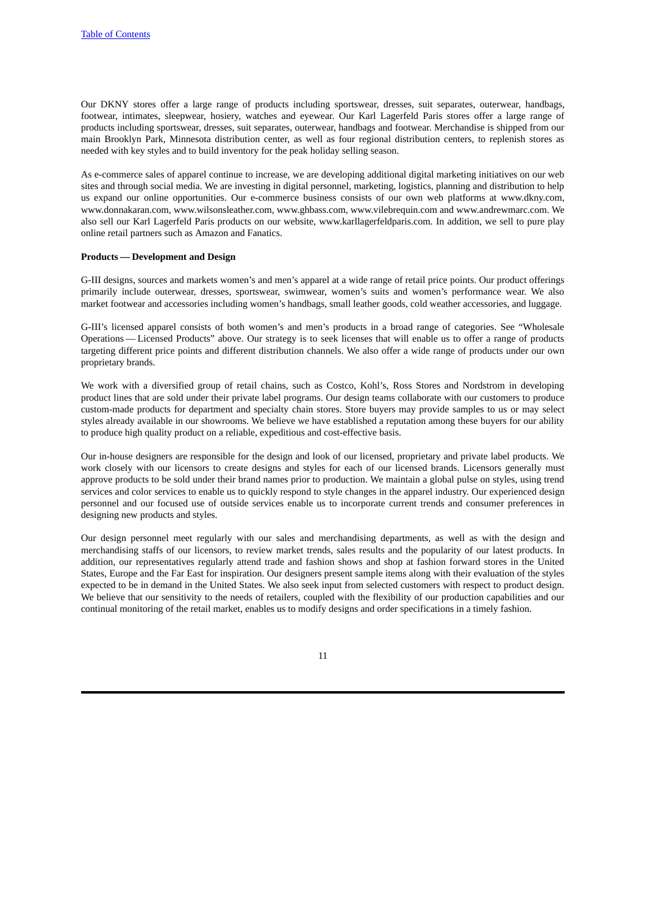Our DKNY stores offer a large range of products including sportswear, dresses, suit separates, outerwear, handbags, footwear, intimates, sleepwear, hosiery, watches and eyewear. Our Karl Lagerfeld Paris stores offer a large range of products including sportswear, dresses, suit separates, outerwear, handbags and footwear. Merchandise is shipped from our main Brooklyn Park, Minnesota distribution center, as well as four regional distribution centers, to replenish stores as needed with key styles and to build inventory for the peak holiday selling season.

As e-commerce sales of apparel continue to increase, we are developing additional digital marketing initiatives on our web sites and through social media. We are investing in digital personnel, marketing, logistics, planning and distribution to help us expand our online opportunities. Our e-commerce business consists of our own web platforms at www.dkny.com, www.donnakaran.com, www.wilsonsleather.com, www.ghbass.com, www.vilebrequin.com and www.andrewmarc.com. We also sell our Karl Lagerfeld Paris products on our website, www.karllagerfeldparis.com. In addition, we sell to pure play online retail partners such as Amazon and Fanatics.

# **Products — Development and Design**

G-III designs, sources and markets women's and men's apparel at a wide range of retail price points. Our product offerings primarily include outerwear, dresses, sportswear, swimwear, women's suits and women's performance wear. We also market footwear and accessories including women's handbags, small leather goods, cold weather accessories, and luggage.

G-III's licensed apparel consists of both women's and men's products in a broad range of categories. See "Wholesale Operations — Licensed Products" above. Our strategy is to seek licenses that will enable us to offer a range of products targeting different price points and different distribution channels. We also offer a wide range of products under our own proprietary brands.

We work with a diversified group of retail chains, such as Costco, Kohl's, Ross Stores and Nordstrom in developing product lines that are sold under their private label programs. Our design teams collaborate with our customers to produce custom-made products for department and specialty chain stores. Store buyers may provide samples to us or may select styles already available in our showrooms. We believe we have established a reputation among these buyers for our ability to produce high quality product on a reliable, expeditious and cost-effective basis.

Our in-house designers are responsible for the design and look of our licensed, proprietary and private label products. We work closely with our licensors to create designs and styles for each of our licensed brands. Licensors generally must approve products to be sold under their brand names prior to production. We maintain a global pulse on styles, using trend services and color services to enable us to quickly respond to style changes in the apparel industry. Our experienced design personnel and our focused use of outside services enable us to incorporate current trends and consumer preferences in designing new products and styles.

Our design personnel meet regularly with our sales and merchandising departments, as well as with the design and merchandising staffs of our licensors, to review market trends, sales results and the popularity of our latest products. In addition, our representatives regularly attend trade and fashion shows and shop at fashion forward stores in the United States, Europe and the Far East for inspiration. Our designers present sample items along with their evaluation of the styles expected to be in demand in the United States. We also seek input from selected customers with respect to product design. We believe that our sensitivity to the needs of retailers, coupled with the flexibility of our production capabilities and our continual monitoring of the retail market, enables us to modify designs and order specifications in a timely fashion.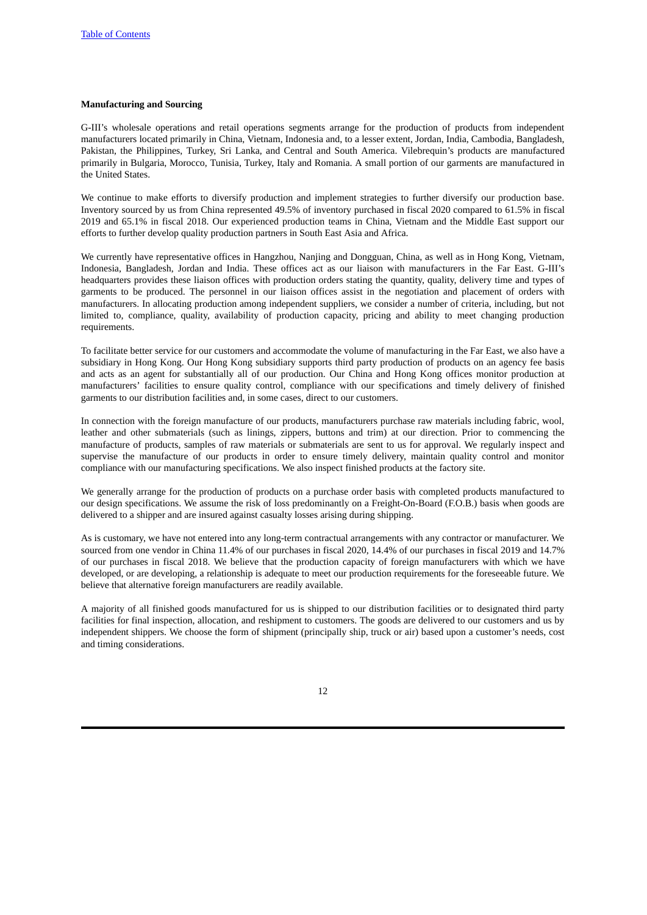# **Manufacturing and Sourcing**

G-III's wholesale operations and retail operations segments arrange for the production of products from independent manufacturers located primarily in China, Vietnam, Indonesia and, to a lesser extent, Jordan, India, Cambodia, Bangladesh, Pakistan, the Philippines, Turkey, Sri Lanka, and Central and South America. Vilebrequin's products are manufactured primarily in Bulgaria, Morocco, Tunisia, Turkey, Italy and Romania. A small portion of our garments are manufactured in the United States.

We continue to make efforts to diversify production and implement strategies to further diversify our production base. Inventory sourced by us from China represented 49.5% of inventory purchased in fiscal 2020 compared to 61.5% in fiscal 2019 and 65.1% in fiscal 2018. Our experienced production teams in China, Vietnam and the Middle East support our efforts to further develop quality production partners in South East Asia and Africa.

We currently have representative offices in Hangzhou, Nanjing and Dongguan, China, as well as in Hong Kong, Vietnam, Indonesia, Bangladesh, Jordan and India. These offices act as our liaison with manufacturers in the Far East. G-III's headquarters provides these liaison offices with production orders stating the quantity, quality, delivery time and types of garments to be produced. The personnel in our liaison offices assist in the negotiation and placement of orders with manufacturers. In allocating production among independent suppliers, we consider a number of criteria, including, but not limited to, compliance, quality, availability of production capacity, pricing and ability to meet changing production requirements.

To facilitate better service for our customers and accommodate the volume of manufacturing in the Far East, we also have a subsidiary in Hong Kong. Our Hong Kong subsidiary supports third party production of products on an agency fee basis and acts as an agent for substantially all of our production. Our China and Hong Kong offices monitor production at manufacturers' facilities to ensure quality control, compliance with our specifications and timely delivery of finished garments to our distribution facilities and, in some cases, direct to our customers.

In connection with the foreign manufacture of our products, manufacturers purchase raw materials including fabric, wool, leather and other submaterials (such as linings, zippers, buttons and trim) at our direction. Prior to commencing the manufacture of products, samples of raw materials or submaterials are sent to us for approval. We regularly inspect and supervise the manufacture of our products in order to ensure timely delivery, maintain quality control and monitor compliance with our manufacturing specifications. We also inspect finished products at the factory site.

We generally arrange for the production of products on a purchase order basis with completed products manufactured to our design specifications. We assume the risk of loss predominantly on a Freight-On-Board (F.O.B.) basis when goods are delivered to a shipper and are insured against casualty losses arising during shipping.

As is customary, we have not entered into any long-term contractual arrangements with any contractor or manufacturer. We sourced from one vendor in China 11.4% of our purchases in fiscal 2020, 14.4% of our purchases in fiscal 2019 and 14.7% of our purchases in fiscal 2018. We believe that the production capacity of foreign manufacturers with which we have developed, or are developing, a relationship is adequate to meet our production requirements for the foreseeable future. We believe that alternative foreign manufacturers are readily available.

A majority of all finished goods manufactured for us is shipped to our distribution facilities or to designated third party facilities for final inspection, allocation, and reshipment to customers. The goods are delivered to our customers and us by independent shippers. We choose the form of shipment (principally ship, truck or air) based upon a customer's needs, cost and timing considerations.

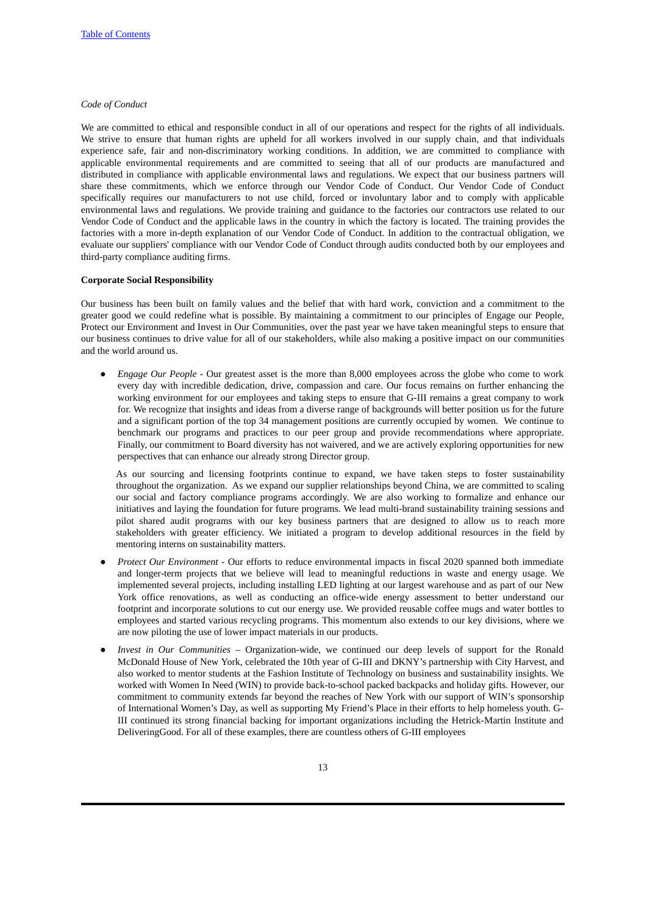# *Code of Conduct*

We are committed to ethical and responsible conduct in all of our operations and respect for the rights of all individuals. We strive to ensure that human rights are upheld for all workers involved in our supply chain, and that individuals experience safe, fair and non-discriminatory working conditions. In addition, we are committed to compliance with applicable environmental requirements and are committed to seeing that all of our products are manufactured and distributed in compliance with applicable environmental laws and regulations. We expect that our business partners will share these commitments, which we enforce through our Vendor Code of Conduct. Our Vendor Code of Conduct specifically requires our manufacturers to not use child, forced or involuntary labor and to comply with applicable environmental laws and regulations. We provide training and guidance to the factories our contractors use related to our Vendor Code of Conduct and the applicable laws in the country in which the factory is located. The training provides the factories with a more in-depth explanation of our Vendor Code of Conduct. In addition to the contractual obligation, we evaluate our suppliers' compliance with our Vendor Code of Conduct through audits conducted both by our employees and third-party compliance auditing firms.

# **Corporate Social Responsibility**

Our business has been built on family values and the belief that with hard work, conviction and a commitment to the greater good we could redefine what is possible. By maintaining a commitment to our principles of Engage our People, Protect our Environment and Invest in Our Communities, over the past year we have taken meaningful steps to ensure that our business continues to drive value for all of our stakeholders, while also making a positive impact on our communities and the world around us.

● *Engage Our People* - Our greatest asset is the more than 8,000 employees across the globe who come to work every day with incredible dedication, drive, compassion and care. Our focus remains on further enhancing the working environment for our employees and taking steps to ensure that G-III remains a great company to work for. We recognize that insights and ideas from a diverse range of backgrounds will better position us for the future and a significant portion of the top 34 management positions are currently occupied by women. We continue to benchmark our programs and practices to our peer group and provide recommendations where appropriate. Finally, our commitment to Board diversity has not waivered, and we are actively exploring opportunities for new perspectives that can enhance our already strong Director group.

As our sourcing and licensing footprints continue to expand, we have taken steps to foster sustainability throughout the organization. As we expand our supplier relationships beyond China, we are committed to scaling our social and factory compliance programs accordingly. We are also working to formalize and enhance our initiatives and laying the foundation for future programs. We lead multi-brand sustainability training sessions and pilot shared audit programs with our key business partners that are designed to allow us to reach more stakeholders with greater efficiency. We initiated a program to develop additional resources in the field by mentoring interns on sustainability matters.

- *Protect Our Environment* Our efforts to reduce environmental impacts in fiscal 2020 spanned both immediate and longer-term projects that we believe will lead to meaningful reductions in waste and energy usage. We implemented several projects, including installing LED lighting at our largest warehouse and as part of our New York office renovations, as well as conducting an office-wide energy assessment to better understand our footprint and incorporate solutions to cut our energy use. We provided reusable coffee mugs and water bottles to employees and started various recycling programs. This momentum also extends to our key divisions, where we are now piloting the use of lower impact materials in our products.
- *Invest in Our Communities* Organization-wide, we continued our deep levels of support for the Ronald McDonald House of New York, celebrated the 10th year of G-III and DKNY's partnership with City Harvest, and also worked to mentor students at the Fashion Institute of Technology on business and sustainability insights. We worked with Women In Need (WIN) to provide back-to-school packed backpacks and holiday gifts. However, our commitment to community extends far beyond the reaches of New York with our support of WIN's sponsorship of International Women's Day, as well as supporting My Friend's Place in their efforts to help homeless youth. G-III continued its strong financial backing for important organizations including the Hetrick-Martin Institute and DeliveringGood. For all of these examples, there are countless others of G-III employees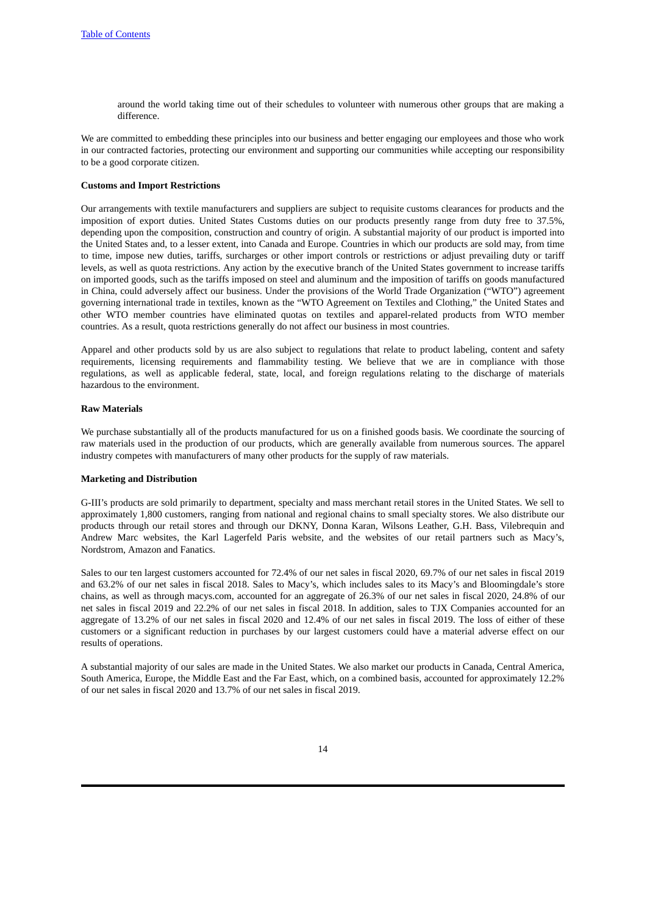around the world taking time out of their schedules to volunteer with numerous other groups that are making a difference.

We are committed to embedding these principles into our business and better engaging our employees and those who work in our contracted factories, protecting our environment and supporting our communities while accepting our responsibility to be a good corporate citizen.

# **Customs and Import Restrictions**

Our arrangements with textile manufacturers and suppliers are subject to requisite customs clearances for products and the imposition of export duties. United States Customs duties on our products presently range from duty free to 37.5%, depending upon the composition, construction and country of origin. A substantial majority of our product is imported into the United States and, to a lesser extent, into Canada and Europe. Countries in which our products are sold may, from time to time, impose new duties, tariffs, surcharges or other import controls or restrictions or adjust prevailing duty or tariff levels, as well as quota restrictions. Any action by the executive branch of the United States government to increase tariffs on imported goods, such as the tariffs imposed on steel and aluminum and the imposition of tariffs on goods manufactured in China, could adversely affect our business. Under the provisions of the World Trade Organization ("WTO") agreement governing international trade in textiles, known as the "WTO Agreement on Textiles and Clothing," the United States and other WTO member countries have eliminated quotas on textiles and apparel-related products from WTO member countries. As a result, quota restrictions generally do not affect our business in most countries.

Apparel and other products sold by us are also subject to regulations that relate to product labeling, content and safety requirements, licensing requirements and flammability testing. We believe that we are in compliance with those regulations, as well as applicable federal, state, local, and foreign regulations relating to the discharge of materials hazardous to the environment.

# **Raw Materials**

We purchase substantially all of the products manufactured for us on a finished goods basis. We coordinate the sourcing of raw materials used in the production of our products, which are generally available from numerous sources. The apparel industry competes with manufacturers of many other products for the supply of raw materials.

#### **Marketing and Distribution**

G-III's products are sold primarily to department, specialty and mass merchant retail stores in the United States. We sell to approximately 1,800 customers, ranging from national and regional chains to small specialty stores. We also distribute our products through our retail stores and through our DKNY, Donna Karan, Wilsons Leather, G.H. Bass, Vilebrequin and Andrew Marc websites, the Karl Lagerfeld Paris website, and the websites of our retail partners such as Macy's, Nordstrom, Amazon and Fanatics.

Sales to our ten largest customers accounted for 72.4% of our net sales in fiscal 2020, 69.7% of our net sales in fiscal 2019 and 63.2% of our net sales in fiscal 2018. Sales to Macy's, which includes sales to its Macy's and Bloomingdale's store chains, as well as through macys.com, accounted for an aggregate of 26.3% of our net sales in fiscal 2020, 24.8% of our net sales in fiscal 2019 and 22.2% of our net sales in fiscal 2018. In addition, sales to TJX Companies accounted for an aggregate of 13.2% of our net sales in fiscal 2020 and 12.4% of our net sales in fiscal 2019. The loss of either of these customers or a significant reduction in purchases by our largest customers could have a material adverse effect on our results of operations.

A substantial majority of our sales are made in the United States. We also market our products in Canada, Central America, South America, Europe, the Middle East and the Far East, which, on a combined basis, accounted for approximately 12.2% of our net sales in fiscal 2020 and 13.7% of our net sales in fiscal 2019.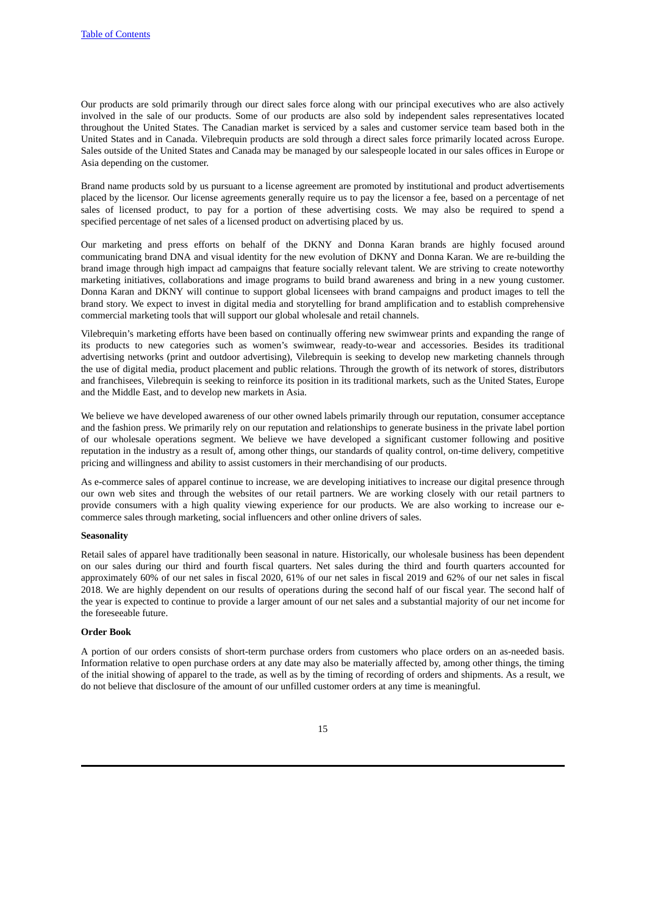Our products are sold primarily through our direct sales force along with our principal executives who are also actively involved in the sale of our products. Some of our products are also sold by independent sales representatives located throughout the United States. The Canadian market is serviced by a sales and customer service team based both in the United States and in Canada. Vilebrequin products are sold through a direct sales force primarily located across Europe. Sales outside of the United States and Canada may be managed by our salespeople located in our sales offices in Europe or Asia depending on the customer.

Brand name products sold by us pursuant to a license agreement are promoted by institutional and product advertisements placed by the licensor. Our license agreements generally require us to pay the licensor a fee, based on a percentage of net sales of licensed product, to pay for a portion of these advertising costs. We may also be required to spend a specified percentage of net sales of a licensed product on advertising placed by us.

Our marketing and press efforts on behalf of the DKNY and Donna Karan brands are highly focused around communicating brand DNA and visual identity for the new evolution of DKNY and Donna Karan. We are re-building the brand image through high impact ad campaigns that feature socially relevant talent. We are striving to create noteworthy marketing initiatives, collaborations and image programs to build brand awareness and bring in a new young customer. Donna Karan and DKNY will continue to support global licensees with brand campaigns and product images to tell the brand story. We expect to invest in digital media and storytelling for brand amplification and to establish comprehensive commercial marketing tools that will support our global wholesale and retail channels.

Vilebrequin's marketing efforts have been based on continually offering new swimwear prints and expanding the range of its products to new categories such as women's swimwear, ready-to-wear and accessories. Besides its traditional advertising networks (print and outdoor advertising), Vilebrequin is seeking to develop new marketing channels through the use of digital media, product placement and public relations. Through the growth of its network of stores, distributors and franchisees, Vilebrequin is seeking to reinforce its position in its traditional markets, such as the United States, Europe and the Middle East, and to develop new markets in Asia.

We believe we have developed awareness of our other owned labels primarily through our reputation, consumer acceptance and the fashion press. We primarily rely on our reputation and relationships to generate business in the private label portion of our wholesale operations segment. We believe we have developed a significant customer following and positive reputation in the industry as a result of, among other things, our standards of quality control, on-time delivery, competitive pricing and willingness and ability to assist customers in their merchandising of our products.

As e-commerce sales of apparel continue to increase, we are developing initiatives to increase our digital presence through our own web sites and through the websites of our retail partners. We are working closely with our retail partners to provide consumers with a high quality viewing experience for our products. We are also working to increase our ecommerce sales through marketing, social influencers and other online drivers of sales.

#### **Seasonality**

Retail sales of apparel have traditionally been seasonal in nature. Historically, our wholesale business has been dependent on our sales during our third and fourth fiscal quarters. Net sales during the third and fourth quarters accounted for approximately 60% of our net sales in fiscal 2020, 61% of our net sales in fiscal 2019 and 62% of our net sales in fiscal 2018. We are highly dependent on our results of operations during the second half of our fiscal year. The second half of the year is expected to continue to provide a larger amount of our net sales and a substantial majority of our net income for the foreseeable future.

# **Order Book**

A portion of our orders consists of short-term purchase orders from customers who place orders on an as-needed basis. Information relative to open purchase orders at any date may also be materially affected by, among other things, the timing of the initial showing of apparel to the trade, as well as by the timing of recording of orders and shipments. As a result, we do not believe that disclosure of the amount of our unfilled customer orders at any time is meaningful.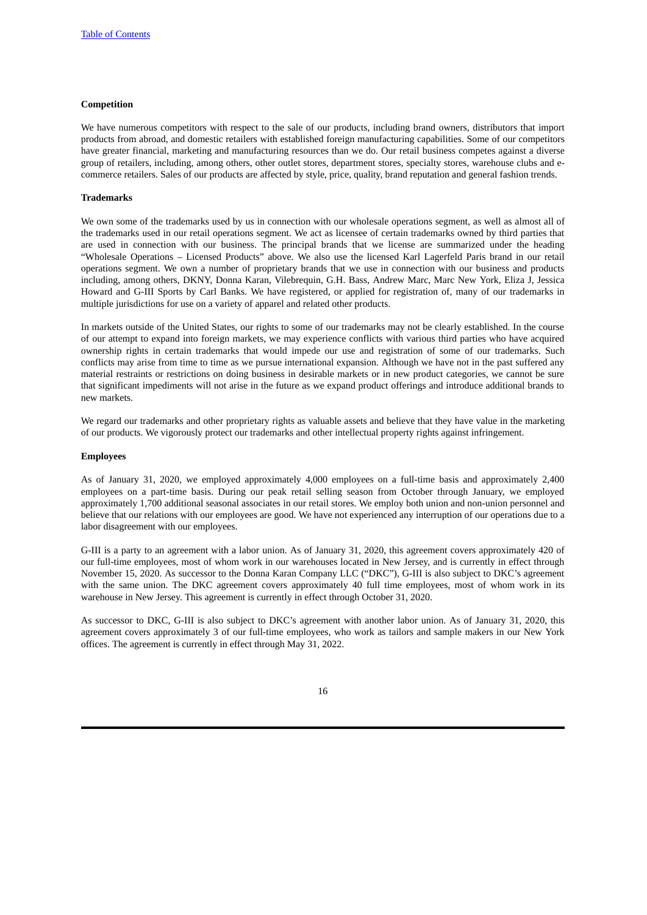# **Competition**

We have numerous competitors with respect to the sale of our products, including brand owners, distributors that import products from abroad, and domestic retailers with established foreign manufacturing capabilities. Some of our competitors have greater financial, marketing and manufacturing resources than we do. Our retail business competes against a diverse group of retailers, including, among others, other outlet stores, department stores, specialty stores, warehouse clubs and ecommerce retailers. Sales of our products are affected by style, price, quality, brand reputation and general fashion trends.

# **Trademarks**

We own some of the trademarks used by us in connection with our wholesale operations segment, as well as almost all of the trademarks used in our retail operations segment. We act as licensee of certain trademarks owned by third parties that are used in connection with our business. The principal brands that we license are summarized under the heading "Wholesale Operations – Licensed Products" above. We also use the licensed Karl Lagerfeld Paris brand in our retail operations segment. We own a number of proprietary brands that we use in connection with our business and products including, among others, DKNY, Donna Karan, Vilebrequin, G.H. Bass, Andrew Marc, Marc New York, Eliza J, Jessica Howard and G-III Sports by Carl Banks. We have registered, or applied for registration of, many of our trademarks in multiple jurisdictions for use on a variety of apparel and related other products.

In markets outside of the United States, our rights to some of our trademarks may not be clearly established. In the course of our attempt to expand into foreign markets, we may experience conflicts with various third parties who have acquired ownership rights in certain trademarks that would impede our use and registration of some of our trademarks. Such conflicts may arise from time to time as we pursue international expansion. Although we have not in the past suffered any material restraints or restrictions on doing business in desirable markets or in new product categories, we cannot be sure that significant impediments will not arise in the future as we expand product offerings and introduce additional brands to new markets.

We regard our trademarks and other proprietary rights as valuable assets and believe that they have value in the marketing of our products. We vigorously protect our trademarks and other intellectual property rights against infringement.

#### **Employees**

As of January 31, 2020, we employed approximately 4,000 employees on a full-time basis and approximately 2,400 employees on a part-time basis. During our peak retail selling season from October through January, we employed approximately 1,700 additional seasonal associates in our retail stores. We employ both union and non-union personnel and believe that our relations with our employees are good. We have not experienced any interruption of our operations due to a labor disagreement with our employees.

G-III is a party to an agreement with a labor union. As of January 31, 2020, this agreement covers approximately 420 of our full-time employees, most of whom work in our warehouses located in New Jersey, and is currently in effect through November 15, 2020. As successor to the Donna Karan Company LLC ("DKC"), G-III is also subject to DKC's agreement with the same union. The DKC agreement covers approximately 40 full time employees, most of whom work in its warehouse in New Jersey. This agreement is currently in effect through October 31, 2020.

As successor to DKC, G-III is also subject to DKC's agreement with another labor union. As of January 31, 2020, this agreement covers approximately 3 of our full-time employees, who work as tailors and sample makers in our New York offices. The agreement is currently in effect through May 31, 2022.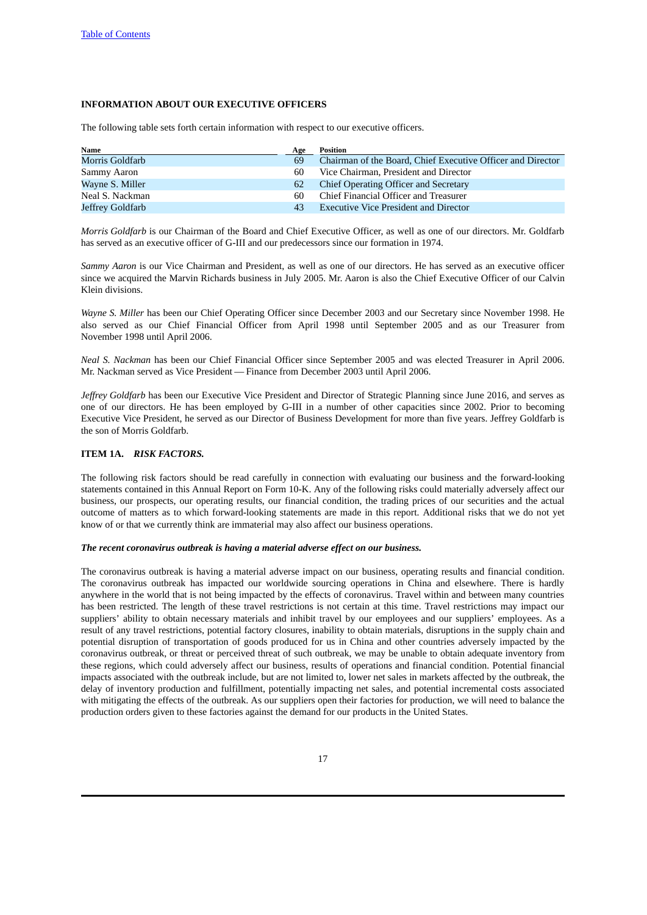# **INFORMATION ABOUT OUR EXECUTIVE OFFICERS**

The following table sets forth certain information with respect to our executive officers.

| Age | Position                                                    |
|-----|-------------------------------------------------------------|
| 69  | Chairman of the Board, Chief Executive Officer and Director |
| 60  | Vice Chairman, President and Director                       |
| 62  | <b>Chief Operating Officer and Secretary</b>                |
| 60  | Chief Financial Officer and Treasurer                       |
| 43  | <b>Executive Vice President and Director</b>                |
|     |                                                             |

*Morris Goldfarb* is our Chairman of the Board and Chief Executive Officer, as well as one of our directors. Mr. Goldfarb has served as an executive officer of G-III and our predecessors since our formation in 1974.

*Sammy Aaron* is our Vice Chairman and President, as well as one of our directors. He has served as an executive officer since we acquired the Marvin Richards business in July 2005. Mr. Aaron is also the Chief Executive Officer of our Calvin Klein divisions.

*Wayne S. Miller* has been our Chief Operating Officer since December 2003 and our Secretary since November 1998. He also served as our Chief Financial Officer from April 1998 until September 2005 and as our Treasurer from November 1998 until April 2006.

*Neal S. Nackman* has been our Chief Financial Officer since September 2005 and was elected Treasurer in April 2006. Mr. Nackman served as Vice President — Finance from December 2003 until April 2006.

*Jeffrey Goldfarb* has been our Executive Vice President and Director of Strategic Planning since June 2016, and serves as one of our directors. He has been employed by G-III in a number of other capacities since 2002. Prior to becoming Executive Vice President, he served as our Director of Business Development for more than five years. Jeffrey Goldfarb is the son of Morris Goldfarb.

# **ITEM 1A.** *RISK FACTORS.*

The following risk factors should be read carefully in connection with evaluating our business and the forward-looking statements contained in this Annual Report on Form 10-K. Any of the following risks could materially adversely affect our business, our prospects, our operating results, our financial condition, the trading prices of our securities and the actual outcome of matters as to which forward-looking statements are made in this report. Additional risks that we do not yet know of or that we currently think are immaterial may also affect our business operations.

#### *The recent coronavirus outbreak is having a material adverse effect on our business.*

The coronavirus outbreak is having a material adverse impact on our business, operating results and financial condition. The coronavirus outbreak has impacted our worldwide sourcing operations in China and elsewhere. There is hardly anywhere in the world that is not being impacted by the effects of coronavirus. Travel within and between many countries has been restricted. The length of these travel restrictions is not certain at this time. Travel restrictions may impact our suppliers' ability to obtain necessary materials and inhibit travel by our employees and our suppliers' employees. As a result of any travel restrictions, potential factory closures, inability to obtain materials, disruptions in the supply chain and potential disruption of transportation of goods produced for us in China and other countries adversely impacted by the coronavirus outbreak, or threat or perceived threat of such outbreak, we may be unable to obtain adequate inventory from these regions, which could adversely affect our business, results of operations and financial condition. Potential financial impacts associated with the outbreak include, but are not limited to, lower net sales in markets affected by the outbreak, the delay of inventory production and fulfillment, potentially impacting net sales, and potential incremental costs associated with mitigating the effects of the outbreak. As our suppliers open their factories for production, we will need to balance the production orders given to these factories against the demand for our products in the United States.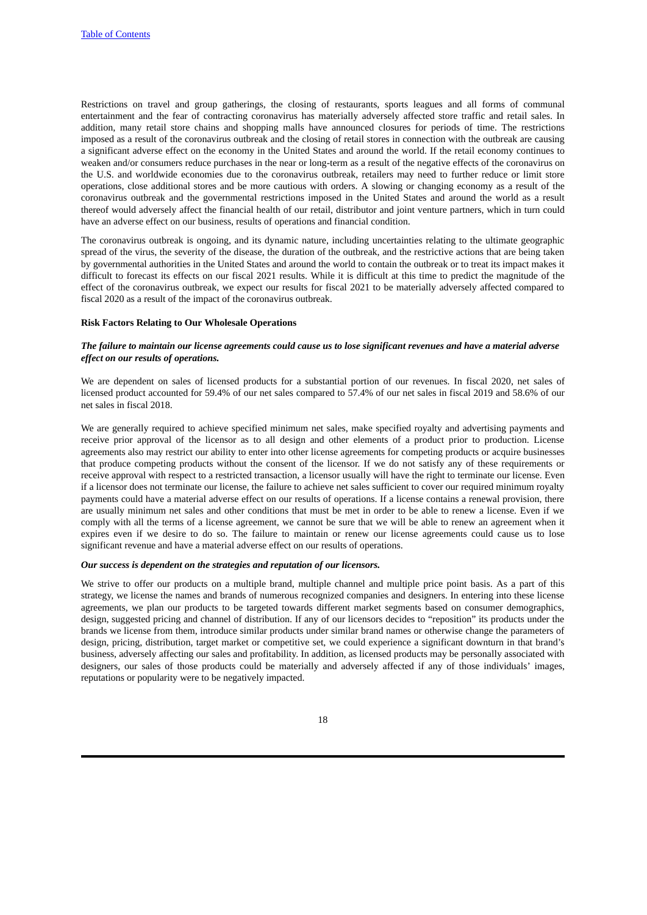Restrictions on travel and group gatherings, the closing of restaurants, sports leagues and all forms of communal entertainment and the fear of contracting coronavirus has materially adversely affected store traffic and retail sales. In addition, many retail store chains and shopping malls have announced closures for periods of time. The restrictions imposed as a result of the coronavirus outbreak and the closing of retail stores in connection with the outbreak are causing a significant adverse effect on the economy in the United States and around the world. If the retail economy continues to weaken and/or consumers reduce purchases in the near or long-term as a result of the negative effects of the coronavirus on the U.S. and worldwide economies due to the coronavirus outbreak, retailers may need to further reduce or limit store operations, close additional stores and be more cautious with orders. A slowing or changing economy as a result of the coronavirus outbreak and the governmental restrictions imposed in the United States and around the world as a result thereof would adversely affect the financial health of our retail, distributor and joint venture partners, which in turn could have an adverse effect on our business, results of operations and financial condition.

The coronavirus outbreak is ongoing, and its dynamic nature, including uncertainties relating to the ultimate geographic spread of the virus, the severity of the disease, the duration of the outbreak, and the restrictive actions that are being taken by governmental authorities in the United States and around the world to contain the outbreak or to treat its impact makes it difficult to forecast its effects on our fiscal 2021 results. While it is difficult at this time to predict the magnitude of the effect of the coronavirus outbreak, we expect our results for fiscal 2021 to be materially adversely affected compared to fiscal 2020 as a result of the impact of the coronavirus outbreak.

#### **Risk Factors Relating to Our Wholesale Operations**

# The failure to maintain our license agreements could cause us to lose significant revenues and have a material adverse *effect on our results of operations.*

We are dependent on sales of licensed products for a substantial portion of our revenues. In fiscal 2020, net sales of licensed product accounted for 59.4% of our net sales compared to 57.4% of our net sales in fiscal 2019 and 58.6% of our net sales in fiscal 2018.

We are generally required to achieve specified minimum net sales, make specified royalty and advertising payments and receive prior approval of the licensor as to all design and other elements of a product prior to production. License agreements also may restrict our ability to enter into other license agreements for competing products or acquire businesses that produce competing products without the consent of the licensor. If we do not satisfy any of these requirements or receive approval with respect to a restricted transaction, a licensor usually will have the right to terminate our license. Even if a licensor does not terminate our license, the failure to achieve net sales sufficient to cover our required minimum royalty payments could have a material adverse effect on our results of operations. If a license contains a renewal provision, there are usually minimum net sales and other conditions that must be met in order to be able to renew a license. Even if we comply with all the terms of a license agreement, we cannot be sure that we will be able to renew an agreement when it expires even if we desire to do so. The failure to maintain or renew our license agreements could cause us to lose significant revenue and have a material adverse effect on our results of operations.

# *Our success is dependent on the strategies and reputation of our licensors.*

We strive to offer our products on a multiple brand, multiple channel and multiple price point basis. As a part of this strategy, we license the names and brands of numerous recognized companies and designers. In entering into these license agreements, we plan our products to be targeted towards different market segments based on consumer demographics, design, suggested pricing and channel of distribution. If any of our licensors decides to "reposition" its products under the brands we license from them, introduce similar products under similar brand names or otherwise change the parameters of design, pricing, distribution, target market or competitive set, we could experience a significant downturn in that brand's business, adversely affecting our sales and profitability. In addition, as licensed products may be personally associated with designers, our sales of those products could be materially and adversely affected if any of those individuals' images, reputations or popularity were to be negatively impacted.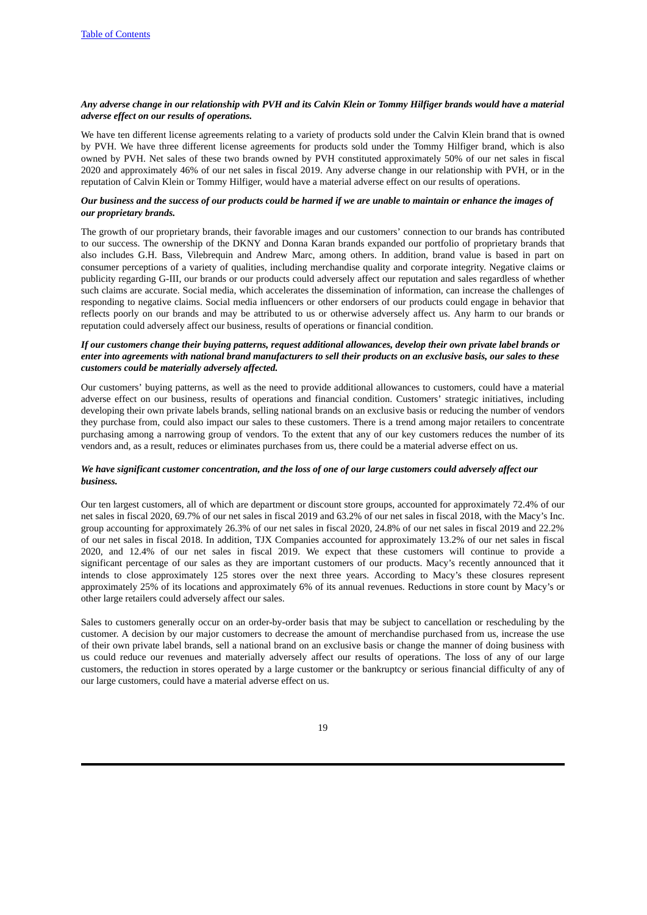# Any adverse change in our relationship with PVH and its Calvin Klein or Tommy Hilfiger brands would have a material *adverse effect on our results of operations.*

We have ten different license agreements relating to a variety of products sold under the Calvin Klein brand that is owned by PVH. We have three different license agreements for products sold under the Tommy Hilfiger brand, which is also owned by PVH. Net sales of these two brands owned by PVH constituted approximately 50% of our net sales in fiscal 2020 and approximately 46% of our net sales in fiscal 2019. Any adverse change in our relationship with PVH, or in the reputation of Calvin Klein or Tommy Hilfiger, would have a material adverse effect on our results of operations.

# Our business and the success of our products could be harmed if we are unable to maintain or enhance the images of *our proprietary brands.*

The growth of our proprietary brands, their favorable images and our customers' connection to our brands has contributed to our success. The ownership of the DKNY and Donna Karan brands expanded our portfolio of proprietary brands that also includes G.H. Bass, Vilebrequin and Andrew Marc, among others. In addition, brand value is based in part on consumer perceptions of a variety of qualities, including merchandise quality and corporate integrity. Negative claims or publicity regarding G-III, our brands or our products could adversely affect our reputation and sales regardless of whether such claims are accurate. Social media, which accelerates the dissemination of information, can increase the challenges of responding to negative claims. Social media influencers or other endorsers of our products could engage in behavior that reflects poorly on our brands and may be attributed to us or otherwise adversely affect us. Any harm to our brands or reputation could adversely affect our business, results of operations or financial condition.

# If our customers change their buying patterns, request additional allowances, develop their own private label brands or enter into agreements with national brand manufacturers to sell their products on an exclusive basis, our sales to these *customers could be materially adversely affected.*

Our customers' buying patterns, as well as the need to provide additional allowances to customers, could have a material adverse effect on our business, results of operations and financial condition. Customers' strategic initiatives, including developing their own private labels brands, selling national brands on an exclusive basis or reducing the number of vendors they purchase from, could also impact our sales to these customers. There is a trend among major retailers to concentrate purchasing among a narrowing group of vendors. To the extent that any of our key customers reduces the number of its vendors and, as a result, reduces or eliminates purchases from us, there could be a material adverse effect on us.

# We have significant customer concentration, and the loss of one of our large customers could adversely affect our *business.*

Our ten largest customers, all of which are department or discount store groups, accounted for approximately 72.4% of our net sales in fiscal 2020, 69.7% of our net sales in fiscal 2019 and 63.2% of our net sales in fiscal 2018, with the Macy's Inc. group accounting for approximately 26.3% of our net sales in fiscal 2020, 24.8% of our net sales in fiscal 2019 and 22.2% of our net sales in fiscal 2018. In addition, TJX Companies accounted for approximately 13.2% of our net sales in fiscal 2020, and 12.4% of our net sales in fiscal 2019. We expect that these customers will continue to provide a significant percentage of our sales as they are important customers of our products. Macy's recently announced that it intends to close approximately 125 stores over the next three years. According to Macy's these closures represent approximately 25% of its locations and approximately 6% of its annual revenues. Reductions in store count by Macy's or other large retailers could adversely affect our sales.

Sales to customers generally occur on an order-by-order basis that may be subject to cancellation or rescheduling by the customer. A decision by our major customers to decrease the amount of merchandise purchased from us, increase the use of their own private label brands, sell a national brand on an exclusive basis or change the manner of doing business with us could reduce our revenues and materially adversely affect our results of operations. The loss of any of our large customers, the reduction in stores operated by a large customer or the bankruptcy or serious financial difficulty of any of our large customers, could have a material adverse effect on us.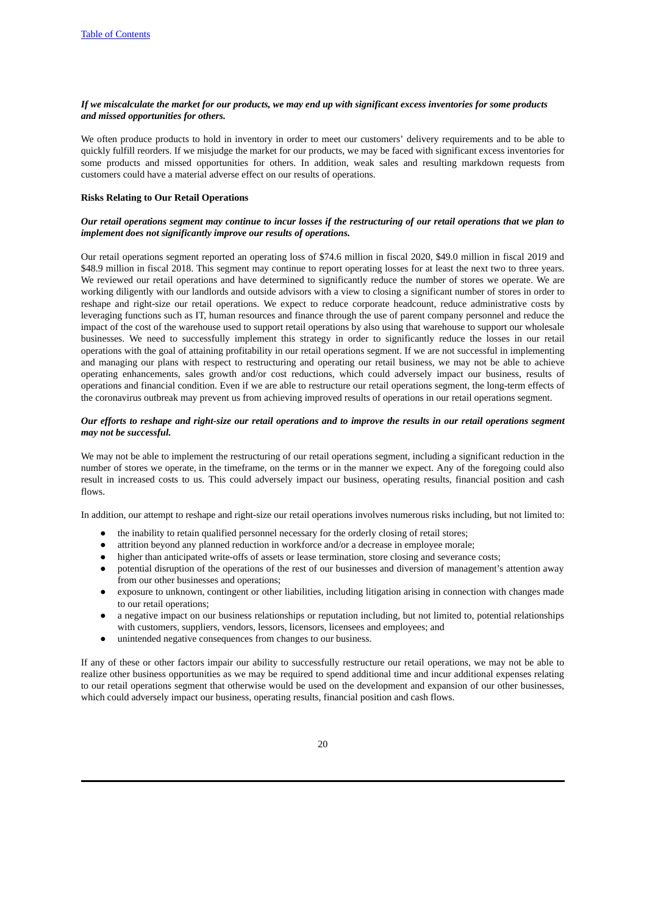# If we miscalculate the market for our products, we may end up with significant excess inventories for some products *and missed opportunities for others.*

We often produce products to hold in inventory in order to meet our customers' delivery requirements and to be able to quickly fulfill reorders. If we misjudge the market for our products, we may be faced with significant excess inventories for some products and missed opportunities for others. In addition, weak sales and resulting markdown requests from customers could have a material adverse effect on our results of operations.

# **Risks Relating to Our Retail Operations**

# Our retail operations segment may continue to incur losses if the restructuring of our retail operations that we plan to *implement does not significantly improve our results of operations.*

Our retail operations segment reported an operating loss of \$74.6 million in fiscal 2020, \$49.0 million in fiscal 2019 and \$48.9 million in fiscal 2018. This segment may continue to report operating losses for at least the next two to three years. We reviewed our retail operations and have determined to significantly reduce the number of stores we operate. We are working diligently with our landlords and outside advisors with a view to closing a significant number of stores in order to reshape and right-size our retail operations. We expect to reduce corporate headcount, reduce administrative costs by leveraging functions such as IT, human resources and finance through the use of parent company personnel and reduce the impact of the cost of the warehouse used to support retail operations by also using that warehouse to support our wholesale businesses. We need to successfully implement this strategy in order to significantly reduce the losses in our retail operations with the goal of attaining profitability in our retail operations segment. If we are not successful in implementing and managing our plans with respect to restructuring and operating our retail business, we may not be able to achieve operating enhancements, sales growth and/or cost reductions, which could adversely impact our business, results of operations and financial condition. Even if we are able to restructure our retail operations segment, the long-term effects of the coronavirus outbreak may prevent us from achieving improved results of operations in our retail operations segment.

# Our efforts to reshape and right-size our retail operations and to improve the results in our retail operations segment *may not be successful.*

We may not be able to implement the restructuring of our retail operations segment, including a significant reduction in the number of stores we operate, in the timeframe, on the terms or in the manner we expect. Any of the foregoing could also result in increased costs to us. This could adversely impact our business, operating results, financial position and cash flows.

In addition, our attempt to reshape and right-size our retail operations involves numerous risks including, but not limited to:

- the inability to retain qualified personnel necessary for the orderly closing of retail stores;
- attrition beyond any planned reduction in workforce and/or a decrease in employee morale;
- higher than anticipated write-offs of assets or lease termination, store closing and severance costs;
- potential disruption of the operations of the rest of our businesses and diversion of management's attention away from our other businesses and operations;
- exposure to unknown, contingent or other liabilities, including litigation arising in connection with changes made to our retail operations;
- a negative impact on our business relationships or reputation including, but not limited to, potential relationships with customers, suppliers, vendors, lessors, licensors, licensees and employees; and
- unintended negative consequences from changes to our business.

If any of these or other factors impair our ability to successfully restructure our retail operations, we may not be able to realize other business opportunities as we may be required to spend additional time and incur additional expenses relating to our retail operations segment that otherwise would be used on the development and expansion of our other businesses, which could adversely impact our business, operating results, financial position and cash flows.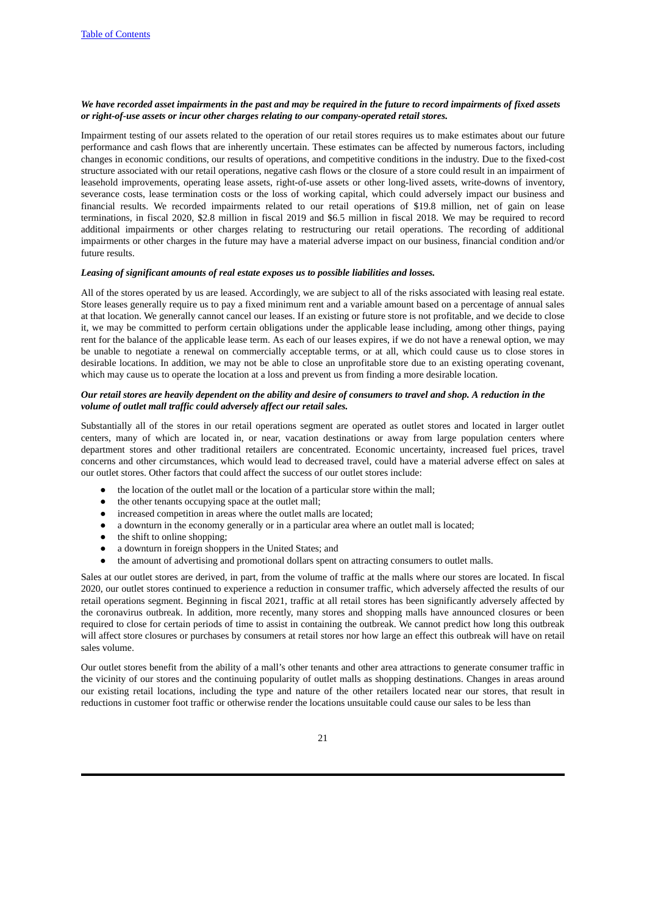# We have recorded asset impairments in the past and may be required in the future to record impairments of fixed assets *or right-of-use assets or incur other charges relating to our company-operated retail stores.*

Impairment testing of our assets related to the operation of our retail stores requires us to make estimates about our future performance and cash flows that are inherently uncertain. These estimates can be affected by numerous factors, including changes in economic conditions, our results of operations, and competitive conditions in the industry. Due to the fixed-cost structure associated with our retail operations, negative cash flows or the closure of a store could result in an impairment of leasehold improvements, operating lease assets, right-of-use assets or other long-lived assets, write-downs of inventory, severance costs, lease termination costs or the loss of working capital, which could adversely impact our business and financial results. We recorded impairments related to our retail operations of \$19.8 million, net of gain on lease terminations, in fiscal 2020, \$2.8 million in fiscal 2019 and \$6.5 million in fiscal 2018. We may be required to record additional impairments or other charges relating to restructuring our retail operations. The recording of additional impairments or other charges in the future may have a material adverse impact on our business, financial condition and/or future results.

#### *Leasing of significant amounts of real estate exposes us to possible liabilities and losses.*

All of the stores operated by us are leased. Accordingly, we are subject to all of the risks associated with leasing real estate. Store leases generally require us to pay a fixed minimum rent and a variable amount based on a percentage of annual sales at that location. We generally cannot cancel our leases. If an existing or future store is not profitable, and we decide to close it, we may be committed to perform certain obligations under the applicable lease including, among other things, paying rent for the balance of the applicable lease term. As each of our leases expires, if we do not have a renewal option, we may be unable to negotiate a renewal on commercially acceptable terms, or at all, which could cause us to close stores in desirable locations. In addition, we may not be able to close an unprofitable store due to an existing operating covenant, which may cause us to operate the location at a loss and prevent us from finding a more desirable location.

# Our retail stores are heavily dependent on the ability and desire of consumers to travel and shop. A reduction in the *volume of outlet mall traffic could adversely affect our retail sales.*

Substantially all of the stores in our retail operations segment are operated as outlet stores and located in larger outlet centers, many of which are located in, or near, vacation destinations or away from large population centers where department stores and other traditional retailers are concentrated. Economic uncertainty, increased fuel prices, travel concerns and other circumstances, which would lead to decreased travel, could have a material adverse effect on sales at our outlet stores. Other factors that could affect the success of our outlet stores include:

- the location of the outlet mall or the location of a particular store within the mall;
- the other tenants occupying space at the outlet mall;
- increased competition in areas where the outlet malls are located;
- a downturn in the economy generally or in a particular area where an outlet mall is located;
- the shift to online shopping;
- a downturn in foreign shoppers in the United States; and
- the amount of advertising and promotional dollars spent on attracting consumers to outlet malls.

Sales at our outlet stores are derived, in part, from the volume of traffic at the malls where our stores are located. In fiscal 2020, our outlet stores continued to experience a reduction in consumer traffic, which adversely affected the results of our retail operations segment. Beginning in fiscal 2021, traffic at all retail stores has been significantly adversely affected by the coronavirus outbreak. In addition, more recently, many stores and shopping malls have announced closures or been required to close for certain periods of time to assist in containing the outbreak. We cannot predict how long this outbreak will affect store closures or purchases by consumers at retail stores nor how large an effect this outbreak will have on retail sales volume.

Our outlet stores benefit from the ability of a mall's other tenants and other area attractions to generate consumer traffic in the vicinity of our stores and the continuing popularity of outlet malls as shopping destinations. Changes in areas around our existing retail locations, including the type and nature of the other retailers located near our stores, that result in reductions in customer foot traffic or otherwise render the locations unsuitable could cause our sales to be less than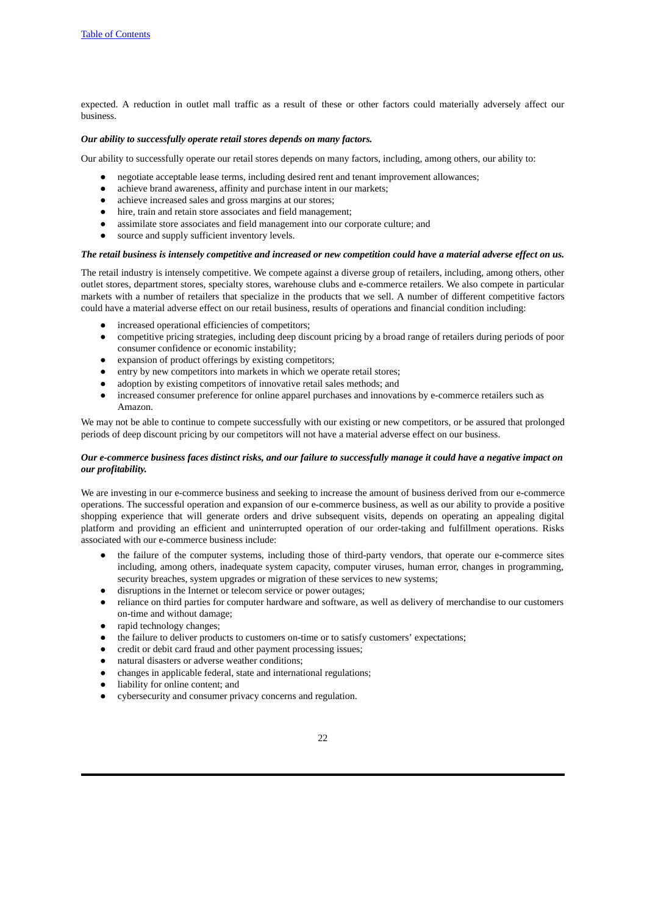expected. A reduction in outlet mall traffic as a result of these or other factors could materially adversely affect our business.

# *Our ability to successfully operate retail stores depends on many factors.*

Our ability to successfully operate our retail stores depends on many factors, including, among others, our ability to:

- negotiate acceptable lease terms, including desired rent and tenant improvement allowances;
- achieve brand awareness, affinity and purchase intent in our markets;
- achieve increased sales and gross margins at our stores;
- hire, train and retain store associates and field management;
- assimilate store associates and field management into our corporate culture; and
- source and supply sufficient inventory levels.

# The retail business is intensely competitive and increased or new competition could have a material adverse effect on us.

The retail industry is intensely competitive. We compete against a diverse group of retailers, including, among others, other outlet stores, department stores, specialty stores, warehouse clubs and e-commerce retailers. We also compete in particular markets with a number of retailers that specialize in the products that we sell. A number of different competitive factors could have a material adverse effect on our retail business, results of operations and financial condition including:

- increased operational efficiencies of competitors;
- competitive pricing strategies, including deep discount pricing by a broad range of retailers during periods of poor consumer confidence or economic instability;
- expansion of product offerings by existing competitors;
- entry by new competitors into markets in which we operate retail stores;
- adoption by existing competitors of innovative retail sales methods; and
- increased consumer preference for online apparel purchases and innovations by e-commerce retailers such as Amazon.

We may not be able to continue to compete successfully with our existing or new competitors, or be assured that prolonged periods of deep discount pricing by our competitors will not have a material adverse effect on our business.

# Our e-commerce business faces distinct risks, and our failure to successfully manage it could have a negative impact on *our profitability.*

We are investing in our e-commerce business and seeking to increase the amount of business derived from our e-commerce operations. The successful operation and expansion of our e-commerce business, as well as our ability to provide a positive shopping experience that will generate orders and drive subsequent visits, depends on operating an appealing digital platform and providing an efficient and uninterrupted operation of our order-taking and fulfillment operations. Risks associated with our e-commerce business include:

- the failure of the computer systems, including those of third-party vendors, that operate our e-commerce sites including, among others, inadequate system capacity, computer viruses, human error, changes in programming, security breaches, system upgrades or migration of these services to new systems;
- disruptions in the Internet or telecom service or power outages;
- reliance on third parties for computer hardware and software, as well as delivery of merchandise to our customers on-time and without damage;
- rapid technology changes:
- the failure to deliver products to customers on-time or to satisfy customers' expectations;
- credit or debit card fraud and other payment processing issues;
- natural disasters or adverse weather conditions;
- changes in applicable federal, state and international regulations;
- liability for online content; and
- cybersecurity and consumer privacy concerns and regulation.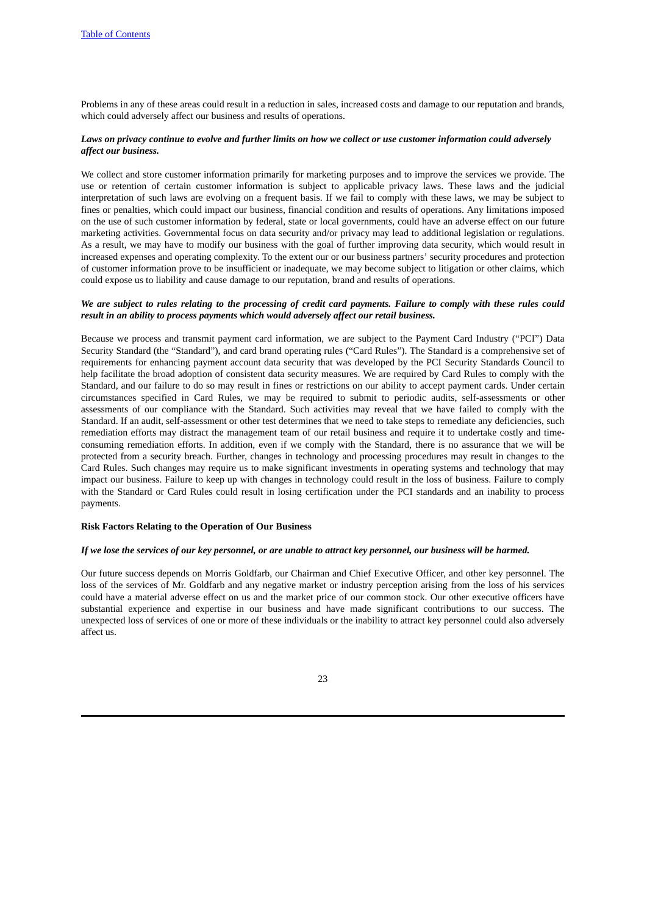Problems in any of these areas could result in a reduction in sales, increased costs and damage to our reputation and brands, which could adversely affect our business and results of operations.

#### Laws on privacy continue to evolve and further limits on how we collect or use customer information could adversely *affect our business.*

We collect and store customer information primarily for marketing purposes and to improve the services we provide. The use or retention of certain customer information is subject to applicable privacy laws. These laws and the judicial interpretation of such laws are evolving on a frequent basis. If we fail to comply with these laws, we may be subject to fines or penalties, which could impact our business, financial condition and results of operations. Any limitations imposed on the use of such customer information by federal, state or local governments, could have an adverse effect on our future marketing activities. Governmental focus on data security and/or privacy may lead to additional legislation or regulations. As a result, we may have to modify our business with the goal of further improving data security, which would result in increased expenses and operating complexity. To the extent our or our business partners' security procedures and protection of customer information prove to be insufficient or inadequate, we may become subject to litigation or other claims, which could expose us to liability and cause damage to our reputation, brand and results of operations.

# We are subject to rules relating to the processing of credit card payments. Failure to comply with these rules could *result in an ability to process payments which would adversely affect our retail business.*

Because we process and transmit payment card information, we are subject to the Payment Card Industry ("PCI") Data Security Standard (the "Standard"), and card brand operating rules ("Card Rules"). The Standard is a comprehensive set of requirements for enhancing payment account data security that was developed by the PCI Security Standards Council to help facilitate the broad adoption of consistent data security measures. We are required by Card Rules to comply with the Standard, and our failure to do so may result in fines or restrictions on our ability to accept payment cards. Under certain circumstances specified in Card Rules, we may be required to submit to periodic audits, self-assessments or other assessments of our compliance with the Standard. Such activities may reveal that we have failed to comply with the Standard. If an audit, self-assessment or other test determines that we need to take steps to remediate any deficiencies, such remediation efforts may distract the management team of our retail business and require it to undertake costly and timeconsuming remediation efforts. In addition, even if we comply with the Standard, there is no assurance that we will be protected from a security breach. Further, changes in technology and processing procedures may result in changes to the Card Rules. Such changes may require us to make significant investments in operating systems and technology that may impact our business. Failure to keep up with changes in technology could result in the loss of business. Failure to comply with the Standard or Card Rules could result in losing certification under the PCI standards and an inability to process payments.

#### **Risk Factors Relating to the Operation of Our Business**

#### If we lose the services of our key personnel, or are unable to attract key personnel, our business will be harmed.

Our future success depends on Morris Goldfarb, our Chairman and Chief Executive Officer, and other key personnel. The loss of the services of Mr. Goldfarb and any negative market or industry perception arising from the loss of his services could have a material adverse effect on us and the market price of our common stock. Our other executive officers have substantial experience and expertise in our business and have made significant contributions to our success. The unexpected loss of services of one or more of these individuals or the inability to attract key personnel could also adversely affect us.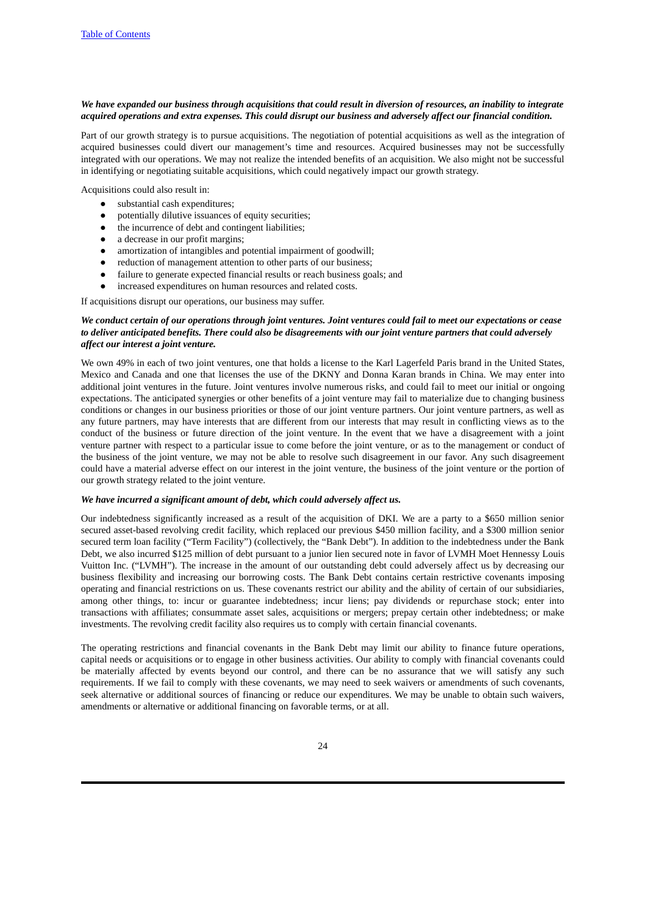# We have expanded our business through acquisitions that could result in diversion of resources, an inability to integrate acquired operations and extra expenses. This could disrupt our business and adversely affect our financial condition.

Part of our growth strategy is to pursue acquisitions. The negotiation of potential acquisitions as well as the integration of acquired businesses could divert our management's time and resources. Acquired businesses may not be successfully integrated with our operations. We may not realize the intended benefits of an acquisition. We also might not be successful in identifying or negotiating suitable acquisitions, which could negatively impact our growth strategy.

Acquisitions could also result in:

- substantial cash expenditures;
- potentially dilutive issuances of equity securities;
- the incurrence of debt and contingent liabilities;
- a decrease in our profit margins;
- amortization of intangibles and potential impairment of goodwill;
- reduction of management attention to other parts of our business:
- failure to generate expected financial results or reach business goals; and
- increased expenditures on human resources and related costs.

If acquisitions disrupt our operations, our business may suffer.

# We conduct certain of our operations through ioint ventures. Joint ventures could fail to meet our expectations or cease to deliver anticipated benefits. There could also be disagreements with our joint venture partners that could adversely *affect our interest a joint venture.*

We own 49% in each of two joint ventures, one that holds a license to the Karl Lagerfeld Paris brand in the United States, Mexico and Canada and one that licenses the use of the DKNY and Donna Karan brands in China. We may enter into additional joint ventures in the future. Joint ventures involve numerous risks, and could fail to meet our initial or ongoing expectations. The anticipated synergies or other benefits of a joint venture may fail to materialize due to changing business conditions or changes in our business priorities or those of our joint venture partners. Our joint venture partners, as well as any future partners, may have interests that are different from our interests that may result in conflicting views as to the conduct of the business or future direction of the joint venture. In the event that we have a disagreement with a joint venture partner with respect to a particular issue to come before the joint venture, or as to the management or conduct of the business of the joint venture, we may not be able to resolve such disagreement in our favor. Any such disagreement could have a material adverse effect on our interest in the joint venture, the business of the joint venture or the portion of our growth strategy related to the joint venture.

#### *We have incurred a significant amount of debt, which could adversely affect us.*

Our indebtedness significantly increased as a result of the acquisition of DKI. We are a party to a \$650 million senior secured asset-based revolving credit facility, which replaced our previous \$450 million facility, and a \$300 million senior secured term loan facility ("Term Facility") (collectively, the "Bank Debt"). In addition to the indebtedness under the Bank Debt, we also incurred \$125 million of debt pursuant to a junior lien secured note in favor of LVMH Moet Hennessy Louis Vuitton Inc. ("LVMH"). The increase in the amount of our outstanding debt could adversely affect us by decreasing our business flexibility and increasing our borrowing costs. The Bank Debt contains certain restrictive covenants imposing operating and financial restrictions on us. These covenants restrict our ability and the ability of certain of our subsidiaries, among other things, to: incur or guarantee indebtedness; incur liens; pay dividends or repurchase stock; enter into transactions with affiliates; consummate asset sales, acquisitions or mergers; prepay certain other indebtedness; or make investments. The revolving credit facility also requires us to comply with certain financial covenants.

The operating restrictions and financial covenants in the Bank Debt may limit our ability to finance future operations, capital needs or acquisitions or to engage in other business activities. Our ability to comply with financial covenants could be materially affected by events beyond our control, and there can be no assurance that we will satisfy any such requirements. If we fail to comply with these covenants, we may need to seek waivers or amendments of such covenants, seek alternative or additional sources of financing or reduce our expenditures. We may be unable to obtain such waivers, amendments or alternative or additional financing on favorable terms, or at all.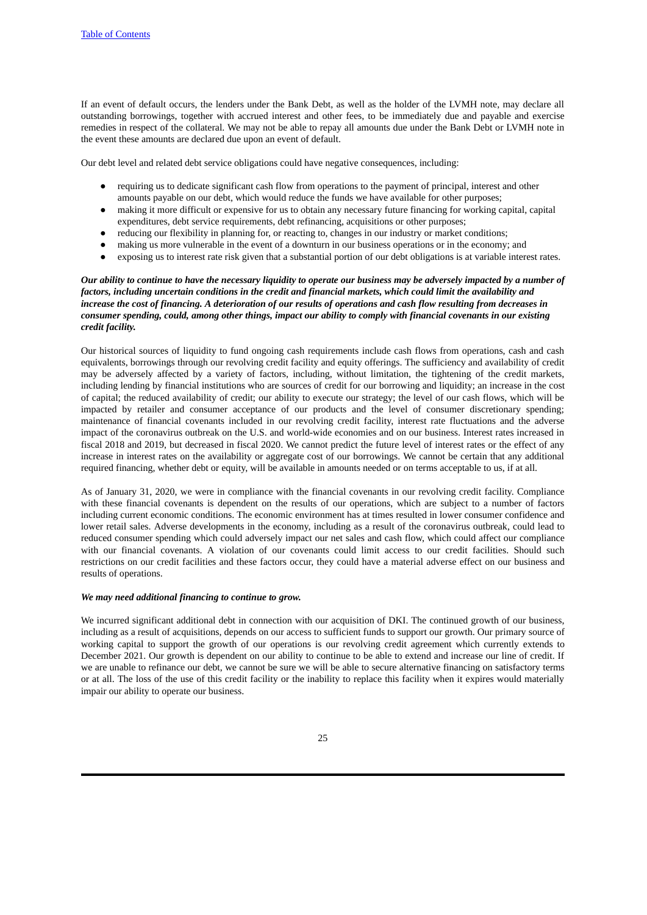If an event of default occurs, the lenders under the Bank Debt, as well as the holder of the LVMH note, may declare all outstanding borrowings, together with accrued interest and other fees, to be immediately due and payable and exercise remedies in respect of the collateral. We may not be able to repay all amounts due under the Bank Debt or LVMH note in the event these amounts are declared due upon an event of default.

Our debt level and related debt service obligations could have negative consequences, including:

- requiring us to dedicate significant cash flow from operations to the payment of principal, interest and other amounts payable on our debt, which would reduce the funds we have available for other purposes;
- making it more difficult or expensive for us to obtain any necessary future financing for working capital, capital expenditures, debt service requirements, debt refinancing, acquisitions or other purposes;
- reducing our flexibility in planning for, or reacting to, changes in our industry or market conditions;
- making us more vulnerable in the event of a downturn in our business operations or in the economy; and
- exposing us to interest rate risk given that a substantial portion of our debt obligations is at variable interest rates.

# Our ability to continue to have the necessary liquidity to operate our business may be adversely impacted by a number of factors, including uncertain conditions in the credit and financial markets, which could limit the availability and increase the cost of financing. A deterioration of our results of operations and cash flow resulting from decreases in consumer spending, could, among other things, impact our ability to comply with financial covenants in our existing *credit facility.*

Our historical sources of liquidity to fund ongoing cash requirements include cash flows from operations, cash and cash equivalents, borrowings through our revolving credit facility and equity offerings. The sufficiency and availability of credit may be adversely affected by a variety of factors, including, without limitation, the tightening of the credit markets, including lending by financial institutions who are sources of credit for our borrowing and liquidity; an increase in the cost of capital; the reduced availability of credit; our ability to execute our strategy; the level of our cash flows, which will be impacted by retailer and consumer acceptance of our products and the level of consumer discretionary spending; maintenance of financial covenants included in our revolving credit facility, interest rate fluctuations and the adverse impact of the coronavirus outbreak on the U.S. and world-wide economies and on our business. Interest rates increased in fiscal 2018 and 2019, but decreased in fiscal 2020. We cannot predict the future level of interest rates or the effect of any increase in interest rates on the availability or aggregate cost of our borrowings. We cannot be certain that any additional required financing, whether debt or equity, will be available in amounts needed or on terms acceptable to us, if at all.

As of January 31, 2020, we were in compliance with the financial covenants in our revolving credit facility. Compliance with these financial covenants is dependent on the results of our operations, which are subject to a number of factors including current economic conditions. The economic environment has at times resulted in lower consumer confidence and lower retail sales. Adverse developments in the economy, including as a result of the coronavirus outbreak, could lead to reduced consumer spending which could adversely impact our net sales and cash flow, which could affect our compliance with our financial covenants. A violation of our covenants could limit access to our credit facilities. Should such restrictions on our credit facilities and these factors occur, they could have a material adverse effect on our business and results of operations.

#### *We may need additional financing to continue to grow.*

We incurred significant additional debt in connection with our acquisition of DKI. The continued growth of our business, including as a result of acquisitions, depends on our access to sufficient funds to support our growth. Our primary source of working capital to support the growth of our operations is our revolving credit agreement which currently extends to December 2021. Our growth is dependent on our ability to continue to be able to extend and increase our line of credit. If we are unable to refinance our debt, we cannot be sure we will be able to secure alternative financing on satisfactory terms or at all. The loss of the use of this credit facility or the inability to replace this facility when it expires would materially impair our ability to operate our business.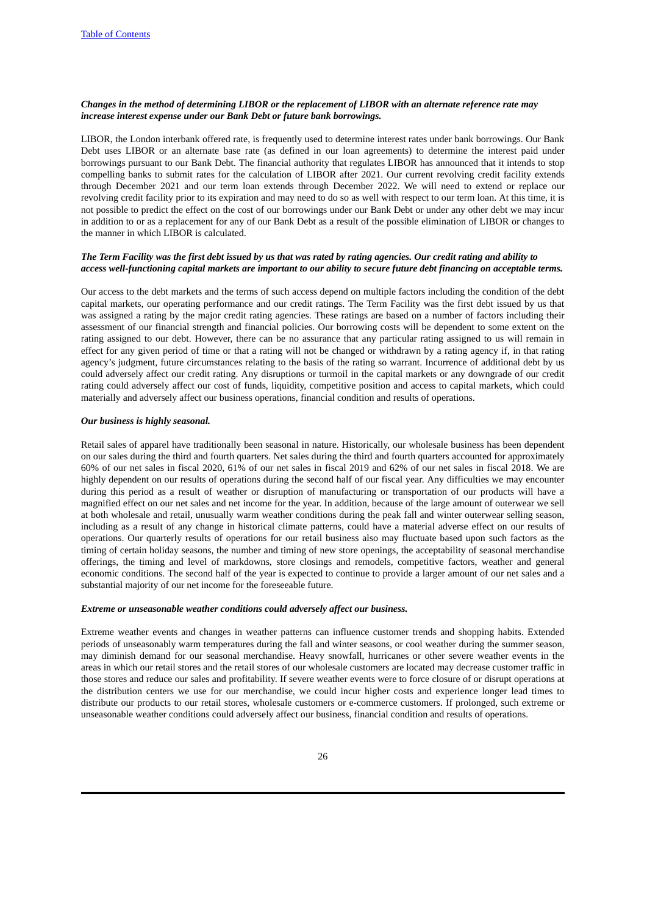# Changes in the method of determining LIBOR or the replacement of LIBOR with an alternate reference rate may *increase interest expense under our Bank Debt or future bank borrowings.*

LIBOR, the London interbank offered rate, is frequently used to determine interest rates under bank borrowings. Our Bank Debt uses LIBOR or an alternate base rate (as defined in our loan agreements) to determine the interest paid under borrowings pursuant to our Bank Debt. The financial authority that regulates LIBOR has announced that it intends to stop compelling banks to submit rates for the calculation of LIBOR after 2021. Our current revolving credit facility extends through December 2021 and our term loan extends through December 2022. We will need to extend or replace our revolving credit facility prior to its expiration and may need to do so as well with respect to our term loan. At this time, it is not possible to predict the effect on the cost of our borrowings under our Bank Debt or under any other debt we may incur in addition to or as a replacement for any of our Bank Debt as a result of the possible elimination of LIBOR or changes to the manner in which LIBOR is calculated.

# The Term Facility was the first debt issued by us that was rated by rating agencies. Our credit rating and ability to access well-functioning capital markets are important to our ability to secure future debt financing on acceptable terms.

Our access to the debt markets and the terms of such access depend on multiple factors including the condition of the debt capital markets, our operating performance and our credit ratings. The Term Facility was the first debt issued by us that was assigned a rating by the major credit rating agencies. These ratings are based on a number of factors including their assessment of our financial strength and financial policies. Our borrowing costs will be dependent to some extent on the rating assigned to our debt. However, there can be no assurance that any particular rating assigned to us will remain in effect for any given period of time or that a rating will not be changed or withdrawn by a rating agency if, in that rating agency's judgment, future circumstances relating to the basis of the rating so warrant. Incurrence of additional debt by us could adversely affect our credit rating. Any disruptions or turmoil in the capital markets or any downgrade of our credit rating could adversely affect our cost of funds, liquidity, competitive position and access to capital markets, which could materially and adversely affect our business operations, financial condition and results of operations.

# *Our business is highly seasonal.*

Retail sales of apparel have traditionally been seasonal in nature. Historically, our wholesale business has been dependent on our sales during the third and fourth quarters. Net sales during the third and fourth quarters accounted for approximately 60% of our net sales in fiscal 2020, 61% of our net sales in fiscal 2019 and 62% of our net sales in fiscal 2018. We are highly dependent on our results of operations during the second half of our fiscal year. Any difficulties we may encounter during this period as a result of weather or disruption of manufacturing or transportation of our products will have a magnified effect on our net sales and net income for the year. In addition, because of the large amount of outerwear we sell at both wholesale and retail, unusually warm weather conditions during the peak fall and winter outerwear selling season, including as a result of any change in historical climate patterns, could have a material adverse effect on our results of operations. Our quarterly results of operations for our retail business also may fluctuate based upon such factors as the timing of certain holiday seasons, the number and timing of new store openings, the acceptability of seasonal merchandise offerings, the timing and level of markdowns, store closings and remodels, competitive factors, weather and general economic conditions. The second half of the year is expected to continue to provide a larger amount of our net sales and a substantial majority of our net income for the foreseeable future.

#### *Extreme or unseasonable weather conditions could adversely affect our business.*

Extreme weather events and changes in weather patterns can influence customer trends and shopping habits. Extended periods of unseasonably warm temperatures during the fall and winter seasons, or cool weather during the summer season, may diminish demand for our seasonal merchandise. Heavy snowfall, hurricanes or other severe weather events in the areas in which our retail stores and the retail stores of our wholesale customers are located may decrease customer traffic in those stores and reduce our sales and profitability. If severe weather events were to force closure of or disrupt operations at the distribution centers we use for our merchandise, we could incur higher costs and experience longer lead times to distribute our products to our retail stores, wholesale customers or e-commerce customers. If prolonged, such extreme or unseasonable weather conditions could adversely affect our business, financial condition and results of operations.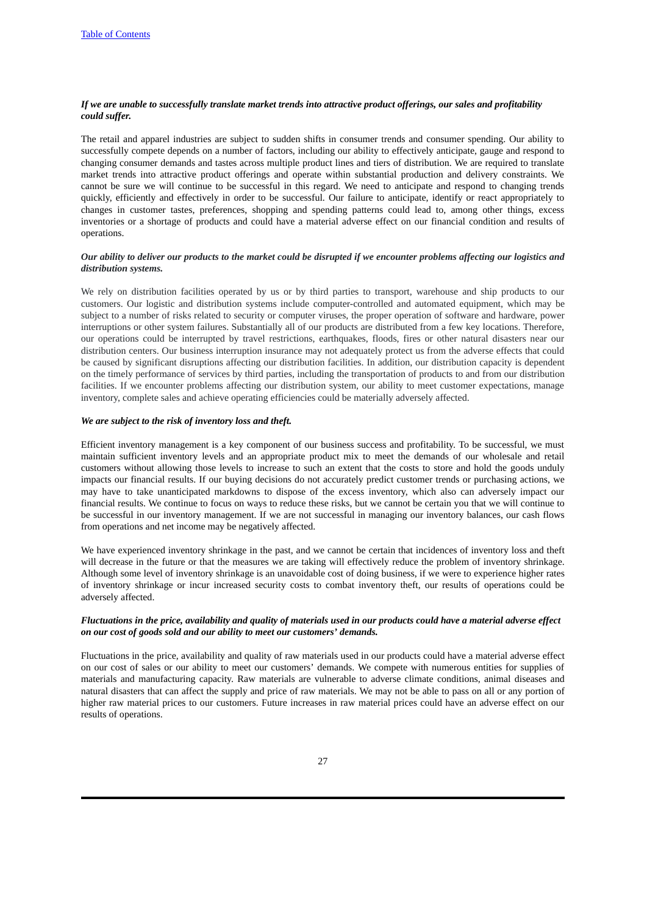# If we are unable to successfully translate market trends into attractive product offerings, our sales and profitability *could suffer.*

The retail and apparel industries are subject to sudden shifts in consumer trends and consumer spending. Our ability to successfully compete depends on a number of factors, including our ability to effectively anticipate, gauge and respond to changing consumer demands and tastes across multiple product lines and tiers of distribution. We are required to translate market trends into attractive product offerings and operate within substantial production and delivery constraints. We cannot be sure we will continue to be successful in this regard. We need to anticipate and respond to changing trends quickly, efficiently and effectively in order to be successful. Our failure to anticipate, identify or react appropriately to changes in customer tastes, preferences, shopping and spending patterns could lead to, among other things, excess inventories or a shortage of products and could have a material adverse effect on our financial condition and results of operations.

# Our ability to deliver our products to the market could be disrupted if we encounter problems affecting our logistics and *distribution systems.*

We rely on distribution facilities operated by us or by third parties to transport, warehouse and ship products to our customers. Our logistic and distribution systems include computer-controlled and automated equipment, which may be subject to a number of risks related to security or computer viruses, the proper operation of software and hardware, power interruptions or other system failures. Substantially all of our products are distributed from a few key locations. Therefore, our operations could be interrupted by travel restrictions, earthquakes, floods, fires or other natural disasters near our distribution centers. Our business interruption insurance may not adequately protect us from the adverse effects that could be caused by significant disruptions affecting our distribution facilities. In addition, our distribution capacity is dependent on the timely performance of services by third parties, including the transportation of products to and from our distribution facilities. If we encounter problems affecting our distribution system, our ability to meet customer expectations, manage inventory, complete sales and achieve operating efficiencies could be materially adversely affected.

# *We are subject to the risk of inventory loss and theft.*

Efficient inventory management is a key component of our business success and profitability. To be successful, we must maintain sufficient inventory levels and an appropriate product mix to meet the demands of our wholesale and retail customers without allowing those levels to increase to such an extent that the costs to store and hold the goods unduly impacts our financial results. If our buying decisions do not accurately predict customer trends or purchasing actions, we may have to take unanticipated markdowns to dispose of the excess inventory, which also can adversely impact our financial results. We continue to focus on ways to reduce these risks, but we cannot be certain you that we will continue to be successful in our inventory management. If we are not successful in managing our inventory balances, our cash flows from operations and net income may be negatively affected.

We have experienced inventory shrinkage in the past, and we cannot be certain that incidences of inventory loss and theft will decrease in the future or that the measures we are taking will effectively reduce the problem of inventory shrinkage. Although some level of inventory shrinkage is an unavoidable cost of doing business, if we were to experience higher rates of inventory shrinkage or incur increased security costs to combat inventory theft, our results of operations could be adversely affected.

#### Fluctuations in the price, availability and quality of materials used in our products could have a material adverse effect *on our cost of goods sold and our ability to meet our customers' demands.*

Fluctuations in the price, availability and quality of raw materials used in our products could have a material adverse effect on our cost of sales or our ability to meet our customers' demands. We compete with numerous entities for supplies of materials and manufacturing capacity. Raw materials are vulnerable to adverse climate conditions, animal diseases and natural disasters that can affect the supply and price of raw materials. We may not be able to pass on all or any portion of higher raw material prices to our customers. Future increases in raw material prices could have an adverse effect on our results of operations.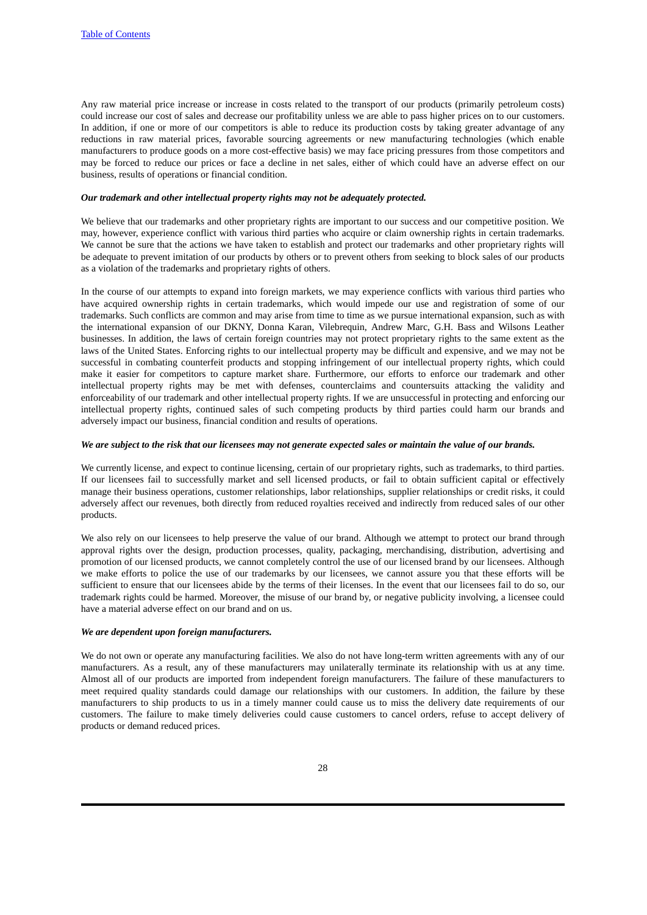Any raw material price increase or increase in costs related to the transport of our products (primarily petroleum costs) could increase our cost of sales and decrease our profitability unless we are able to pass higher prices on to our customers. In addition, if one or more of our competitors is able to reduce its production costs by taking greater advantage of any reductions in raw material prices, favorable sourcing agreements or new manufacturing technologies (which enable manufacturers to produce goods on a more cost-effective basis) we may face pricing pressures from those competitors and may be forced to reduce our prices or face a decline in net sales, either of which could have an adverse effect on our business, results of operations or financial condition.

# *Our trademark and other intellectual property rights may not be adequately protected.*

We believe that our trademarks and other proprietary rights are important to our success and our competitive position. We may, however, experience conflict with various third parties who acquire or claim ownership rights in certain trademarks. We cannot be sure that the actions we have taken to establish and protect our trademarks and other proprietary rights will be adequate to prevent imitation of our products by others or to prevent others from seeking to block sales of our products as a violation of the trademarks and proprietary rights of others.

In the course of our attempts to expand into foreign markets, we may experience conflicts with various third parties who have acquired ownership rights in certain trademarks, which would impede our use and registration of some of our trademarks. Such conflicts are common and may arise from time to time as we pursue international expansion, such as with the international expansion of our DKNY, Donna Karan, Vilebrequin, Andrew Marc, G.H. Bass and Wilsons Leather businesses. In addition, the laws of certain foreign countries may not protect proprietary rights to the same extent as the laws of the United States. Enforcing rights to our intellectual property may be difficult and expensive, and we may not be successful in combating counterfeit products and stopping infringement of our intellectual property rights, which could make it easier for competitors to capture market share. Furthermore, our efforts to enforce our trademark and other intellectual property rights may be met with defenses, counterclaims and countersuits attacking the validity and enforceability of our trademark and other intellectual property rights. If we are unsuccessful in protecting and enforcing our intellectual property rights, continued sales of such competing products by third parties could harm our brands and adversely impact our business, financial condition and results of operations.

#### We are subject to the risk that our licensees may not generate expected sales or maintain the value of our brands.

We currently license, and expect to continue licensing, certain of our proprietary rights, such as trademarks, to third parties. If our licensees fail to successfully market and sell licensed products, or fail to obtain sufficient capital or effectively manage their business operations, customer relationships, labor relationships, supplier relationships or credit risks, it could adversely affect our revenues, both directly from reduced royalties received and indirectly from reduced sales of our other products.

We also rely on our licensees to help preserve the value of our brand. Although we attempt to protect our brand through approval rights over the design, production processes, quality, packaging, merchandising, distribution, advertising and promotion of our licensed products, we cannot completely control the use of our licensed brand by our licensees. Although we make efforts to police the use of our trademarks by our licensees, we cannot assure you that these efforts will be sufficient to ensure that our licensees abide by the terms of their licenses. In the event that our licensees fail to do so, our trademark rights could be harmed. Moreover, the misuse of our brand by, or negative publicity involving, a licensee could have a material adverse effect on our brand and on us.

#### *We are dependent upon foreign manufacturers.*

We do not own or operate any manufacturing facilities. We also do not have long-term written agreements with any of our manufacturers. As a result, any of these manufacturers may unilaterally terminate its relationship with us at any time. Almost all of our products are imported from independent foreign manufacturers. The failure of these manufacturers to meet required quality standards could damage our relationships with our customers. In addition, the failure by these manufacturers to ship products to us in a timely manner could cause us to miss the delivery date requirements of our customers. The failure to make timely deliveries could cause customers to cancel orders, refuse to accept delivery of products or demand reduced prices.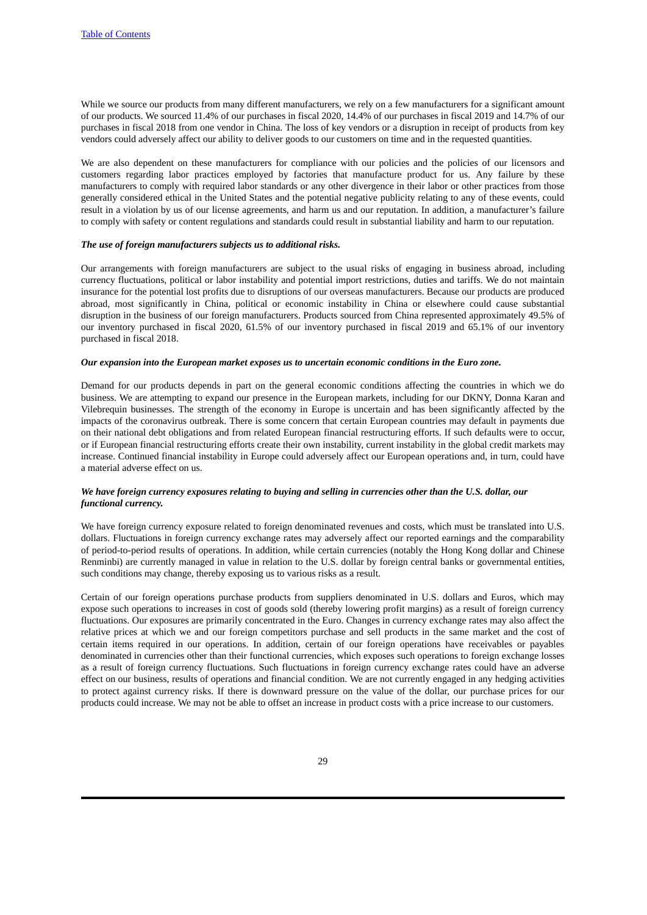While we source our products from many different manufacturers, we rely on a few manufacturers for a significant amount of our products. We sourced 11.4% of our purchases in fiscal 2020, 14.4% of our purchases in fiscal 2019 and 14.7% of our purchases in fiscal 2018 from one vendor in China. The loss of key vendors or a disruption in receipt of products from key vendors could adversely affect our ability to deliver goods to our customers on time and in the requested quantities.

We are also dependent on these manufacturers for compliance with our policies and the policies of our licensors and customers regarding labor practices employed by factories that manufacture product for us. Any failure by these manufacturers to comply with required labor standards or any other divergence in their labor or other practices from those generally considered ethical in the United States and the potential negative publicity relating to any of these events, could result in a violation by us of our license agreements, and harm us and our reputation. In addition, a manufacturer's failure to comply with safety or content regulations and standards could result in substantial liability and harm to our reputation.

# *The use of foreign manufacturers subjects us to additional risks.*

Our arrangements with foreign manufacturers are subject to the usual risks of engaging in business abroad, including currency fluctuations, political or labor instability and potential import restrictions, duties and tariffs. We do not maintain insurance for the potential lost profits due to disruptions of our overseas manufacturers. Because our products are produced abroad, most significantly in China, political or economic instability in China or elsewhere could cause substantial disruption in the business of our foreign manufacturers. Products sourced from China represented approximately 49.5% of our inventory purchased in fiscal 2020, 61.5% of our inventory purchased in fiscal 2019 and 65.1% of our inventory purchased in fiscal 2018.

# *Our expansion into the European market exposes us to uncertain economic conditions in the Euro zone.*

Demand for our products depends in part on the general economic conditions affecting the countries in which we do business. We are attempting to expand our presence in the European markets, including for our DKNY, Donna Karan and Vilebrequin businesses. The strength of the economy in Europe is uncertain and has been significantly affected by the impacts of the coronavirus outbreak. There is some concern that certain European countries may default in payments due on their national debt obligations and from related European financial restructuring efforts. If such defaults were to occur, or if European financial restructuring efforts create their own instability, current instability in the global credit markets may increase. Continued financial instability in Europe could adversely affect our European operations and, in turn, could have a material adverse effect on us.

# We have foreign currency exposures relating to buying and selling in currencies other than the U.S. dollar, our *functional currency.*

We have foreign currency exposure related to foreign denominated revenues and costs, which must be translated into U.S. dollars. Fluctuations in foreign currency exchange rates may adversely affect our reported earnings and the comparability of period-to-period results of operations. In addition, while certain currencies (notably the Hong Kong dollar and Chinese Renminbi) are currently managed in value in relation to the U.S. dollar by foreign central banks or governmental entities, such conditions may change, thereby exposing us to various risks as a result.

Certain of our foreign operations purchase products from suppliers denominated in U.S. dollars and Euros, which may expose such operations to increases in cost of goods sold (thereby lowering profit margins) as a result of foreign currency fluctuations. Our exposures are primarily concentrated in the Euro. Changes in currency exchange rates may also affect the relative prices at which we and our foreign competitors purchase and sell products in the same market and the cost of certain items required in our operations. In addition, certain of our foreign operations have receivables or payables denominated in currencies other than their functional currencies, which exposes such operations to foreign exchange losses as a result of foreign currency fluctuations. Such fluctuations in foreign currency exchange rates could have an adverse effect on our business, results of operations and financial condition. We are not currently engaged in any hedging activities to protect against currency risks. If there is downward pressure on the value of the dollar, our purchase prices for our products could increase. We may not be able to offset an increase in product costs with a price increase to our customers.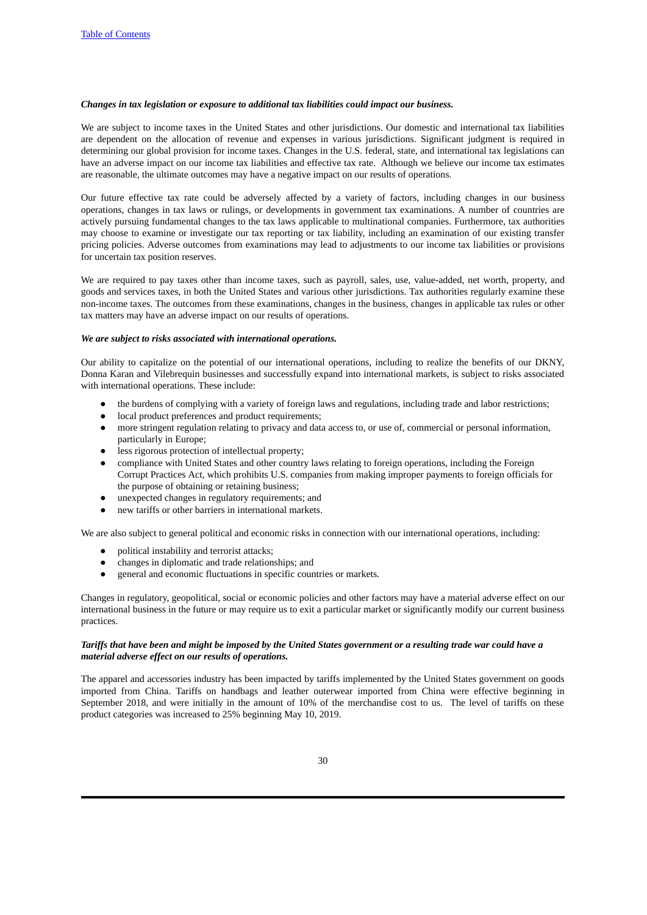### *Changes in tax legislation or exposure to additional tax liabilities could impact our business.*

We are subject to income taxes in the United States and other jurisdictions. Our domestic and international tax liabilities are dependent on the allocation of revenue and expenses in various jurisdictions. Significant judgment is required in determining our global provision for income taxes. Changes in the U.S. federal, state, and international tax legislations can have an adverse impact on our income tax liabilities and effective tax rate. Although we believe our income tax estimates are reasonable, the ultimate outcomes may have a negative impact on our results of operations.

Our future effective tax rate could be adversely affected by a variety of factors, including changes in our business operations, changes in tax laws or rulings, or developments in government tax examinations. A number of countries are actively pursuing fundamental changes to the tax laws applicable to multinational companies. Furthermore, tax authorities may choose to examine or investigate our tax reporting or tax liability, including an examination of our existing transfer pricing policies. Adverse outcomes from examinations may lead to adjustments to our income tax liabilities or provisions for uncertain tax position reserves.

We are required to pay taxes other than income taxes, such as payroll, sales, use, value-added, net worth, property, and goods and services taxes, in both the United States and various other jurisdictions. Tax authorities regularly examine these non-income taxes. The outcomes from these examinations, changes in the business, changes in applicable tax rules or other tax matters may have an adverse impact on our results of operations.

# *We are subject to risks associated with international operations.*

Our ability to capitalize on the potential of our international operations, including to realize the benefits of our DKNY, Donna Karan and Vilebrequin businesses and successfully expand into international markets, is subject to risks associated with international operations. These include:

- the burdens of complying with a variety of foreign laws and regulations, including trade and labor restrictions;
- local product preferences and product requirements;
- more stringent regulation relating to privacy and data access to, or use of, commercial or personal information, particularly in Europe;
- less rigorous protection of intellectual property;
- compliance with United States and other country laws relating to foreign operations, including the Foreign Corrupt Practices Act, which prohibits U.S. companies from making improper payments to foreign officials for the purpose of obtaining or retaining business;
- unexpected changes in regulatory requirements; and
- new tariffs or other barriers in international markets.

We are also subject to general political and economic risks in connection with our international operations, including:

- political instability and terrorist attacks;
- changes in diplomatic and trade relationships; and
- general and economic fluctuations in specific countries or markets.

Changes in regulatory, geopolitical, social or economic policies and other factors may have a material adverse effect on our international business in the future or may require us to exit a particular market or significantly modify our current business practices.

# Tariffs that have been and might be imposed by the United States government or a resulting trade war could have a *material adverse effect on our results of operations.*

The apparel and accessories industry has been impacted by tariffs implemented by the United States government on goods imported from China. Tariffs on handbags and leather outerwear imported from China were effective beginning in September 2018, and were initially in the amount of 10% of the merchandise cost to us. The level of tariffs on these product categories was increased to 25% beginning May 10, 2019.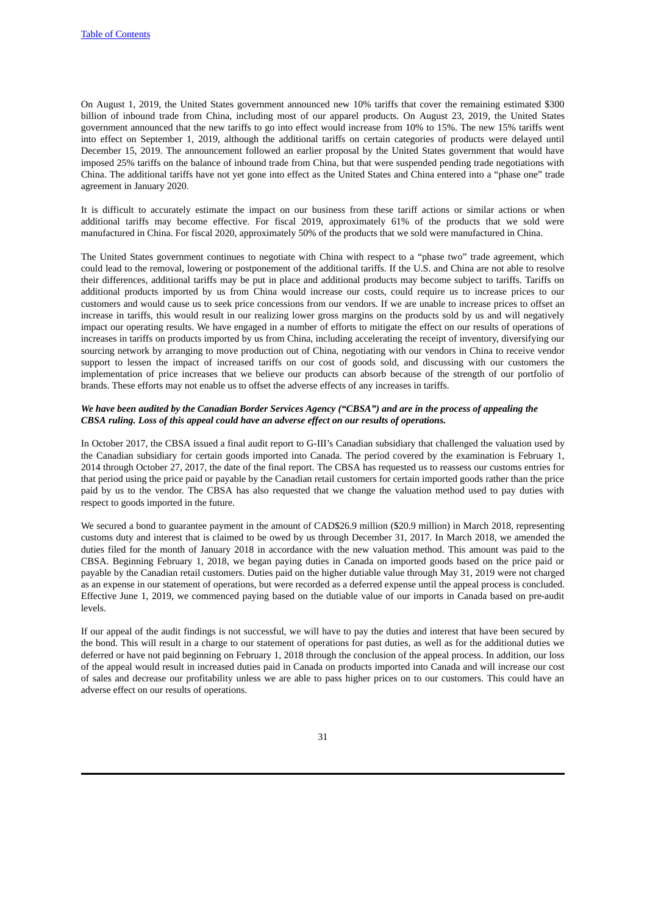On August 1, 2019, the United States government announced new 10% tariffs that cover the remaining estimated \$300 billion of inbound trade from China, including most of our apparel products. On August 23, 2019, the United States government announced that the new tariffs to go into effect would increase from 10% to 15%. The new 15% tariffs went into effect on September 1, 2019, although the additional tariffs on certain categories of products were delayed until December 15, 2019. The announcement followed an earlier proposal by the United States government that would have imposed 25% tariffs on the balance of inbound trade from China, but that were suspended pending trade negotiations with China. The additional tariffs have not yet gone into effect as the United States and China entered into a "phase one" trade agreement in January 2020.

It is difficult to accurately estimate the impact on our business from these tariff actions or similar actions or when additional tariffs may become effective. For fiscal 2019, approximately 61% of the products that we sold were manufactured in China. For fiscal 2020, approximately 50% of the products that we sold were manufactured in China.

The United States government continues to negotiate with China with respect to a "phase two" trade agreement, which could lead to the removal, lowering or postponement of the additional tariffs. If the U.S. and China are not able to resolve their differences, additional tariffs may be put in place and additional products may become subject to tariffs. Tariffs on additional products imported by us from China would increase our costs, could require us to increase prices to our customers and would cause us to seek price concessions from our vendors. If we are unable to increase prices to offset an increase in tariffs, this would result in our realizing lower gross margins on the products sold by us and will negatively impact our operating results. We have engaged in a number of efforts to mitigate the effect on our results of operations of increases in tariffs on products imported by us from China, including accelerating the receipt of inventory, diversifying our sourcing network by arranging to move production out of China, negotiating with our vendors in China to receive vendor support to lessen the impact of increased tariffs on our cost of goods sold, and discussing with our customers the implementation of price increases that we believe our products can absorb because of the strength of our portfolio of brands. These efforts may not enable us to offset the adverse effects of any increases in tariffs.

# We have been audited by the Canadian Border Services Agency ("CBSA") and are in the process of appealing the *CBSA ruling. Loss of this appeal could have an adverse effect on our results of operations.*

In October 2017, the CBSA issued a final audit report to G-III's Canadian subsidiary that challenged the valuation used by the Canadian subsidiary for certain goods imported into Canada. The period covered by the examination is February 1, 2014 through October 27, 2017, the date of the final report. The CBSA has requested us to reassess our customs entries for that period using the price paid or payable by the Canadian retail customers for certain imported goods rather than the price paid by us to the vendor. The CBSA has also requested that we change the valuation method used to pay duties with respect to goods imported in the future.

We secured a bond to guarantee payment in the amount of CAD\$26.9 million (\$20.9 million) in March 2018, representing customs duty and interest that is claimed to be owed by us through December 31, 2017. In March 2018, we amended the duties filed for the month of January 2018 in accordance with the new valuation method. This amount was paid to the CBSA. Beginning February 1, 2018, we began paying duties in Canada on imported goods based on the price paid or payable by the Canadian retail customers. Duties paid on the higher dutiable value through May 31, 2019 were not charged as an expense in our statement of operations, but were recorded as a deferred expense until the appeal process is concluded. Effective June 1, 2019, we commenced paying based on the dutiable value of our imports in Canada based on pre-audit levels.

If our appeal of the audit findings is not successful, we will have to pay the duties and interest that have been secured by the bond. This will result in a charge to our statement of operations for past duties, as well as for the additional duties we deferred or have not paid beginning on February 1, 2018 through the conclusion of the appeal process. In addition, our loss of the appeal would result in increased duties paid in Canada on products imported into Canada and will increase our cost of sales and decrease our profitability unless we are able to pass higher prices on to our customers. This could have an adverse effect on our results of operations.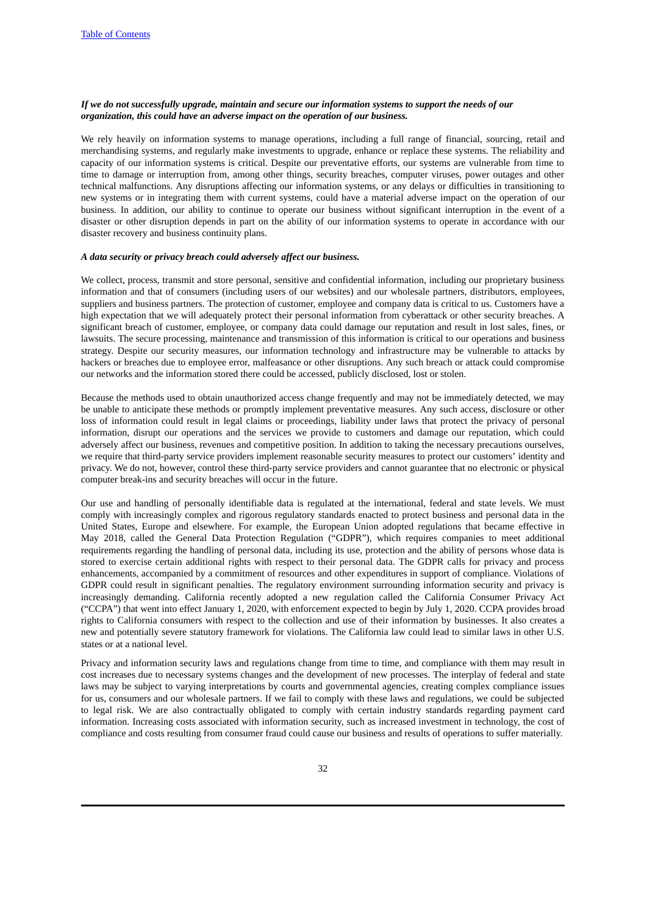# If we do not successfully upgrade, maintain and secure our information systems to support the needs of our *organization, this could have an adverse impact on the operation of our business.*

We rely heavily on information systems to manage operations, including a full range of financial, sourcing, retail and merchandising systems, and regularly make investments to upgrade, enhance or replace these systems. The reliability and capacity of our information systems is critical. Despite our preventative efforts, our systems are vulnerable from time to time to damage or interruption from, among other things, security breaches, computer viruses, power outages and other technical malfunctions. Any disruptions affecting our information systems, or any delays or difficulties in transitioning to new systems or in integrating them with current systems, could have a material adverse impact on the operation of our business. In addition, our ability to continue to operate our business without significant interruption in the event of a disaster or other disruption depends in part on the ability of our information systems to operate in accordance with our disaster recovery and business continuity plans.

# *A data security or privacy breach could adversely affect our business.*

We collect, process, transmit and store personal, sensitive and confidential information, including our proprietary business information and that of consumers (including users of our websites) and our wholesale partners, distributors, employees, suppliers and business partners. The protection of customer, employee and company data is critical to us. Customers have a high expectation that we will adequately protect their personal information from cyberattack or other security breaches. A significant breach of customer, employee, or company data could damage our reputation and result in lost sales, fines, or lawsuits. The secure processing, maintenance and transmission of this information is critical to our operations and business strategy. Despite our security measures, our information technology and infrastructure may be vulnerable to attacks by hackers or breaches due to employee error, malfeasance or other disruptions. Any such breach or attack could compromise our networks and the information stored there could be accessed, publicly disclosed, lost or stolen.

Because the methods used to obtain unauthorized access change frequently and may not be immediately detected, we may be unable to anticipate these methods or promptly implement preventative measures. Any such access, disclosure or other loss of information could result in legal claims or proceedings, liability under laws that protect the privacy of personal information, disrupt our operations and the services we provide to customers and damage our reputation, which could adversely affect our business, revenues and competitive position. In addition to taking the necessary precautions ourselves, we require that third-party service providers implement reasonable security measures to protect our customers' identity and privacy. We do not, however, control these third-party service providers and cannot guarantee that no electronic or physical computer break-ins and security breaches will occur in the future.

Our use and handling of personally identifiable data is regulated at the international, federal and state levels. We must comply with increasingly complex and rigorous regulatory standards enacted to protect business and personal data in the United States, Europe and elsewhere. For example, the European Union adopted regulations that became effective in May 2018, called the General Data Protection Regulation ("GDPR"), which requires companies to meet additional requirements regarding the handling of personal data, including its use, protection and the ability of persons whose data is stored to exercise certain additional rights with respect to their personal data. The GDPR calls for privacy and process enhancements, accompanied by a commitment of resources and other expenditures in support of compliance. Violations of GDPR could result in significant penalties. The regulatory environment surrounding information security and privacy is increasingly demanding. California recently adopted a new regulation called the California Consumer Privacy Act ("CCPA") that went into effect January 1, 2020, with enforcement expected to begin by July 1, 2020. CCPA provides broad rights to California consumers with respect to the collection and use of their information by businesses. It also creates a new and potentially severe statutory framework for violations. The California law could lead to similar laws in other U.S. states or at a national level.

Privacy and information security laws and regulations change from time to time, and compliance with them may result in cost increases due to necessary systems changes and the development of new processes. The interplay of federal and state laws may be subject to varying interpretations by courts and governmental agencies, creating complex compliance issues for us, consumers and our wholesale partners. If we fail to comply with these laws and regulations, we could be subjected to legal risk. We are also contractually obligated to comply with certain industry standards regarding payment card information. Increasing costs associated with information security, such as increased investment in technology, the cost of compliance and costs resulting from consumer fraud could cause our business and results of operations to suffer materially.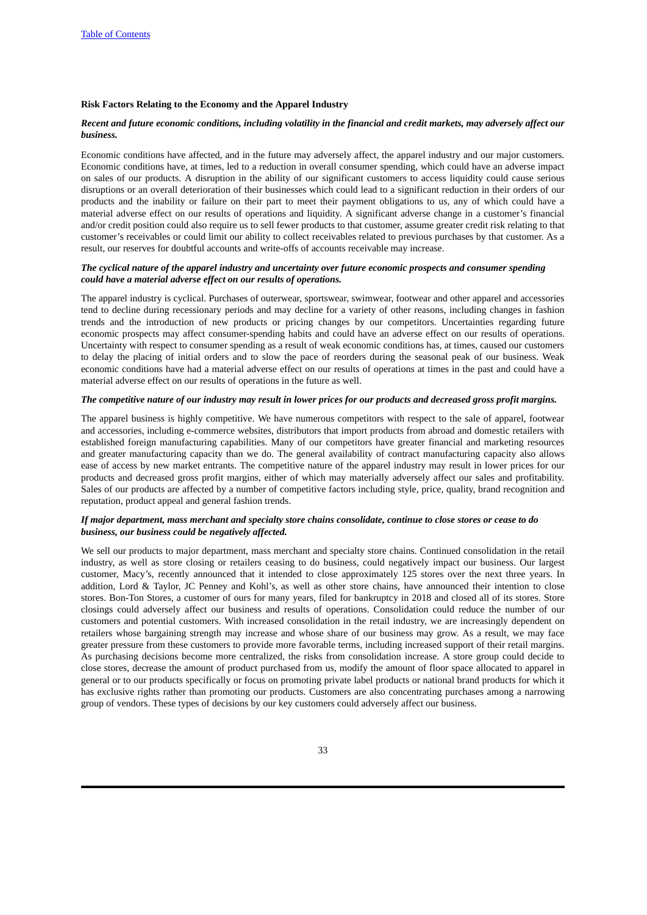#### **Risk Factors Relating to the Economy and the Apparel Industry**

# Recent and future economic conditions, including volatility in the financial and credit markets, may adversely affect our *business.*

Economic conditions have affected, and in the future may adversely affect, the apparel industry and our major customers. Economic conditions have, at times, led to a reduction in overall consumer spending, which could have an adverse impact on sales of our products. A disruption in the ability of our significant customers to access liquidity could cause serious disruptions or an overall deterioration of their businesses which could lead to a significant reduction in their orders of our products and the inability or failure on their part to meet their payment obligations to us, any of which could have a material adverse effect on our results of operations and liquidity. A significant adverse change in a customer's financial and/or credit position could also require us to sell fewer products to that customer, assume greater credit risk relating to that customer's receivables or could limit our ability to collect receivables related to previous purchases by that customer. As a result, our reserves for doubtful accounts and write-offs of accounts receivable may increase.

# *The cyclical nature of the apparel industry and uncertainty over future economic prospects and consumer spending could have a material adverse effect on our results of operations.*

The apparel industry is cyclical. Purchases of outerwear, sportswear, swimwear, footwear and other apparel and accessories tend to decline during recessionary periods and may decline for a variety of other reasons, including changes in fashion trends and the introduction of new products or pricing changes by our competitors. Uncertainties regarding future economic prospects may affect consumer-spending habits and could have an adverse effect on our results of operations. Uncertainty with respect to consumer spending as a result of weak economic conditions has, at times, caused our customers to delay the placing of initial orders and to slow the pace of reorders during the seasonal peak of our business. Weak economic conditions have had a material adverse effect on our results of operations at times in the past and could have a material adverse effect on our results of operations in the future as well.

# The competitive nature of our industry may result in lower prices for our products and decreased gross profit margins.

The apparel business is highly competitive. We have numerous competitors with respect to the sale of apparel, footwear and accessories, including e-commerce websites, distributors that import products from abroad and domestic retailers with established foreign manufacturing capabilities. Many of our competitors have greater financial and marketing resources and greater manufacturing capacity than we do. The general availability of contract manufacturing capacity also allows ease of access by new market entrants. The competitive nature of the apparel industry may result in lower prices for our products and decreased gross profit margins, either of which may materially adversely affect our sales and profitability. Sales of our products are affected by a number of competitive factors including style, price, quality, brand recognition and reputation, product appeal and general fashion trends.

# If major department, mass merchant and specialty store chains consolidate, continue to close stores or cease to do *business, our business could be negatively affected.*

We sell our products to major department, mass merchant and specialty store chains. Continued consolidation in the retail industry, as well as store closing or retailers ceasing to do business, could negatively impact our business. Our largest customer, Macy's, recently announced that it intended to close approximately 125 stores over the next three years. In addition, Lord & Taylor, JC Penney and Kohl's, as well as other store chains, have announced their intention to close stores. Bon-Ton Stores, a customer of ours for many years, filed for bankruptcy in 2018 and closed all of its stores. Store closings could adversely affect our business and results of operations. Consolidation could reduce the number of our customers and potential customers. With increased consolidation in the retail industry, we are increasingly dependent on retailers whose bargaining strength may increase and whose share of our business may grow. As a result, we may face greater pressure from these customers to provide more favorable terms, including increased support of their retail margins. As purchasing decisions become more centralized, the risks from consolidation increase. A store group could decide to close stores, decrease the amount of product purchased from us, modify the amount of floor space allocated to apparel in general or to our products specifically or focus on promoting private label products or national brand products for which it has exclusive rights rather than promoting our products. Customers are also concentrating purchases among a narrowing group of vendors. These types of decisions by our key customers could adversely affect our business.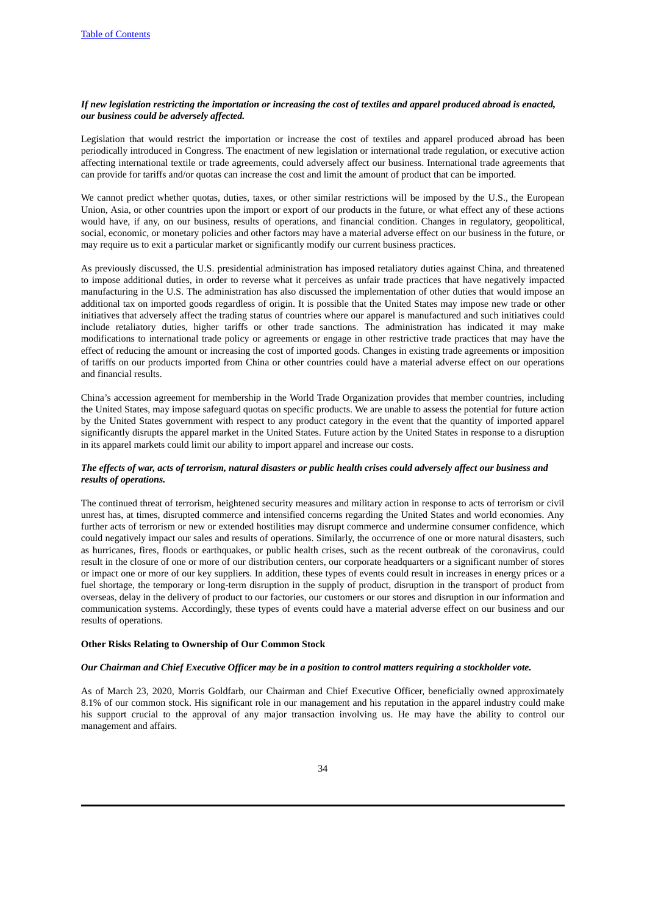# If new legislation restricting the importation or increasing the cost of textiles and apparel produced abroad is enacted, *our business could be adversely affected.*

Legislation that would restrict the importation or increase the cost of textiles and apparel produced abroad has been periodically introduced in Congress. The enactment of new legislation or international trade regulation, or executive action affecting international textile or trade agreements, could adversely affect our business. International trade agreements that can provide for tariffs and/or quotas can increase the cost and limit the amount of product that can be imported.

We cannot predict whether quotas, duties, taxes, or other similar restrictions will be imposed by the U.S., the European Union, Asia, or other countries upon the import or export of our products in the future, or what effect any of these actions would have, if any, on our business, results of operations, and financial condition. Changes in regulatory, geopolitical, social, economic, or monetary policies and other factors may have a material adverse effect on our business in the future, or may require us to exit a particular market or significantly modify our current business practices.

As previously discussed, the U.S. presidential administration has imposed retaliatory duties against China, and threatened to impose additional duties, in order to reverse what it perceives as unfair trade practices that have negatively impacted manufacturing in the U.S. The administration has also discussed the implementation of other duties that would impose an additional tax on imported goods regardless of origin. It is possible that the United States may impose new trade or other initiatives that adversely affect the trading status of countries where our apparel is manufactured and such initiatives could include retaliatory duties, higher tariffs or other trade sanctions. The administration has indicated it may make modifications to international trade policy or agreements or engage in other restrictive trade practices that may have the effect of reducing the amount or increasing the cost of imported goods. Changes in existing trade agreements or imposition of tariffs on our products imported from China or other countries could have a material adverse effect on our operations and financial results.

China's accession agreement for membership in the World Trade Organization provides that member countries, including the United States, may impose safeguard quotas on specific products. We are unable to assess the potential for future action by the United States government with respect to any product category in the event that the quantity of imported apparel significantly disrupts the apparel market in the United States. Future action by the United States in response to a disruption in its apparel markets could limit our ability to import apparel and increase our costs.

# The effects of war, acts of terrorism, natural disasters or public health crises could adversely affect our business and *results of operations.*

The continued threat of terrorism, heightened security measures and military action in response to acts of terrorism or civil unrest has, at times, disrupted commerce and intensified concerns regarding the United States and world economies. Any further acts of terrorism or new or extended hostilities may disrupt commerce and undermine consumer confidence, which could negatively impact our sales and results of operations. Similarly, the occurrence of one or more natural disasters, such as hurricanes, fires, floods or earthquakes, or public health crises, such as the recent outbreak of the coronavirus, could result in the closure of one or more of our distribution centers, our corporate headquarters or a significant number of stores or impact one or more of our key suppliers. In addition, these types of events could result in increases in energy prices or a fuel shortage, the temporary or long-term disruption in the supply of product, disruption in the transport of product from overseas, delay in the delivery of product to our factories, our customers or our stores and disruption in our information and communication systems. Accordingly, these types of events could have a material adverse effect on our business and our results of operations.

#### **Other Risks Relating to Ownership of Our Common Stock**

#### Our Chairman and Chief Executive Officer may be in a position to control matters requiring a stockholder vote.

As of March 23, 2020, Morris Goldfarb, our Chairman and Chief Executive Officer, beneficially owned approximately 8.1% of our common stock. His significant role in our management and his reputation in the apparel industry could make his support crucial to the approval of any major transaction involving us. He may have the ability to control our management and affairs.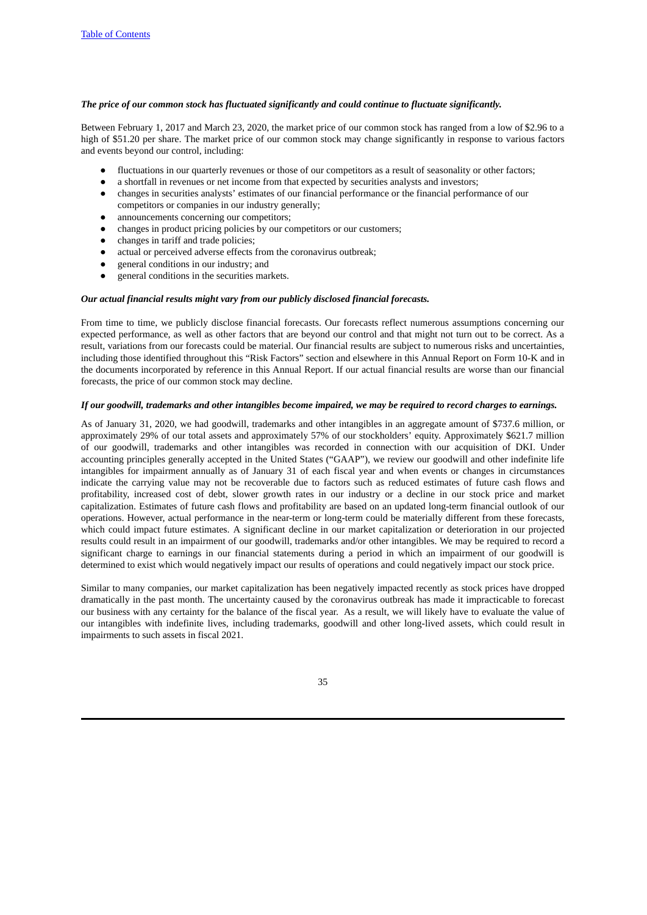# *The price of our common stock has fluctuated significantly and could continue to fluctuate significantly.*

Between February 1, 2017 and March 23, 2020, the market price of our common stock has ranged from a low of \$2.96 to a high of \$51.20 per share. The market price of our common stock may change significantly in response to various factors and events beyond our control, including:

- fluctuations in our quarterly revenues or those of our competitors as a result of seasonality or other factors;
- a shortfall in revenues or net income from that expected by securities analysts and investors;
- changes in securities analysts' estimates of our financial performance or the financial performance of our competitors or companies in our industry generally;
- announcements concerning our competitors:
- changes in product pricing policies by our competitors or our customers;
- changes in tariff and trade policies;
- actual or perceived adverse effects from the coronavirus outbreak;
- general conditions in our industry; and
- general conditions in the securities markets.

# *Our actual financial results might vary from our publicly disclosed financial forecasts.*

From time to time, we publicly disclose financial forecasts. Our forecasts reflect numerous assumptions concerning our expected performance, as well as other factors that are beyond our control and that might not turn out to be correct. As a result, variations from our forecasts could be material. Our financial results are subject to numerous risks and uncertainties, including those identified throughout this "Risk Factors" section and elsewhere in this Annual Report on Form 10-K and in the documents incorporated by reference in this Annual Report. If our actual financial results are worse than our financial forecasts, the price of our common stock may decline.

#### If our goodwill, trademarks and other intangibles become impaired, we may be required to record charges to earnings.

As of January 31, 2020, we had goodwill, trademarks and other intangibles in an aggregate amount of \$737.6 million, or approximately 29% of our total assets and approximately 57% of our stockholders' equity. Approximately \$621.7 million of our goodwill, trademarks and other intangibles was recorded in connection with our acquisition of DKI. Under accounting principles generally accepted in the United States ("GAAP"), we review our goodwill and other indefinite life intangibles for impairment annually as of January 31 of each fiscal year and when events or changes in circumstances indicate the carrying value may not be recoverable due to factors such as reduced estimates of future cash flows and profitability, increased cost of debt, slower growth rates in our industry or a decline in our stock price and market capitalization. Estimates of future cash flows and profitability are based on an updated long-term financial outlook of our operations. However, actual performance in the near-term or long-term could be materially different from these forecasts, which could impact future estimates. A significant decline in our market capitalization or deterioration in our projected results could result in an impairment of our goodwill, trademarks and/or other intangibles. We may be required to record a significant charge to earnings in our financial statements during a period in which an impairment of our goodwill is determined to exist which would negatively impact our results of operations and could negatively impact our stock price.

Similar to many companies, our market capitalization has been negatively impacted recently as stock prices have dropped dramatically in the past month. The uncertainty caused by the coronavirus outbreak has made it impracticable to forecast our business with any certainty for the balance of the fiscal year. As a result, we will likely have to evaluate the value of our intangibles with indefinite lives, including trademarks, goodwill and other long-lived assets, which could result in impairments to such assets in fiscal 2021.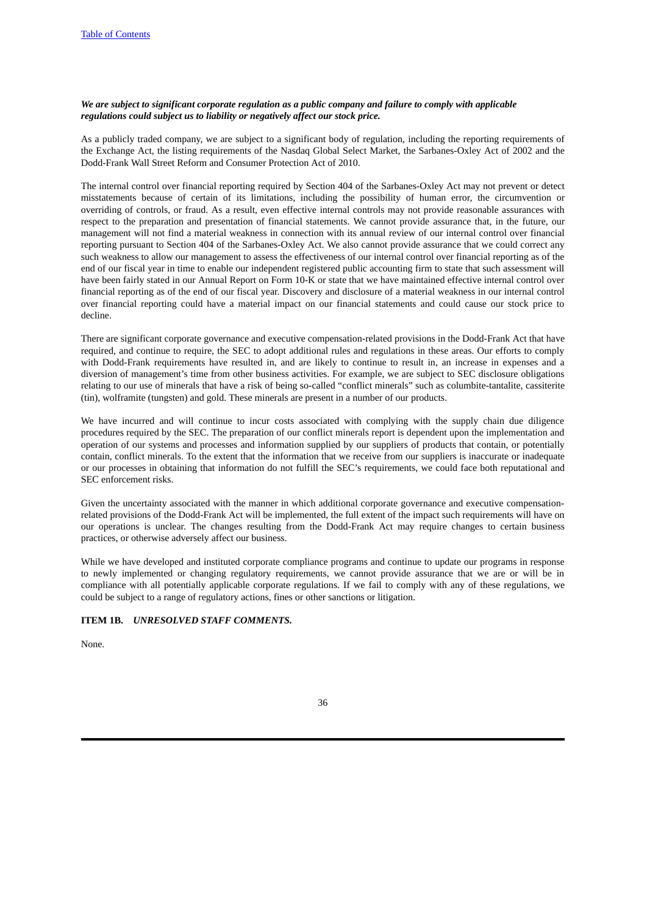### We are subject to significant corporate regulation as a public company and failure to comply with applicable *regulations could subject us to liability or negatively affect our stock price.*

As a publicly traded company, we are subject to a significant body of regulation, including the reporting requirements of the Exchange Act, the listing requirements of the Nasdaq Global Select Market, the Sarbanes-Oxley Act of 2002 and the Dodd-Frank Wall Street Reform and Consumer Protection Act of 2010.

The internal control over financial reporting required by Section 404 of the Sarbanes-Oxley Act may not prevent or detect misstatements because of certain of its limitations, including the possibility of human error, the circumvention or overriding of controls, or fraud. As a result, even effective internal controls may not provide reasonable assurances with respect to the preparation and presentation of financial statements. We cannot provide assurance that, in the future, our management will not find a material weakness in connection with its annual review of our internal control over financial reporting pursuant to Section 404 of the Sarbanes-Oxley Act. We also cannot provide assurance that we could correct any such weakness to allow our management to assess the effectiveness of our internal control over financial reporting as of the end of our fiscal year in time to enable our independent registered public accounting firm to state that such assessment will have been fairly stated in our Annual Report on Form 10-K or state that we have maintained effective internal control over financial reporting as of the end of our fiscal year. Discovery and disclosure of a material weakness in our internal control over financial reporting could have a material impact on our financial statements and could cause our stock price to decline.

There are significant corporate governance and executive compensation-related provisions in the Dodd-Frank Act that have required, and continue to require, the SEC to adopt additional rules and regulations in these areas. Our efforts to comply with Dodd-Frank requirements have resulted in, and are likely to continue to result in, an increase in expenses and a diversion of management's time from other business activities. For example, we are subject to SEC disclosure obligations relating to our use of minerals that have a risk of being so-called "conflict minerals" such as columbite-tantalite, cassiterite (tin), wolframite (tungsten) and gold. These minerals are present in a number of our products.

We have incurred and will continue to incur costs associated with complying with the supply chain due diligence procedures required by the SEC. The preparation of our conflict minerals report is dependent upon the implementation and operation of our systems and processes and information supplied by our suppliers of products that contain, or potentially contain, conflict minerals. To the extent that the information that we receive from our suppliers is inaccurate or inadequate or our processes in obtaining that information do not fulfill the SEC's requirements, we could face both reputational and SEC enforcement risks.

Given the uncertainty associated with the manner in which additional corporate governance and executive compensationrelated provisions of the Dodd-Frank Act will be implemented, the full extent of the impact such requirements will have on our operations is unclear. The changes resulting from the Dodd-Frank Act may require changes to certain business practices, or otherwise adversely affect our business.

While we have developed and instituted corporate compliance programs and continue to update our programs in response to newly implemented or changing regulatory requirements, we cannot provide assurance that we are or will be in compliance with all potentially applicable corporate regulations. If we fail to comply with any of these regulations, we could be subject to a range of regulatory actions, fines or other sanctions or litigation.

### **ITEM 1B.** *UNRESOLVED STAFF COMMENTS.*

None.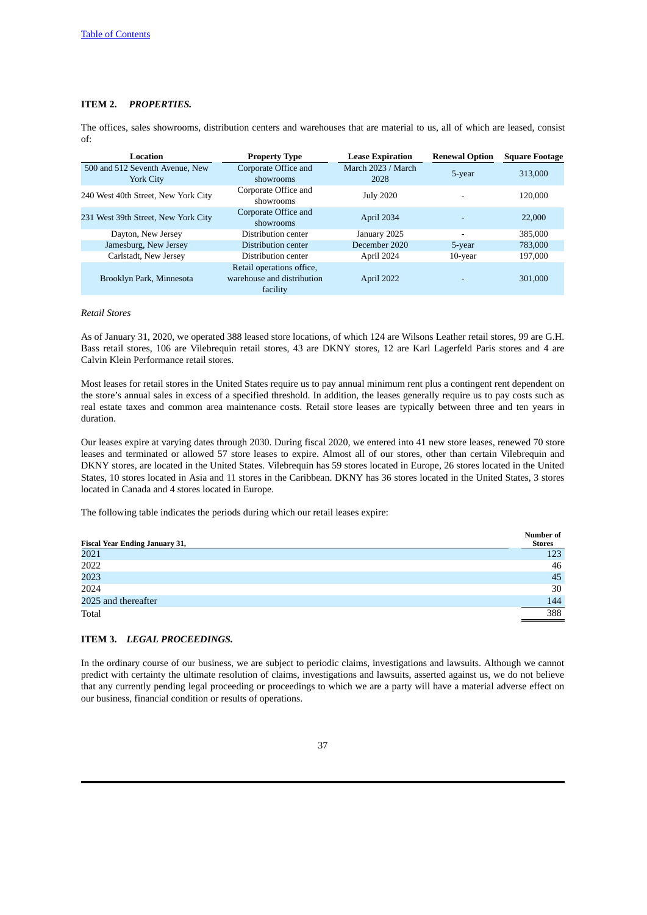# **ITEM 2.** *PROPERTIES.*

The offices, sales showrooms, distribution centers and warehouses that are material to us, all of which are leased, consist of:

| Location                                            | <b>Property Type</b>                                                | <b>Lease Expiration</b>    | <b>Renewal Option</b> | <b>Square Footage</b> |
|-----------------------------------------------------|---------------------------------------------------------------------|----------------------------|-----------------------|-----------------------|
| 500 and 512 Seventh Avenue, New<br><b>York City</b> | Corporate Office and<br>showrooms                                   | March 2023 / March<br>2028 | 5-year                | 313,000               |
| 240 West 40th Street, New York City                 | Corporate Office and<br>showrooms                                   | <b>July 2020</b>           |                       | 120,000               |
| 231 West 39th Street, New York City                 | Corporate Office and<br>showrooms                                   | April 2034                 |                       | 22,000                |
| Dayton, New Jersey                                  | Distribution center                                                 | January 2025               |                       | 385,000               |
| Jamesburg, New Jersey                               | Distribution center                                                 | December 2020              | 5-year                | 783,000               |
| Carlstadt, New Jersey                               | Distribution center                                                 | April 2024                 | $10$ -vear            | 197,000               |
| Brooklyn Park, Minnesota                            | Retail operations office,<br>warehouse and distribution<br>facility | April 2022                 |                       | 301,000               |

#### *Retail Stores*

As of January 31, 2020, we operated 388 leased store locations, of which 124 are Wilsons Leather retail stores, 99 are G.H. Bass retail stores, 106 are Vilebrequin retail stores, 43 are DKNY stores, 12 are Karl Lagerfeld Paris stores and 4 are Calvin Klein Performance retail stores.

Most leases for retail stores in the United States require us to pay annual minimum rent plus a contingent rent dependent on the store's annual sales in excess of a specified threshold. In addition, the leases generally require us to pay costs such as real estate taxes and common area maintenance costs. Retail store leases are typically between three and ten years in duration.

Our leases expire at varying dates through 2030. During fiscal 2020, we entered into 41 new store leases, renewed 70 store leases and terminated or allowed 57 store leases to expire. Almost all of our stores, other than certain Vilebrequin and DKNY stores, are located in the United States. Vilebrequin has 59 stores located in Europe, 26 stores located in the United States, 10 stores located in Asia and 11 stores in the Caribbean. DKNY has 36 stores located in the United States, 3 stores located in Canada and 4 stores located in Europe.

The following table indicates the periods during which our retail leases expire:

| <b>Fiscal Year Ending January 31,</b> | Number of<br><b>Stores</b> |
|---------------------------------------|----------------------------|
| 2021                                  | 123                        |
| 2022                                  | 46                         |
| 2023                                  | 45                         |
| 2024                                  | 30                         |
| 2025 and thereafter                   | 144                        |
| Total                                 | 388                        |

#### **ITEM 3.** *LEGAL PROCEEDINGS.*

In the ordinary course of our business, we are subject to periodic claims, investigations and lawsuits. Although we cannot predict with certainty the ultimate resolution of claims, investigations and lawsuits, asserted against us, we do not believe that any currently pending legal proceeding or proceedings to which we are a party will have a material adverse effect on our business, financial condition or results of operations.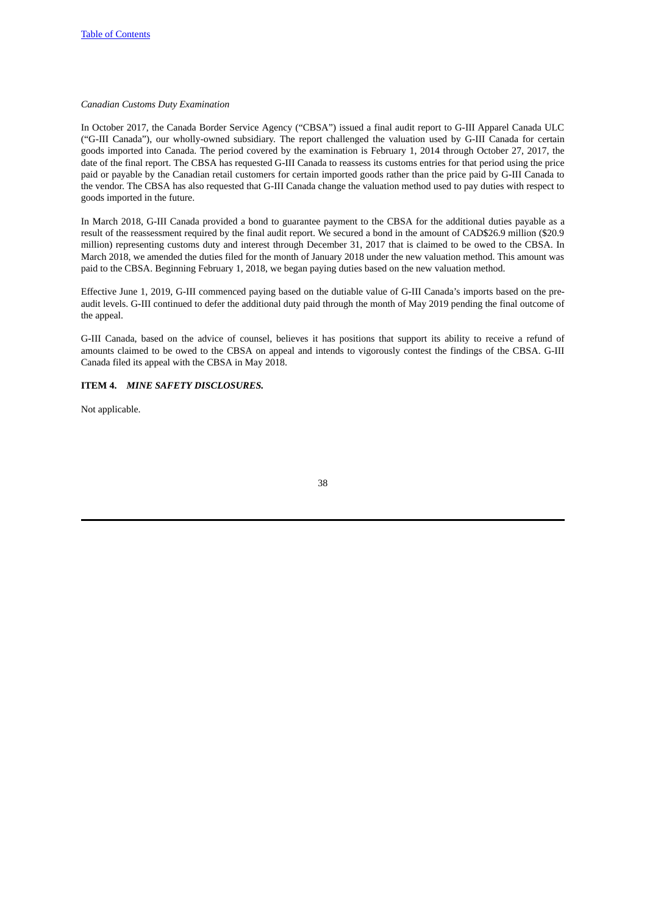#### *Canadian Customs Duty Examination*

In October 2017, the Canada Border Service Agency ("CBSA") issued a final audit report to G-III Apparel Canada ULC ("G-III Canada"), our wholly-owned subsidiary. The report challenged the valuation used by G-III Canada for certain goods imported into Canada. The period covered by the examination is February 1, 2014 through October 27, 2017, the date of the final report. The CBSA has requested G-III Canada to reassess its customs entries for that period using the price paid or payable by the Canadian retail customers for certain imported goods rather than the price paid by G-III Canada to the vendor. The CBSA has also requested that G-III Canada change the valuation method used to pay duties with respect to goods imported in the future.

In March 2018, G-III Canada provided a bond to guarantee payment to the CBSA for the additional duties payable as a result of the reassessment required by the final audit report. We secured a bond in the amount of CAD\$26.9 million (\$20.9 million) representing customs duty and interest through December 31, 2017 that is claimed to be owed to the CBSA. In March 2018, we amended the duties filed for the month of January 2018 under the new valuation method. This amount was paid to the CBSA. Beginning February 1, 2018, we began paying duties based on the new valuation method.

Effective June 1, 2019, G-III commenced paying based on the dutiable value of G-III Canada's imports based on the preaudit levels. G-III continued to defer the additional duty paid through the month of May 2019 pending the final outcome of the appeal.

G-III Canada, based on the advice of counsel, believes it has positions that support its ability to receive a refund of amounts claimed to be owed to the CBSA on appeal and intends to vigorously contest the findings of the CBSA. G-III Canada filed its appeal with the CBSA in May 2018.

### **ITEM 4.** *MINE SAFETY DISCLOSURES.*

Not applicable.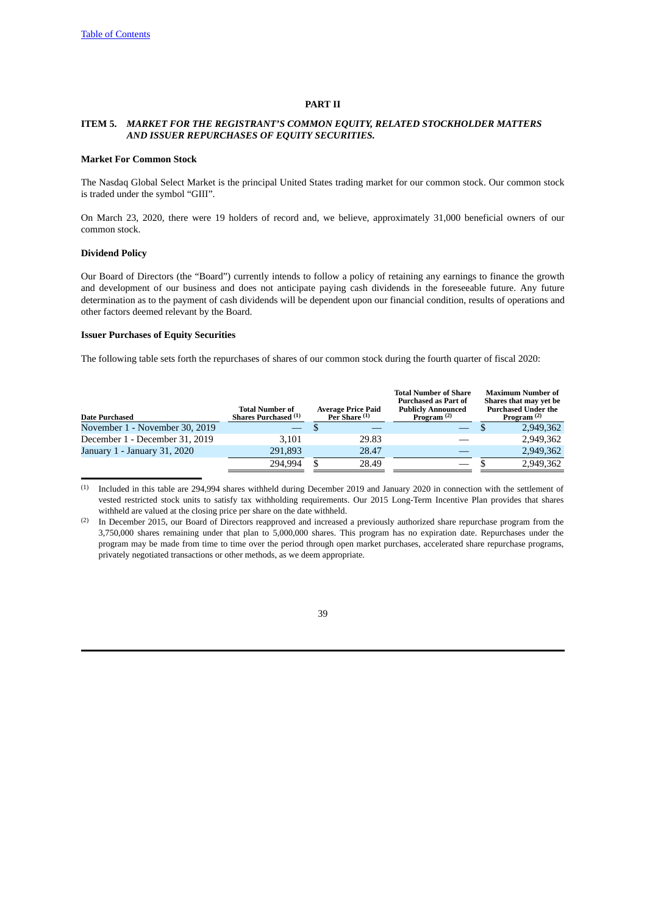### **PART II**

# **ITEM 5.** *MARKET FOR THE REGISTRANT'S COMMON EQUITY, RELATED STOCKHOLDER MATTERS AND ISSUER REPURCHASES OF EQUITY SECURITIES.*

#### **Market For Common Stock**

The Nasdaq Global Select Market is the principal United States trading market for our common stock. Our common stock is traded under the symbol "GIII".

On March 23, 2020, there were 19 holders of record and, we believe, approximately 31,000 beneficial owners of our common stock.

#### **Dividend Policy**

Our Board of Directors (the "Board") currently intends to follow a policy of retaining any earnings to finance the growth and development of our business and does not anticipate paying cash dividends in the foreseeable future. Any future determination as to the payment of cash dividends will be dependent upon our financial condition, results of operations and other factors deemed relevant by the Board.

#### **Issuer Purchases of Equity Securities**

The following table sets forth the repurchases of shares of our common stock during the fourth quarter of fiscal 2020:

| <b>Date Purchased</b>          | <b>Total Number of</b><br>Shares Purchased (1) | <b>Average Price Paid</b><br>Per Share <sup>(1)</sup> | <b>Total Number of Share</b><br><b>Purchased as Part of</b><br><b>Publicly Announced</b><br>Program $(2)$ | <b>Maximum Number of</b><br>Shares that may yet be<br><b>Purchased Under the</b><br>Program $(2)$ |
|--------------------------------|------------------------------------------------|-------------------------------------------------------|-----------------------------------------------------------------------------------------------------------|---------------------------------------------------------------------------------------------------|
| November 1 - November 30, 2019 |                                                |                                                       |                                                                                                           | 2,949,362                                                                                         |
| December 1 - December 31, 2019 | 3.101                                          | 29.83                                                 |                                                                                                           | 2,949,362                                                                                         |
| January 1 - January 31, 2020   | 291.893                                        | 28.47                                                 |                                                                                                           | 2,949,362                                                                                         |
|                                | 294.994                                        | 28.49                                                 |                                                                                                           | 2,949,362                                                                                         |

(1) Included in this table are 294,994 shares withheld during December 2019 and January 2020 in connection with the settlement of vested restricted stock units to satisfy tax withholding requirements. Our 2015 Long-Term Incentive Plan provides that shares withheld are valued at the closing price per share on the date withheld.

(2) In December 2015, our Board of Directors reapproved and increased a previously authorized share repurchase program from the 3,750,000 shares remaining under that plan to 5,000,000 shares. This program has no expiration date. Repurchases under the program may be made from time to time over the period through open market purchases, accelerated share repurchase programs, privately negotiated transactions or other methods, as we deem appropriate.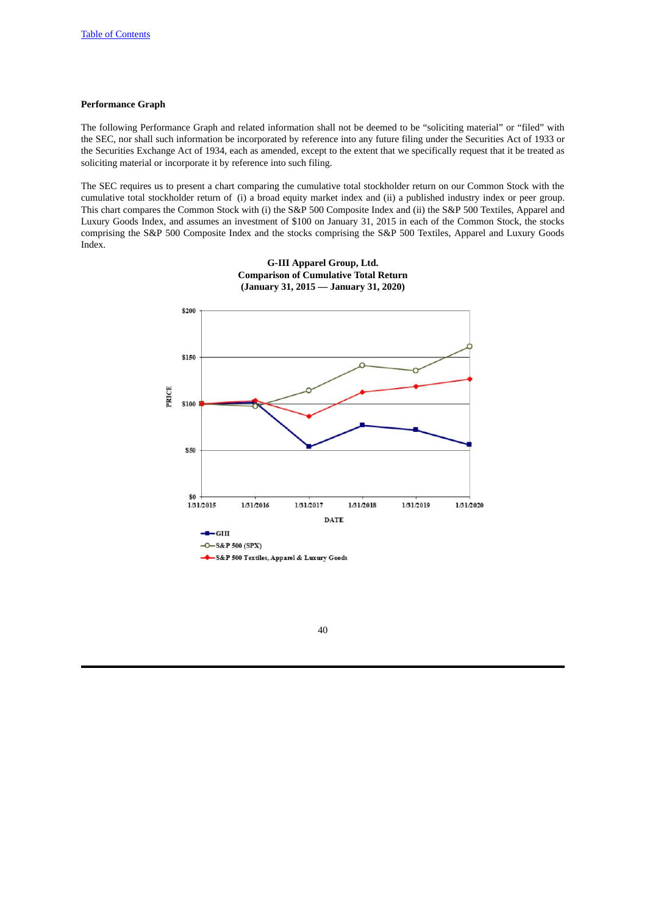### **Performance Graph**

The following Performance Graph and related information shall not be deemed to be "soliciting material" or "filed" with the SEC, nor shall such information be incorporated by reference into any future filing under the Securities Act of 1933 or the Securities Exchange Act of 1934, each as amended, except to the extent that we specifically request that it be treated as soliciting material or incorporate it by reference into such filing.

The SEC requires us to present a chart comparing the cumulative total stockholder return on our Common Stock with the cumulative total stockholder return of (i) a broad equity market index and (ii) a published industry index or peer group. This chart compares the Common Stock with (i) the S&P 500 Composite Index and (ii) the S&P 500 Textiles, Apparel and Luxury Goods Index, and assumes an investment of \$100 on January 31, 2015 in each of the Common Stock, the stocks comprising the S&P 500 Composite Index and the stocks comprising the S&P 500 Textiles, Apparel and Luxury Goods Index.



**G-III Apparel Group, Ltd. Comparison of Cumulative Total Return (January 31, 2015 — January 31, 2020)**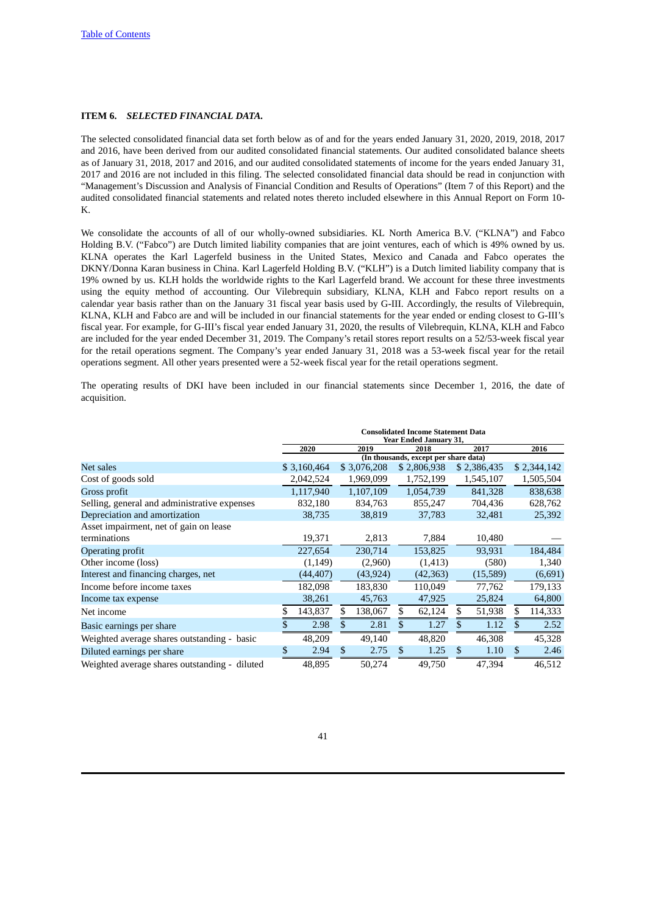### **ITEM 6.** *SELECTED FINANCIAL DATA.*

The selected consolidated financial data set forth below as of and for the years ended January 31, 2020, 2019, 2018, 2017 and 2016, have been derived from our audited consolidated financial statements. Our audited consolidated balance sheets as of January 31, 2018, 2017 and 2016, and our audited consolidated statements of income for the years ended January 31, 2017 and 2016 are not included in this filing. The selected consolidated financial data should be read in conjunction with "Management's Discussion and Analysis of Financial Condition and Results of Operations" (Item 7 of this Report) and the audited consolidated financial statements and related notes thereto included elsewhere in this Annual Report on Form 10- K.

We consolidate the accounts of all of our wholly-owned subsidiaries. KL North America B.V. ("KLNA") and Fabco Holding B.V. ("Fabco") are Dutch limited liability companies that are joint ventures, each of which is 49% owned by us. KLNA operates the Karl Lagerfeld business in the United States, Mexico and Canada and Fabco operates the DKNY/Donna Karan business in China. Karl Lagerfeld Holding B.V. ("KLH") is a Dutch limited liability company that is 19% owned by us. KLH holds the worldwide rights to the Karl Lagerfeld brand. We account for these three investments using the equity method of accounting. Our Vilebrequin subsidiary, KLNA, KLH and Fabco report results on a calendar year basis rather than on the January 31 fiscal year basis used by G-III. Accordingly, the results of Vilebrequin, KLNA, KLH and Fabco are and will be included in our financial statements for the year ended or ending closest to G-III's fiscal year. For example, for G-III's fiscal year ended January 31, 2020, the results of Vilebrequin, KLNA, KLH and Fabco are included for the year ended December 31, 2019. The Company's retail stores report results on a 52/53-week fiscal year for the retail operations segment. The Company's year ended January 31, 2018 was a 53-week fiscal year for the retail operations segment. All other years presented were a 52-week fiscal year for the retail operations segment.

The operating results of DKI have been included in our financial statements since December 1, 2016, the date of acquisition.

|                                               | <b>Consolidated Income Statement Data</b><br>Year Ended January 31, |             |    |             |    |                                       |    |             |    |             |
|-----------------------------------------------|---------------------------------------------------------------------|-------------|----|-------------|----|---------------------------------------|----|-------------|----|-------------|
|                                               |                                                                     | 2020        |    | 2019        |    | 2018                                  |    | 2017        |    | 2016        |
|                                               |                                                                     |             |    |             |    | (In thousands, except per share data) |    |             |    |             |
| Net sales                                     |                                                                     | \$3,160,464 |    | \$3,076,208 |    | \$2,806,938                           |    | \$2,386,435 |    | \$2,344,142 |
| Cost of goods sold                            |                                                                     | 2,042,524   |    | 1,969,099   |    | 1,752,199                             |    | 1,545,107   |    | 1,505,504   |
| Gross profit                                  |                                                                     | 1,117,940   |    | 1,107,109   |    | 1,054,739                             |    | 841,328     |    | 838,638     |
| Selling, general and administrative expenses  |                                                                     | 832,180     |    | 834,763     |    | 855,247                               |    | 704,436     |    | 628,762     |
| Depreciation and amortization                 |                                                                     | 38,735      |    | 38,819      |    | 37,783                                |    | 32,481      |    | 25,392      |
| Asset impairment, net of gain on lease        |                                                                     |             |    |             |    |                                       |    |             |    |             |
| terminations                                  |                                                                     | 19,371      |    | 2,813       |    | 7,884                                 |    | 10,480      |    |             |
| Operating profit                              |                                                                     | 227,654     |    | 230,714     |    | 153,825                               |    | 93,931      |    | 184,484     |
| Other income (loss)                           |                                                                     | (1, 149)    |    | (2,960)     |    | (1, 413)                              |    | (580)       |    | 1,340       |
| Interest and financing charges, net           |                                                                     | (44,407)    |    | (43, 924)   |    | (42,363)                              |    | (15,589)    |    | (6, 691)    |
| Income before income taxes                    |                                                                     | 182,098     |    | 183,830     |    | 110,049                               |    | 77,762      |    | 179,133     |
| Income tax expense                            |                                                                     | 38,261      |    | 45,763      |    | 47,925                                |    | 25,824      |    | 64,800      |
| Net income                                    | \$                                                                  | 143,837     | \$ | 138,067     | \$ | 62,124                                | \$ | 51,938      | \$ | 114,333     |
| Basic earnings per share                      |                                                                     | 2.98        | \$ | 2.81        |    | 1.27                                  |    | 1.12        | \$ | 2.52        |
| Weighted average shares outstanding - basic   |                                                                     | 48,209      |    | 49,140      |    | 48,820                                |    | 46,308      |    | 45,328      |
| Diluted earnings per share                    | \$                                                                  | 2.94        | \$ | 2.75        | \$ | 1.25                                  | \$ | 1.10        | \$ | 2.46        |
| Weighted average shares outstanding - diluted |                                                                     | 48,895      |    | 50,274      |    | 49,750                                |    | 47,394      |    | 46,512      |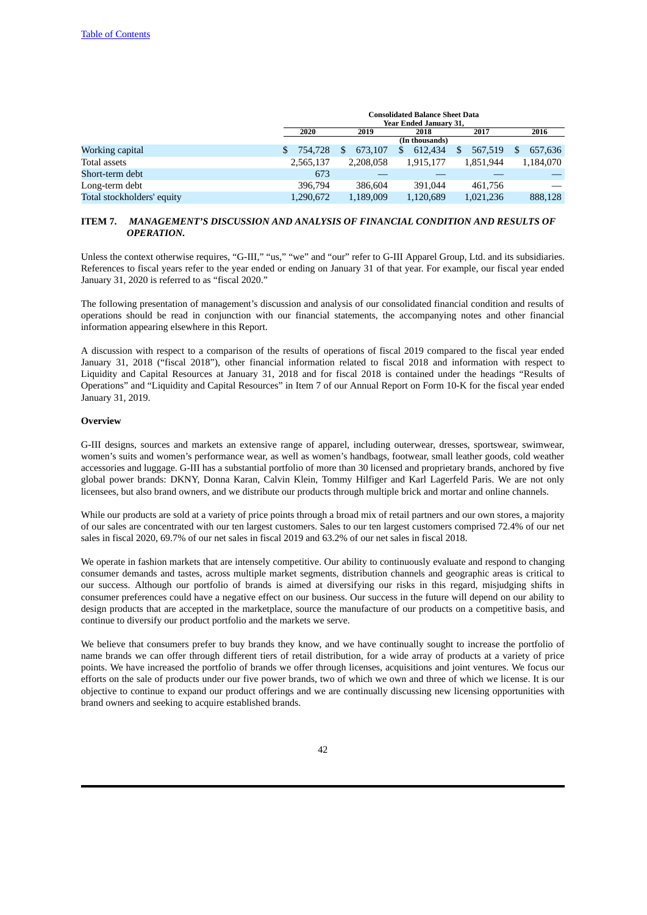|                            | <b>Consolidated Balance Sheet Data</b><br><b>Year Ended January 31,</b> |           |                |           |               |  |  |
|----------------------------|-------------------------------------------------------------------------|-----------|----------------|-----------|---------------|--|--|
|                            | 2020                                                                    | 2019      | 2018           | 2017      | 2016          |  |  |
|                            |                                                                         |           | (In thousands) |           |               |  |  |
| Working capital            | 754,728<br>S                                                            | 673,107   | 612.434<br>S   | 567,519   | 657,636<br>\$ |  |  |
| Total assets               | 2,565,137                                                               | 2,208,058 | 1,915,177      | 1,851,944 | 1,184,070     |  |  |
| Short-term debt            | 673                                                                     |           |                |           |               |  |  |
| Long-term debt             | 396,794                                                                 | 386.604   | 391.044        | 461.756   |               |  |  |
| Total stockholders' equity | 1,290,672                                                               | 1,189,009 | 1,120,689      | 1,021,236 | 888.128       |  |  |

### **ITEM 7.** *MANAGEMENT'S DISCUSSION AND ANALYSIS OF FINANCIAL CONDITION AND RESULTS OF OPERATION.*

Unless the context otherwise requires, "G-III," "us," "we" and "our" refer to G-III Apparel Group, Ltd. and its subsidiaries. References to fiscal years refer to the year ended or ending on January 31 of that year. For example, our fiscal year ended January 31, 2020 is referred to as "fiscal 2020."

The following presentation of management's discussion and analysis of our consolidated financial condition and results of operations should be read in conjunction with our financial statements, the accompanying notes and other financial information appearing elsewhere in this Report.

A discussion with respect to a comparison of the results of operations of fiscal 2019 compared to the fiscal year ended January 31, 2018 ("fiscal 2018"), other financial information related to fiscal 2018 and information with respect to Liquidity and Capital Resources at January 31, 2018 and for fiscal 2018 is contained under the headings "Results of Operations" and "Liquidity and Capital Resources" in Item 7 of our Annual Report on Form 10-K for the fiscal year ended January 31, 2019.

### **Overview**

G-III designs, sources and markets an extensive range of apparel, including outerwear, dresses, sportswear, swimwear, women's suits and women's performance wear, as well as women's handbags, footwear, small leather goods, cold weather accessories and luggage. G-III has a substantial portfolio of more than 30 licensed and proprietary brands, anchored by five global power brands: DKNY, Donna Karan, Calvin Klein, Tommy Hilfiger and Karl Lagerfeld Paris. We are not only licensees, but also brand owners, and we distribute our products through multiple brick and mortar and online channels.

While our products are sold at a variety of price points through a broad mix of retail partners and our own stores, a majority of our sales are concentrated with our ten largest customers. Sales to our ten largest customers comprised 72.4% of our net sales in fiscal 2020, 69.7% of our net sales in fiscal 2019 and 63.2% of our net sales in fiscal 2018.

We operate in fashion markets that are intensely competitive. Our ability to continuously evaluate and respond to changing consumer demands and tastes, across multiple market segments, distribution channels and geographic areas is critical to our success. Although our portfolio of brands is aimed at diversifying our risks in this regard, misjudging shifts in consumer preferences could have a negative effect on our business. Our success in the future will depend on our ability to design products that are accepted in the marketplace, source the manufacture of our products on a competitive basis, and continue to diversify our product portfolio and the markets we serve.

We believe that consumers prefer to buy brands they know, and we have continually sought to increase the portfolio of name brands we can offer through different tiers of retail distribution, for a wide array of products at a variety of price points. We have increased the portfolio of brands we offer through licenses, acquisitions and joint ventures. We focus our efforts on the sale of products under our five power brands, two of which we own and three of which we license. It is our objective to continue to expand our product offerings and we are continually discussing new licensing opportunities with brand owners and seeking to acquire established brands.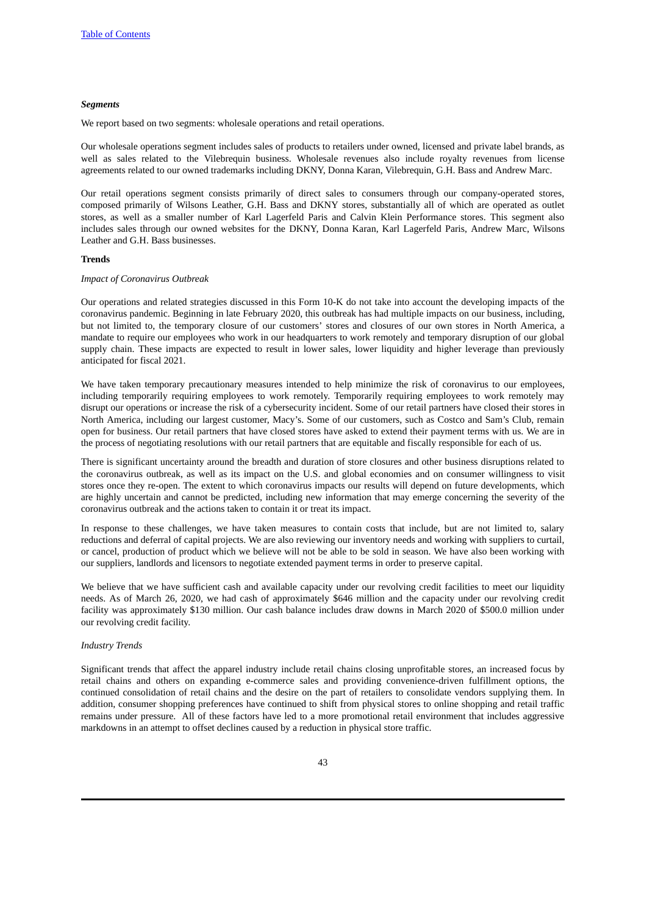#### *Segments*

We report based on two segments: wholesale operations and retail operations.

Our wholesale operations segment includes sales of products to retailers under owned, licensed and private label brands, as well as sales related to the Vilebrequin business. Wholesale revenues also include royalty revenues from license agreements related to our owned trademarks including DKNY, Donna Karan, Vilebrequin, G.H. Bass and Andrew Marc.

Our retail operations segment consists primarily of direct sales to consumers through our company-operated stores, composed primarily of Wilsons Leather, G.H. Bass and DKNY stores, substantially all of which are operated as outlet stores, as well as a smaller number of Karl Lagerfeld Paris and Calvin Klein Performance stores. This segment also includes sales through our owned websites for the DKNY, Donna Karan, Karl Lagerfeld Paris, Andrew Marc, Wilsons Leather and G.H. Bass businesses.

### **Trends**

#### *Impact of Coronavirus Outbreak*

Our operations and related strategies discussed in this Form 10-K do not take into account the developing impacts of the coronavirus pandemic. Beginning in late February 2020, this outbreak has had multiple impacts on our business, including, but not limited to, the temporary closure of our customers' stores and closures of our own stores in North America, a mandate to require our employees who work in our headquarters to work remotely and temporary disruption of our global supply chain. These impacts are expected to result in lower sales, lower liquidity and higher leverage than previously anticipated for fiscal 2021.

We have taken temporary precautionary measures intended to help minimize the risk of coronavirus to our employees, including temporarily requiring employees to work remotely. Temporarily requiring employees to work remotely may disrupt our operations or increase the risk of a cybersecurity incident. Some of our retail partners have closed their stores in North America, including our largest customer, Macy's. Some of our customers, such as Costco and Sam's Club, remain open for business. Our retail partners that have closed stores have asked to extend their payment terms with us. We are in the process of negotiating resolutions with our retail partners that are equitable and fiscally responsible for each of us.

There is significant uncertainty around the breadth and duration of store closures and other business disruptions related to the coronavirus outbreak, as well as its impact on the U.S. and global economies and on consumer willingness to visit stores once they re-open. The extent to which coronavirus impacts our results will depend on future developments, which are highly uncertain and cannot be predicted, including new information that may emerge concerning the severity of the coronavirus outbreak and the actions taken to contain it or treat its impact.

In response to these challenges, we have taken measures to contain costs that include, but are not limited to, salary reductions and deferral of capital projects. We are also reviewing our inventory needs and working with suppliers to curtail, or cancel, production of product which we believe will not be able to be sold in season. We have also been working with our suppliers, landlords and licensors to negotiate extended payment terms in order to preserve capital.

We believe that we have sufficient cash and available capacity under our revolving credit facilities to meet our liquidity needs. As of March 26, 2020, we had cash of approximately \$646 million and the capacity under our revolving credit facility was approximately \$130 million. Our cash balance includes draw downs in March 2020 of \$500.0 million under our revolving credit facility.

#### *Industry Trends*

Significant trends that affect the apparel industry include retail chains closing unprofitable stores, an increased focus by retail chains and others on expanding e-commerce sales and providing convenience-driven fulfillment options, the continued consolidation of retail chains and the desire on the part of retailers to consolidate vendors supplying them. In addition, consumer shopping preferences have continued to shift from physical stores to online shopping and retail traffic remains under pressure. All of these factors have led to a more promotional retail environment that includes aggressive markdowns in an attempt to offset declines caused by a reduction in physical store traffic.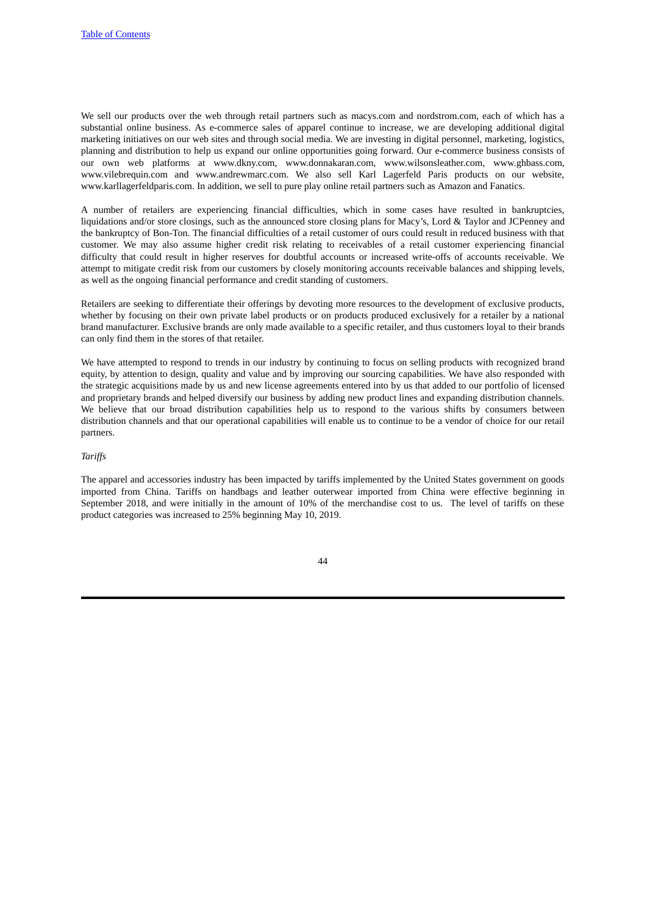We sell our products over the web through retail partners such as macys.com and nordstrom.com, each of which has a substantial online business. As e-commerce sales of apparel continue to increase, we are developing additional digital marketing initiatives on our web sites and through social media. We are investing in digital personnel, marketing, logistics, planning and distribution to help us expand our online opportunities going forward. Our e-commerce business consists of our own web platforms at www.dkny.com, www.donnakaran.com, www.wilsonsleather.com, www.ghbass.com, www.vilebrequin.com and www.andrewmarc.com. We also sell Karl Lagerfeld Paris products on our website, www.karllagerfeldparis.com. In addition, we sell to pure play online retail partners such as Amazon and Fanatics.

A number of retailers are experiencing financial difficulties, which in some cases have resulted in bankruptcies, liquidations and/or store closings, such as the announced store closing plans for Macy's, Lord & Taylor and JCPenney and the bankruptcy of Bon-Ton. The financial difficulties of a retail customer of ours could result in reduced business with that customer. We may also assume higher credit risk relating to receivables of a retail customer experiencing financial difficulty that could result in higher reserves for doubtful accounts or increased write-offs of accounts receivable. We attempt to mitigate credit risk from our customers by closely monitoring accounts receivable balances and shipping levels, as well as the ongoing financial performance and credit standing of customers.

Retailers are seeking to differentiate their offerings by devoting more resources to the development of exclusive products, whether by focusing on their own private label products or on products produced exclusively for a retailer by a national brand manufacturer. Exclusive brands are only made available to a specific retailer, and thus customers loyal to their brands can only find them in the stores of that retailer.

We have attempted to respond to trends in our industry by continuing to focus on selling products with recognized brand equity, by attention to design, quality and value and by improving our sourcing capabilities. We have also responded with the strategic acquisitions made by us and new license agreements entered into by us that added to our portfolio of licensed and proprietary brands and helped diversify our business by adding new product lines and expanding distribution channels. We believe that our broad distribution capabilities help us to respond to the various shifts by consumers between distribution channels and that our operational capabilities will enable us to continue to be a vendor of choice for our retail partners.

### *Tariffs*

The apparel and accessories industry has been impacted by tariffs implemented by the United States government on goods imported from China. Tariffs on handbags and leather outerwear imported from China were effective beginning in September 2018, and were initially in the amount of 10% of the merchandise cost to us. The level of tariffs on these product categories was increased to 25% beginning May 10, 2019.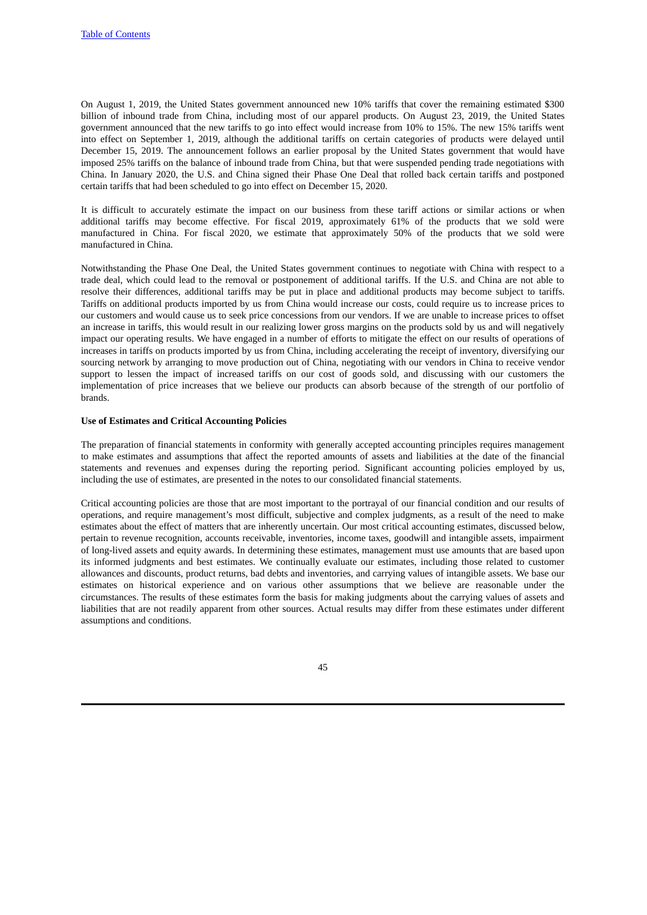On August 1, 2019, the United States government announced new 10% tariffs that cover the remaining estimated \$300 billion of inbound trade from China, including most of our apparel products. On August 23, 2019, the United States government announced that the new tariffs to go into effect would increase from 10% to 15%. The new 15% tariffs went into effect on September 1, 2019, although the additional tariffs on certain categories of products were delayed until December 15, 2019. The announcement follows an earlier proposal by the United States government that would have imposed 25% tariffs on the balance of inbound trade from China, but that were suspended pending trade negotiations with China. In January 2020, the U.S. and China signed their Phase One Deal that rolled back certain tariffs and postponed certain tariffs that had been scheduled to go into effect on December 15, 2020.

It is difficult to accurately estimate the impact on our business from these tariff actions or similar actions or when additional tariffs may become effective. For fiscal 2019, approximately 61% of the products that we sold were manufactured in China. For fiscal 2020, we estimate that approximately 50% of the products that we sold were manufactured in China.

Notwithstanding the Phase One Deal, the United States government continues to negotiate with China with respect to a trade deal, which could lead to the removal or postponement of additional tariffs. If the U.S. and China are not able to resolve their differences, additional tariffs may be put in place and additional products may become subject to tariffs. Tariffs on additional products imported by us from China would increase our costs, could require us to increase prices to our customers and would cause us to seek price concessions from our vendors. If we are unable to increase prices to offset an increase in tariffs, this would result in our realizing lower gross margins on the products sold by us and will negatively impact our operating results. We have engaged in a number of efforts to mitigate the effect on our results of operations of increases in tariffs on products imported by us from China, including accelerating the receipt of inventory, diversifying our sourcing network by arranging to move production out of China, negotiating with our vendors in China to receive vendor support to lessen the impact of increased tariffs on our cost of goods sold, and discussing with our customers the implementation of price increases that we believe our products can absorb because of the strength of our portfolio of brands.

### **Use of Estimates and Critical Accounting Policies**

The preparation of financial statements in conformity with generally accepted accounting principles requires management to make estimates and assumptions that affect the reported amounts of assets and liabilities at the date of the financial statements and revenues and expenses during the reporting period. Significant accounting policies employed by us, including the use of estimates, are presented in the notes to our consolidated financial statements.

Critical accounting policies are those that are most important to the portrayal of our financial condition and our results of operations, and require management's most difficult, subjective and complex judgments, as a result of the need to make estimates about the effect of matters that are inherently uncertain. Our most critical accounting estimates, discussed below, pertain to revenue recognition, accounts receivable, inventories, income taxes, goodwill and intangible assets, impairment of long-lived assets and equity awards. In determining these estimates, management must use amounts that are based upon its informed judgments and best estimates. We continually evaluate our estimates, including those related to customer allowances and discounts, product returns, bad debts and inventories, and carrying values of intangible assets. We base our estimates on historical experience and on various other assumptions that we believe are reasonable under the circumstances. The results of these estimates form the basis for making judgments about the carrying values of assets and liabilities that are not readily apparent from other sources. Actual results may differ from these estimates under different assumptions and conditions.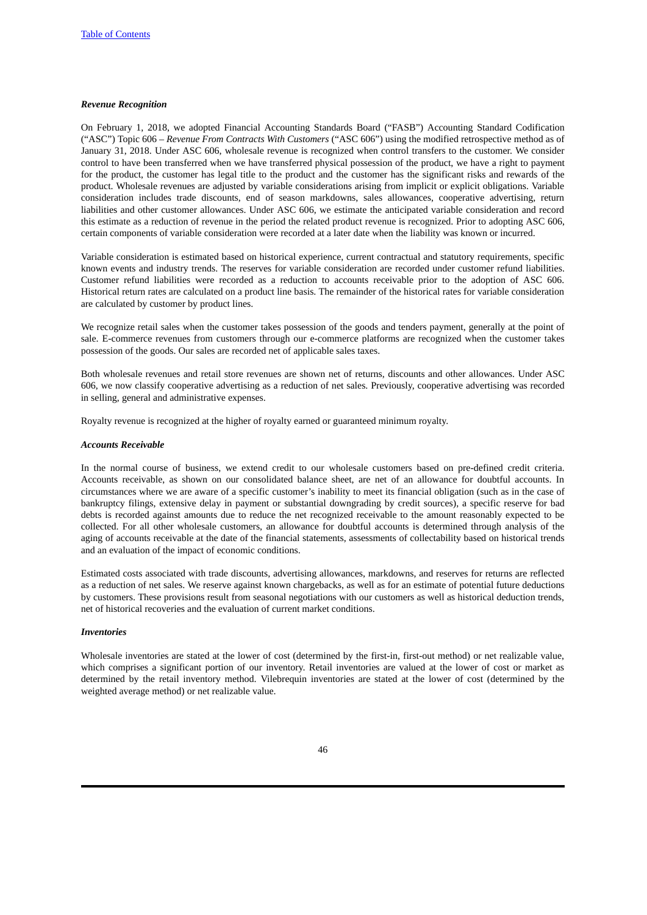### *Revenue Recognition*

On February 1, 2018, we adopted Financial Accounting Standards Board ("FASB") Accounting Standard Codification ("ASC") Topic 606 – *Revenue From Contracts With Customers* ("ASC 606") using the modified retrospective method as of January 31, 2018. Under ASC 606, wholesale revenue is recognized when control transfers to the customer. We consider control to have been transferred when we have transferred physical possession of the product, we have a right to payment for the product, the customer has legal title to the product and the customer has the significant risks and rewards of the product. Wholesale revenues are adjusted by variable considerations arising from implicit or explicit obligations. Variable consideration includes trade discounts, end of season markdowns, sales allowances, cooperative advertising, return liabilities and other customer allowances. Under ASC 606, we estimate the anticipated variable consideration and record this estimate as a reduction of revenue in the period the related product revenue is recognized. Prior to adopting ASC 606, certain components of variable consideration were recorded at a later date when the liability was known or incurred.

Variable consideration is estimated based on historical experience, current contractual and statutory requirements, specific known events and industry trends. The reserves for variable consideration are recorded under customer refund liabilities. Customer refund liabilities were recorded as a reduction to accounts receivable prior to the adoption of ASC 606. Historical return rates are calculated on a product line basis. The remainder of the historical rates for variable consideration are calculated by customer by product lines.

We recognize retail sales when the customer takes possession of the goods and tenders payment, generally at the point of sale. E-commerce revenues from customers through our e-commerce platforms are recognized when the customer takes possession of the goods. Our sales are recorded net of applicable sales taxes.

Both wholesale revenues and retail store revenues are shown net of returns, discounts and other allowances. Under ASC 606, we now classify cooperative advertising as a reduction of net sales. Previously, cooperative advertising was recorded in selling, general and administrative expenses.

Royalty revenue is recognized at the higher of royalty earned or guaranteed minimum royalty.

#### *Accounts Receivable*

In the normal course of business, we extend credit to our wholesale customers based on pre-defined credit criteria. Accounts receivable, as shown on our consolidated balance sheet, are net of an allowance for doubtful accounts. In circumstances where we are aware of a specific customer's inability to meet its financial obligation (such as in the case of bankruptcy filings, extensive delay in payment or substantial downgrading by credit sources), a specific reserve for bad debts is recorded against amounts due to reduce the net recognized receivable to the amount reasonably expected to be collected. For all other wholesale customers, an allowance for doubtful accounts is determined through analysis of the aging of accounts receivable at the date of the financial statements, assessments of collectability based on historical trends and an evaluation of the impact of economic conditions.

Estimated costs associated with trade discounts, advertising allowances, markdowns, and reserves for returns are reflected as a reduction of net sales. We reserve against known chargebacks, as well as for an estimate of potential future deductions by customers. These provisions result from seasonal negotiations with our customers as well as historical deduction trends, net of historical recoveries and the evaluation of current market conditions.

#### *Inventories*

Wholesale inventories are stated at the lower of cost (determined by the first-in, first-out method) or net realizable value, which comprises a significant portion of our inventory. Retail inventories are valued at the lower of cost or market as determined by the retail inventory method. Vilebrequin inventories are stated at the lower of cost (determined by the weighted average method) or net realizable value.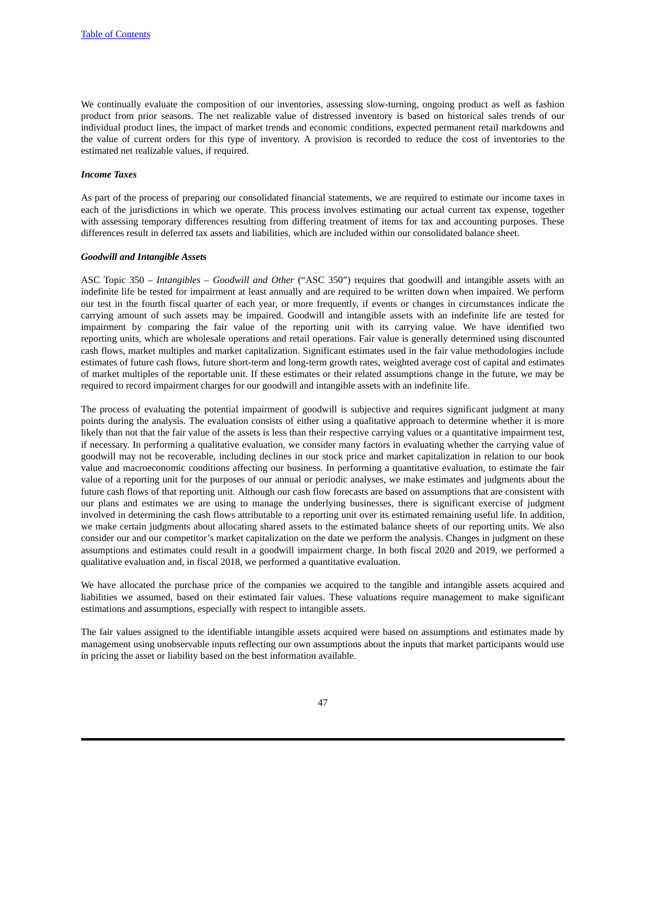We continually evaluate the composition of our inventories, assessing slow-turning, ongoing product as well as fashion product from prior seasons. The net realizable value of distressed inventory is based on historical sales trends of our individual product lines, the impact of market trends and economic conditions, expected permanent retail markdowns and the value of current orders for this type of inventory. A provision is recorded to reduce the cost of inventories to the estimated net realizable values, if required.

### *Income Taxes*

As part of the process of preparing our consolidated financial statements, we are required to estimate our income taxes in each of the jurisdictions in which we operate. This process involves estimating our actual current tax expense, together with assessing temporary differences resulting from differing treatment of items for tax and accounting purposes. These differences result in deferred tax assets and liabilities, which are included within our consolidated balance sheet.

#### *Goodwill and Intangible Assets*

ASC Topic 350 – *Intangibles – Goodwill and Other* ("ASC 350") requires that goodwill and intangible assets with an indefinite life be tested for impairment at least annually and are required to be written down when impaired. We perform our test in the fourth fiscal quarter of each year, or more frequently, if events or changes in circumstances indicate the carrying amount of such assets may be impaired. Goodwill and intangible assets with an indefinite life are tested for impairment by comparing the fair value of the reporting unit with its carrying value. We have identified two reporting units, which are wholesale operations and retail operations. Fair value is generally determined using discounted cash flows, market multiples and market capitalization. Significant estimates used in the fair value methodologies include estimates of future cash flows, future short-term and long-term growth rates, weighted average cost of capital and estimates of market multiples of the reportable unit. If these estimates or their related assumptions change in the future, we may be required to record impairment charges for our goodwill and intangible assets with an indefinite life.

The process of evaluating the potential impairment of goodwill is subjective and requires significant judgment at many points during the analysis. The evaluation consists of either using a qualitative approach to determine whether it is more likely than not that the fair value of the assets is less than their respective carrying values or a quantitative impairment test, if necessary. In performing a qualitative evaluation, we consider many factors in evaluating whether the carrying value of goodwill may not be recoverable, including declines in our stock price and market capitalization in relation to our book value and macroeconomic conditions affecting our business. In performing a quantitative evaluation, to estimate the fair value of a reporting unit for the purposes of our annual or periodic analyses, we make estimates and judgments about the future cash flows of that reporting unit. Although our cash flow forecasts are based on assumptions that are consistent with our plans and estimates we are using to manage the underlying businesses, there is significant exercise of judgment involved in determining the cash flows attributable to a reporting unit over its estimated remaining useful life. In addition, we make certain judgments about allocating shared assets to the estimated balance sheets of our reporting units. We also consider our and our competitor's market capitalization on the date we perform the analysis. Changes in judgment on these assumptions and estimates could result in a goodwill impairment charge. In both fiscal 2020 and 2019, we performed a qualitative evaluation and, in fiscal 2018, we performed a quantitative evaluation.

We have allocated the purchase price of the companies we acquired to the tangible and intangible assets acquired and liabilities we assumed, based on their estimated fair values. These valuations require management to make significant estimations and assumptions, especially with respect to intangible assets.

The fair values assigned to the identifiable intangible assets acquired were based on assumptions and estimates made by management using unobservable inputs reflecting our own assumptions about the inputs that market participants would use in pricing the asset or liability based on the best information available.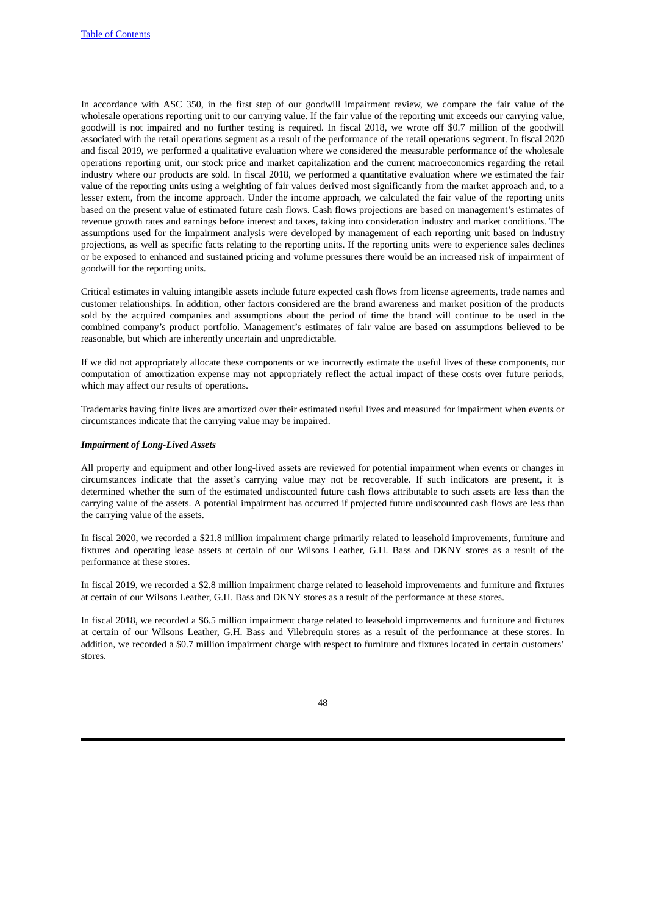In accordance with ASC 350, in the first step of our goodwill impairment review, we compare the fair value of the wholesale operations reporting unit to our carrying value. If the fair value of the reporting unit exceeds our carrying value, goodwill is not impaired and no further testing is required. In fiscal 2018, we wrote off \$0.7 million of the goodwill associated with the retail operations segment as a result of the performance of the retail operations segment. In fiscal 2020 and fiscal 2019, we performed a qualitative evaluation where we considered the measurable performance of the wholesale operations reporting unit, our stock price and market capitalization and the current macroeconomics regarding the retail industry where our products are sold. In fiscal 2018, we performed a quantitative evaluation where we estimated the fair value of the reporting units using a weighting of fair values derived most significantly from the market approach and, to a lesser extent, from the income approach. Under the income approach, we calculated the fair value of the reporting units based on the present value of estimated future cash flows. Cash flows projections are based on management's estimates of revenue growth rates and earnings before interest and taxes, taking into consideration industry and market conditions. The assumptions used for the impairment analysis were developed by management of each reporting unit based on industry projections, as well as specific facts relating to the reporting units. If the reporting units were to experience sales declines or be exposed to enhanced and sustained pricing and volume pressures there would be an increased risk of impairment of goodwill for the reporting units.

Critical estimates in valuing intangible assets include future expected cash flows from license agreements, trade names and customer relationships. In addition, other factors considered are the brand awareness and market position of the products sold by the acquired companies and assumptions about the period of time the brand will continue to be used in the combined company's product portfolio. Management's estimates of fair value are based on assumptions believed to be reasonable, but which are inherently uncertain and unpredictable.

If we did not appropriately allocate these components or we incorrectly estimate the useful lives of these components, our computation of amortization expense may not appropriately reflect the actual impact of these costs over future periods, which may affect our results of operations.

Trademarks having finite lives are amortized over their estimated useful lives and measured for impairment when events or circumstances indicate that the carrying value may be impaired.

#### *Impairment of Long-Lived Assets*

All property and equipment and other long-lived assets are reviewed for potential impairment when events or changes in circumstances indicate that the asset's carrying value may not be recoverable. If such indicators are present, it is determined whether the sum of the estimated undiscounted future cash flows attributable to such assets are less than the carrying value of the assets. A potential impairment has occurred if projected future undiscounted cash flows are less than the carrying value of the assets.

In fiscal 2020, we recorded a \$21.8 million impairment charge primarily related to leasehold improvements, furniture and fixtures and operating lease assets at certain of our Wilsons Leather, G.H. Bass and DKNY stores as a result of the performance at these stores.

In fiscal 2019, we recorded a \$2.8 million impairment charge related to leasehold improvements and furniture and fixtures at certain of our Wilsons Leather, G.H. Bass and DKNY stores as a result of the performance at these stores.

In fiscal 2018, we recorded a \$6.5 million impairment charge related to leasehold improvements and furniture and fixtures at certain of our Wilsons Leather, G.H. Bass and Vilebrequin stores as a result of the performance at these stores. In addition, we recorded a \$0.7 million impairment charge with respect to furniture and fixtures located in certain customers' stores.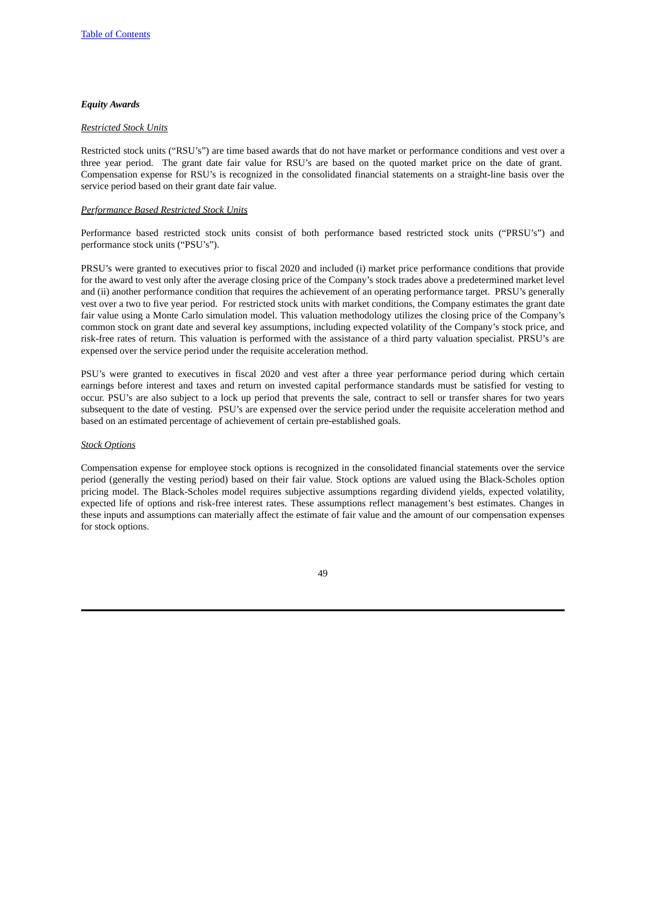### *Equity Awards*

#### *Restricted Stock Units*

Restricted stock units ("RSU's") are time based awards that do not have market or performance conditions and vest over a three year period. The grant date fair value for RSU's are based on the quoted market price on the date of grant. Compensation expense for RSU's is recognized in the consolidated financial statements on a straight-line basis over the service period based on their grant date fair value.

#### *Performance Based Restricted Stock Units*

Performance based restricted stock units consist of both performance based restricted stock units ("PRSU's") and performance stock units ("PSU's").

PRSU's were granted to executives prior to fiscal 2020 and included (i) market price performance conditions that provide for the award to vest only after the average closing price of the Company's stock trades above a predetermined market level and (ii) another performance condition that requires the achievement of an operating performance target. PRSU's generally vest over a two to five year period. For restricted stock units with market conditions, the Company estimates the grant date fair value using a Monte Carlo simulation model. This valuation methodology utilizes the closing price of the Company's common stock on grant date and several key assumptions, including expected volatility of the Company's stock price, and risk-free rates of return. This valuation is performed with the assistance of a third party valuation specialist. PRSU's are expensed over the service period under the requisite acceleration method.

PSU's were granted to executives in fiscal 2020 and vest after a three year performance period during which certain earnings before interest and taxes and return on invested capital performance standards must be satisfied for vesting to occur. PSU's are also subject to a lock up period that prevents the sale, contract to sell or transfer shares for two years subsequent to the date of vesting. PSU's are expensed over the service period under the requisite acceleration method and based on an estimated percentage of achievement of certain pre-established goals.

### *Stock Options*

Compensation expense for employee stock options is recognized in the consolidated financial statements over the service period (generally the vesting period) based on their fair value. Stock options are valued using the Black-Scholes option pricing model. The Black-Scholes model requires subjective assumptions regarding dividend yields, expected volatility, expected life of options and risk-free interest rates. These assumptions reflect management's best estimates. Changes in these inputs and assumptions can materially affect the estimate of fair value and the amount of our compensation expenses for stock options.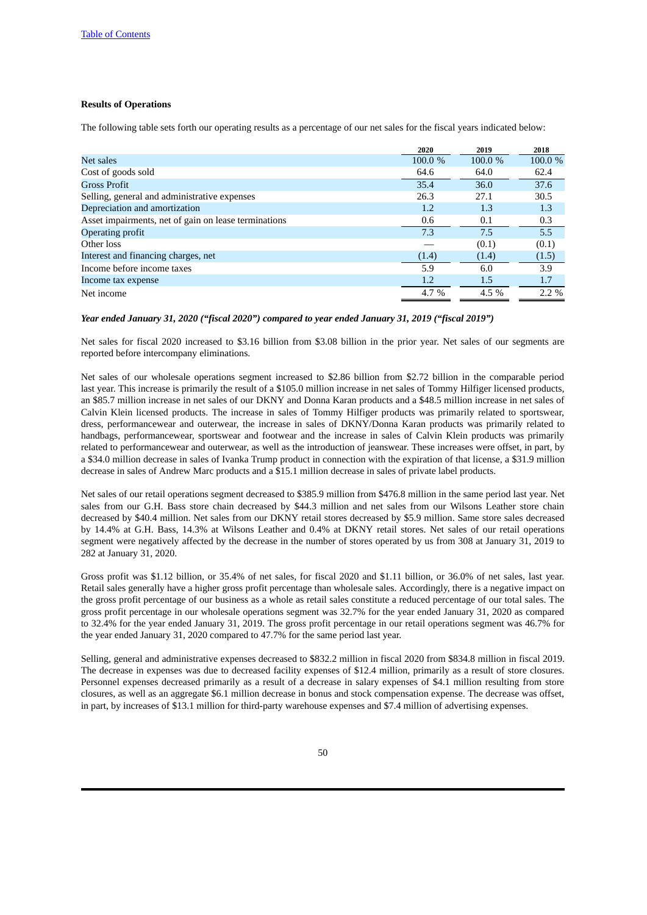## **Results of Operations**

The following table sets forth our operating results as a percentage of our net sales for the fiscal years indicated below:

|                                                      | 2020    | 2019    | 2018    |
|------------------------------------------------------|---------|---------|---------|
| Net sales                                            | 100.0 % | 100.0 % | 100.0 % |
| Cost of goods sold                                   | 64.6    | 64.0    | 62.4    |
| Gross Profit                                         | 35.4    | 36.0    | 37.6    |
| Selling, general and administrative expenses         | 26.3    | 27.1    | 30.5    |
| Depreciation and amortization                        | 1.2     | 1.3     | 1.3     |
| Asset impairments, net of gain on lease terminations | 0.6     | 0.1     | 0.3     |
| <b>Operating profit</b>                              | 7.3     | 7.5     | 5.5     |
| Other loss                                           |         | (0.1)   | (0.1)   |
| Interest and financing charges, net                  | (1.4)   | (1.4)   | (1.5)   |
| Income before income taxes                           | 5.9     | 6.0     | 3.9     |
| Income tax expense                                   | 1.2     | 1.5     | 1.7     |
| Net income                                           | 4.7 %   | 4.5 %   | $2.2\%$ |

### *Year ended January 31, 2020 ("fiscal 2020") compared to year ended January 31, 2019 ("fiscal 2019")*

Net sales for fiscal 2020 increased to \$3.16 billion from \$3.08 billion in the prior year. Net sales of our segments are reported before intercompany eliminations.

Net sales of our wholesale operations segment increased to \$2.86 billion from \$2.72 billion in the comparable period last year. This increase is primarily the result of a \$105.0 million increase in net sales of Tommy Hilfiger licensed products, an \$85.7 million increase in net sales of our DKNY and Donna Karan products and a \$48.5 million increase in net sales of Calvin Klein licensed products. The increase in sales of Tommy Hilfiger products was primarily related to sportswear, dress, performancewear and outerwear, the increase in sales of DKNY/Donna Karan products was primarily related to handbags, performancewear, sportswear and footwear and the increase in sales of Calvin Klein products was primarily related to performancewear and outerwear, as well as the introduction of jeanswear. These increases were offset, in part, by a \$34.0 million decrease in sales of Ivanka Trump product in connection with the expiration of that license, a \$31.9 million decrease in sales of Andrew Marc products and a \$15.1 million decrease in sales of private label products.

Net sales of our retail operations segment decreased to \$385.9 million from \$476.8 million in the same period last year. Net sales from our G.H. Bass store chain decreased by \$44.3 million and net sales from our Wilsons Leather store chain decreased by \$40.4 million. Net sales from our DKNY retail stores decreased by \$5.9 million. Same store sales decreased by 14.4% at G.H. Bass, 14.3% at Wilsons Leather and 0.4% at DKNY retail stores. Net sales of our retail operations segment were negatively affected by the decrease in the number of stores operated by us from 308 at January 31, 2019 to 282 at January 31, 2020.

Gross profit was \$1.12 billion, or 35.4% of net sales, for fiscal 2020 and \$1.11 billion, or 36.0% of net sales, last year. Retail sales generally have a higher gross profit percentage than wholesale sales. Accordingly, there is a negative impact on the gross profit percentage of our business as a whole as retail sales constitute a reduced percentage of our total sales. The gross profit percentage in our wholesale operations segment was 32.7% for the year ended January 31, 2020 as compared to 32.4% for the year ended January 31, 2019. The gross profit percentage in our retail operations segment was 46.7% for the year ended January 31, 2020 compared to 47.7% for the same period last year.

Selling, general and administrative expenses decreased to \$832.2 million in fiscal 2020 from \$834.8 million in fiscal 2019. The decrease in expenses was due to decreased facility expenses of \$12.4 million, primarily as a result of store closures. Personnel expenses decreased primarily as a result of a decrease in salary expenses of \$4.1 million resulting from store closures, as well as an aggregate \$6.1 million decrease in bonus and stock compensation expense. The decrease was offset, in part, by increases of \$13.1 million for third-party warehouse expenses and \$7.4 million of advertising expenses.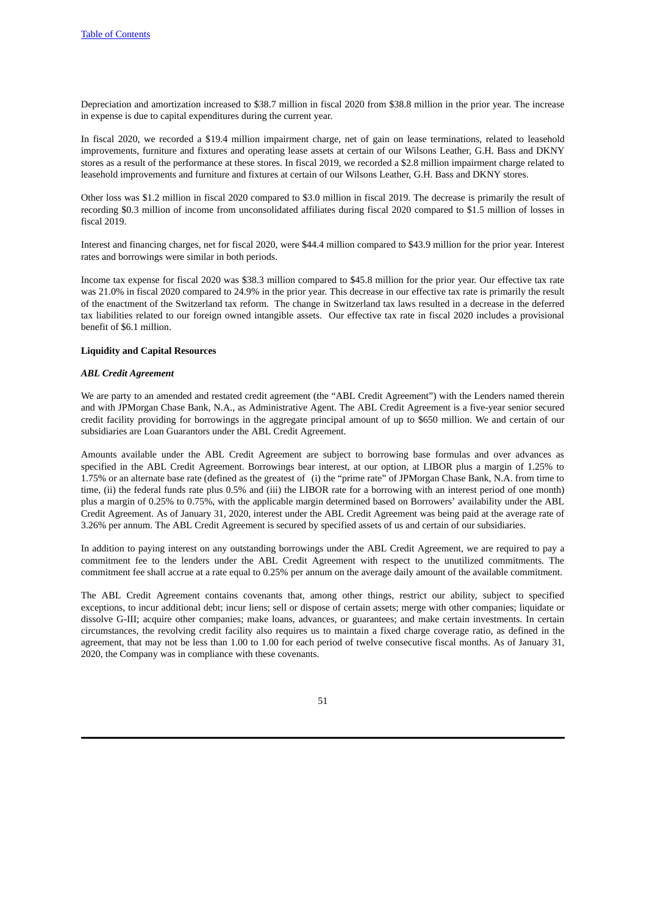Depreciation and amortization increased to \$38.7 million in fiscal 2020 from \$38.8 million in the prior year. The increase in expense is due to capital expenditures during the current year.

In fiscal 2020, we recorded a \$19.4 million impairment charge, net of gain on lease terminations, related to leasehold improvements, furniture and fixtures and operating lease assets at certain of our Wilsons Leather, G.H. Bass and DKNY stores as a result of the performance at these stores. In fiscal 2019, we recorded a \$2.8 million impairment charge related to leasehold improvements and furniture and fixtures at certain of our Wilsons Leather, G.H. Bass and DKNY stores.

Other loss was \$1.2 million in fiscal 2020 compared to \$3.0 million in fiscal 2019. The decrease is primarily the result of recording \$0.3 million of income from unconsolidated affiliates during fiscal 2020 compared to \$1.5 million of losses in fiscal 2019.

Interest and financing charges, net for fiscal 2020, were \$44.4 million compared to \$43.9 million for the prior year. Interest rates and borrowings were similar in both periods.

Income tax expense for fiscal 2020 was \$38.3 million compared to \$45.8 million for the prior year. Our effective tax rate was 21.0% in fiscal 2020 compared to 24.9% in the prior year. This decrease in our effective tax rate is primarily the result of the enactment of the Switzerland tax reform. The change in Switzerland tax laws resulted in a decrease in the deferred tax liabilities related to our foreign owned intangible assets. Our effective tax rate in fiscal 2020 includes a provisional benefit of \$6.1 million.

### **Liquidity and Capital Resources**

#### *ABL Credit Agreement*

We are party to an amended and restated credit agreement (the "ABL Credit Agreement") with the Lenders named therein and with JPMorgan Chase Bank, N.A., as Administrative Agent. The ABL Credit Agreement is a five-year senior secured credit facility providing for borrowings in the aggregate principal amount of up to \$650 million. We and certain of our subsidiaries are Loan Guarantors under the ABL Credit Agreement.

Amounts available under the ABL Credit Agreement are subject to borrowing base formulas and over advances as specified in the ABL Credit Agreement. Borrowings bear interest, at our option, at LIBOR plus a margin of 1.25% to 1.75% or an alternate base rate (defined as the greatest of (i) the "prime rate" of JPMorgan Chase Bank, N.A. from time to time, (ii) the federal funds rate plus 0.5% and (iii) the LIBOR rate for a borrowing with an interest period of one month) plus a margin of 0.25% to 0.75%, with the applicable margin determined based on Borrowers' availability under the ABL Credit Agreement. As of January 31, 2020, interest under the ABL Credit Agreement was being paid at the average rate of 3.26% per annum. The ABL Credit Agreement is secured by specified assets of us and certain of our subsidiaries.

In addition to paying interest on any outstanding borrowings under the ABL Credit Agreement, we are required to pay a commitment fee to the lenders under the ABL Credit Agreement with respect to the unutilized commitments. The commitment fee shall accrue at a rate equal to 0.25% per annum on the average daily amount of the available commitment.

The ABL Credit Agreement contains covenants that, among other things, restrict our ability, subject to specified exceptions, to incur additional debt; incur liens; sell or dispose of certain assets; merge with other companies; liquidate or dissolve G-III; acquire other companies; make loans, advances, or guarantees; and make certain investments. In certain circumstances, the revolving credit facility also requires us to maintain a fixed charge coverage ratio, as defined in the agreement, that may not be less than 1.00 to 1.00 for each period of twelve consecutive fiscal months. As of January 31, 2020, the Company was in compliance with these covenants.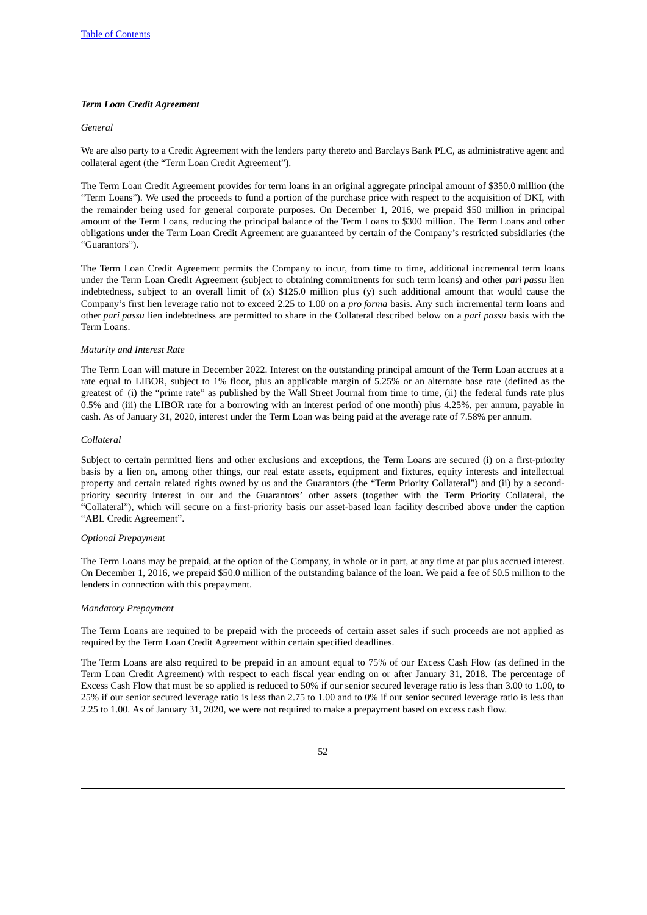### *Term Loan Credit Agreement*

#### *General*

We are also party to a Credit Agreement with the lenders party thereto and Barclays Bank PLC, as administrative agent and collateral agent (the "Term Loan Credit Agreement").

The Term Loan Credit Agreement provides for term loans in an original aggregate principal amount of \$350.0 million (the "Term Loans"). We used the proceeds to fund a portion of the purchase price with respect to the acquisition of DKI, with the remainder being used for general corporate purposes. On December 1, 2016, we prepaid \$50 million in principal amount of the Term Loans, reducing the principal balance of the Term Loans to \$300 million. The Term Loans and other obligations under the Term Loan Credit Agreement are guaranteed by certain of the Company's restricted subsidiaries (the "Guarantors").

The Term Loan Credit Agreement permits the Company to incur, from time to time, additional incremental term loans under the Term Loan Credit Agreement (subject to obtaining commitments for such term loans) and other *pari passu* lien indebtedness, subject to an overall limit of (x) \$125.0 million plus (y) such additional amount that would cause the Company's first lien leverage ratio not to exceed 2.25 to 1.00 on a *pro forma* basis. Any such incremental term loans and other *pari passu* lien indebtedness are permitted to share in the Collateral described below on a *pari passu* basis with the Term Loans.

#### *Maturity and Interest Rate*

The Term Loan will mature in December 2022. Interest on the outstanding principal amount of the Term Loan accrues at a rate equal to LIBOR, subject to 1% floor, plus an applicable margin of 5.25% or an alternate base rate (defined as the greatest of (i) the "prime rate" as published by the Wall Street Journal from time to time, (ii) the federal funds rate plus 0.5% and (iii) the LIBOR rate for a borrowing with an interest period of one month) plus 4.25%, per annum, payable in cash. As of January 31, 2020, interest under the Term Loan was being paid at the average rate of 7.58% per annum.

#### *Collateral*

Subject to certain permitted liens and other exclusions and exceptions, the Term Loans are secured (i) on a first-priority basis by a lien on, among other things, our real estate assets, equipment and fixtures, equity interests and intellectual property and certain related rights owned by us and the Guarantors (the "Term Priority Collateral") and (ii) by a secondpriority security interest in our and the Guarantors' other assets (together with the Term Priority Collateral, the "Collateral"), which will secure on a first-priority basis our asset-based loan facility described above under the caption "ABL Credit Agreement".

#### *Optional Prepayment*

The Term Loans may be prepaid, at the option of the Company, in whole or in part, at any time at par plus accrued interest. On December 1, 2016, we prepaid \$50.0 million of the outstanding balance of the loan. We paid a fee of \$0.5 million to the lenders in connection with this prepayment.

#### *Mandatory Prepayment*

The Term Loans are required to be prepaid with the proceeds of certain asset sales if such proceeds are not applied as required by the Term Loan Credit Agreement within certain specified deadlines.

The Term Loans are also required to be prepaid in an amount equal to 75% of our Excess Cash Flow (as defined in the Term Loan Credit Agreement) with respect to each fiscal year ending on or after January 31, 2018. The percentage of Excess Cash Flow that must be so applied is reduced to 50% if our senior secured leverage ratio is less than 3.00 to 1.00, to 25% if our senior secured leverage ratio is less than 2.75 to 1.00 and to 0% if our senior secured leverage ratio is less than 2.25 to 1.00. As of January 31, 2020, we were not required to make a prepayment based on excess cash flow.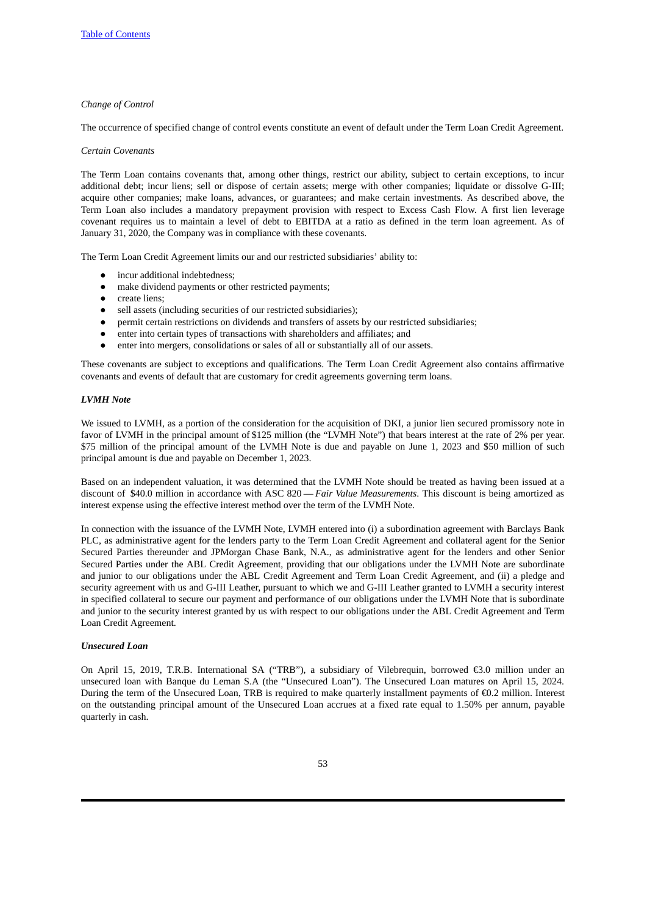#### *Change of Control*

The occurrence of specified change of control events constitute an event of default under the Term Loan Credit Agreement.

#### *Certain Covenants*

The Term Loan contains covenants that, among other things, restrict our ability, subject to certain exceptions, to incur additional debt; incur liens; sell or dispose of certain assets; merge with other companies; liquidate or dissolve G-III; acquire other companies; make loans, advances, or guarantees; and make certain investments. As described above, the Term Loan also includes a mandatory prepayment provision with respect to Excess Cash Flow. A first lien leverage covenant requires us to maintain a level of debt to EBITDA at a ratio as defined in the term loan agreement. As of January 31, 2020, the Company was in compliance with these covenants.

The Term Loan Credit Agreement limits our and our restricted subsidiaries' ability to:

- incur additional indebtedness;
- make dividend payments or other restricted payments;
- create liens;
- sell assets (including securities of our restricted subsidiaries);
- permit certain restrictions on dividends and transfers of assets by our restricted subsidiaries;
- enter into certain types of transactions with shareholders and affiliates; and
- enter into mergers, consolidations or sales of all or substantially all of our assets.

These covenants are subject to exceptions and qualifications. The Term Loan Credit Agreement also contains affirmative covenants and events of default that are customary for credit agreements governing term loans.

### *LVMH Note*

We issued to LVMH, as a portion of the consideration for the acquisition of DKI, a junior lien secured promissory note in favor of LVMH in the principal amount of \$125 million (the "LVMH Note") that bears interest at the rate of 2% per year. \$75 million of the principal amount of the LVMH Note is due and payable on June 1, 2023 and \$50 million of such principal amount is due and payable on December 1, 2023.

Based on an independent valuation, it was determined that the LVMH Note should be treated as having been issued at a discount of \$40.0 million in accordance with ASC 820 — *Fair Value Measurements*. This discount is being amortized as interest expense using the effective interest method over the term of the LVMH Note.

In connection with the issuance of the LVMH Note, LVMH entered into (i) a subordination agreement with Barclays Bank PLC, as administrative agent for the lenders party to the Term Loan Credit Agreement and collateral agent for the Senior Secured Parties thereunder and JPMorgan Chase Bank, N.A., as administrative agent for the lenders and other Senior Secured Parties under the ABL Credit Agreement, providing that our obligations under the LVMH Note are subordinate and junior to our obligations under the ABL Credit Agreement and Term Loan Credit Agreement, and (ii) a pledge and security agreement with us and G-III Leather, pursuant to which we and G-III Leather granted to LVMH a security interest in specified collateral to secure our payment and performance of our obligations under the LVMH Note that is subordinate and junior to the security interest granted by us with respect to our obligations under the ABL Credit Agreement and Term Loan Credit Agreement.

# *Unsecured Loan*

On April 15, 2019, T.R.B. International SA ("TRB"), a subsidiary of Vilebrequin, borrowed €3.0 million under an unsecured loan with Banque du Leman S.A (the "Unsecured Loan"). The Unsecured Loan matures on April 15, 2024. During the term of the Unsecured Loan, TRB is required to make quarterly installment payments of €0.2 million. Interest on the outstanding principal amount of the Unsecured Loan accrues at a fixed rate equal to 1.50% per annum, payable quarterly in cash.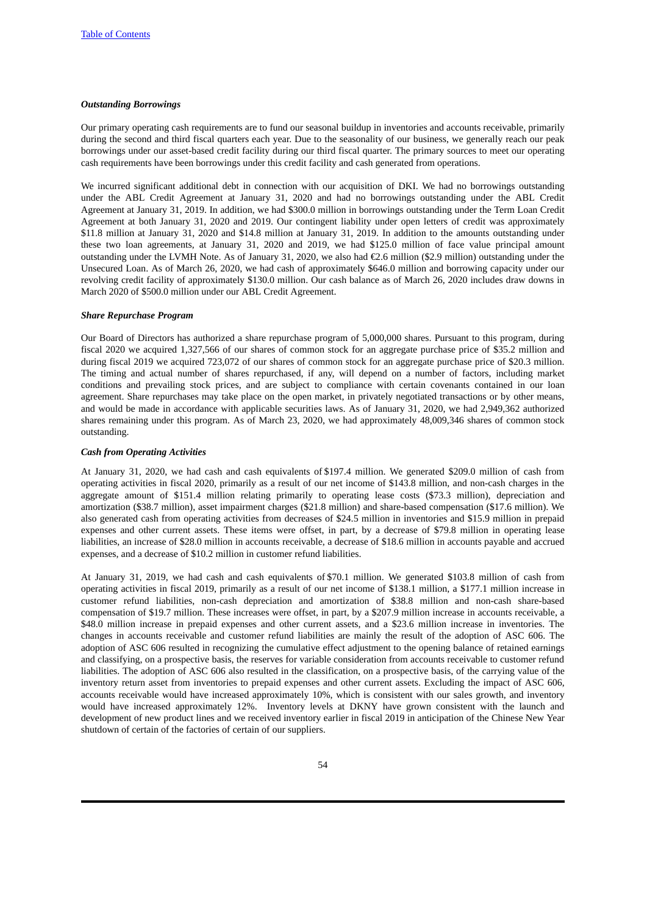### *Outstanding Borrowings*

Our primary operating cash requirements are to fund our seasonal buildup in inventories and accounts receivable, primarily during the second and third fiscal quarters each year. Due to the seasonality of our business, we generally reach our peak borrowings under our asset-based credit facility during our third fiscal quarter. The primary sources to meet our operating cash requirements have been borrowings under this credit facility and cash generated from operations.

We incurred significant additional debt in connection with our acquisition of DKI. We had no borrowings outstanding under the ABL Credit Agreement at January 31, 2020 and had no borrowings outstanding under the ABL Credit Agreement at January 31, 2019. In addition, we had \$300.0 million in borrowings outstanding under the Term Loan Credit Agreement at both January 31, 2020 and 2019. Our contingent liability under open letters of credit was approximately \$11.8 million at January 31, 2020 and \$14.8 million at January 31, 2019. In addition to the amounts outstanding under these two loan agreements, at January 31, 2020 and 2019, we had \$125.0 million of face value principal amount outstanding under the LVMH Note. As of January 31, 2020, we also had €2.6 million (\$2.9 million) outstanding under the Unsecured Loan. As of March 26, 2020, we had cash of approximately \$646.0 million and borrowing capacity under our revolving credit facility of approximately \$130.0 million. Our cash balance as of March 26, 2020 includes draw downs in March 2020 of \$500.0 million under our ABL Credit Agreement.

# *Share Repurchase Program*

Our Board of Directors has authorized a share repurchase program of 5,000,000 shares. Pursuant to this program, during fiscal 2020 we acquired 1,327,566 of our shares of common stock for an aggregate purchase price of \$35.2 million and during fiscal 2019 we acquired 723,072 of our shares of common stock for an aggregate purchase price of \$20.3 million. The timing and actual number of shares repurchased, if any, will depend on a number of factors, including market conditions and prevailing stock prices, and are subject to compliance with certain covenants contained in our loan agreement. Share repurchases may take place on the open market, in privately negotiated transactions or by other means, and would be made in accordance with applicable securities laws. As of January 31, 2020, we had 2,949,362 authorized shares remaining under this program. As of March 23, 2020, we had approximately 48,009,346 shares of common stock outstanding.

### *Cash from Operating Activities*

At January 31, 2020, we had cash and cash equivalents of \$197.4 million. We generated \$209.0 million of cash from operating activities in fiscal 2020, primarily as a result of our net income of \$143.8 million, and non-cash charges in the aggregate amount of \$151.4 million relating primarily to operating lease costs (\$73.3 million), depreciation and amortization (\$38.7 million), asset impairment charges (\$21.8 million) and share-based compensation (\$17.6 million). We also generated cash from operating activities from decreases of \$24.5 million in inventories and \$15.9 million in prepaid expenses and other current assets. These items were offset, in part, by a decrease of \$79.8 million in operating lease liabilities, an increase of \$28.0 million in accounts receivable, a decrease of \$18.6 million in accounts payable and accrued expenses, and a decrease of \$10.2 million in customer refund liabilities.

At January 31, 2019, we had cash and cash equivalents of \$70.1 million. We generated \$103.8 million of cash from operating activities in fiscal 2019, primarily as a result of our net income of \$138.1 million, a \$177.1 million increase in customer refund liabilities, non-cash depreciation and amortization of \$38.8 million and non-cash share-based compensation of \$19.7 million. These increases were offset, in part, by a \$207.9 million increase in accounts receivable, a \$48.0 million increase in prepaid expenses and other current assets, and a \$23.6 million increase in inventories. The changes in accounts receivable and customer refund liabilities are mainly the result of the adoption of ASC 606. The adoption of ASC 606 resulted in recognizing the cumulative effect adjustment to the opening balance of retained earnings and classifying, on a prospective basis, the reserves for variable consideration from accounts receivable to customer refund liabilities. The adoption of ASC 606 also resulted in the classification, on a prospective basis, of the carrying value of the inventory return asset from inventories to prepaid expenses and other current assets. Excluding the impact of ASC 606, accounts receivable would have increased approximately 10%, which is consistent with our sales growth, and inventory would have increased approximately 12%. Inventory levels at DKNY have grown consistent with the launch and development of new product lines and we received inventory earlier in fiscal 2019 in anticipation of the Chinese New Year shutdown of certain of the factories of certain of our suppliers.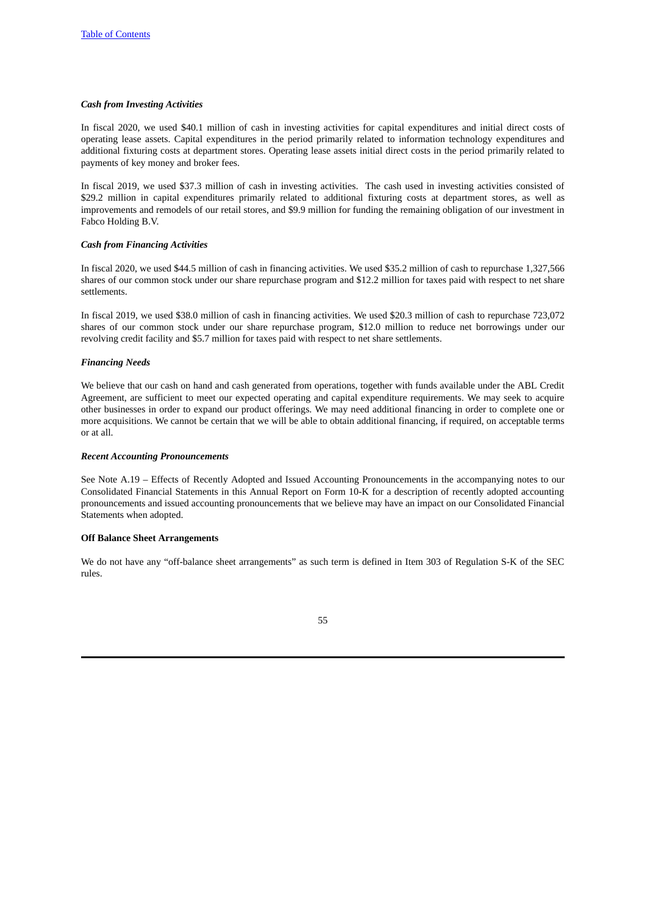### *Cash from Investing Activities*

In fiscal 2020, we used \$40.1 million of cash in investing activities for capital expenditures and initial direct costs of operating lease assets. Capital expenditures in the period primarily related to information technology expenditures and additional fixturing costs at department stores. Operating lease assets initial direct costs in the period primarily related to payments of key money and broker fees.

In fiscal 2019, we used \$37.3 million of cash in investing activities. The cash used in investing activities consisted of \$29.2 million in capital expenditures primarily related to additional fixturing costs at department stores, as well as improvements and remodels of our retail stores, and \$9.9 million for funding the remaining obligation of our investment in Fabco Holding B.V.

#### *Cash from Financing Activities*

In fiscal 2020, we used \$44.5 million of cash in financing activities. We used \$35.2 million of cash to repurchase 1,327,566 shares of our common stock under our share repurchase program and \$12.2 million for taxes paid with respect to net share settlements.

In fiscal 2019, we used \$38.0 million of cash in financing activities. We used \$20.3 million of cash to repurchase 723,072 shares of our common stock under our share repurchase program, \$12.0 million to reduce net borrowings under our revolving credit facility and \$5.7 million for taxes paid with respect to net share settlements.

### *Financing Needs*

We believe that our cash on hand and cash generated from operations, together with funds available under the ABL Credit Agreement, are sufficient to meet our expected operating and capital expenditure requirements. We may seek to acquire other businesses in order to expand our product offerings. We may need additional financing in order to complete one or more acquisitions. We cannot be certain that we will be able to obtain additional financing, if required, on acceptable terms or at all.

#### *Recent Accounting Pronouncements*

See Note A.19 – Effects of Recently Adopted and Issued Accounting Pronouncements in the accompanying notes to our Consolidated Financial Statements in this Annual Report on Form 10-K for a description of recently adopted accounting pronouncements and issued accounting pronouncements that we believe may have an impact on our Consolidated Financial Statements when adopted.

#### **Off Balance Sheet Arrangements**

We do not have any "off-balance sheet arrangements" as such term is defined in Item 303 of Regulation S-K of the SEC rules.

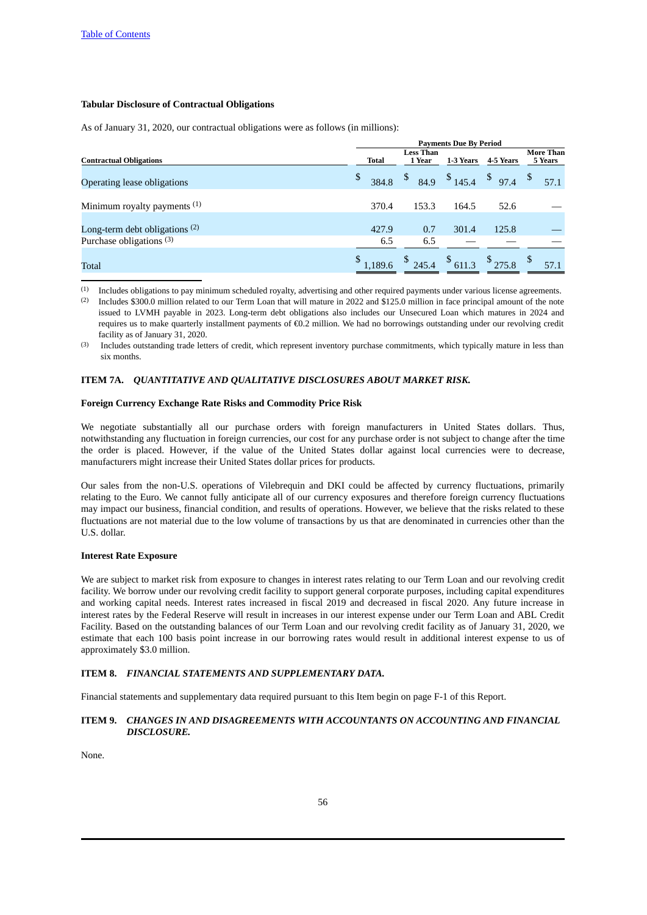### **Tabular Disclosure of Contractual Obligations**

As of January 31, 2020, our contractual obligations were as follows (in millions):

|                                  | <b>Payments Due By Period</b> |                                                          |           |           |                             |
|----------------------------------|-------------------------------|----------------------------------------------------------|-----------|-----------|-----------------------------|
| <b>Contractual Obligations</b>   | <b>Total</b>                  | <b>Less Than</b><br>1 Year                               | 1-3 Years | 4-5 Years | <b>More Than</b><br>5 Years |
| Operating lease obligations      | \$<br>384.8                   | $8^{6}$ 84.9 $8^{6}$ 145.4 $8^{6}$ 97.4 $8^{6}$          |           |           | 57.1                        |
| Minimum royalty payments $(1)$   | 370.4                         | 153.3                                                    | 164.5     | 52.6      |                             |
| Long-term debt obligations $(2)$ | 427.9                         | 0.7                                                      | 301.4     | 125.8     |                             |
| Purchase obligations (3)         | 6.5                           | 6.5                                                      |           |           |                             |
| Total                            | \$.<br>1,189.6                | $\frac{\$}{245.4}$ $\frac{\$}{611.3}$ $\frac{\$}{275.8}$ |           |           | 57.1                        |

(1) Includes obligations to pay minimum scheduled royalty, advertising and other required payments under various license agreements.

(2) Includes \$300.0 million related to our Term Loan that will mature in 2022 and \$125.0 million in face principal amount of the note issued to LVMH payable in 2023. Long-term debt obligations also includes our Unsecured Loan which matures in 2024 and requires us to make quarterly installment payments of €0.2 million. We had no borrowings outstanding under our revolving credit facility as of January 31, 2020.

(3) Includes outstanding trade letters of credit, which represent inventory purchase commitments, which typically mature in less than six months.

# **ITEM 7A.** *QUANTITATIVE AND QUALITATIVE DISCLOSURES ABOUT MARKET RISK.*

#### **Foreign Currency Exchange Rate Risks and Commodity Price Risk**

We negotiate substantially all our purchase orders with foreign manufacturers in United States dollars. Thus, notwithstanding any fluctuation in foreign currencies, our cost for any purchase order is not subject to change after the time the order is placed. However, if the value of the United States dollar against local currencies were to decrease, manufacturers might increase their United States dollar prices for products.

Our sales from the non-U.S. operations of Vilebrequin and DKI could be affected by currency fluctuations, primarily relating to the Euro. We cannot fully anticipate all of our currency exposures and therefore foreign currency fluctuations may impact our business, financial condition, and results of operations. However, we believe that the risks related to these fluctuations are not material due to the low volume of transactions by us that are denominated in currencies other than the U.S. dollar.

### **Interest Rate Exposure**

We are subject to market risk from exposure to changes in interest rates relating to our Term Loan and our revolving credit facility. We borrow under our revolving credit facility to support general corporate purposes, including capital expenditures and working capital needs. Interest rates increased in fiscal 2019 and decreased in fiscal 2020. Any future increase in interest rates by the Federal Reserve will result in increases in our interest expense under our Term Loan and ABL Credit Facility. Based on the outstanding balances of our Term Loan and our revolving credit facility as of January 31, 2020, we estimate that each 100 basis point increase in our borrowing rates would result in additional interest expense to us of approximately \$3.0 million.

### **ITEM 8.** *FINANCIAL STATEMENTS AND SUPPLEMENTARY DATA.*

Financial statements and supplementary data required pursuant to this Item begin on page F-1 of this Report.

# **ITEM 9.** *CHANGES IN AND DISAGREEMENTS WITH ACCOUNTANTS ON ACCOUNTING AND FINANCIAL DISCLOSURE.*

None.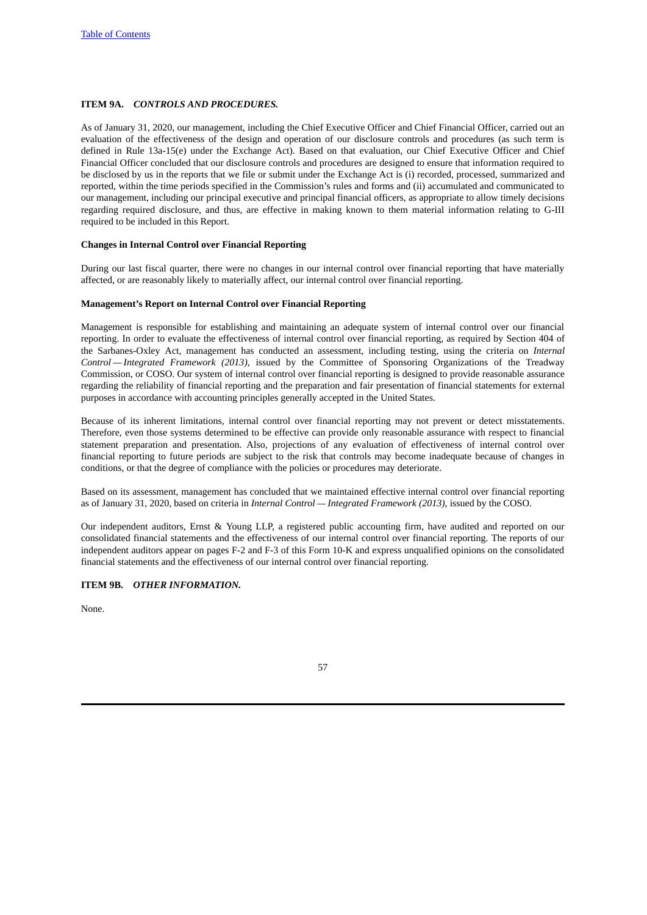# **ITEM 9A.** *CONTROLS AND PROCEDURES.*

As of January 31, 2020, our management, including the Chief Executive Officer and Chief Financial Officer, carried out an evaluation of the effectiveness of the design and operation of our disclosure controls and procedures (as such term is defined in Rule 13a-15(e) under the Exchange Act). Based on that evaluation, our Chief Executive Officer and Chief Financial Officer concluded that our disclosure controls and procedures are designed to ensure that information required to be disclosed by us in the reports that we file or submit under the Exchange Act is (i) recorded, processed, summarized and reported, within the time periods specified in the Commission's rules and forms and (ii) accumulated and communicated to our management, including our principal executive and principal financial officers, as appropriate to allow timely decisions regarding required disclosure, and thus, are effective in making known to them material information relating to G-III required to be included in this Report.

# **Changes in Internal Control over Financial Reporting**

During our last fiscal quarter, there were no changes in our internal control over financial reporting that have materially affected, or are reasonably likely to materially affect, our internal control over financial reporting.

#### **Management's Report on Internal Control over Financial Reporting**

Management is responsible for establishing and maintaining an adequate system of internal control over our financial reporting. In order to evaluate the effectiveness of internal control over financial reporting, as required by Section 404 of the Sarbanes-Oxley Act, management has conducted an assessment, including testing, using the criteria on *Internal Control — Integrated Framework (2013)*, issued by the Committee of Sponsoring Organizations of the Treadway Commission, or COSO. Our system of internal control over financial reporting is designed to provide reasonable assurance regarding the reliability of financial reporting and the preparation and fair presentation of financial statements for external purposes in accordance with accounting principles generally accepted in the United States.

Because of its inherent limitations, internal control over financial reporting may not prevent or detect misstatements. Therefore, even those systems determined to be effective can provide only reasonable assurance with respect to financial statement preparation and presentation. Also, projections of any evaluation of effectiveness of internal control over financial reporting to future periods are subject to the risk that controls may become inadequate because of changes in conditions, or that the degree of compliance with the policies or procedures may deteriorate.

Based on its assessment, management has concluded that we maintained effective internal control over financial reporting as of January 31, 2020, based on criteria in *Internal Control — Integrated Framework (2013)*, issued by the COSO.

Our independent auditors, Ernst & Young LLP, a registered public accounting firm, have audited and reported on our consolidated financial statements and the effectiveness of our internal control over financial reporting. The reports of our independent auditors appear on pages F-2 and F-3 of this Form 10-K and express unqualified opinions on the consolidated financial statements and the effectiveness of our internal control over financial reporting.

## **ITEM 9B.** *OTHER INFORMATION.*

None.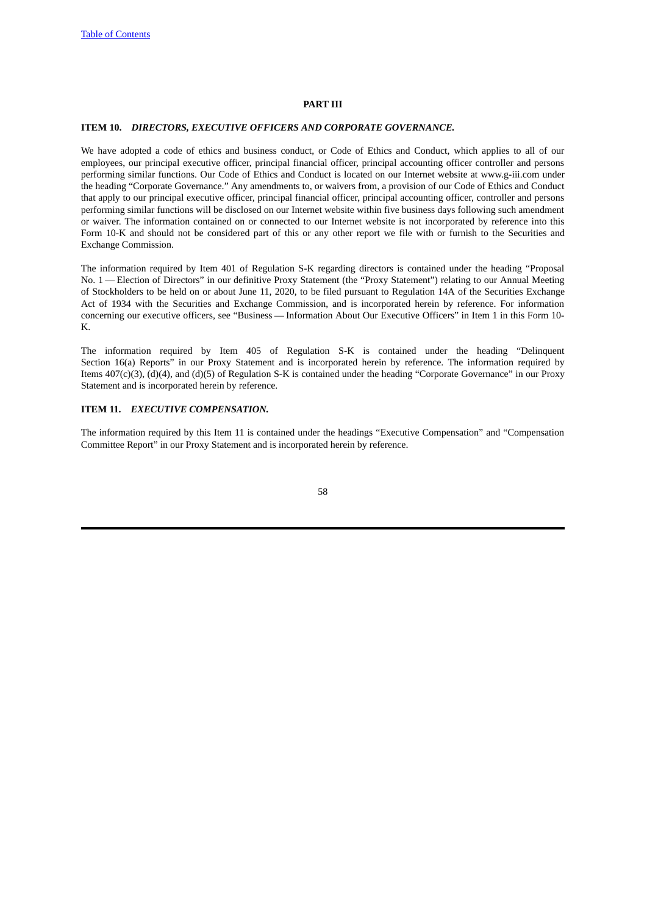# **PART III**

#### **ITEM 10.** *DIRECTORS, EXECUTIVE OFFICERS AND CORPORATE GOVERNANCE.*

We have adopted a code of ethics and business conduct, or Code of Ethics and Conduct, which applies to all of our employees, our principal executive officer, principal financial officer, principal accounting officer controller and persons performing similar functions. Our Code of Ethics and Conduct is located on our Internet website at www.g-iii.com under the heading "Corporate Governance." Any amendments to, or waivers from, a provision of our Code of Ethics and Conduct that apply to our principal executive officer, principal financial officer, principal accounting officer, controller and persons performing similar functions will be disclosed on our Internet website within five business days following such amendment or waiver. The information contained on or connected to our Internet website is not incorporated by reference into this Form 10-K and should not be considered part of this or any other report we file with or furnish to the Securities and Exchange Commission.

The information required by Item 401 of Regulation S-K regarding directors is contained under the heading "Proposal No. 1 — Election of Directors" in our definitive Proxy Statement (the "Proxy Statement") relating to our Annual Meeting of Stockholders to be held on or about June 11, 2020, to be filed pursuant to Regulation 14A of the Securities Exchange Act of 1934 with the Securities and Exchange Commission, and is incorporated herein by reference. For information concerning our executive officers, see "Business — Information About Our Executive Officers" in Item 1 in this Form 10- K.

The information required by Item 405 of Regulation S-K is contained under the heading "Delinquent Section 16(a) Reports" in our Proxy Statement and is incorporated herein by reference. The information required by Items 407(c)(3), (d)(4), and (d)(5) of Regulation S-K is contained under the heading "Corporate Governance" in our Proxy Statement and is incorporated herein by reference.

# **ITEM 11.** *EXECUTIVE COMPENSATION.*

The information required by this Item 11 is contained under the headings "Executive Compensation" and "Compensation Committee Report" in our Proxy Statement and is incorporated herein by reference.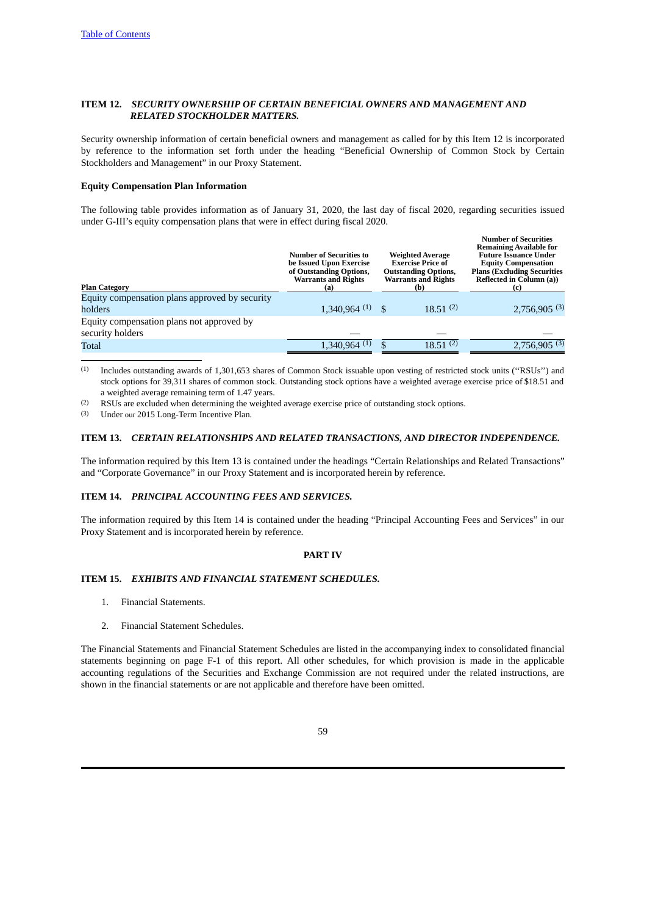### **ITEM 12.** *SECURITY OWNERSHIP OF CERTAIN BENEFICIAL OWNERS AND MANAGEMENT AND RELATED STOCKHOLDER MATTERS.*

Security ownership information of certain beneficial owners and management as called for by this Item 12 is incorporated by reference to the information set forth under the heading "Beneficial Ownership of Common Stock by Certain Stockholders and Management" in our Proxy Statement.

### **Equity Compensation Plan Information**

The following table provides information as of January 31, 2020, the last day of fiscal 2020, regarding securities issued under G-III's equity compensation plans that were in effect during fiscal 2020.

**Number of Securities**

| <b>Plan Category</b>                                          | <b>Number of Securities to</b><br>be Issued Upon Exercise<br>of Outstanding Options,<br><b>Warrants and Rights</b><br>(a) | <b>Weighted Average</b><br><b>Exercise Price of</b><br><b>Outstanding Options,</b><br><b>Warrants and Rights</b><br>(b) | Number of Securities<br><b>Remaining Available for</b><br><b>Future Issuance Under</b><br><b>Equity Compensation</b><br><b>Plans (Excluding Securities)</b><br><b>Reflected in Column (a))</b> |  |  |
|---------------------------------------------------------------|---------------------------------------------------------------------------------------------------------------------------|-------------------------------------------------------------------------------------------------------------------------|------------------------------------------------------------------------------------------------------------------------------------------------------------------------------------------------|--|--|
| Equity compensation plans approved by security                |                                                                                                                           |                                                                                                                         |                                                                                                                                                                                                |  |  |
| holders                                                       | $1,340,964$ <sup>(1)</sup>                                                                                                | 18.51(2)<br>- \$                                                                                                        | $2,756,905^{(3)}$                                                                                                                                                                              |  |  |
| Equity compensation plans not approved by<br>security holders |                                                                                                                           |                                                                                                                         |                                                                                                                                                                                                |  |  |
| Total                                                         | $1,340,964$ <sup>(1)</sup>                                                                                                | 18.51(2)                                                                                                                | $2,756,905$ <sup>(3)</sup>                                                                                                                                                                     |  |  |
|                                                               |                                                                                                                           |                                                                                                                         |                                                                                                                                                                                                |  |  |

(1) Includes outstanding awards of 1,301,653 shares of Common Stock issuable upon vesting of restricted stock units (''RSUs'') and stock options for 39,311 shares of common stock. Outstanding stock options have a weighted average exercise price of \$18.51 and a weighted average remaining term of 1.47 years.

(2) RSUs are excluded when determining the weighted average exercise price of outstanding stock options.

(3) Under our 2015 Long-Term Incentive Plan.

#### **ITEM 13.** *CERTAIN RELATIONSHIPS AND RELATED TRANSACTIONS, AND DIRECTOR INDEPENDENCE.*

The information required by this Item 13 is contained under the headings "Certain Relationships and Related Transactions" and "Corporate Governance" in our Proxy Statement and is incorporated herein by reference.

#### **ITEM 14.** *PRINCIPAL ACCOUNTING FEES AND SERVICES.*

The information required by this Item 14 is contained under the heading "Principal Accounting Fees and Services" in our Proxy Statement and is incorporated herein by reference.

#### **PART IV**

# **ITEM 15.** *EXHIBITS AND FINANCIAL STATEMENT SCHEDULES.*

- 1. Financial Statements.
- 2. Financial Statement Schedules.

The Financial Statements and Financial Statement Schedules are listed in the accompanying index to consolidated financial statements beginning on page F-1 of this report. All other schedules, for which provision is made in the applicable accounting regulations of the Securities and Exchange Commission are not required under the related instructions, are shown in the financial statements or are not applicable and therefore have been omitted.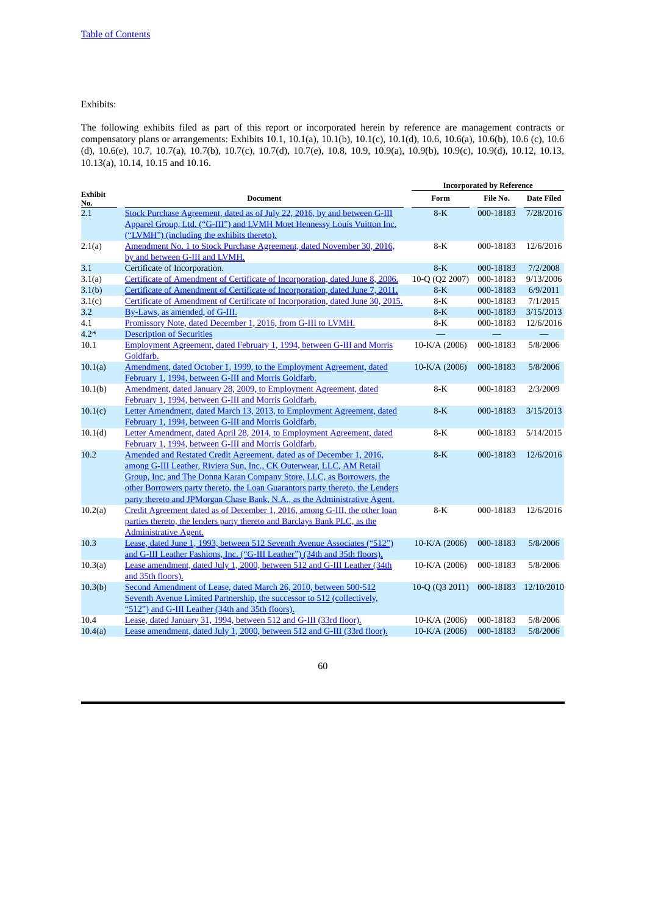# Exhibits:

The following exhibits filed as part of this report or incorporated herein by reference are management contracts or compensatory plans or arrangements: Exhibits 10.1, 10.1(a), 10.1(b), 10.1(c), 10.1(d), 10.6, 10.6(a), 10.6(b), 10.6 (c), 10.6 (d), 10.6(e), 10.7, 10.7(a), 10.7(b), 10.7(c), 10.7(d), 10.7(e), 10.8, 10.9, 10.9(a), 10.9(b), 10.9(c), 10.9(d), 10.12, 10.13, 10.13(a), 10.14, 10.15 and 10.16.

|                       |                                                                                |                 | <b>Incorporated by Reference</b> |                   |
|-----------------------|--------------------------------------------------------------------------------|-----------------|----------------------------------|-------------------|
| <b>Exhibit</b><br>No. | <b>Document</b>                                                                | Form            | File No.                         | <b>Date Filed</b> |
| 2.1                   | Stock Purchase Agreement, dated as of July 22, 2016, by and between G-III      | $8-K$           | 000-18183                        | 7/28/2016         |
|                       | Apparel Group, Ltd. ("G-III") and LVMH Moet Hennessy Louis Vuitton Inc.        |                 |                                  |                   |
|                       | ("LVMH") (including the exhibits thereto).                                     |                 |                                  |                   |
| 2.1(a)                | Amendment No. 1 to Stock Purchase Agreement, dated November 30, 2016,          | $8-K$           | 000-18183                        | 12/6/2016         |
|                       | by and between G-III and LVMH.                                                 |                 |                                  |                   |
| 3.1                   | Certificate of Incorporation.                                                  | $8-K$           | 000-18183                        | 7/2/2008          |
| 3.1(a)                | Certificate of Amendment of Certificate of Incorporation, dated June 8, 2006.  | 10-Q (Q2 2007)  | 000-18183                        | 9/13/2006         |
| 3.1(b)                | Certificate of Amendment of Certificate of Incorporation, dated June 7, 2011.  | $8-K$           | 000-18183                        | 6/9/2011          |
| 3.1(c)                | Certificate of Amendment of Certificate of Incorporation, dated June 30, 2015. | $8-K$           | 000-18183                        | 7/1/2015          |
| 3.2                   | By-Laws, as amended, of G-III.                                                 | $8-K$           | 000-18183                        | 3/15/2013         |
| 4.1                   | Promissory Note, dated December 1, 2016, from G-III to LVMH.                   | $8-K$           | 000-18183                        | 12/6/2016         |
| $4.2*$                | <b>Description of Securities</b>                                               |                 |                                  |                   |
| 10.1                  | Employment Agreement, dated February 1, 1994, between G-III and Morris         | 10-K/A (2006)   | 000-18183                        | 5/8/2006          |
|                       | Goldfarb.                                                                      |                 |                                  |                   |
| 10.1(a)               | Amendment, dated October 1, 1999, to the Employment Agreement, dated           | 10-K/A (2006)   | 000-18183                        | 5/8/2006          |
|                       | February 1, 1994, between G-III and Morris Goldfarb.                           |                 |                                  |                   |
| 10.1(b)               | Amendment, dated January 28, 2009, to Employment Agreement, dated              | $8-K$           | 000-18183                        | 2/3/2009          |
|                       | February 1, 1994, between G-III and Morris Goldfarb.                           |                 |                                  |                   |
| 10.1(c)               | Letter Amendment, dated March 13, 2013, to Employment Agreement, dated         | $8-K$           | 000-18183                        | 3/15/2013         |
|                       | February 1, 1994, between G-III and Morris Goldfarb.                           |                 |                                  |                   |
| 10.1(d)               | Letter Amendment, dated April 28, 2014, to Employment Agreement, dated         | $8-K$           | 000-18183                        | 5/14/2015         |
|                       | February 1, 1994, between G-III and Morris Goldfarb.                           |                 |                                  |                   |
| 10.2                  | Amended and Restated Credit Agreement, dated as of December 1, 2016,           | $8-K$           | 000-18183                        | 12/6/2016         |
|                       | among G-III Leather, Riviera Sun, Inc., CK Outerwear, LLC, AM Retail           |                 |                                  |                   |
|                       | Group, Inc. and The Donna Karan Company Store, LLC, as Borrowers, the          |                 |                                  |                   |
|                       | other Borrowers party thereto, the Loan Guarantors party thereto, the Lenders  |                 |                                  |                   |
|                       | party thereto and JPMorgan Chase Bank, N.A., as the Administrative Agent.      |                 |                                  |                   |
| 10.2(a)               | Credit Agreement dated as of December 1, 2016, among G-III, the other loan     | $8-K$           | 000-18183                        | 12/6/2016         |
|                       | parties thereto, the lenders party thereto and Barclays Bank PLC, as the       |                 |                                  |                   |
|                       | <b>Administrative Agent.</b>                                                   |                 |                                  |                   |
| 10.3                  | Lease, dated June 1, 1993, between 512 Seventh Avenue Associates ("512")       | 10-K/A (2006)   | 000-18183                        | 5/8/2006          |
|                       | and G-III Leather Fashions, Inc. ("G-III Leather") (34th and 35th floors).     |                 |                                  |                   |
| 10.3(a)               | Lease amendment, dated July 1, 2000, between 512 and G-III Leather (34th       | $10-K/A$ (2006) | 000-18183                        | 5/8/2006          |
|                       | and 35th floors).                                                              |                 |                                  |                   |
| 10.3(b)               | Second Amendment of Lease, dated March 26, 2010, between 500-512               | 10-Q (Q3 2011)  | 000-18183                        | 12/10/2010        |
|                       | Seventh Avenue Limited Partnership, the successor to 512 (collectively,        |                 |                                  |                   |
|                       | "512") and G-III Leather (34th and 35th floors).                               |                 |                                  |                   |
| 10.4                  | Lease, dated January 31, 1994, between 512 and G-III (33rd floor).             | 10-K/A (2006)   | 000-18183                        | 5/8/2006          |
| 10.4(a)               | Lease amendment, dated July 1, 2000, between 512 and G-III (33rd floor).       | 10-K/A (2006)   | 000-18183                        | 5/8/2006          |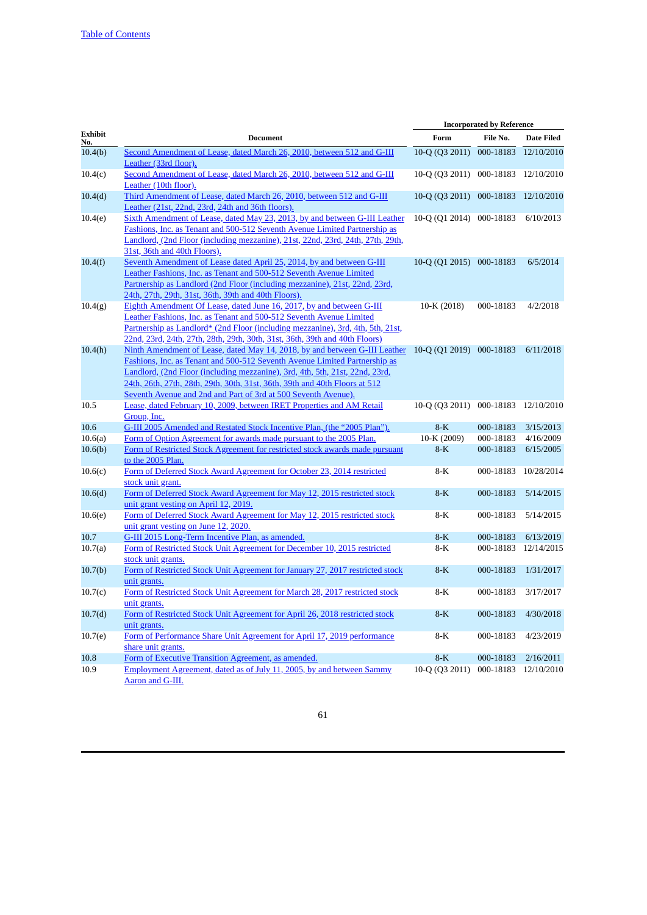|                |                                                                                                 | <b>Incorporated by Reference</b>    |           |                   |  |
|----------------|-------------------------------------------------------------------------------------------------|-------------------------------------|-----------|-------------------|--|
| Exhibit<br>No. | <b>Document</b>                                                                                 | Form                                | File No.  | <b>Date Filed</b> |  |
| 10.4(b)        | Second Amendment of Lease, dated March 26, 2010, between 512 and G-III                          | 10-Q (Q3 2011) 000-18183            |           | 12/10/2010        |  |
|                | Leather (33rd floor).                                                                           |                                     |           |                   |  |
| 10.4(c)        | Second Amendment of Lease, dated March 26, 2010, between 512 and G-III<br>Leather (10th floor). | 10-Q (Q3 2011) 000-18183 12/10/2010 |           |                   |  |
| 10.4(d)        | Third Amendment of Lease, dated March 26, 2010, between 512 and G-III                           | 10-Q (Q3 2011)                      | 000-18183 | 12/10/2010        |  |
|                | Leather (21st, 22nd, 23rd, 24th and 36th floors).                                               |                                     |           |                   |  |
| 10.4(e)        | Sixth Amendment of Lease, dated May 23, 2013, by and between G-III Leather                      | 10-Q (Q1 2014) 000-18183            |           | 6/10/2013         |  |
|                | Fashions, Inc. as Tenant and 500-512 Seventh Avenue Limited Partnership as                      |                                     |           |                   |  |
|                | Landlord, (2nd Floor (including mezzanine), 21st, 22nd, 23rd, 24th, 27th, 29th,                 |                                     |           |                   |  |
|                | 31st, 36th and 40th Floors).                                                                    |                                     |           |                   |  |
| 10.4(f)        | Seventh Amendment of Lease dated April 25, 2014, by and between G-III                           | 10-Q (Q1 2015) 000-18183            |           | 6/5/2014          |  |
|                | Leather Fashions, Inc. as Tenant and 500-512 Seventh Avenue Limited                             |                                     |           |                   |  |
|                | Partnership as Landlord (2nd Floor (including mezzanine), 21st, 22nd, 23rd,                     |                                     |           |                   |  |
|                | 24th, 27th, 29th, 31st, 36th, 39th and 40th Floors).                                            |                                     |           |                   |  |
| 10.4(g)        | Eighth Amendment Of Lease, dated June 16, 2017, by and between G-III                            | 10-K (2018)                         | 000-18183 | 4/2/2018          |  |
|                | Leather Fashions, Inc. as Tenant and 500-512 Seventh Avenue Limited                             |                                     |           |                   |  |
|                | Partnership as Landlord* (2nd Floor (including mezzanine), 3rd, 4th, 5th, 21st,                 |                                     |           |                   |  |
|                | 22nd, 23rd, 24th, 27th, 28th, 29th, 30th, 31st, 36th, 39th and 40th Floors)                     |                                     |           |                   |  |
| 10.4(h)        | Ninth Amendment of Lease, dated May 14, 2018, by and between G-III Leather                      | 10-Q (Q1 2019)                      | 000-18183 | 6/11/2018         |  |
|                | Fashions, Inc. as Tenant and 500-512 Seventh Avenue Limited Partnership as                      |                                     |           |                   |  |
|                | Landlord, (2nd Floor (including mezzanine), 3rd, 4th, 5th, 21st, 22nd, 23rd,                    |                                     |           |                   |  |
|                | 24th, 26th, 27th, 28th, 29th, 30th, 31st, 36th, 39th and 40th Floors at 512                     |                                     |           |                   |  |
|                | Seventh Avenue and 2nd and Part of 3rd at 500 Seventh Avenue).                                  |                                     |           |                   |  |
| 10.5           | Lease, dated February 10, 2009, between IRET Properties and AM Retail                           | 10-Q (Q3 2011) 000-18183 12/10/2010 |           |                   |  |
|                | Group, Inc.                                                                                     |                                     |           |                   |  |
| 10.6           | G-III 2005 Amended and Restated Stock Incentive Plan, (the "2005 Plan").                        | $8-K$                               | 000-18183 | 3/15/2013         |  |
| 10.6(a)        | Form of Option Agreement for awards made pursuant to the 2005 Plan.                             | 10-K (2009)                         | 000-18183 | 4/16/2009         |  |
| 10.6(b)        | Form of Restricted Stock Agreement for restricted stock awards made pursuant                    | $8-K$                               | 000-18183 | 6/15/2005         |  |
|                | to the 2005 Plan.                                                                               |                                     |           |                   |  |
| 10.6(c)        | Form of Deferred Stock Award Agreement for October 23, 2014 restricted                          | $8-K$                               | 000-18183 | 10/28/2014        |  |
|                | stock unit grant.                                                                               |                                     |           |                   |  |
| 10.6(d)        | Form of Deferred Stock Award Agreement for May 12, 2015 restricted stock                        | $8-K$                               | 000-18183 | 5/14/2015         |  |
|                | unit grant vesting on April 12, 2019.                                                           |                                     |           |                   |  |
| 10.6(e)        | Form of Deferred Stock Award Agreement for May 12, 2015 restricted stock                        | $8-K$                               | 000-18183 | 5/14/2015         |  |
|                | unit grant vesting on June 12, 2020.                                                            |                                     |           |                   |  |
| 10.7           | G-III 2015 Long-Term Incentive Plan, as amended.                                                | $8-K$                               | 000-18183 | 6/13/2019         |  |
| 10.7(a)        | Form of Restricted Stock Unit Agreement for December 10, 2015 restricted                        | 8-K                                 | 000-18183 | 12/14/2015        |  |
|                | stock unit grants.                                                                              |                                     |           |                   |  |
| 10.7(b)        | Form of Restricted Stock Unit Agreement for January 27, 2017 restricted stock                   | $8-K$                               | 000-18183 | 1/31/2017         |  |
|                | unit grants.                                                                                    |                                     |           |                   |  |
| 10.7(c)        | Form of Restricted Stock Unit Agreement for March 28, 2017 restricted stock                     | $8-K$                               | 000-18183 | 3/17/2017         |  |
|                | unit grants.                                                                                    |                                     |           |                   |  |
| 10.7(d)        | Form of Restricted Stock Unit Agreement for April 26, 2018 restricted stock                     | $8-K$                               | 000-18183 | 4/30/2018         |  |
|                | unit grants.                                                                                    |                                     |           |                   |  |
| 10.7(e)        | Form of Performance Share Unit Agreement for April 17, 2019 performance                         | $8-K$                               | 000-18183 | 4/23/2019         |  |
|                | share unit grants.                                                                              |                                     |           |                   |  |
| 10.8           | Form of Executive Transition Agreement, as amended.                                             | $8-K$                               | 000-18183 | 2/16/2011         |  |
| 10.9           | Employment Agreement, dated as of July 11, 2005, by and between Sammy                           | 10-Q (Q3 2011)                      | 000-18183 | 12/10/2010        |  |
|                | Aaron and G-III.                                                                                |                                     |           |                   |  |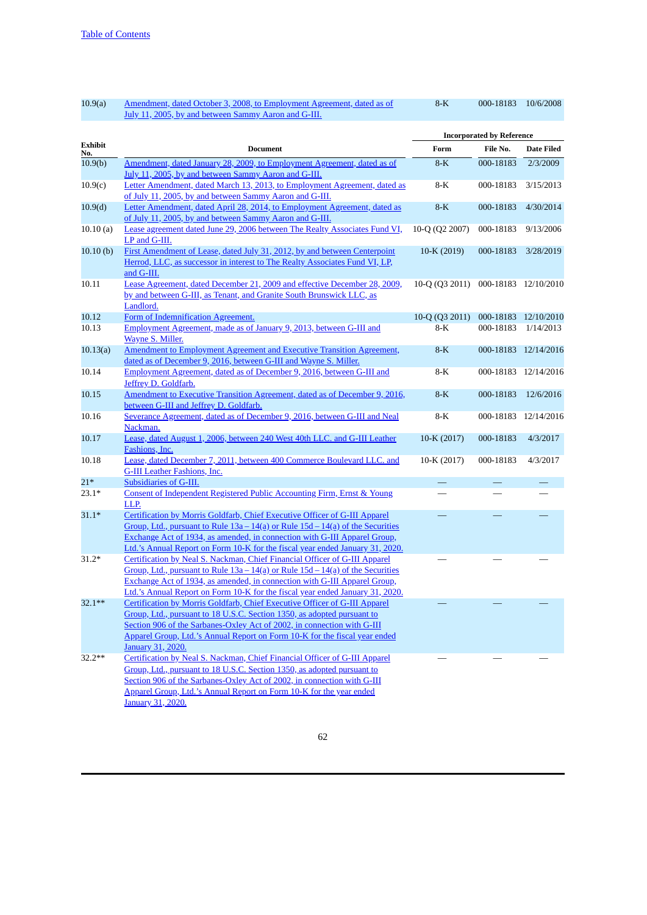| 10.9(a)               | Amendment, dated October 3, 2008, to Employment Agreement, dated as of<br>July 11, 2005, by and between Sammy Aaron and G-III.                                                                                                                                                                                                      | $8-K$                               | 000-18183                        | 10/6/2008            |
|-----------------------|-------------------------------------------------------------------------------------------------------------------------------------------------------------------------------------------------------------------------------------------------------------------------------------------------------------------------------------|-------------------------------------|----------------------------------|----------------------|
|                       |                                                                                                                                                                                                                                                                                                                                     |                                     | <b>Incorporated by Reference</b> |                      |
| <b>Exhibit</b><br>No. | <b>Document</b>                                                                                                                                                                                                                                                                                                                     | Form                                | File No.                         | <b>Date Filed</b>    |
| 10.9(b)               | Amendment, dated January 28, 2009, to Employment Agreement, dated as of<br>July 11, 2005, by and between Sammy Aaron and G-III.                                                                                                                                                                                                     | $8-K$                               | $000 - 18183$                    | 2/3/2009             |
| 10.9(c)               | Letter Amendment, dated March 13, 2013, to Employment Agreement, dated as<br>of July 11, 2005, by and between Sammy Aaron and G-III.                                                                                                                                                                                                | $8-K$                               | 000-18183                        | 3/15/2013            |
| 10.9(d)               | Letter Amendment, dated April 28, 2014, to Employment Agreement, dated as<br>of July 11, 2005, by and between Sammy Aaron and G-III.                                                                                                                                                                                                | $8-K$                               | 000-18183                        | 4/30/2014            |
| 10.10(a)              | Lease agreement dated June 29, 2006 between The Realty Associates Fund VI,<br>LP and G-III.                                                                                                                                                                                                                                         | 10-Q (Q2 2007)                      | 000-18183                        | 9/13/2006            |
| 10.10(b)              | First Amendment of Lease, dated July 31, 2012, by and between Centerpoint<br>Herrod, LLC, as successor in interest to The Realty Associates Fund VI, LP,<br>and G-III.                                                                                                                                                              | 10-K (2019)                         | 000-18183                        | 3/28/2019            |
| 10.11                 | Lease Agreement, dated December 21, 2009 and effective December 28, 2009,<br>by and between G-III, as Tenant, and Granite South Brunswick LLC, as<br>Landlord.                                                                                                                                                                      | 10-Q (Q3 2011) 000-18183 12/10/2010 |                                  |                      |
| 10.12                 | Form of Indemnification Agreement.                                                                                                                                                                                                                                                                                                  | 10-Q (Q3 2011)                      |                                  | 000-18183 12/10/2010 |
| 10.13                 | Employment Agreement, made as of January 9, 2013, between G-III and<br>Wayne S. Miller.                                                                                                                                                                                                                                             | $8-K$                               | 000-18183                        | 1/14/2013            |
| 10.13(a)              | Amendment to Employment Agreement and Executive Transition Agreement,<br>dated as of December 9, 2016, between G-III and Wayne S. Miller.                                                                                                                                                                                           | $8-K$                               |                                  | 000-18183 12/14/2016 |
| 10.14                 | Employment Agreement, dated as of December 9, 2016, between G-III and<br>Jeffrey D. Goldfarb.                                                                                                                                                                                                                                       | $8-K$                               |                                  | 000-18183 12/14/2016 |
| 10.15                 | Amendment to Executive Transition Agreement, dated as of December 9, 2016,<br>between G-III and Jeffrey D. Goldfarb.                                                                                                                                                                                                                | $8-K$                               | 000-18183                        | 12/6/2016            |
| 10.16                 | Severance Agreement, dated as of December 9, 2016, between G-III and Neal<br>Nackman.                                                                                                                                                                                                                                               | $8-K$                               |                                  | 000-18183 12/14/2016 |
| 10.17                 | Lease, dated August 1, 2006, between 240 West 40th LLC. and G-III Leather<br>Fashions, Inc.                                                                                                                                                                                                                                         | 10-K (2017)                         | 000-18183                        | 4/3/2017             |
| 10.18                 | Lease, dated December 7, 2011, between 400 Commerce Boulevard LLC. and<br>G-III Leather Fashions, Inc.                                                                                                                                                                                                                              | 10-K (2017)                         | 000-18183                        | 4/3/2017             |
| $21*$                 | Subsidiaries of G-III.                                                                                                                                                                                                                                                                                                              |                                     |                                  |                      |
| $23.1*$               | Consent of Independent Registered Public Accounting Firm, Ernst & Young<br>LLP.                                                                                                                                                                                                                                                     |                                     |                                  |                      |
| $31.1*$               | Certification by Morris Goldfarb, Chief Executive Officer of G-III Apparel<br>Group, Ltd., pursuant to Rule $13a - 14(a)$ or Rule $15d - 14(a)$ of the Securities<br>Exchange Act of 1934, as amended, in connection with G-III Apparel Group,<br>Ltd.'s Annual Report on Form 10-K for the fiscal year ended January 31, 2020.     |                                     |                                  |                      |
| $31.2*$               | Certification by Neal S. Nackman, Chief Financial Officer of G-III Apparel<br>Group, Ltd., pursuant to Rule $13a - 14(a)$ or Rule $15d - 14(a)$ of the Securities<br>Exchange Act of 1934, as amended, in connection with G-III Apparel Group,<br>Ltd.'s Annual Report on Form 10-K for the fiscal year ended January 31, 2020.     |                                     |                                  |                      |
| $32.1***$             | Certification by Morris Goldfarb, Chief Executive Officer of G-III Apparel<br>Group, Ltd., pursuant to 18 U.S.C. Section 1350, as adopted pursuant to<br>Section 906 of the Sarbanes-Oxley Act of 2002, in connection with G-III<br>Apparel Group, Ltd.'s Annual Report on Form 10-K for the fiscal year ended<br>January 31, 2020. |                                     |                                  |                      |
| $32.2**$              | Certification by Neal S. Nackman, Chief Financial Officer of G-III Apparel<br>Group, Ltd., pursuant to 18 U.S.C. Section 1350, as adopted pursuant to<br>Section 906 of the Sarbanes-Oxley Act of 2002, in connection with G-III<br>Apparel Group, Ltd.'s Annual Report on Form 10-K for the year ended<br>January 31, 2020.        |                                     |                                  |                      |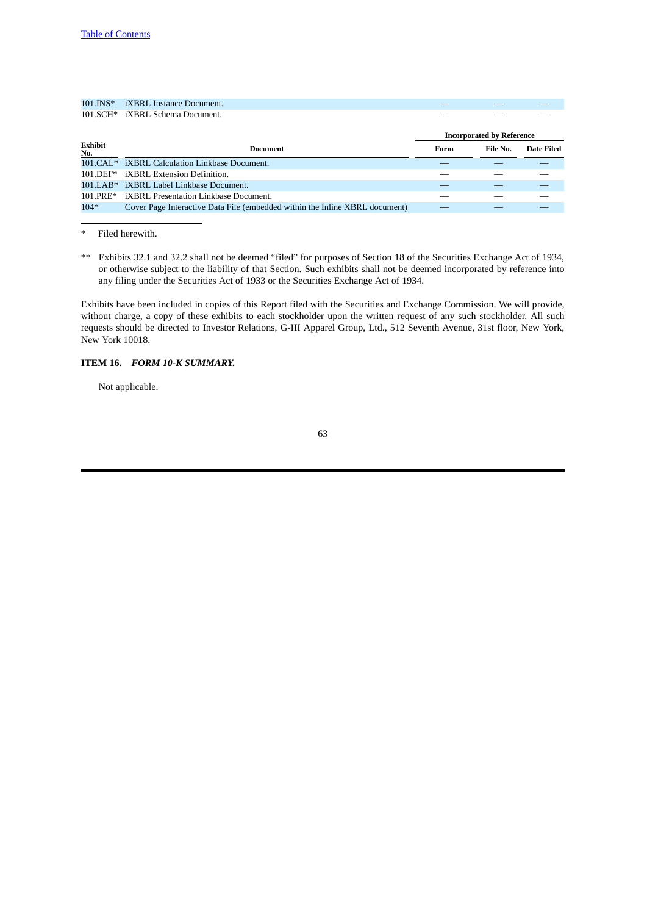| $101.$ IN $S^*$       | iXBRL Instance Document.                                                    |      |                                  |                   |
|-----------------------|-----------------------------------------------------------------------------|------|----------------------------------|-------------------|
|                       | 101.SCH* iXBRL Schema Document.                                             |      |                                  |                   |
|                       |                                                                             |      | <b>Incorporated by Reference</b> |                   |
| <b>Exhibit</b><br>No. | Document                                                                    | Form | File No.                         | <b>Date Filed</b> |
|                       | 101.CAL* iXBRL Calculation Linkbase Document.                               |      |                                  |                   |
|                       | 101.DEF* iXBRL Extension Definition.                                        |      |                                  |                   |
|                       | 101.LAB* iXBRL Label Linkbase Document.                                     |      |                                  |                   |
|                       | 101.PRE* iXBRL Presentation Linkbase Document.                              |      |                                  |                   |
| $104*$                | Cover Page Interactive Data File (embedded within the Inline XBRL document) |      |                                  |                   |

\* Filed herewith.

\*\* Exhibits 32.1 and 32.2 shall not be deemed "filed" for purposes of Section 18 of the Securities Exchange Act of 1934, or otherwise subject to the liability of that Section. Such exhibits shall not be deemed incorporated by reference into any filing under the Securities Act of 1933 or the Securities Exchange Act of 1934.

Exhibits have been included in copies of this Report filed with the Securities and Exchange Commission. We will provide, without charge, a copy of these exhibits to each stockholder upon the written request of any such stockholder. All such requests should be directed to Investor Relations, G-III Apparel Group, Ltd., 512 Seventh Avenue, 31st floor, New York, New York 10018.

### **ITEM 16.** *FORM 10-K SUMMARY.*

Not applicable.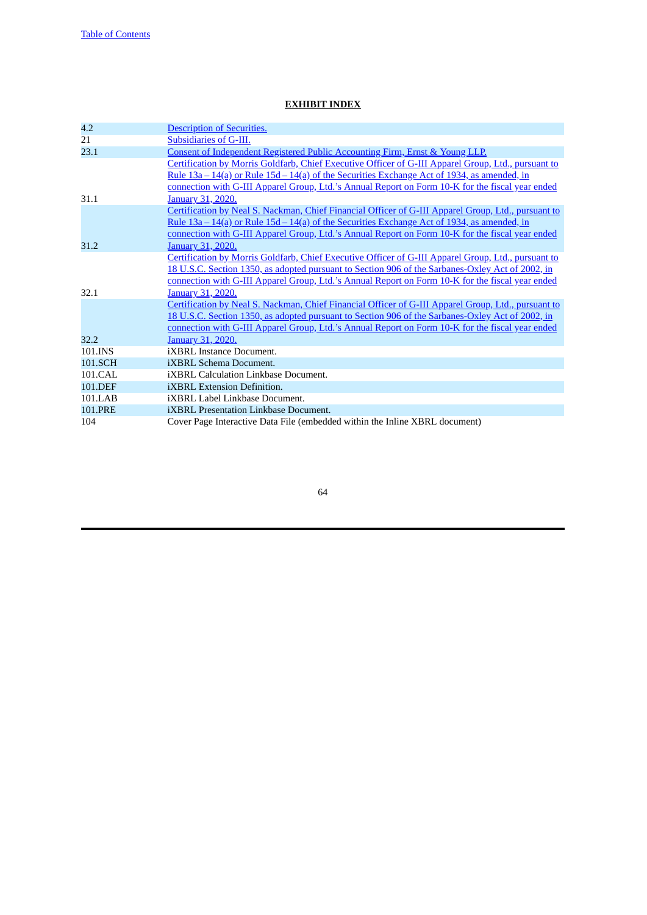# **EXHIBIT INDEX**

| 4.2            | <b>Description of Securities.</b>                                                                                            |
|----------------|------------------------------------------------------------------------------------------------------------------------------|
| 21             | Subsidiaries of G-III.                                                                                                       |
| 23.1           | Consent of Independent Registered Public Accounting Firm, Ernst & Young LLP.                                                 |
|                | Certification by Morris Goldfarb, Chief Executive Officer of G-III Apparel Group, Ltd., pursuant to                          |
|                | <u>Rule <math>13a - 14(a)</math> or Rule <math>15d - 14(a)</math> of the Securities Exchange Act of 1934, as amended, in</u> |
|                | connection with G-III Apparel Group, Ltd.'s Annual Report on Form 10-K for the fiscal year ended                             |
| 31.1           | January 31, 2020.                                                                                                            |
|                | Certification by Neal S. Nackman, Chief Financial Officer of G-III Apparel Group, Ltd., pursuant to                          |
|                | <u>Rule 13a – 14(a) or Rule 15d – 14(a) of the Securities Exchange Act of 1934, as amended, in</u>                           |
|                | connection with G-III Apparel Group, Ltd.'s Annual Report on Form 10-K for the fiscal year ended                             |
| 31.2           | January 31, 2020.                                                                                                            |
|                | Certification by Morris Goldfarb, Chief Executive Officer of G-III Apparel Group, Ltd., pursuant to                          |
|                | 18 U.S.C. Section 1350, as adopted pursuant to Section 906 of the Sarbanes-Oxley Act of 2002, in                             |
|                | connection with G-III Apparel Group, Ltd.'s Annual Report on Form 10-K for the fiscal year ended                             |
| 32.1           | January 31, 2020.                                                                                                            |
|                | Certification by Neal S. Nackman, Chief Financial Officer of G-III Apparel Group, Ltd., pursuant to                          |
|                | 18 U.S.C. Section 1350, as adopted pursuant to Section 906 of the Sarbanes-Oxley Act of 2002, in                             |
|                | connection with G-III Apparel Group, Ltd.'s Annual Report on Form 10-K for the fiscal year ended                             |
| 32.2           | January 31, 2020.                                                                                                            |
| 101.INS        | <b>iXBRL Instance Document.</b>                                                                                              |
| 101.SCH        | <b>iXBRL Schema Document.</b>                                                                                                |
| 101.CAL        | <b>iXBRL Calculation Linkbase Document.</b>                                                                                  |
| 101.DEF        | <b>iXBRL Extension Definition.</b>                                                                                           |
| 101.LAB        | <b>iXBRL Label Linkbase Document.</b>                                                                                        |
| <b>101.PRE</b> | iXBRL Presentation Linkbase Document.                                                                                        |
| 104            | Cover Page Interactive Data File (embedded within the Inline XBRL document)                                                  |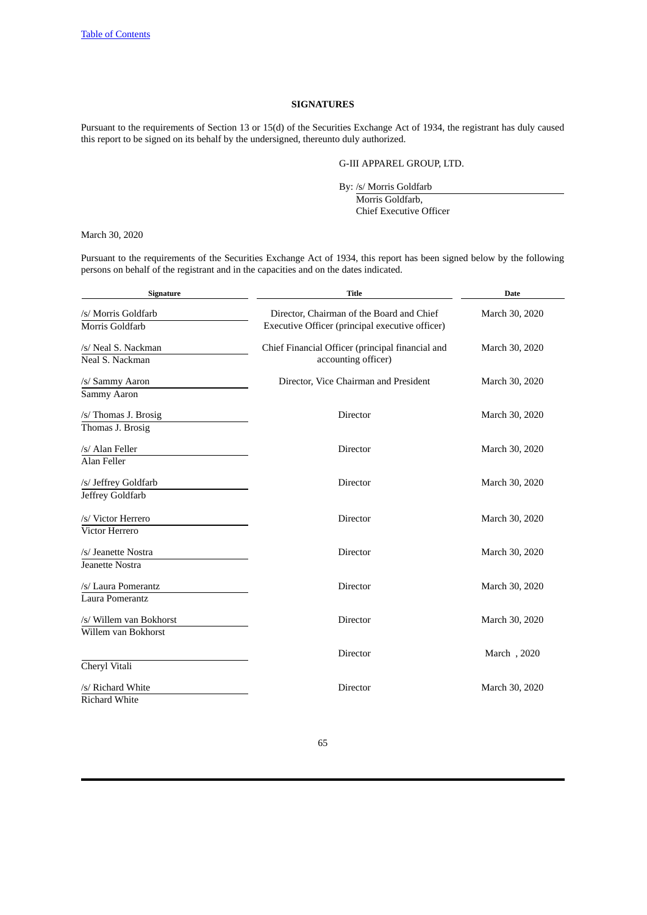# **SIGNATURES**

Pursuant to the requirements of Section 13 or 15(d) of the Securities Exchange Act of 1934, the registrant has duly caused this report to be signed on its behalf by the undersigned, thereunto duly authorized.

G-III APPAREL GROUP, LTD.

By: /s/ Morris Goldfarb

Morris Goldfarb,

Chief Executive Officer

March 30, 2020

Pursuant to the requirements of the Securities Exchange Act of 1934, this report has been signed below by the following persons on behalf of the registrant and in the capacities and on the dates indicated.

| Signature                                      | <b>Title</b>                                                                                 | <b>Date</b>    |  |
|------------------------------------------------|----------------------------------------------------------------------------------------------|----------------|--|
| /s/ Morris Goldfarb<br>Morris Goldfarb         | Director, Chairman of the Board and Chief<br>Executive Officer (principal executive officer) | March 30, 2020 |  |
| /s/ Neal S. Nackman<br>Neal S. Nackman         | Chief Financial Officer (principal financial and<br>accounting officer)                      | March 30, 2020 |  |
| /s/ Sammy Aaron<br>Sammy Aaron                 | Director, Vice Chairman and President                                                        | March 30, 2020 |  |
| /s/ Thomas J. Brosig<br>Thomas J. Brosig       | <b>Director</b>                                                                              | March 30, 2020 |  |
| /s/ Alan Feller<br>Alan Feller                 | Director                                                                                     | March 30, 2020 |  |
| /s/ Jeffrey Goldfarb<br>Jeffrey Goldfarb       | <b>Director</b>                                                                              | March 30, 2020 |  |
| /s/ Victor Herrero<br>Victor Herrero           | Director                                                                                     | March 30, 2020 |  |
| /s/ Jeanette Nostra<br>Jeanette Nostra         | Director                                                                                     | March 30, 2020 |  |
| /s/ Laura Pomerantz<br>Laura Pomerantz         | <b>Director</b>                                                                              | March 30, 2020 |  |
| /s/ Willem van Bokhorst<br>Willem van Bokhorst | Director                                                                                     | March 30, 2020 |  |
| Cheryl Vitali                                  | Director                                                                                     | March, 2020    |  |
| /s/ Richard White<br><b>Richard White</b>      | Director                                                                                     | March 30, 2020 |  |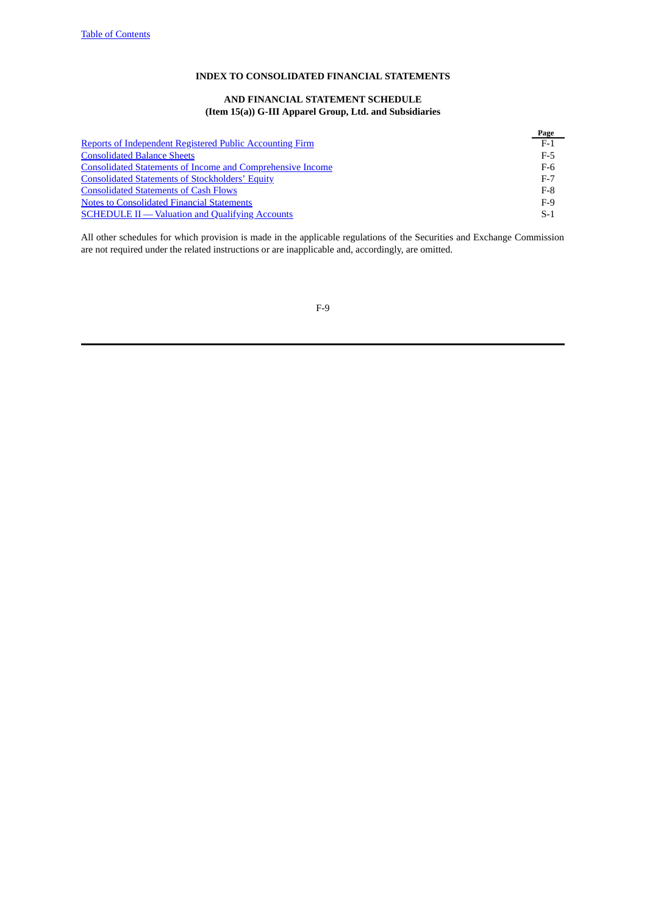# **INDEX TO CONSOLIDATED FINANCIAL STATEMENTS**

# **AND FINANCIAL STATEMENT SCHEDULE (Item 15(a)) G-III Apparel Group, Ltd. and Subsidiaries**

<span id="page-66-0"></span>

|                                                                   | Page  |
|-------------------------------------------------------------------|-------|
| Reports of Independent Registered Public Accounting Firm          | $F-1$ |
| <b>Consolidated Balance Sheets</b>                                | $F-5$ |
| <b>Consolidated Statements of Income and Comprehensive Income</b> | F-6   |
| <b>Consolidated Statements of Stockholders' Equity</b>            | $F-7$ |
| <b>Consolidated Statements of Cash Flows</b>                      | $F-8$ |
| <b>Notes to Consolidated Financial Statements</b>                 | $F-9$ |
| <b>SCHEDULE II — Valuation and Qualifying Accounts</b>            | $S-1$ |

All other schedules for which provision is made in the applicable regulations of the Securities and Exchange Commission are not required under the related instructions or are inapplicable and, accordingly, are omitted.

# F-9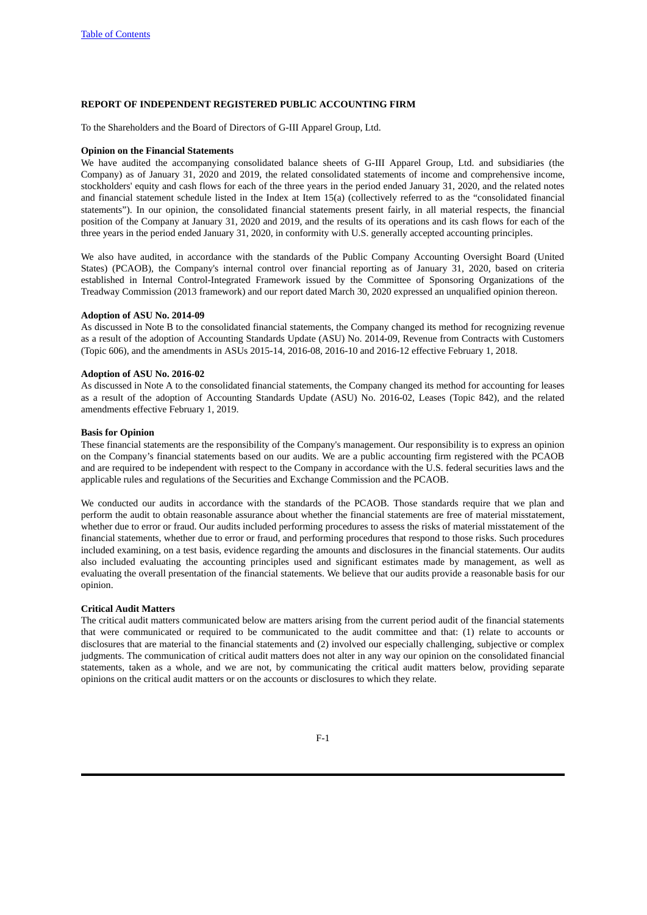# <span id="page-67-0"></span>**REPORT OF INDEPENDENT REGISTERED PUBLIC ACCOUNTING FIRM**

To the Shareholders and the Board of Directors of G-III Apparel Group, Ltd.

#### **Opinion on the Financial Statements**

We have audited the accompanying consolidated balance sheets of G-III Apparel Group, Ltd. and subsidiaries (the Company) as of January 31, 2020 and 2019, the related consolidated statements of income and comprehensive income, stockholders' equity and cash flows for each of the three years in the period ended January 31, 2020, and the related notes and financial statement schedule listed in the Index at Item 15(a) (collectively referred to as the "consolidated financial statements"). In our opinion, the consolidated financial statements present fairly, in all material respects, the financial position of the Company at January 31, 2020 and 2019, and the results of its operations and its cash flows for each of the three years in the period ended January 31, 2020, in conformity with U.S. generally accepted accounting principles.

We also have audited, in accordance with the standards of the Public Company Accounting Oversight Board (United States) (PCAOB), the Company's internal control over financial reporting as of January 31, 2020, based on criteria established in Internal Control-Integrated Framework issued by the Committee of Sponsoring Organizations of the Treadway Commission (2013 framework) and our report dated March 30, 2020 expressed an unqualified opinion thereon.

#### **Adoption of ASU No. 2014-09**

As discussed in Note B to the consolidated financial statements, the Company changed its method for recognizing revenue as a result of the adoption of Accounting Standards Update (ASU) No. 2014-09, Revenue from Contracts with Customers (Topic 606), and the amendments in ASUs 2015-14, 2016-08, 2016-10 and 2016-12 effective February 1, 2018.

#### **Adoption of ASU No. 2016-02**

As discussed in Note A to the consolidated financial statements, the Company changed its method for accounting for leases as a result of the adoption of Accounting Standards Update (ASU) No. 2016-02, Leases (Topic 842), and the related amendments effective February 1, 2019.

### **Basis for Opinion**

These financial statements are the responsibility of the Company's management. Our responsibility is to express an opinion on the Company's financial statements based on our audits. We are a public accounting firm registered with the PCAOB and are required to be independent with respect to the Company in accordance with the U.S. federal securities laws and the applicable rules and regulations of the Securities and Exchange Commission and the PCAOB.

We conducted our audits in accordance with the standards of the PCAOB. Those standards require that we plan and perform the audit to obtain reasonable assurance about whether the financial statements are free of material misstatement, whether due to error or fraud. Our audits included performing procedures to assess the risks of material misstatement of the financial statements, whether due to error or fraud, and performing procedures that respond to those risks. Such procedures included examining, on a test basis, evidence regarding the amounts and disclosures in the financial statements. Our audits also included evaluating the accounting principles used and significant estimates made by management, as well as evaluating the overall presentation of the financial statements. We believe that our audits provide a reasonable basis for our opinion.

#### **Critical Audit Matters**

The critical audit matters communicated below are matters arising from the current period audit of the financial statements that were communicated or required to be communicated to the audit committee and that: (1) relate to accounts or disclosures that are material to the financial statements and (2) involved our especially challenging, subjective or complex judgments. The communication of critical audit matters does not alter in any way our opinion on the consolidated financial statements, taken as a whole, and we are not, by communicating the critical audit matters below, providing separate opinions on the critical audit matters or on the accounts or disclosures to which they relate.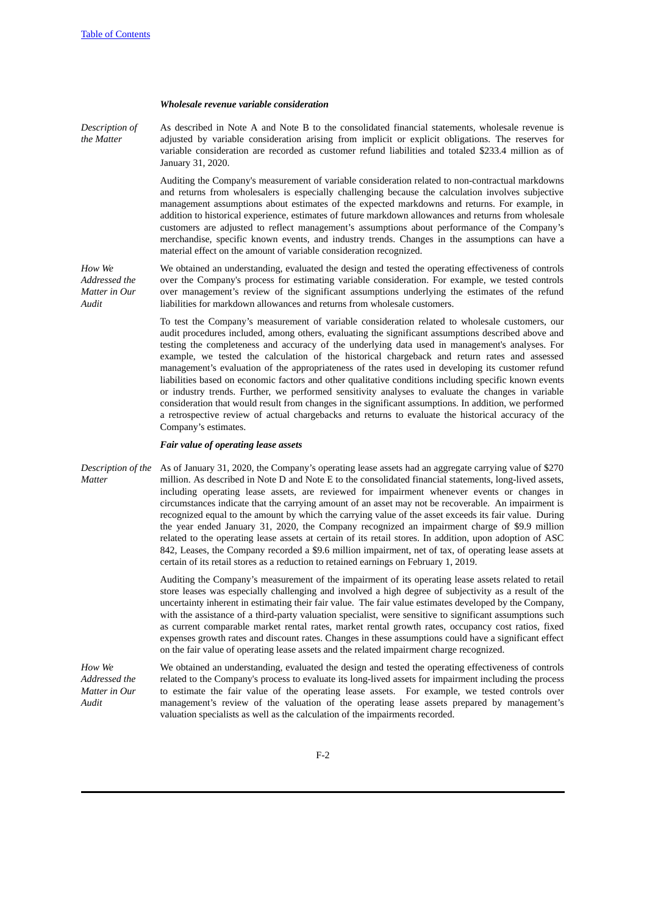#### *Wholesale revenue variable consideration*

*Description of the Matter* As described in Note A and Note B to the consolidated financial statements, wholesale revenue is adjusted by variable consideration arising from implicit or explicit obligations. The reserves for variable consideration are recorded as customer refund liabilities and totaled \$233.4 million as of January 31, 2020.

> Auditing the Company's measurement of variable consideration related to non-contractual markdowns and returns from wholesalers is especially challenging because the calculation involves subjective management assumptions about estimates of the expected markdowns and returns. For example, in addition to historical experience, estimates of future markdown allowances and returns from wholesale customers are adjusted to reflect management's assumptions about performance of the Company's merchandise, specific known events, and industry trends. Changes in the assumptions can have a material effect on the amount of variable consideration recognized.

*How We Addressed the Matter in Our Audit* We obtained an understanding, evaluated the design and tested the operating effectiveness of controls over the Company's process for estimating variable consideration. For example, we tested controls over management's review of the significant assumptions underlying the estimates of the refund liabilities for markdown allowances and returns from wholesale customers.

> To test the Company's measurement of variable consideration related to wholesale customers, our audit procedures included, among others, evaluating the significant assumptions described above and testing the completeness and accuracy of the underlying data used in management's analyses. For example, we tested the calculation of the historical chargeback and return rates and assessed management's evaluation of the appropriateness of the rates used in developing its customer refund liabilities based on economic factors and other qualitative conditions including specific known events or industry trends. Further, we performed sensitivity analyses to evaluate the changes in variable consideration that would result from changes in the significant assumptions. In addition, we performed a retrospective review of actual chargebacks and returns to evaluate the historical accuracy of the Company's estimates.

### *Fair value of operating lease assets*

*Description of the* As of January 31, 2020, the Company's operating lease assets had an aggregate carrying value of \$270 *Matter* million. As described in Note D and Note E to the consolidated financial statements, long-lived assets, including operating lease assets, are reviewed for impairment whenever events or changes in circumstances indicate that the carrying amount of an asset may not be recoverable. An impairment is recognized equal to the amount by which the carrying value of the asset exceeds its fair value. During the year ended January 31, 2020, the Company recognized an impairment charge of \$9.9 million related to the operating lease assets at certain of its retail stores. In addition, upon adoption of ASC 842, Leases, the Company recorded a \$9.6 million impairment, net of tax, of operating lease assets at certain of its retail stores as a reduction to retained earnings on February 1, 2019.

> Auditing the Company's measurement of the impairment of its operating lease assets related to retail store leases was especially challenging and involved a high degree of subjectivity as a result of the uncertainty inherent in estimating their fair value. The fair value estimates developed by the Company, with the assistance of a third-party valuation specialist, were sensitive to significant assumptions such as current comparable market rental rates, market rental growth rates, occupancy cost ratios, fixed expenses growth rates and discount rates. Changes in these assumptions could have a significant effect on the fair value of operating lease assets and the related impairment charge recognized.

*How We Addressed the Matter in Our Audit*

We obtained an understanding, evaluated the design and tested the operating effectiveness of controls related to the Company's process to evaluate its long-lived assets for impairment including the process to estimate the fair value of the operating lease assets. For example, we tested controls over management's review of the valuation of the operating lease assets prepared by management's valuation specialists as well as the calculation of the impairments recorded.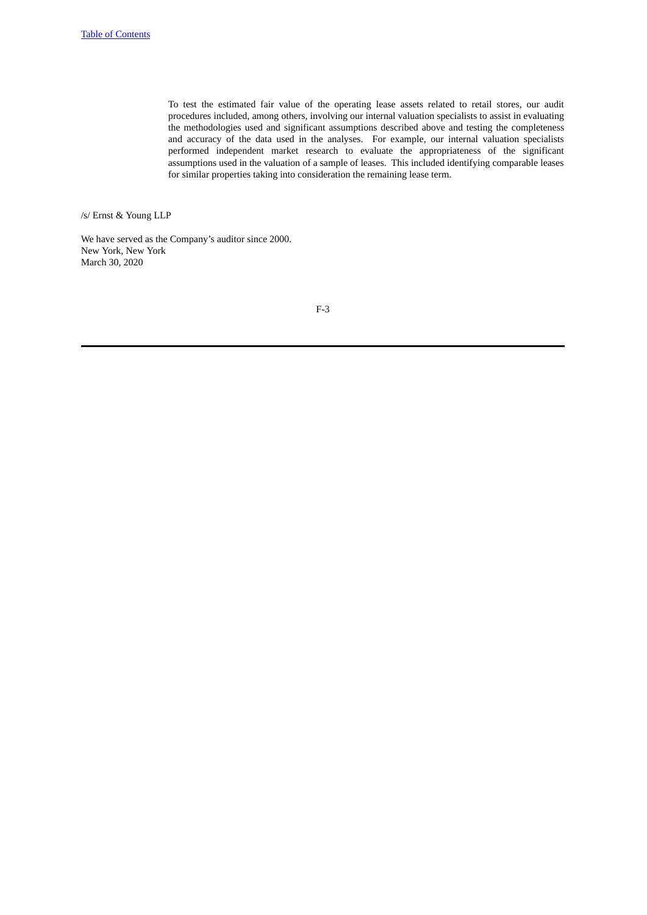To test the estimated fair value of the operating lease assets related to retail stores, our audit procedures included, among others, involving our internal valuation specialists to assist in evaluating the methodologies used and significant assumptions described above and testing the completeness and accuracy of the data used in the analyses. For example, our internal valuation specialists performed independent market research to evaluate the appropriateness of the significant assumptions used in the valuation of a sample of leases. This included identifying comparable leases for similar properties taking into consideration the remaining lease term.

/s/ Ernst & Young LLP

We have served as the Company's auditor since 2000. New York, New York March 30, 2020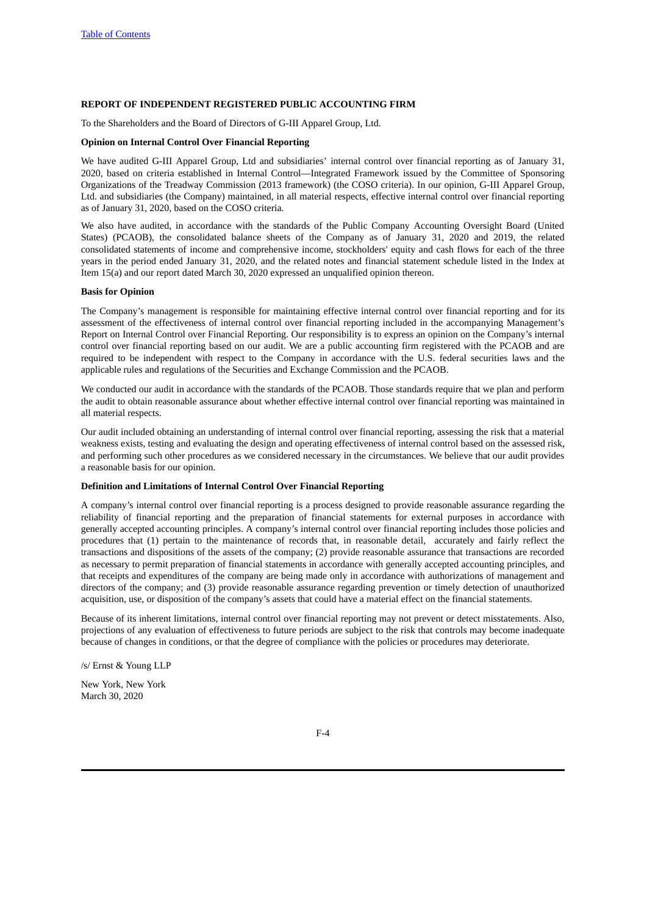#### **REPORT OF INDEPENDENT REGISTERED PUBLIC ACCOUNTING FIRM**

To the Shareholders and the Board of Directors of G-III Apparel Group, Ltd.

#### **Opinion on Internal Control Over Financial Reporting**

We have audited G-III Apparel Group, Ltd and subsidiaries' internal control over financial reporting as of January 31, 2020, based on criteria established in Internal Control—Integrated Framework issued by the Committee of Sponsoring Organizations of the Treadway Commission (2013 framework) (the COSO criteria). In our opinion, G-III Apparel Group, Ltd. and subsidiaries (the Company) maintained, in all material respects, effective internal control over financial reporting as of January 31, 2020, based on the COSO criteria.

We also have audited, in accordance with the standards of the Public Company Accounting Oversight Board (United States) (PCAOB), the consolidated balance sheets of the Company as of January 31, 2020 and 2019, the related consolidated statements of income and comprehensive income, stockholders' equity and cash flows for each of the three years in the period ended January 31, 2020, and the related notes and financial statement schedule listed in the Index at Item 15(a) and our report dated March 30, 2020 expressed an unqualified opinion thereon.

#### **Basis for Opinion**

The Company's management is responsible for maintaining effective internal control over financial reporting and for its assessment of the effectiveness of internal control over financial reporting included in the accompanying Management's Report on Internal Control over Financial Reporting. Our responsibility is to express an opinion on the Company's internal control over financial reporting based on our audit. We are a public accounting firm registered with the PCAOB and are required to be independent with respect to the Company in accordance with the U.S. federal securities laws and the applicable rules and regulations of the Securities and Exchange Commission and the PCAOB.

We conducted our audit in accordance with the standards of the PCAOB. Those standards require that we plan and perform the audit to obtain reasonable assurance about whether effective internal control over financial reporting was maintained in all material respects.

Our audit included obtaining an understanding of internal control over financial reporting, assessing the risk that a material weakness exists, testing and evaluating the design and operating effectiveness of internal control based on the assessed risk, and performing such other procedures as we considered necessary in the circumstances. We believe that our audit provides a reasonable basis for our opinion.

#### **Definition and Limitations of Internal Control Over Financial Reporting**

A company's internal control over financial reporting is a process designed to provide reasonable assurance regarding the reliability of financial reporting and the preparation of financial statements for external purposes in accordance with generally accepted accounting principles. A company's internal control over financial reporting includes those policies and procedures that (1) pertain to the maintenance of records that, in reasonable detail, accurately and fairly reflect the transactions and dispositions of the assets of the company; (2) provide reasonable assurance that transactions are recorded as necessary to permit preparation of financial statements in accordance with generally accepted accounting principles, and that receipts and expenditures of the company are being made only in accordance with authorizations of management and directors of the company; and (3) provide reasonable assurance regarding prevention or timely detection of unauthorized acquisition, use, or disposition of the company's assets that could have a material effect on the financial statements.

Because of its inherent limitations, internal control over financial reporting may not prevent or detect misstatements. Also, projections of any evaluation of effectiveness to future periods are subject to the risk that controls may become inadequate because of changes in conditions, or that the degree of compliance with the policies or procedures may deteriorate.

#### /s/ Ernst & Young LLP

New York, New York March 30, 2020

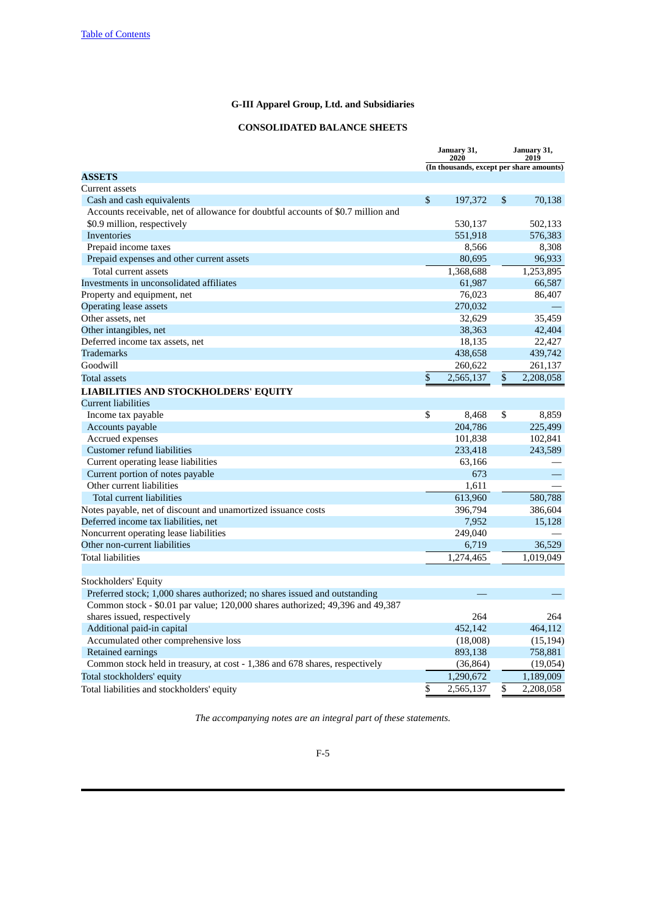# **G-III Apparel Group, Ltd. and Subsidiaries**

# **CONSOLIDATED BALANCE SHEETS**

<span id="page-71-0"></span>

|                                                                                                              |    | January 31,<br>January 31,<br>2020<br>2019 |    |           |
|--------------------------------------------------------------------------------------------------------------|----|--------------------------------------------|----|-----------|
|                                                                                                              |    | (In thousands, except per share amounts)   |    |           |
| <b>ASSETS</b>                                                                                                |    |                                            |    |           |
| Current assets                                                                                               |    |                                            |    |           |
| Cash and cash equivalents                                                                                    | \$ | 197,372                                    | \$ | 70,138    |
| Accounts receivable, net of allowance for doubtful accounts of \$0.7 million and                             |    |                                            |    |           |
| \$0.9 million, respectively                                                                                  |    | 530,137                                    |    | 502,133   |
| Inventories                                                                                                  |    | 551,918                                    |    | 576,383   |
| Prepaid income taxes                                                                                         |    | 8,566                                      |    | 8,308     |
| Prepaid expenses and other current assets                                                                    |    | 80,695                                     |    | 96,933    |
| Total current assets                                                                                         |    | 1,368,688                                  |    | 1,253,895 |
| Investments in unconsolidated affiliates                                                                     |    | 61,987                                     |    | 66,587    |
| Property and equipment, net                                                                                  |    | 76,023                                     |    | 86,407    |
| <b>Operating lease assets</b>                                                                                |    | 270,032                                    |    |           |
| Other assets, net                                                                                            |    | 32,629                                     |    | 35,459    |
| Other intangibles, net                                                                                       |    | 38,363                                     |    | 42,404    |
| Deferred income tax assets, net                                                                              |    | 18,135                                     |    | 22,427    |
| <b>Trademarks</b>                                                                                            |    | 438,658                                    |    | 439,742   |
| Goodwill                                                                                                     |    | 260,622                                    |    | 261,137   |
| Total assets                                                                                                 | \$ | 2,565,137                                  | \$ | 2,208,058 |
| LIABILITIES AND STOCKHOLDERS' EQUITY                                                                         |    |                                            |    |           |
| <b>Current liabilities</b>                                                                                   |    |                                            |    |           |
| Income tax payable                                                                                           | \$ | 8,468                                      | \$ | 8,859     |
| Accounts payable                                                                                             |    | 204,786                                    |    | 225,499   |
| Accrued expenses                                                                                             |    | 101,838                                    |    | 102,841   |
| Customer refund liabilities                                                                                  |    | 233,418                                    |    | 243,589   |
| Current operating lease liabilities                                                                          |    | 63,166                                     |    |           |
| Current portion of notes payable                                                                             |    | 673                                        |    |           |
| Other current liabilities                                                                                    |    | 1,611                                      |    |           |
| Total current liabilities                                                                                    |    | 613,960                                    |    | 580,788   |
| Notes payable, net of discount and unamortized issuance costs                                                |    | 396,794                                    |    | 386,604   |
| Deferred income tax liabilities, net                                                                         |    | 7,952                                      |    | 15,128    |
| Noncurrent operating lease liabilities                                                                       |    | 249,040                                    |    |           |
| Other non-current liabilities                                                                                |    | 6,719                                      |    | 36,529    |
| <b>Total liabilities</b>                                                                                     |    | 1,274,465                                  |    | 1,019,049 |
|                                                                                                              |    |                                            |    |           |
|                                                                                                              |    |                                            |    |           |
| Stockholders' Equity                                                                                         |    |                                            |    |           |
| Preferred stock; 1,000 shares authorized; no shares issued and outstanding                                   |    |                                            |    |           |
| Common stock - \$0.01 par value; 120,000 shares authorized; 49,396 and 49,387<br>shares issued, respectively |    | 264                                        |    | 264       |
|                                                                                                              |    |                                            |    |           |
| Additional paid-in capital                                                                                   |    | 452,142                                    |    | 464,112   |
| Accumulated other comprehensive loss                                                                         |    | (18,008)                                   |    | (15, 194) |
| Retained earnings                                                                                            |    | 893,138                                    |    | 758,881   |
| Common stock held in treasury, at cost - 1,386 and 678 shares, respectively                                  |    | (36, 864)                                  |    | (19,054)  |
| Total stockholders' equity                                                                                   |    | 1,290,672                                  |    | 1,189,009 |
| Total liabilities and stockholders' equity                                                                   | \$ | 2,565,137                                  | \$ | 2,208,058 |

*The accompanying notes are an integral part of these statements.*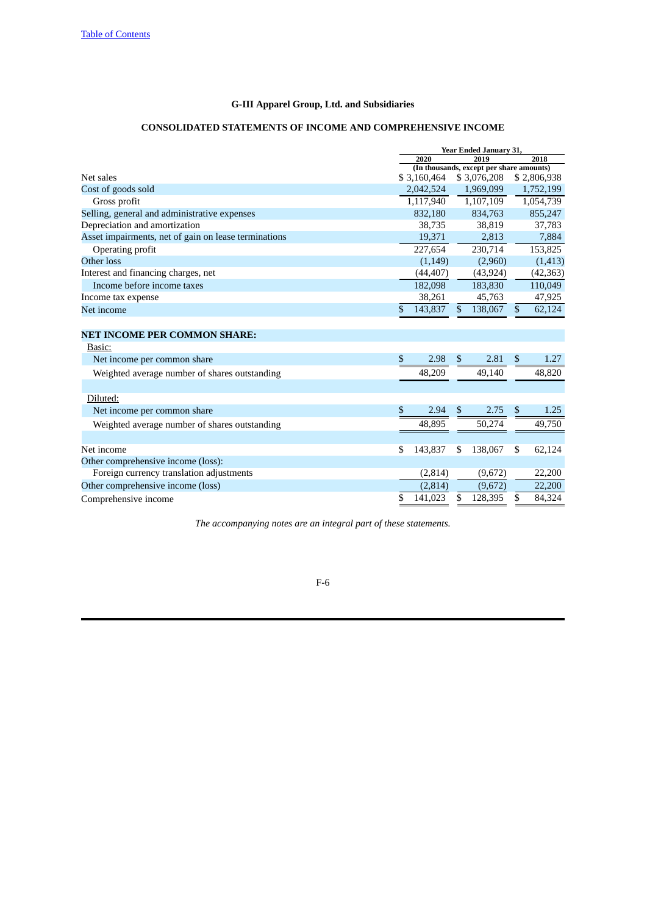# **CONSOLIDATED STATEMENTS OF INCOME AND COMPREHENSIVE INCOME**

|                                                      | <b>Year Ended January 31,</b> |                                                  |                        |  |  |  |
|------------------------------------------------------|-------------------------------|--------------------------------------------------|------------------------|--|--|--|
|                                                      | 2020                          | 2019<br>(In thousands, except per share amounts) | 2018                   |  |  |  |
| Net sales                                            | \$3,160,464                   | \$3,076,208                                      | \$2,806,938            |  |  |  |
| Cost of goods sold                                   | 2,042,524                     | 1,969,099                                        | 1,752,199              |  |  |  |
| Gross profit                                         | 1,117,940                     | 1,107,109                                        | 1,054,739              |  |  |  |
| Selling, general and administrative expenses         | 832,180                       | 834,763                                          | 855,247                |  |  |  |
| Depreciation and amortization                        | 38,735                        | 38,819                                           | 37,783                 |  |  |  |
| Asset impairments, net of gain on lease terminations | 19,371                        | 2,813                                            | 7,884                  |  |  |  |
| Operating profit                                     | 227,654                       | 230,714                                          | 153,825                |  |  |  |
| Other loss                                           | (1, 149)                      | (2,960)                                          | (1, 413)               |  |  |  |
| Interest and financing charges, net                  | (44, 407)                     | (43, 924)                                        | (42, 363)              |  |  |  |
| Income before income taxes                           | 182,098                       | 183,830                                          | 110,049                |  |  |  |
| Income tax expense                                   | 38,261                        | 45,763                                           | 47,925                 |  |  |  |
| Net income                                           | \$<br>143,837                 | $\mathbb{S}$<br>138,067                          | 62,124<br>\$           |  |  |  |
|                                                      |                               |                                                  |                        |  |  |  |
| <b>NET INCOME PER COMMON SHARE:</b>                  |                               |                                                  |                        |  |  |  |
| Basic:                                               |                               |                                                  |                        |  |  |  |
| Net income per common share                          | \$<br>2.98                    | 2.81<br><sup>\$</sup>                            | \$<br>1.27             |  |  |  |
| Weighted average number of shares outstanding        | 48,209                        | 49,140                                           | 48,820                 |  |  |  |
|                                                      |                               |                                                  |                        |  |  |  |
| Diluted:                                             |                               |                                                  |                        |  |  |  |
| Net income per common share                          | \$<br>2.94                    | $\mathfrak{s}$<br>2.75                           | $\mathfrak{s}$<br>1.25 |  |  |  |
| Weighted average number of shares outstanding        | 48,895                        | 50,274                                           | 49,750                 |  |  |  |
|                                                      |                               |                                                  |                        |  |  |  |
| Net income                                           | 143,837<br>\$                 | 138,067<br>\$                                    | \$<br>62,124           |  |  |  |
| Other comprehensive income (loss):                   |                               |                                                  |                        |  |  |  |
| Foreign currency translation adjustments             | (2,814)                       | (9,672)                                          | 22,200                 |  |  |  |
| Other comprehensive income (loss)                    | (2,814)                       | (9,672)                                          | 22,200                 |  |  |  |
| Comprehensive income                                 | \$<br>141,023                 | 128,395<br>\$                                    | \$<br>84,324           |  |  |  |

*The accompanying notes are an integral part of these statements.*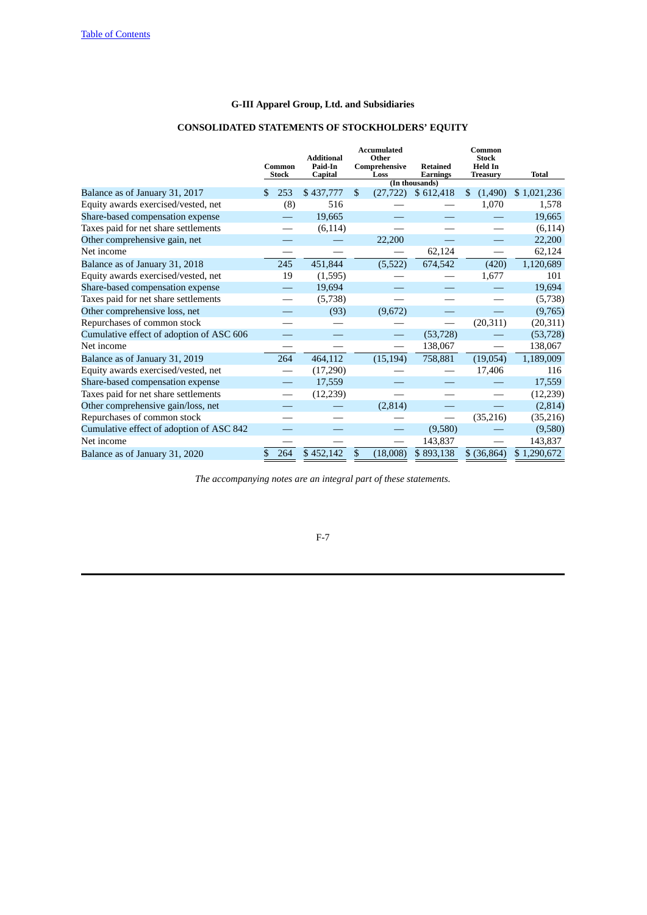# **CONSOLIDATED STATEMENTS OF STOCKHOLDERS' EQUITY**

|                                          |     | Common<br><b>Stock</b> | <b>Additional</b><br>Paid-In<br>Capital |              | <b>Accumulated</b><br>Other<br>Comprehensive<br>Loss | <b>Retained</b><br><b>Earnings</b> | Common<br><b>Stock</b><br><b>Held In</b><br><b>Treasury</b> | <b>Total</b> |
|------------------------------------------|-----|------------------------|-----------------------------------------|--------------|------------------------------------------------------|------------------------------------|-------------------------------------------------------------|--------------|
|                                          |     |                        |                                         |              |                                                      | (In thousands)                     |                                                             |              |
| Balance as of January 31, 2017           | \$. | 253                    | \$437,777                               | $\mathbb{S}$ | (27, 722)                                            | \$612,418                          | \$<br>(1,490)                                               | \$1,021,236  |
| Equity awards exercised/vested, net      |     | (8)                    | 516                                     |              |                                                      |                                    | 1,070                                                       | 1,578        |
| Share-based compensation expense         |     |                        | 19,665                                  |              |                                                      |                                    |                                                             | 19,665       |
| Taxes paid for net share settlements     |     |                        | (6, 114)                                |              |                                                      |                                    |                                                             | (6, 114)     |
| Other comprehensive gain, net            |     |                        |                                         |              | 22,200                                               |                                    |                                                             | 22,200       |
| Net income                               |     |                        |                                         |              |                                                      | 62,124                             |                                                             | 62,124       |
| Balance as of January 31, 2018           |     | 245                    | 451,844                                 |              | (5,522)                                              | 674,542                            | (420)                                                       | 1,120,689    |
| Equity awards exercised/vested, net      |     | 19                     | (1,595)                                 |              |                                                      |                                    | 1,677                                                       | 101          |
| Share-based compensation expense         |     |                        | 19,694                                  |              |                                                      |                                    |                                                             | 19,694       |
| Taxes paid for net share settlements     |     |                        | (5,738)                                 |              |                                                      |                                    |                                                             | (5,738)      |
| Other comprehensive loss, net            |     |                        | (93)                                    |              | (9,672)                                              |                                    |                                                             | (9,765)      |
| Repurchases of common stock              |     |                        |                                         |              |                                                      |                                    | (20, 311)                                                   | (20, 311)    |
| Cumulative effect of adoption of ASC 606 |     |                        |                                         |              |                                                      | (53, 728)                          |                                                             | (53, 728)    |
| Net income                               |     |                        |                                         |              |                                                      | 138,067                            |                                                             | 138,067      |
| Balance as of January 31, 2019           |     | 264                    | 464,112                                 |              | (15, 194)                                            | 758,881                            | (19,054)                                                    | 1,189,009    |
| Equity awards exercised/vested, net      |     |                        | (17,290)                                |              |                                                      |                                    | 17,406                                                      | 116          |
| Share-based compensation expense         |     |                        | 17,559                                  |              |                                                      |                                    |                                                             | 17,559       |
| Taxes paid for net share settlements     |     |                        | (12, 239)                               |              |                                                      |                                    |                                                             | (12, 239)    |
| Other comprehensive gain/loss, net       |     |                        |                                         |              | (2,814)                                              |                                    |                                                             | (2,814)      |
| Repurchases of common stock              |     |                        |                                         |              |                                                      |                                    | (35,216)                                                    | (35,216)     |
| Cumulative effect of adoption of ASC 842 |     |                        |                                         |              |                                                      | (9,580)                            |                                                             | (9,580)      |
| Net income                               |     |                        |                                         |              |                                                      | 143,837                            |                                                             | 143,837      |
| Balance as of January 31, 2020           | \$  | 264                    | \$452,142                               | \$           | (18,008)                                             | \$893,138                          | $$$ (36,864)                                                | \$1,290,672  |

*The accompanying notes are an integral part of these statements.*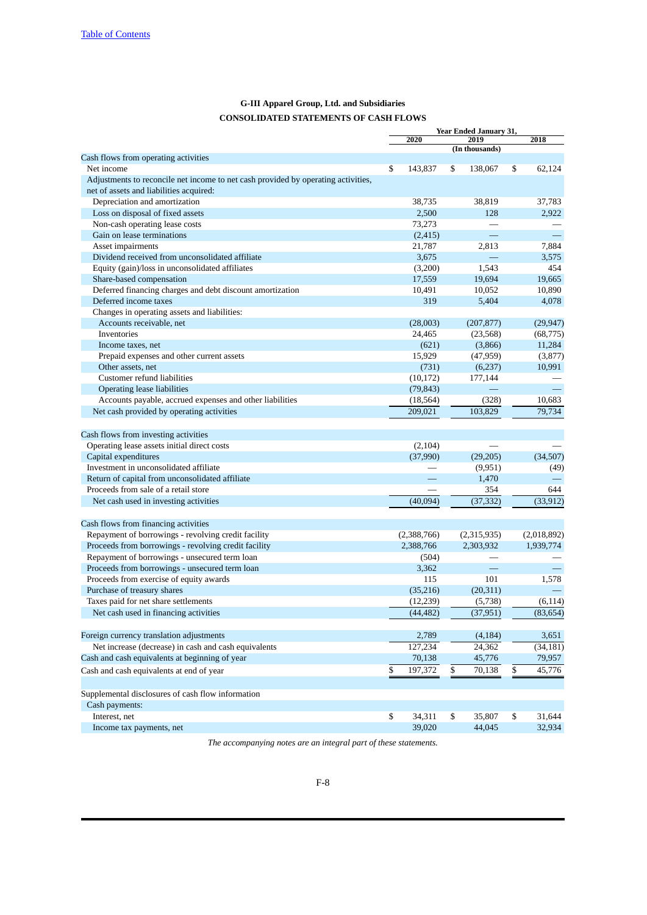# **G-III Apparel Group, Ltd. and Subsidiaries CONSOLIDATED STATEMENTS OF CASH FLOWS**

|                                                                                   | 2020          | Year Ended January 31,<br>2019 | 2018         |
|-----------------------------------------------------------------------------------|---------------|--------------------------------|--------------|
|                                                                                   |               | (In thousands)                 |              |
| Cash flows from operating activities                                              |               |                                |              |
| Net income                                                                        | \$<br>143,837 | \$<br>138,067                  | \$<br>62,124 |
| Adjustments to reconcile net income to net cash provided by operating activities, |               |                                |              |
| net of assets and liabilities acquired:                                           |               |                                |              |
| Depreciation and amortization                                                     | 38,735        | 38,819                         | 37,783       |
| Loss on disposal of fixed assets                                                  | 2,500         | 128                            | 2,922        |
| Non-cash operating lease costs                                                    | 73,273        |                                |              |
| Gain on lease terminations                                                        | (2, 415)      |                                |              |
| Asset impairments                                                                 | 21,787        | 2,813                          | 7,884        |
| Dividend received from unconsolidated affiliate                                   | 3,675         |                                | 3,575        |
| Equity (gain)/loss in unconsolidated affiliates                                   | (3,200)       | 1,543                          | 454          |
| Share-based compensation                                                          | 17,559        | 19,694                         | 19,665       |
| Deferred financing charges and debt discount amortization                         | 10,491        | 10,052                         | 10,890       |
| Deferred income taxes                                                             | 319           | 5,404                          | 4,078        |
| Changes in operating assets and liabilities:                                      |               |                                |              |
| Accounts receivable, net                                                          | (28,003)      | (207, 877)                     | (29, 947)    |
| Inventories                                                                       | 24,465        | (23, 568)                      | (68, 775)    |
| Income taxes, net                                                                 | (621)         | (3,866)                        | 11,284       |
| Prepaid expenses and other current assets                                         | 15,929        | (47,959)                       | (3,877)      |
| Other assets, net                                                                 | (731)         | (6,237)                        | 10,991       |
| Customer refund liabilities                                                       | (10, 172)     | 177,144                        |              |
| <b>Operating lease liabilities</b>                                                | (79, 843)     |                                |              |
| Accounts payable, accrued expenses and other liabilities                          | (18, 564)     | (328)                          | 10,683       |
| Net cash provided by operating activities                                         | 209,021       | 103,829                        | 79,734       |
| Cash flows from investing activities                                              |               |                                |              |
| Operating lease assets initial direct costs                                       | (2,104)       |                                |              |
| Capital expenditures                                                              | (37,990)      | (29, 205)                      | (34,507)     |
| Investment in unconsolidated affiliate                                            |               | (9,951)                        | (49)         |
| Return of capital from unconsolidated affiliate                                   |               | 1,470                          |              |
| Proceeds from sale of a retail store                                              |               | 354                            | 644          |
| Net cash used in investing activities                                             | (40,094)      | (37, 332)                      | (33, 912)    |
| Cash flows from financing activities                                              |               |                                |              |
| Repayment of borrowings - revolving credit facility                               | (2,388,766)   | (2,315,935)                    | (2,018,892)  |
| Proceeds from borrowings - revolving credit facility                              | 2,388,766     | 2,303,932                      | 1,939,774    |
| Repayment of borrowings - unsecured term loan                                     | (504)         |                                |              |
| Proceeds from borrowings - unsecured term loan                                    | 3,362         |                                |              |
| Proceeds from exercise of equity awards                                           | 115           | 101                            | 1,578        |
| Purchase of treasury shares                                                       | (35, 216)     | (20, 311)                      |              |
| Taxes paid for net share settlements                                              | (12, 239)     | (5,738)                        | (6, 114)     |
| Net cash used in financing activities                                             | (44,482)      | (37,951)                       | (83,654)     |
|                                                                                   |               |                                |              |
| Foreign currency translation adjustments                                          | 2,789         | (4, 184)                       | 3,651        |
| Net increase (decrease) in cash and cash equivalents                              | 127,234       | 24,362                         | (34, 181)    |
| Cash and cash equivalents at beginning of year                                    | 70,138        | 45,776                         | 79,957       |
| Cash and cash equivalents at end of year                                          | \$<br>197,372 | \$<br>70,138                   | \$<br>45,776 |
| Supplemental disclosures of cash flow information                                 |               |                                |              |
| Cash payments:                                                                    |               |                                |              |
| Interest, net                                                                     | \$<br>34,311  | \$<br>35,807                   | \$<br>31,644 |
| Income tax payments, net                                                          | 39,020        | 44,045                         | 32,934       |

*The accompanying notes are an integral part of these statements.*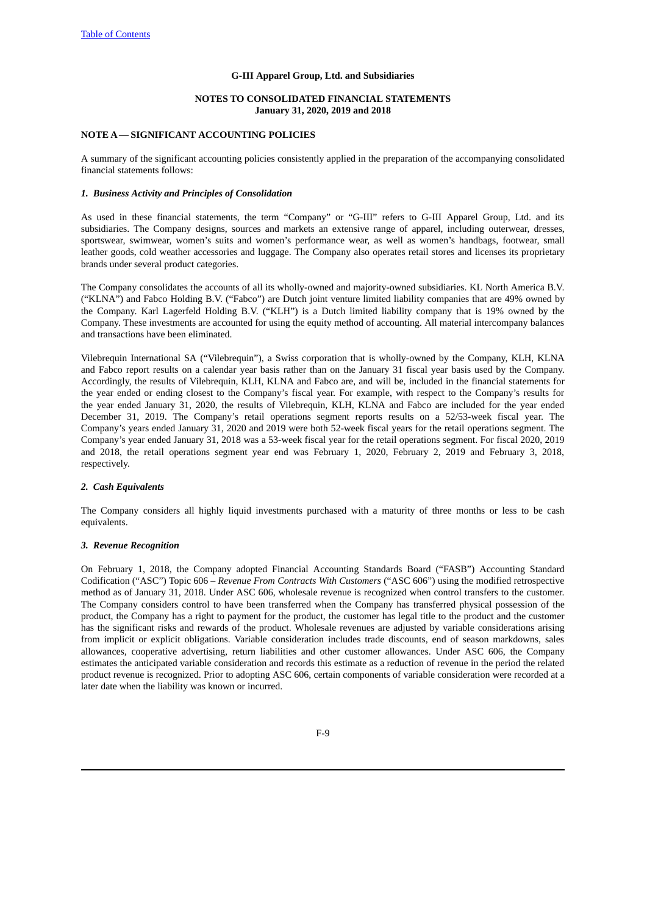#### **NOTES TO CONSOLIDATED FINANCIAL STATEMENTS January 31, 2020, 2019 and 2018**

#### **NOTE A— SIGNIFICANT ACCOUNTING POLICIES**

A summary of the significant accounting policies consistently applied in the preparation of the accompanying consolidated financial statements follows:

#### *1. Business Activity and Principles of Consolidation*

As used in these financial statements, the term "Company" or "G-III" refers to G-III Apparel Group, Ltd. and its subsidiaries. The Company designs, sources and markets an extensive range of apparel, including outerwear, dresses, sportswear, swimwear, women's suits and women's performance wear, as well as women's handbags, footwear, small leather goods, cold weather accessories and luggage. The Company also operates retail stores and licenses its proprietary brands under several product categories.

The Company consolidates the accounts of all its wholly-owned and majority-owned subsidiaries. KL North America B.V. ("KLNA") and Fabco Holding B.V. ("Fabco") are Dutch joint venture limited liability companies that are 49% owned by the Company. Karl Lagerfeld Holding B.V. ("KLH") is a Dutch limited liability company that is 19% owned by the Company. These investments are accounted for using the equity method of accounting. All material intercompany balances and transactions have been eliminated.

Vilebrequin International SA ("Vilebrequin"), a Swiss corporation that is wholly-owned by the Company, KLH, KLNA and Fabco report results on a calendar year basis rather than on the January 31 fiscal year basis used by the Company. Accordingly, the results of Vilebrequin, KLH, KLNA and Fabco are, and will be, included in the financial statements for the year ended or ending closest to the Company's fiscal year. For example, with respect to the Company's results for the year ended January 31, 2020, the results of Vilebrequin, KLH, KLNA and Fabco are included for the year ended December 31, 2019. The Company's retail operations segment reports results on a 52/53-week fiscal year. The Company's years ended January 31, 2020 and 2019 were both 52-week fiscal years for the retail operations segment. The Company's year ended January 31, 2018 was a 53-week fiscal year for the retail operations segment. For fiscal 2020, 2019 and 2018, the retail operations segment year end was February 1, 2020, February 2, 2019 and February 3, 2018, respectively.

#### *2. Cash Equivalents*

The Company considers all highly liquid investments purchased with a maturity of three months or less to be cash equivalents.

### *3. Revenue Recognition*

On February 1, 2018, the Company adopted Financial Accounting Standards Board ("FASB") Accounting Standard Codification ("ASC") Topic 606 – *Revenue From Contracts With Customers* ("ASC 606") using the modified retrospective method as of January 31, 2018. Under ASC 606, wholesale revenue is recognized when control transfers to the customer. The Company considers control to have been transferred when the Company has transferred physical possession of the product, the Company has a right to payment for the product, the customer has legal title to the product and the customer has the significant risks and rewards of the product. Wholesale revenues are adjusted by variable considerations arising from implicit or explicit obligations. Variable consideration includes trade discounts, end of season markdowns, sales allowances, cooperative advertising, return liabilities and other customer allowances. Under ASC 606, the Company estimates the anticipated variable consideration and records this estimate as a reduction of revenue in the period the related product revenue is recognized. Prior to adopting ASC 606, certain components of variable consideration were recorded at a later date when the liability was known or incurred.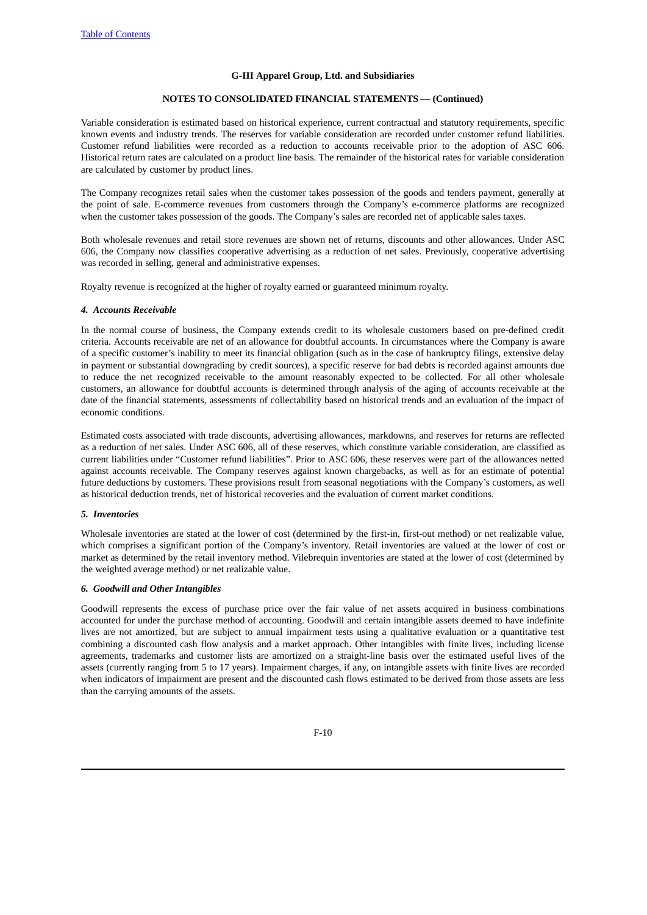## **NOTES TO CONSOLIDATED FINANCIAL STATEMENTS — (Continued)**

Variable consideration is estimated based on historical experience, current contractual and statutory requirements, specific known events and industry trends. The reserves for variable consideration are recorded under customer refund liabilities. Customer refund liabilities were recorded as a reduction to accounts receivable prior to the adoption of ASC 606. Historical return rates are calculated on a product line basis. The remainder of the historical rates for variable consideration are calculated by customer by product lines.

The Company recognizes retail sales when the customer takes possession of the goods and tenders payment, generally at the point of sale. E-commerce revenues from customers through the Company's e-commerce platforms are recognized when the customer takes possession of the goods. The Company's sales are recorded net of applicable sales taxes.

Both wholesale revenues and retail store revenues are shown net of returns, discounts and other allowances. Under ASC 606, the Company now classifies cooperative advertising as a reduction of net sales. Previously, cooperative advertising was recorded in selling, general and administrative expenses.

Royalty revenue is recognized at the higher of royalty earned or guaranteed minimum royalty.

### *4. Accounts Receivable*

In the normal course of business, the Company extends credit to its wholesale customers based on pre-defined credit criteria. Accounts receivable are net of an allowance for doubtful accounts. In circumstances where the Company is aware of a specific customer's inability to meet its financial obligation (such as in the case of bankruptcy filings, extensive delay in payment or substantial downgrading by credit sources), a specific reserve for bad debts is recorded against amounts due to reduce the net recognized receivable to the amount reasonably expected to be collected. For all other wholesale customers, an allowance for doubtful accounts is determined through analysis of the aging of accounts receivable at the date of the financial statements, assessments of collectability based on historical trends and an evaluation of the impact of economic conditions.

Estimated costs associated with trade discounts, advertising allowances, markdowns, and reserves for returns are reflected as a reduction of net sales. Under ASC 606, all of these reserves, which constitute variable consideration, are classified as current liabilities under "Customer refund liabilities". Prior to ASC 606, these reserves were part of the allowances netted against accounts receivable. The Company reserves against known chargebacks, as well as for an estimate of potential future deductions by customers. These provisions result from seasonal negotiations with the Company's customers, as well as historical deduction trends, net of historical recoveries and the evaluation of current market conditions.

#### *5. Inventories*

Wholesale inventories are stated at the lower of cost (determined by the first-in, first-out method) or net realizable value, which comprises a significant portion of the Company's inventory. Retail inventories are valued at the lower of cost or market as determined by the retail inventory method. Vilebrequin inventories are stated at the lower of cost (determined by the weighted average method) or net realizable value.

### *6. Goodwill and Other Intangibles*

Goodwill represents the excess of purchase price over the fair value of net assets acquired in business combinations accounted for under the purchase method of accounting. Goodwill and certain intangible assets deemed to have indefinite lives are not amortized, but are subject to annual impairment tests using a qualitative evaluation or a quantitative test combining a discounted cash flow analysis and a market approach. Other intangibles with finite lives, including license agreements, trademarks and customer lists are amortized on a straight-line basis over the estimated useful lives of the assets (currently ranging from 5 to 17 years). Impairment charges, if any, on intangible assets with finite lives are recorded when indicators of impairment are present and the discounted cash flows estimated to be derived from those assets are less than the carrying amounts of the assets.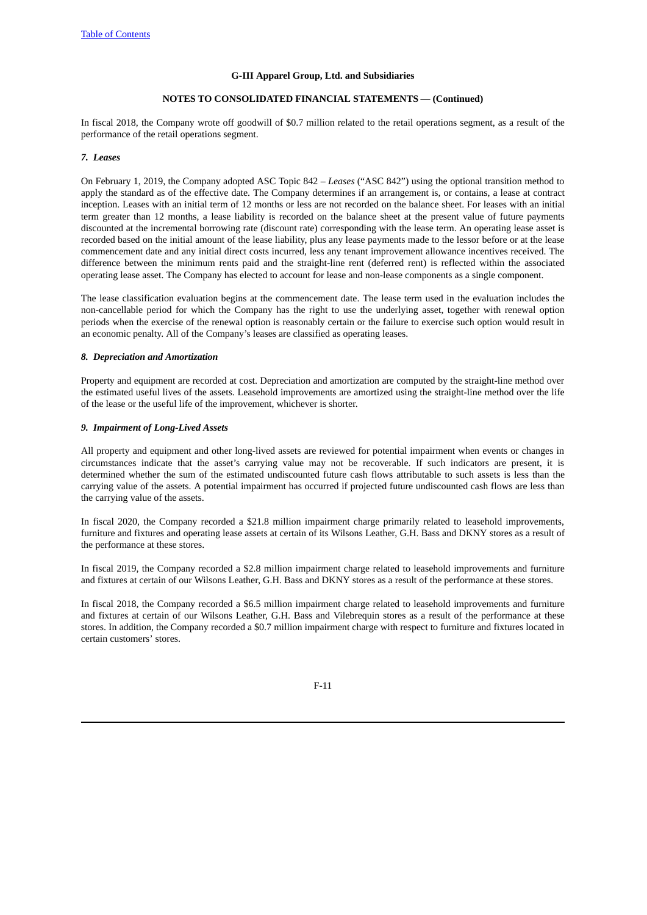### **NOTES TO CONSOLIDATED FINANCIAL STATEMENTS — (Continued)**

In fiscal 2018, the Company wrote off goodwill of \$0.7 million related to the retail operations segment, as a result of the performance of the retail operations segment.

#### *7. Leases*

On February 1, 2019, the Company adopted ASC Topic 842 – *Leases* ("ASC 842") using the optional transition method to apply the standard as of the effective date. The Company determines if an arrangement is, or contains, a lease at contract inception. Leases with an initial term of 12 months or less are not recorded on the balance sheet. For leases with an initial term greater than 12 months, a lease liability is recorded on the balance sheet at the present value of future payments discounted at the incremental borrowing rate (discount rate) corresponding with the lease term. An operating lease asset is recorded based on the initial amount of the lease liability, plus any lease payments made to the lessor before or at the lease commencement date and any initial direct costs incurred, less any tenant improvement allowance incentives received. The difference between the minimum rents paid and the straight-line rent (deferred rent) is reflected within the associated operating lease asset. The Company has elected to account for lease and non-lease components as a single component.

The lease classification evaluation begins at the commencement date. The lease term used in the evaluation includes the non-cancellable period for which the Company has the right to use the underlying asset, together with renewal option periods when the exercise of the renewal option is reasonably certain or the failure to exercise such option would result in an economic penalty. All of the Company's leases are classified as operating leases.

#### *8. Depreciation and Amortization*

Property and equipment are recorded at cost. Depreciation and amortization are computed by the straight-line method over the estimated useful lives of the assets. Leasehold improvements are amortized using the straight-line method over the life of the lease or the useful life of the improvement, whichever is shorter.

### *9. Impairment of Long-Lived Assets*

All property and equipment and other long-lived assets are reviewed for potential impairment when events or changes in circumstances indicate that the asset's carrying value may not be recoverable. If such indicators are present, it is determined whether the sum of the estimated undiscounted future cash flows attributable to such assets is less than the carrying value of the assets. A potential impairment has occurred if projected future undiscounted cash flows are less than the carrying value of the assets.

In fiscal 2020, the Company recorded a \$21.8 million impairment charge primarily related to leasehold improvements, furniture and fixtures and operating lease assets at certain of its Wilsons Leather, G.H. Bass and DKNY stores as a result of the performance at these stores.

In fiscal 2019, the Company recorded a \$2.8 million impairment charge related to leasehold improvements and furniture and fixtures at certain of our Wilsons Leather, G.H. Bass and DKNY stores as a result of the performance at these stores.

In fiscal 2018, the Company recorded a \$6.5 million impairment charge related to leasehold improvements and furniture and fixtures at certain of our Wilsons Leather, G.H. Bass and Vilebrequin stores as a result of the performance at these stores. In addition, the Company recorded a \$0.7 million impairment charge with respect to furniture and fixtures located in certain customers' stores.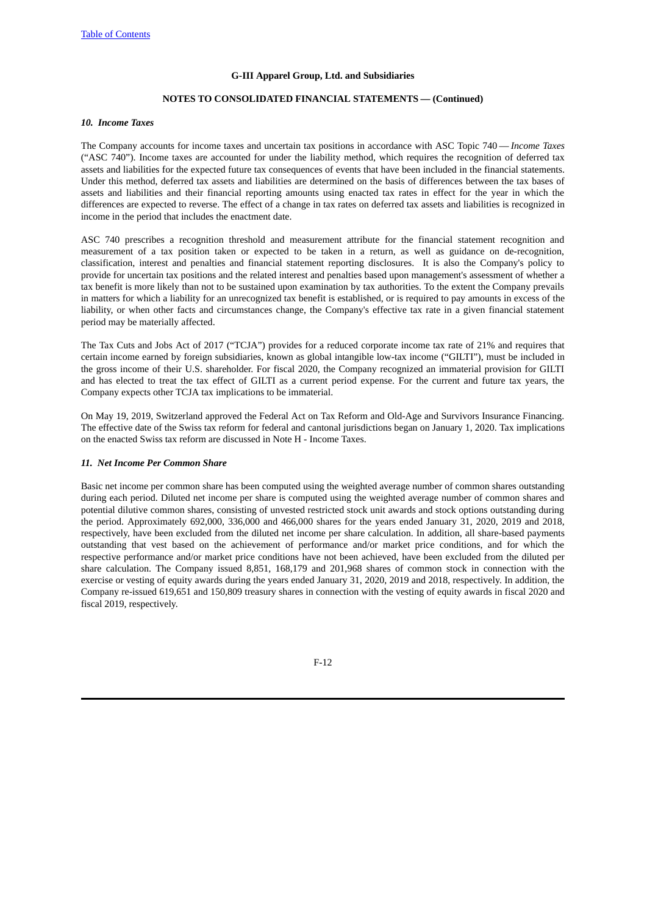## **NOTES TO CONSOLIDATED FINANCIAL STATEMENTS — (Continued)**

#### *10. Income Taxes*

The Company accounts for income taxes and uncertain tax positions in accordance with ASC Topic 740 — *Income Taxes* ("ASC 740"). Income taxes are accounted for under the liability method, which requires the recognition of deferred tax assets and liabilities for the expected future tax consequences of events that have been included in the financial statements. Under this method, deferred tax assets and liabilities are determined on the basis of differences between the tax bases of assets and liabilities and their financial reporting amounts using enacted tax rates in effect for the year in which the differences are expected to reverse. The effect of a change in tax rates on deferred tax assets and liabilities is recognized in income in the period that includes the enactment date.

ASC 740 prescribes a recognition threshold and measurement attribute for the financial statement recognition and measurement of a tax position taken or expected to be taken in a return, as well as guidance on de-recognition, classification, interest and penalties and financial statement reporting disclosures. It is also the Company's policy to provide for uncertain tax positions and the related interest and penalties based upon management's assessment of whether a tax benefit is more likely than not to be sustained upon examination by tax authorities. To the extent the Company prevails in matters for which a liability for an unrecognized tax benefit is established, or is required to pay amounts in excess of the liability, or when other facts and circumstances change, the Company's effective tax rate in a given financial statement period may be materially affected.

The Tax Cuts and Jobs Act of 2017 ("TCJA") provides for a reduced corporate income tax rate of 21% and requires that certain income earned by foreign subsidiaries, known as global intangible low-tax income ("GILTI"), must be included in the gross income of their U.S. shareholder. For fiscal 2020, the Company recognized an immaterial provision for GILTI and has elected to treat the tax effect of GILTI as a current period expense. For the current and future tax years, the Company expects other TCJA tax implications to be immaterial.

On May 19, 2019, Switzerland approved the Federal Act on Tax Reform and Old-Age and Survivors Insurance Financing. The effective date of the Swiss tax reform for federal and cantonal jurisdictions began on January 1, 2020. Tax implications on the enacted Swiss tax reform are discussed in Note H - Income Taxes.

#### *11. Net Income Per Common Share*

Basic net income per common share has been computed using the weighted average number of common shares outstanding during each period. Diluted net income per share is computed using the weighted average number of common shares and potential dilutive common shares, consisting of unvested restricted stock unit awards and stock options outstanding during the period. Approximately 692,000, 336,000 and 466,000 shares for the years ended January 31, 2020, 2019 and 2018, respectively, have been excluded from the diluted net income per share calculation. In addition, all share-based payments outstanding that vest based on the achievement of performance and/or market price conditions, and for which the respective performance and/or market price conditions have not been achieved, have been excluded from the diluted per share calculation. The Company issued 8,851, 168,179 and 201,968 shares of common stock in connection with the exercise or vesting of equity awards during the years ended January 31, 2020, 2019 and 2018, respectively. In addition, the Company re-issued 619,651 and 150,809 treasury shares in connection with the vesting of equity awards in fiscal 2020 and fiscal 2019, respectively.

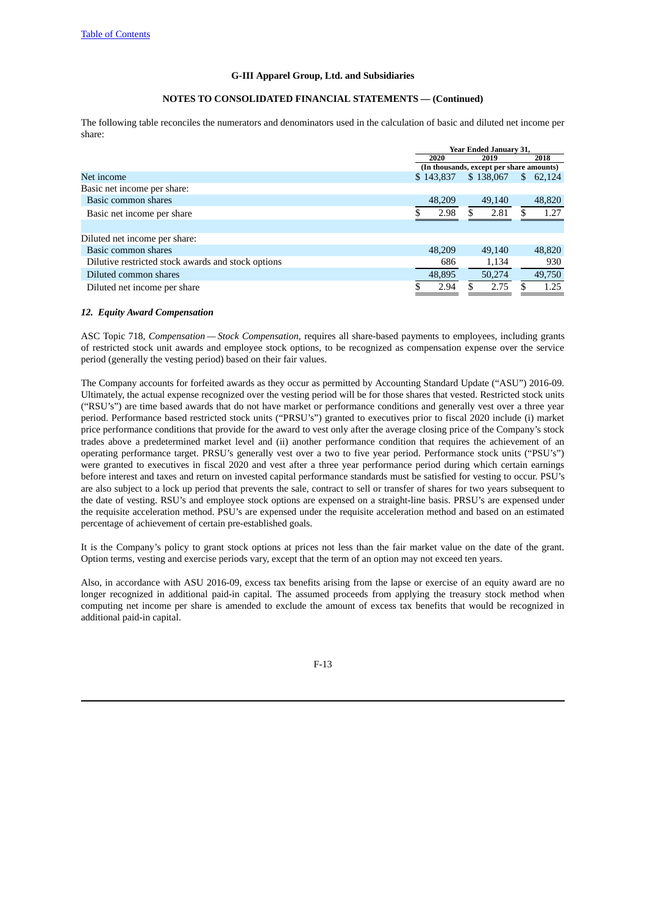### **NOTES TO CONSOLIDATED FINANCIAL STATEMENTS — (Continued)**

The following table reconciles the numerators and denominators used in the calculation of basic and diluted net income per share:

|                                                    | <b>Year Ended January 31.</b> |                                          |     |           |              |        |
|----------------------------------------------------|-------------------------------|------------------------------------------|-----|-----------|--------------|--------|
|                                                    |                               | 2020                                     |     | 2019      |              | 2018   |
|                                                    |                               | (In thousands, except per share amounts) |     |           |              |        |
| Net income                                         |                               | \$143,837                                |     | \$138,067 | $\mathbb{S}$ | 62,124 |
| Basic net income per share:                        |                               |                                          |     |           |              |        |
| Basic common shares                                |                               | 48,209                                   |     | 49,140    |              | 48,820 |
| Basic net income per share                         |                               | 2.98                                     | \$. | 2.81      |              | 1.27   |
|                                                    |                               |                                          |     |           |              |        |
| Diluted net income per share:                      |                               |                                          |     |           |              |        |
| Basic common shares                                |                               | 48,209                                   |     | 49,140    |              | 48,820 |
| Dilutive restricted stock awards and stock options |                               | 686                                      |     | 1,134     |              | 930    |
| Diluted common shares                              |                               | 48,895                                   |     | 50.274    |              | 49,750 |
| Diluted net income per share                       |                               | 2.94                                     |     | 2.75      |              | 1.25   |

#### *12. Equity Award Compensation*

ASC Topic 718, *Compensation — Stock Compensation*, requires all share-based payments to employees, including grants of restricted stock unit awards and employee stock options, to be recognized as compensation expense over the service period (generally the vesting period) based on their fair values.

The Company accounts for forfeited awards as they occur as permitted by Accounting Standard Update ("ASU") 2016-09. Ultimately, the actual expense recognized over the vesting period will be for those shares that vested. Restricted stock units ("RSU's") are time based awards that do not have market or performance conditions and generally vest over a three year period. Performance based restricted stock units ("PRSU's") granted to executives prior to fiscal 2020 include (i) market price performance conditions that provide for the award to vest only after the average closing price of the Company's stock trades above a predetermined market level and (ii) another performance condition that requires the achievement of an operating performance target. PRSU's generally vest over a two to five year period. Performance stock units ("PSU's") were granted to executives in fiscal 2020 and vest after a three year performance period during which certain earnings before interest and taxes and return on invested capital performance standards must be satisfied for vesting to occur. PSU's are also subject to a lock up period that prevents the sale, contract to sell or transfer of shares for two years subsequent to the date of vesting. RSU's and employee stock options are expensed on a straight-line basis. PRSU's are expensed under the requisite acceleration method. PSU's are expensed under the requisite acceleration method and based on an estimated percentage of achievement of certain pre-established goals.

It is the Company's policy to grant stock options at prices not less than the fair market value on the date of the grant. Option terms, vesting and exercise periods vary, except that the term of an option may not exceed ten years.

Also, in accordance with ASU 2016-09, excess tax benefits arising from the lapse or exercise of an equity award are no longer recognized in additional paid-in capital. The assumed proceeds from applying the treasury stock method when computing net income per share is amended to exclude the amount of excess tax benefits that would be recognized in additional paid-in capital.

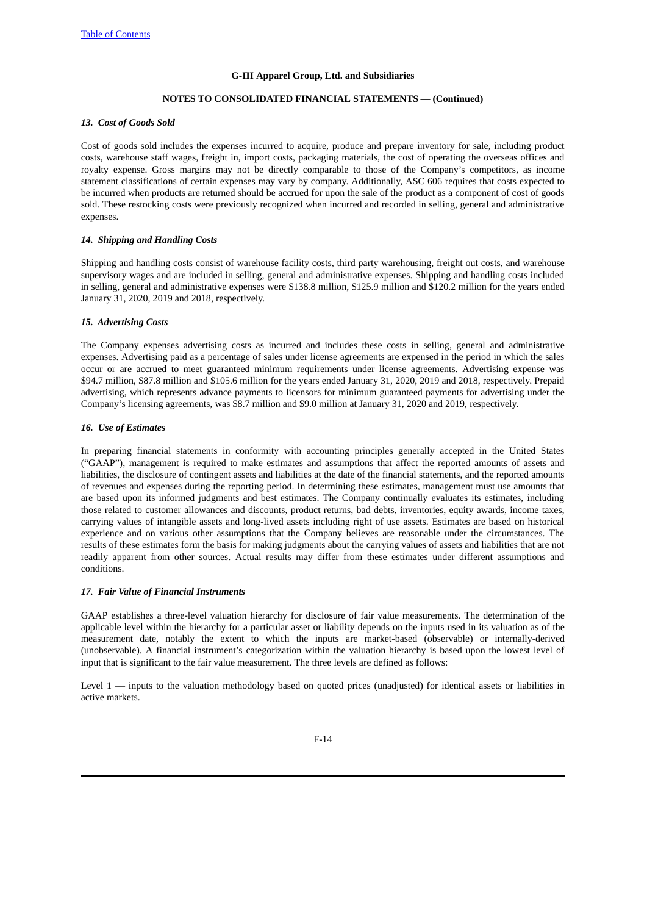## **NOTES TO CONSOLIDATED FINANCIAL STATEMENTS — (Continued)**

#### *13. Cost of Goods Sold*

Cost of goods sold includes the expenses incurred to acquire, produce and prepare inventory for sale, including product costs, warehouse staff wages, freight in, import costs, packaging materials, the cost of operating the overseas offices and royalty expense. Gross margins may not be directly comparable to those of the Company's competitors, as income statement classifications of certain expenses may vary by company. Additionally, ASC 606 requires that costs expected to be incurred when products are returned should be accrued for upon the sale of the product as a component of cost of goods sold. These restocking costs were previously recognized when incurred and recorded in selling, general and administrative expenses.

### *14. Shipping and Handling Costs*

Shipping and handling costs consist of warehouse facility costs, third party warehousing, freight out costs, and warehouse supervisory wages and are included in selling, general and administrative expenses. Shipping and handling costs included in selling, general and administrative expenses were \$138.8 million, \$125.9 million and \$120.2 million for the years ended January 31, 2020, 2019 and 2018, respectively.

### *15. Advertising Costs*

The Company expenses advertising costs as incurred and includes these costs in selling, general and administrative expenses. Advertising paid as a percentage of sales under license agreements are expensed in the period in which the sales occur or are accrued to meet guaranteed minimum requirements under license agreements. Advertising expense was \$94.7 million, \$87.8 million and \$105.6 million for the years ended January 31, 2020, 2019 and 2018, respectively. Prepaid advertising, which represents advance payments to licensors for minimum guaranteed payments for advertising under the Company's licensing agreements, was \$8.7 million and \$9.0 million at January 31, 2020 and 2019, respectively.

## *16. Use of Estimates*

In preparing financial statements in conformity with accounting principles generally accepted in the United States ("GAAP"), management is required to make estimates and assumptions that affect the reported amounts of assets and liabilities, the disclosure of contingent assets and liabilities at the date of the financial statements, and the reported amounts of revenues and expenses during the reporting period. In determining these estimates, management must use amounts that are based upon its informed judgments and best estimates. The Company continually evaluates its estimates, including those related to customer allowances and discounts, product returns, bad debts, inventories, equity awards, income taxes, carrying values of intangible assets and long-lived assets including right of use assets. Estimates are based on historical experience and on various other assumptions that the Company believes are reasonable under the circumstances. The results of these estimates form the basis for making judgments about the carrying values of assets and liabilities that are not readily apparent from other sources. Actual results may differ from these estimates under different assumptions and conditions.

### *17. Fair Value of Financial Instruments*

GAAP establishes a three-level valuation hierarchy for disclosure of fair value measurements. The determination of the applicable level within the hierarchy for a particular asset or liability depends on the inputs used in its valuation as of the measurement date, notably the extent to which the inputs are market-based (observable) or internally-derived (unobservable). A financial instrument's categorization within the valuation hierarchy is based upon the lowest level of input that is significant to the fair value measurement. The three levels are defined as follows:

Level 1 — inputs to the valuation methodology based on quoted prices (unadjusted) for identical assets or liabilities in active markets.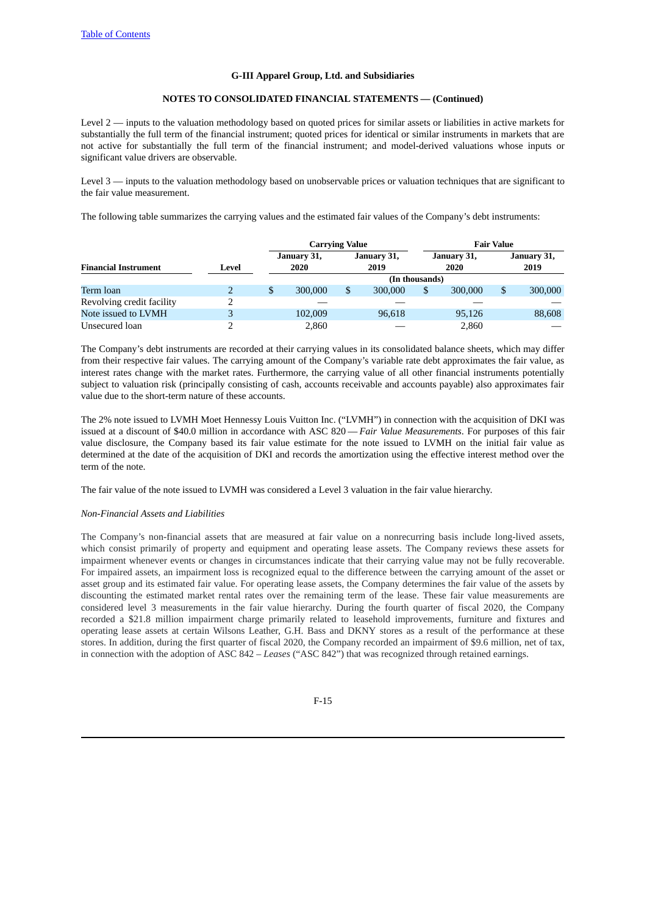## **NOTES TO CONSOLIDATED FINANCIAL STATEMENTS — (Continued)**

Level 2 — inputs to the valuation methodology based on quoted prices for similar assets or liabilities in active markets for substantially the full term of the financial instrument; quoted prices for identical or similar instruments in markets that are not active for substantially the full term of the financial instrument; and model-derived valuations whose inputs or significant value drivers are observable.

Level 3 — inputs to the valuation methodology based on unobservable prices or valuation techniques that are significant to the fair value measurement.

The following table summarizes the carrying values and the estimated fair values of the Company's debt instruments:

|                             |       | <b>Carrying Value</b> |   |                     |                     |         | <b>Fair Value</b> |                     |
|-----------------------------|-------|-----------------------|---|---------------------|---------------------|---------|-------------------|---------------------|
| <b>Financial Instrument</b> | Level | January 31,<br>2020   |   | January 31,<br>2019 | January 31,<br>2020 |         |                   | January 31,<br>2019 |
|                             |       |                       |   |                     | (In thousands)      |         |                   |                     |
| Term loan                   |       | \$<br>300,000         | S | 300,000             | \$                  | 300,000 |                   | 300,000             |
| Revolving credit facility   |       |                       |   |                     |                     |         |                   |                     |
| Note issued to LVMH         |       | 102,009               |   | 96.618              |                     | 95.126  |                   | 88,608              |
| Unsecured loan              |       | 2,860                 |   |                     |                     | 2,860   |                   |                     |

The Company's debt instruments are recorded at their carrying values in its consolidated balance sheets, which may differ from their respective fair values. The carrying amount of the Company's variable rate debt approximates the fair value, as interest rates change with the market rates. Furthermore, the carrying value of all other financial instruments potentially subject to valuation risk (principally consisting of cash, accounts receivable and accounts payable) also approximates fair value due to the short-term nature of these accounts.

The 2% note issued to LVMH Moet Hennessy Louis Vuitton Inc. ("LVMH") in connection with the acquisition of DKI was issued at a discount of \$40.0 million in accordance with ASC 820 — *Fair Value Measurements*. For purposes of this fair value disclosure, the Company based its fair value estimate for the note issued to LVMH on the initial fair value as determined at the date of the acquisition of DKI and records the amortization using the effective interest method over the term of the note.

The fair value of the note issued to LVMH was considered a Level 3 valuation in the fair value hierarchy.

### *Non-Financial Assets and Liabilities*

The Company's non-financial assets that are measured at fair value on a nonrecurring basis include long-lived assets, which consist primarily of property and equipment and operating lease assets. The Company reviews these assets for impairment whenever events or changes in circumstances indicate that their carrying value may not be fully recoverable. For impaired assets, an impairment loss is recognized equal to the difference between the carrying amount of the asset or asset group and its estimated fair value. For operating lease assets, the Company determines the fair value of the assets by discounting the estimated market rental rates over the remaining term of the lease. These fair value measurements are considered level 3 measurements in the fair value hierarchy. During the fourth quarter of fiscal 2020, the Company recorded a \$21.8 million impairment charge primarily related to leasehold improvements, furniture and fixtures and operating lease assets at certain Wilsons Leather, G.H. Bass and DKNY stores as a result of the performance at these stores. In addition, during the first quarter of fiscal 2020, the Company recorded an impairment of \$9.6 million, net of tax, in connection with the adoption of ASC 842 – *Leases* ("ASC 842") that was recognized through retained earnings.

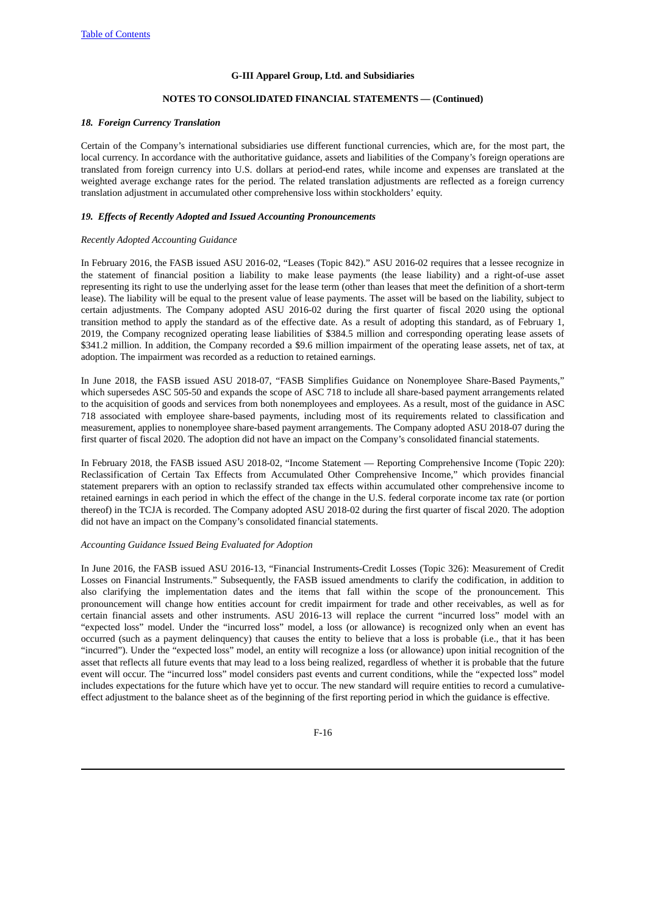## **NOTES TO CONSOLIDATED FINANCIAL STATEMENTS — (Continued)**

#### *18. Foreign Currency Translation*

Certain of the Company's international subsidiaries use different functional currencies, which are, for the most part, the local currency. In accordance with the authoritative guidance, assets and liabilities of the Company's foreign operations are translated from foreign currency into U.S. dollars at period-end rates, while income and expenses are translated at the weighted average exchange rates for the period. The related translation adjustments are reflected as a foreign currency translation adjustment in accumulated other comprehensive loss within stockholders' equity.

#### *19. Effects of Recently Adopted and Issued Accounting Pronouncements*

#### *Recently Adopted Accounting Guidance*

In February 2016, the FASB issued ASU 2016-02, "Leases (Topic 842)." ASU 2016-02 requires that a lessee recognize in the statement of financial position a liability to make lease payments (the lease liability) and a right-of-use asset representing its right to use the underlying asset for the lease term (other than leases that meet the definition of a short-term lease). The liability will be equal to the present value of lease payments. The asset will be based on the liability, subject to certain adjustments. The Company adopted ASU 2016-02 during the first quarter of fiscal 2020 using the optional transition method to apply the standard as of the effective date. As a result of adopting this standard, as of February 1, 2019, the Company recognized operating lease liabilities of \$384.5 million and corresponding operating lease assets of \$341.2 million. In addition, the Company recorded a \$9.6 million impairment of the operating lease assets, net of tax, at adoption. The impairment was recorded as a reduction to retained earnings.

In June 2018, the FASB issued ASU 2018-07, "FASB Simplifies Guidance on Nonemployee Share-Based Payments," which supersedes ASC 505-50 and expands the scope of ASC 718 to include all share-based payment arrangements related to the acquisition of goods and services from both nonemployees and employees. As a result, most of the guidance in ASC 718 associated with employee share-based payments, including most of its requirements related to classification and measurement, applies to nonemployee share-based payment arrangements. The Company adopted ASU 2018-07 during the first quarter of fiscal 2020. The adoption did not have an impact on the Company's consolidated financial statements.

In February 2018, the FASB issued ASU 2018-02, "Income Statement — Reporting Comprehensive Income (Topic 220): Reclassification of Certain Tax Effects from Accumulated Other Comprehensive Income," which provides financial statement preparers with an option to reclassify stranded tax effects within accumulated other comprehensive income to retained earnings in each period in which the effect of the change in the U.S. federal corporate income tax rate (or portion thereof) in the TCJA is recorded. The Company adopted ASU 2018-02 during the first quarter of fiscal 2020. The adoption did not have an impact on the Company's consolidated financial statements.

#### *Accounting Guidance Issued Being Evaluated for Adoption*

In June 2016, the FASB issued ASU 2016-13, "Financial Instruments-Credit Losses (Topic 326): Measurement of Credit Losses on Financial Instruments." Subsequently, the FASB issued amendments to clarify the codification, in addition to also clarifying the implementation dates and the items that fall within the scope of the pronouncement. This pronouncement will change how entities account for credit impairment for trade and other receivables, as well as for certain financial assets and other instruments. ASU 2016-13 will replace the current "incurred loss" model with an "expected loss" model. Under the "incurred loss" model, a loss (or allowance) is recognized only when an event has occurred (such as a payment delinquency) that causes the entity to believe that a loss is probable (i.e., that it has been "incurred"). Under the "expected loss" model, an entity will recognize a loss (or allowance) upon initial recognition of the asset that reflects all future events that may lead to a loss being realized, regardless of whether it is probable that the future event will occur. The "incurred loss" model considers past events and current conditions, while the "expected loss" model includes expectations for the future which have yet to occur. The new standard will require entities to record a cumulativeeffect adjustment to the balance sheet as of the beginning of the first reporting period in which the guidance is effective.

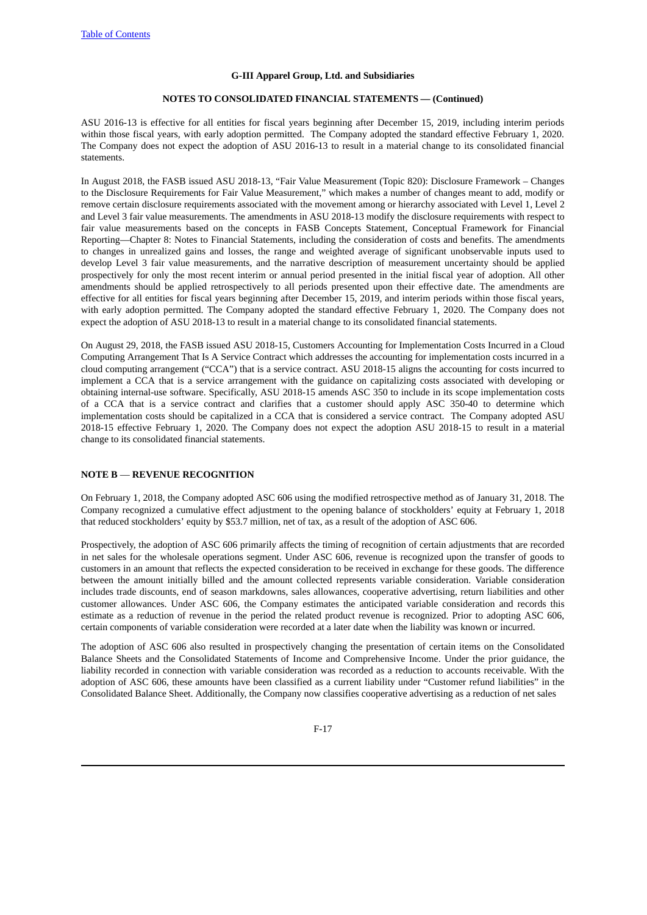## **NOTES TO CONSOLIDATED FINANCIAL STATEMENTS — (Continued)**

ASU 2016-13 is effective for all entities for fiscal years beginning after December 15, 2019, including interim periods within those fiscal years, with early adoption permitted. The Company adopted the standard effective February 1, 2020. The Company does not expect the adoption of ASU 2016-13 to result in a material change to its consolidated financial statements.

In August 2018, the FASB issued ASU 2018-13, "Fair Value Measurement (Topic 820): Disclosure Framework – Changes to the Disclosure Requirements for Fair Value Measurement," which makes a number of changes meant to add, modify or remove certain disclosure requirements associated with the movement among or hierarchy associated with Level 1, Level 2 and Level 3 fair value measurements. The amendments in ASU 2018-13 modify the disclosure requirements with respect to fair value measurements based on the concepts in FASB Concepts Statement, Conceptual Framework for Financial Reporting—Chapter 8: Notes to Financial Statements, including the consideration of costs and benefits. The amendments to changes in unrealized gains and losses, the range and weighted average of significant unobservable inputs used to develop Level 3 fair value measurements, and the narrative description of measurement uncertainty should be applied prospectively for only the most recent interim or annual period presented in the initial fiscal year of adoption. All other amendments should be applied retrospectively to all periods presented upon their effective date. The amendments are effective for all entities for fiscal years beginning after December 15, 2019, and interim periods within those fiscal years, with early adoption permitted. The Company adopted the standard effective February 1, 2020. The Company does not expect the adoption of ASU 2018-13 to result in a material change to its consolidated financial statements.

On August 29, 2018, the FASB issued ASU 2018-15, Customers Accounting for Implementation Costs Incurred in a Cloud Computing Arrangement That Is A Service Contract which addresses the accounting for implementation costs incurred in a cloud computing arrangement ("CCA") that is a service contract. ASU 2018-15 aligns the accounting for costs incurred to implement a CCA that is a service arrangement with the guidance on capitalizing costs associated with developing or obtaining internal-use software. Specifically, ASU 2018-15 amends ASC 350 to include in its scope implementation costs of a CCA that is a service contract and clarifies that a customer should apply ASC 350-40 to determine which implementation costs should be capitalized in a CCA that is considered a service contract. The Company adopted ASU 2018-15 effective February 1, 2020. The Company does not expect the adoption ASU 2018-15 to result in a material change to its consolidated financial statements.

### **NOTE B** — **REVENUE RECOGNITION**

On February 1, 2018, the Company adopted ASC 606 using the modified retrospective method as of January 31, 2018. The Company recognized a cumulative effect adjustment to the opening balance of stockholders' equity at February 1, 2018 that reduced stockholders' equity by \$53.7 million, net of tax, as a result of the adoption of ASC 606.

Prospectively, the adoption of ASC 606 primarily affects the timing of recognition of certain adjustments that are recorded in net sales for the wholesale operations segment. Under ASC 606, revenue is recognized upon the transfer of goods to customers in an amount that reflects the expected consideration to be received in exchange for these goods. The difference between the amount initially billed and the amount collected represents variable consideration. Variable consideration includes trade discounts, end of season markdowns, sales allowances, cooperative advertising, return liabilities and other customer allowances. Under ASC 606, the Company estimates the anticipated variable consideration and records this estimate as a reduction of revenue in the period the related product revenue is recognized. Prior to adopting ASC 606, certain components of variable consideration were recorded at a later date when the liability was known or incurred.

The adoption of ASC 606 also resulted in prospectively changing the presentation of certain items on the Consolidated Balance Sheets and the Consolidated Statements of Income and Comprehensive Income. Under the prior guidance, the liability recorded in connection with variable consideration was recorded as a reduction to accounts receivable. With the adoption of ASC 606, these amounts have been classified as a current liability under "Customer refund liabilities" in the Consolidated Balance Sheet. Additionally, the Company now classifies cooperative advertising as a reduction of net sales

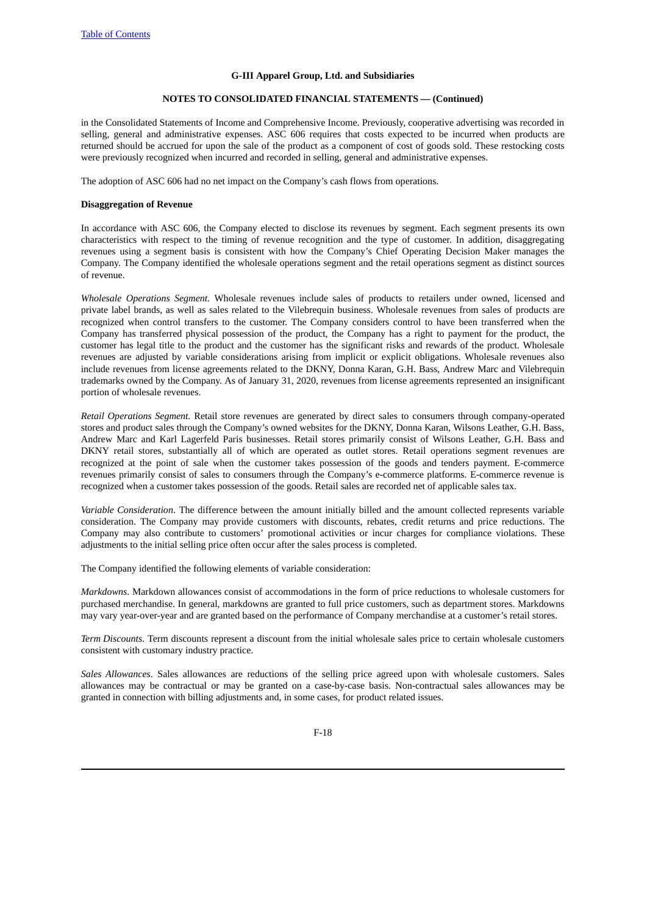### **NOTES TO CONSOLIDATED FINANCIAL STATEMENTS — (Continued)**

in the Consolidated Statements of Income and Comprehensive Income. Previously, cooperative advertising was recorded in selling, general and administrative expenses. ASC 606 requires that costs expected to be incurred when products are returned should be accrued for upon the sale of the product as a component of cost of goods sold. These restocking costs were previously recognized when incurred and recorded in selling, general and administrative expenses.

The adoption of ASC 606 had no net impact on the Company's cash flows from operations.

#### **Disaggregation of Revenue**

In accordance with ASC 606, the Company elected to disclose its revenues by segment. Each segment presents its own characteristics with respect to the timing of revenue recognition and the type of customer. In addition, disaggregating revenues using a segment basis is consistent with how the Company's Chief Operating Decision Maker manages the Company. The Company identified the wholesale operations segment and the retail operations segment as distinct sources of revenue.

*Wholesale Operations Segment.* Wholesale revenues include sales of products to retailers under owned, licensed and private label brands, as well as sales related to the Vilebrequin business. Wholesale revenues from sales of products are recognized when control transfers to the customer. The Company considers control to have been transferred when the Company has transferred physical possession of the product, the Company has a right to payment for the product, the customer has legal title to the product and the customer has the significant risks and rewards of the product. Wholesale revenues are adjusted by variable considerations arising from implicit or explicit obligations. Wholesale revenues also include revenues from license agreements related to the DKNY, Donna Karan, G.H. Bass, Andrew Marc and Vilebrequin trademarks owned by the Company. As of January 31, 2020, revenues from license agreements represented an insignificant portion of wholesale revenues.

*Retail Operations Segment.* Retail store revenues are generated by direct sales to consumers through company-operated stores and product sales through the Company's owned websites for the DKNY, Donna Karan, Wilsons Leather, G.H. Bass, Andrew Marc and Karl Lagerfeld Paris businesses. Retail stores primarily consist of Wilsons Leather, G.H. Bass and DKNY retail stores, substantially all of which are operated as outlet stores. Retail operations segment revenues are recognized at the point of sale when the customer takes possession of the goods and tenders payment. E-commerce revenues primarily consist of sales to consumers through the Company's e-commerce platforms. E-commerce revenue is recognized when a customer takes possession of the goods. Retail sales are recorded net of applicable sales tax.

*Variable Consideration*. The difference between the amount initially billed and the amount collected represents variable consideration. The Company may provide customers with discounts, rebates, credit returns and price reductions. The Company may also contribute to customers' promotional activities or incur charges for compliance violations. These adjustments to the initial selling price often occur after the sales process is completed.

The Company identified the following elements of variable consideration:

*Markdowns*. Markdown allowances consist of accommodations in the form of price reductions to wholesale customers for purchased merchandise. In general, markdowns are granted to full price customers, such as department stores. Markdowns may vary year-over-year and are granted based on the performance of Company merchandise at a customer's retail stores.

*Term Discounts.* Term discounts represent a discount from the initial wholesale sales price to certain wholesale customers consistent with customary industry practice.

*Sales Allowances*. Sales allowances are reductions of the selling price agreed upon with wholesale customers. Sales allowances may be contractual or may be granted on a case-by-case basis. Non-contractual sales allowances may be granted in connection with billing adjustments and, in some cases, for product related issues.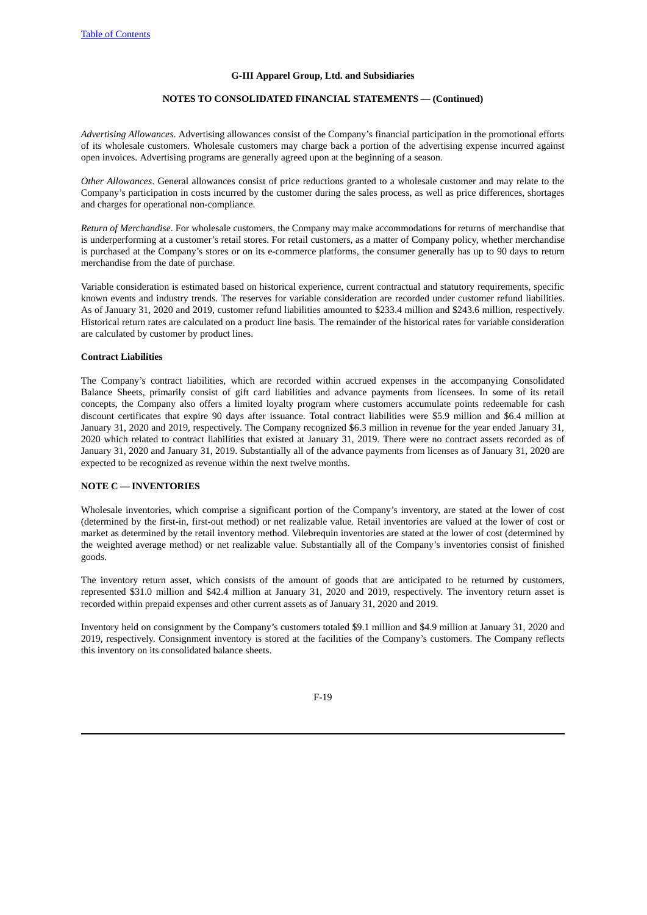## **NOTES TO CONSOLIDATED FINANCIAL STATEMENTS — (Continued)**

*Advertising Allowances*. Advertising allowances consist of the Company's financial participation in the promotional efforts of its wholesale customers. Wholesale customers may charge back a portion of the advertising expense incurred against open invoices. Advertising programs are generally agreed upon at the beginning of a season.

*Other Allowances*. General allowances consist of price reductions granted to a wholesale customer and may relate to the Company's participation in costs incurred by the customer during the sales process, as well as price differences, shortages and charges for operational non-compliance.

*Return of Merchandise*. For wholesale customers, the Company may make accommodations for returns of merchandise that is underperforming at a customer's retail stores. For retail customers, as a matter of Company policy, whether merchandise is purchased at the Company's stores or on its e-commerce platforms, the consumer generally has up to 90 days to return merchandise from the date of purchase.

Variable consideration is estimated based on historical experience, current contractual and statutory requirements, specific known events and industry trends. The reserves for variable consideration are recorded under customer refund liabilities. As of January 31, 2020 and 2019, customer refund liabilities amounted to \$233.4 million and \$243.6 million, respectively. Historical return rates are calculated on a product line basis. The remainder of the historical rates for variable consideration are calculated by customer by product lines.

#### **Contract Liabilities**

The Company's contract liabilities, which are recorded within accrued expenses in the accompanying Consolidated Balance Sheets, primarily consist of gift card liabilities and advance payments from licensees. In some of its retail concepts, the Company also offers a limited loyalty program where customers accumulate points redeemable for cash discount certificates that expire 90 days after issuance. Total contract liabilities were \$5.9 million and \$6.4 million at January 31, 2020 and 2019, respectively. The Company recognized \$6.3 million in revenue for the year ended January 31, 2020 which related to contract liabilities that existed at January 31, 2019. There were no contract assets recorded as of January 31, 2020 and January 31, 2019. Substantially all of the advance payments from licenses as of January 31, 2020 are expected to be recognized as revenue within the next twelve months.

### **NOTE C — INVENTORIES**

Wholesale inventories, which comprise a significant portion of the Company's inventory, are stated at the lower of cost (determined by the first-in, first-out method) or net realizable value. Retail inventories are valued at the lower of cost or market as determined by the retail inventory method. Vilebrequin inventories are stated at the lower of cost (determined by the weighted average method) or net realizable value. Substantially all of the Company's inventories consist of finished goods.

The inventory return asset, which consists of the amount of goods that are anticipated to be returned by customers, represented \$31.0 million and \$42.4 million at January 31, 2020 and 2019, respectively. The inventory return asset is recorded within prepaid expenses and other current assets as of January 31, 2020 and 2019.

Inventory held on consignment by the Company's customers totaled \$9.1 million and \$4.9 million at January 31, 2020 and 2019, respectively. Consignment inventory is stored at the facilities of the Company's customers. The Company reflects this inventory on its consolidated balance sheets.

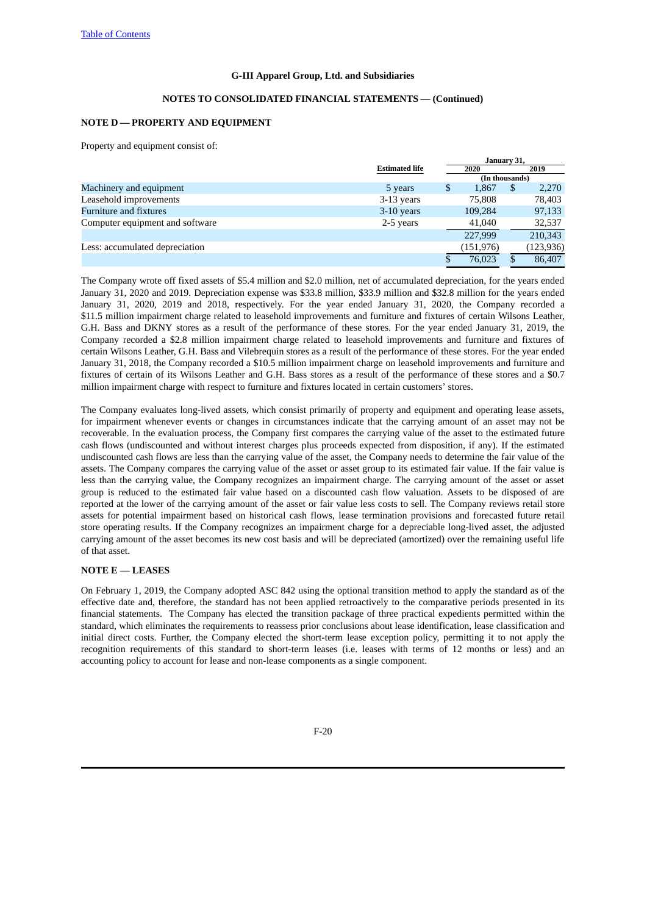## **NOTES TO CONSOLIDATED FINANCIAL STATEMENTS — (Continued)**

#### **NOTE D — PROPERTY AND EQUIPMENT**

Property and equipment consist of:

|                                 |                       | January 31,    |   |            |
|---------------------------------|-----------------------|----------------|---|------------|
|                                 | <b>Estimated life</b> | 2020           |   | 2019       |
|                                 |                       | (In thousands) |   |            |
| Machinery and equipment         | 5 years               | \$<br>1,867    | S | 2,270      |
| Leasehold improvements          | 3-13 years            | 75,808         |   | 78,403     |
| Furniture and fixtures          | 3-10 years            | 109,284        |   | 97,133     |
| Computer equipment and software | 2-5 years             | 41,040         |   | 32,537     |
|                                 |                       | 227.999        |   | 210,343    |
| Less: accumulated depreciation  |                       | (151, 976)     |   | (123, 936) |
|                                 |                       | 76,023         |   | 86,407     |

The Company wrote off fixed assets of \$5.4 million and \$2.0 million, net of accumulated depreciation, for the years ended January 31, 2020 and 2019. Depreciation expense was \$33.8 million, \$33.9 million and \$32.8 million for the years ended January 31, 2020, 2019 and 2018, respectively. For the year ended January 31, 2020, the Company recorded a \$11.5 million impairment charge related to leasehold improvements and furniture and fixtures of certain Wilsons Leather, G.H. Bass and DKNY stores as a result of the performance of these stores. For the year ended January 31, 2019, the Company recorded a \$2.8 million impairment charge related to leasehold improvements and furniture and fixtures of certain Wilsons Leather, G.H. Bass and Vilebrequin stores as a result of the performance of these stores. For the year ended January 31, 2018, the Company recorded a \$10.5 million impairment charge on leasehold improvements and furniture and fixtures of certain of its Wilsons Leather and G.H. Bass stores as a result of the performance of these stores and a \$0.7 million impairment charge with respect to furniture and fixtures located in certain customers' stores.

The Company evaluates long-lived assets, which consist primarily of property and equipment and operating lease assets, for impairment whenever events or changes in circumstances indicate that the carrying amount of an asset may not be recoverable. In the evaluation process, the Company first compares the carrying value of the asset to the estimated future cash flows (undiscounted and without interest charges plus proceeds expected from disposition, if any). If the estimated undiscounted cash flows are less than the carrying value of the asset, the Company needs to determine the fair value of the assets. The Company compares the carrying value of the asset or asset group to its estimated fair value. If the fair value is less than the carrying value, the Company recognizes an impairment charge. The carrying amount of the asset or asset group is reduced to the estimated fair value based on a discounted cash flow valuation. Assets to be disposed of are reported at the lower of the carrying amount of the asset or fair value less costs to sell. The Company reviews retail store assets for potential impairment based on historical cash flows, lease termination provisions and forecasted future retail store operating results. If the Company recognizes an impairment charge for a depreciable long-lived asset, the adjusted carrying amount of the asset becomes its new cost basis and will be depreciated (amortized) over the remaining useful life of that asset.

### **NOTE E** — **LEASES**

On February 1, 2019, the Company adopted ASC 842 using the optional transition method to apply the standard as of the effective date and, therefore, the standard has not been applied retroactively to the comparative periods presented in its financial statements. The Company has elected the transition package of three practical expedients permitted within the standard, which eliminates the requirements to reassess prior conclusions about lease identification, lease classification and initial direct costs. Further, the Company elected the short-term lease exception policy, permitting it to not apply the recognition requirements of this standard to short-term leases (i.e. leases with terms of 12 months or less) and an accounting policy to account for lease and non-lease components as a single component.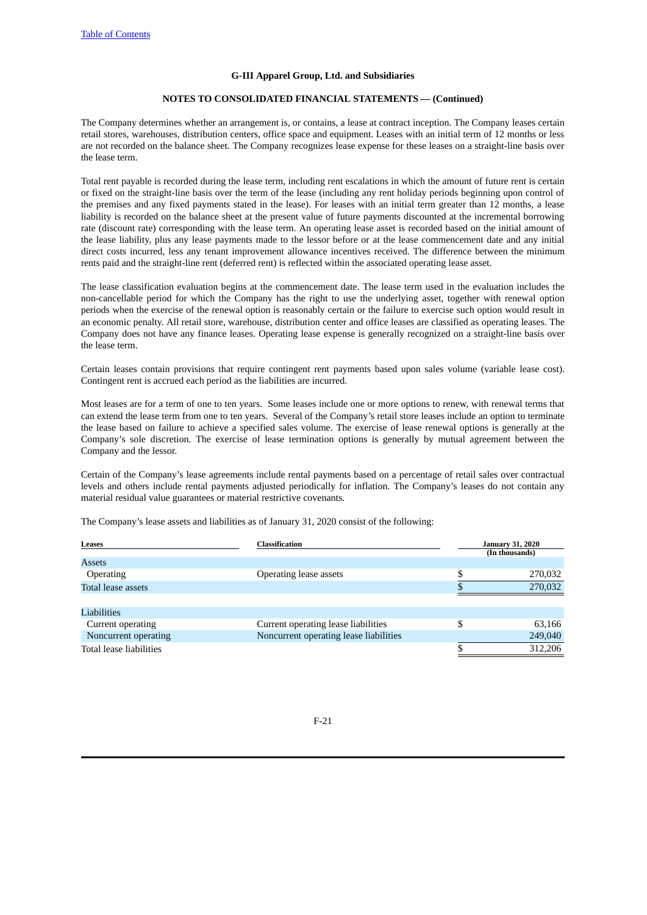### **NOTES TO CONSOLIDATED FINANCIAL STATEMENTS — (Continued)**

The Company determines whether an arrangement is, or contains, a lease at contract inception. The Company leases certain retail stores, warehouses, distribution centers, office space and equipment. Leases with an initial term of 12 months or less are not recorded on the balance sheet. The Company recognizes lease expense for these leases on a straight-line basis over the lease term.

Total rent payable is recorded during the lease term, including rent escalations in which the amount of future rent is certain or fixed on the straight-line basis over the term of the lease (including any rent holiday periods beginning upon control of the premises and any fixed payments stated in the lease). For leases with an initial term greater than 12 months, a lease liability is recorded on the balance sheet at the present value of future payments discounted at the incremental borrowing rate (discount rate) corresponding with the lease term. An operating lease asset is recorded based on the initial amount of the lease liability, plus any lease payments made to the lessor before or at the lease commencement date and any initial direct costs incurred, less any tenant improvement allowance incentives received. The difference between the minimum rents paid and the straight-line rent (deferred rent) is reflected within the associated operating lease asset.

The lease classification evaluation begins at the commencement date. The lease term used in the evaluation includes the non-cancellable period for which the Company has the right to use the underlying asset, together with renewal option periods when the exercise of the renewal option is reasonably certain or the failure to exercise such option would result in an economic penalty. All retail store, warehouse, distribution center and office leases are classified as operating leases. The Company does not have any finance leases. Operating lease expense is generally recognized on a straight-line basis over the lease term.

Certain leases contain provisions that require contingent rent payments based upon sales volume (variable lease cost). Contingent rent is accrued each period as the liabilities are incurred.

Most leases are for a term of one to ten years. Some leases include one or more options to renew, with renewal terms that can extend the lease term from one to ten years. Several of the Company's retail store leases include an option to terminate the lease based on failure to achieve a specified sales volume. The exercise of lease renewal options is generally at the Company's sole discretion. The exercise of lease termination options is generally by mutual agreement between the Company and the lessor.

Certain of the Company's lease agreements include rental payments based on a percentage of retail sales over contractual levels and others include rental payments adjusted periodically for inflation. The Company's leases do not contain any material residual value guarantees or material restrictive covenants.

The Company's lease assets and liabilities as of January 31, 2020 consist of the following:

| Leases                  | <b>Classification</b>                  | <b>January 31, 2020</b> |
|-------------------------|----------------------------------------|-------------------------|
|                         |                                        | (In thousands)          |
| <b>Assets</b>           |                                        |                         |
| <b>Operating</b>        | Operating lease assets                 | 270,032                 |
| Total lease assets      |                                        | 270,032                 |
|                         |                                        |                         |
| Liabilities             |                                        |                         |
| Current operating       | Current operating lease liabilities    | 63,166                  |
| Noncurrent operating    | Noncurrent operating lease liabilities | 249,040                 |
| Total lease liabilities |                                        | 312,206                 |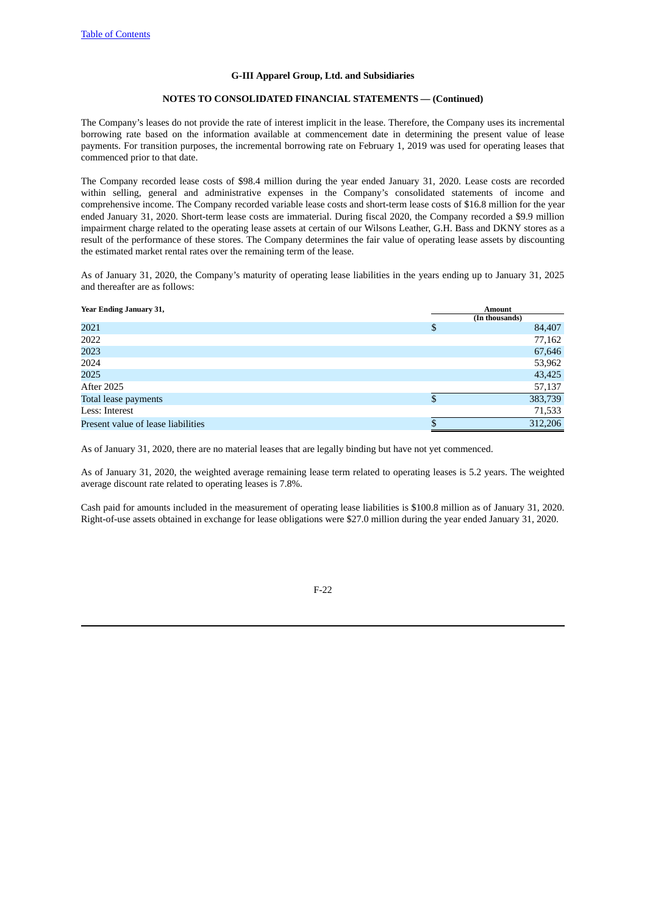### **NOTES TO CONSOLIDATED FINANCIAL STATEMENTS — (Continued)**

The Company's leases do not provide the rate of interest implicit in the lease. Therefore, the Company uses its incremental borrowing rate based on the information available at commencement date in determining the present value of lease payments. For transition purposes, the incremental borrowing rate on February 1, 2019 was used for operating leases that commenced prior to that date.

The Company recorded lease costs of \$98.4 million during the year ended January 31, 2020. Lease costs are recorded within selling, general and administrative expenses in the Company's consolidated statements of income and comprehensive income. The Company recorded variable lease costs and short-term lease costs of \$16.8 million for the year ended January 31, 2020. Short-term lease costs are immaterial. During fiscal 2020, the Company recorded a \$9.9 million impairment charge related to the operating lease assets at certain of our Wilsons Leather, G.H. Bass and DKNY stores as a result of the performance of these stores. The Company determines the fair value of operating lease assets by discounting the estimated market rental rates over the remaining term of the lease.

As of January 31, 2020, the Company's maturity of operating lease liabilities in the years ending up to January 31, 2025 and thereafter are as follows:

|    | <b>Amount</b>  |
|----|----------------|
|    | (In thousands) |
| \$ | 84,407         |
|    | 77,162         |
|    | 67,646         |
|    | 53,962         |
|    | 43,425         |
|    | 57,137         |
| S  | 383,739        |
|    | 71,533         |
|    | 312,206        |
|    |                |

As of January 31, 2020, there are no material leases that are legally binding but have not yet commenced.

As of January 31, 2020, the weighted average remaining lease term related to operating leases is 5.2 years. The weighted average discount rate related to operating leases is 7.8%.

Cash paid for amounts included in the measurement of operating lease liabilities is \$100.8 million as of January 31, 2020. Right-of-use assets obtained in exchange for lease obligations were \$27.0 million during the year ended January 31, 2020.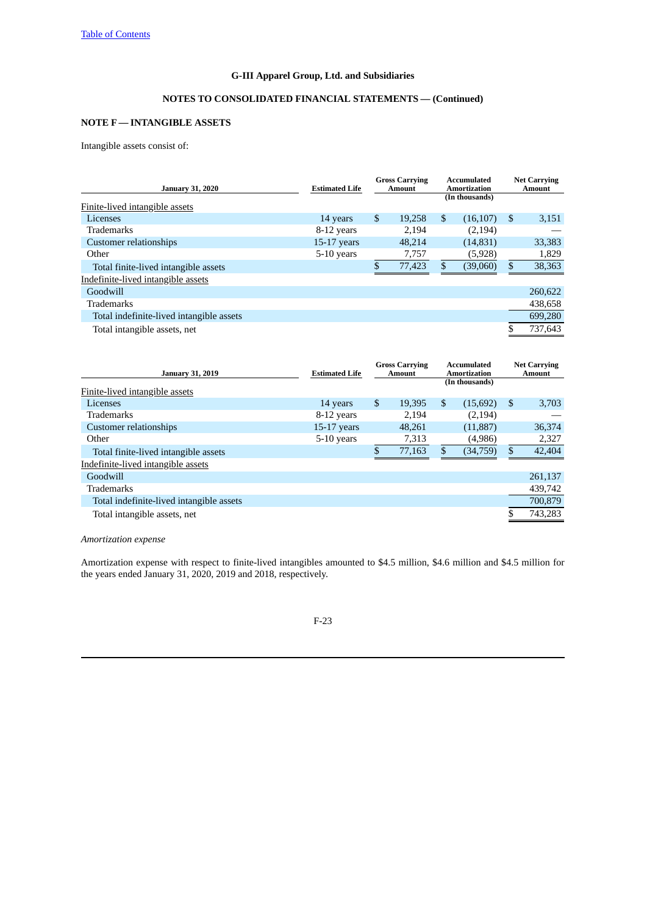# **NOTES TO CONSOLIDATED FINANCIAL STATEMENTS — (Continued)**

## **NOTE F— INTANGIBLE ASSETS**

Intangible assets consist of:

| <b>January 31, 2020</b>                  | <b>Estimated Life</b> | <b>Gross Carrying</b><br>Amount |        | Accumulated<br>Amortization |                |     | <b>Net Carrying</b><br><b>Amount</b> |  |
|------------------------------------------|-----------------------|---------------------------------|--------|-----------------------------|----------------|-----|--------------------------------------|--|
|                                          |                       |                                 |        |                             | (In thousands) |     |                                      |  |
| Finite-lived intangible assets           |                       |                                 |        |                             |                |     |                                      |  |
| Licenses                                 | 14 years              | \$                              | 19,258 | \$                          | (16, 107)      | -S  | 3,151                                |  |
| Trademarks                               | 8-12 years            |                                 | 2,194  |                             | (2, 194)       |     |                                      |  |
| Customer relationships                   | $15-17$ years         |                                 | 48.214 |                             | (14, 831)      |     | 33,383                               |  |
| Other                                    | 5-10 years            |                                 | 7,757  |                             | (5,928)        |     | 1,829                                |  |
| Total finite-lived intangible assets     |                       | ፍ                               | 77,423 | \$                          | (39,060)       | \$. | 38,363                               |  |
| Indefinite-lived intangible assets       |                       |                                 |        |                             |                |     |                                      |  |
| Goodwill                                 |                       |                                 |        |                             |                |     | 260,622                              |  |
| <b>Trademarks</b>                        |                       |                                 |        |                             |                |     | 438,658                              |  |
| Total indefinite-lived intangible assets |                       |                                 |        |                             |                |     | 699,280                              |  |
| Total intangible assets, net             |                       |                                 |        |                             |                | \$  | 737,643                              |  |

| <b>January 31, 2019</b>                  | <b>Estimated Life</b> | <b>Gross Carrying</b><br>Amount |        | Accumulated<br><b>Amortization</b> |     | <b>Net Carrying</b><br><b>Amount</b> |
|------------------------------------------|-----------------------|---------------------------------|--------|------------------------------------|-----|--------------------------------------|
|                                          |                       |                                 |        | (In thousands)                     |     |                                      |
| Finite-lived intangible assets           |                       |                                 |        |                                    |     |                                      |
| Licenses                                 | 14 years              | \$                              | 19,395 | \$<br>(15,692)                     | \$  | 3,703                                |
| Trademarks                               | 8-12 years            |                                 | 2,194  | (2, 194)                           |     |                                      |
| Customer relationships                   | $15-17$ years         |                                 | 48,261 | (11, 887)                          |     | 36,374                               |
| Other                                    | 5-10 years            |                                 | 7,313  | (4,986)                            |     | 2,327                                |
| Total finite-lived intangible assets     |                       |                                 | 77,163 | \$<br>(34,759)                     | \$. | 42,404                               |
| Indefinite-lived intangible assets       |                       |                                 |        |                                    |     |                                      |
| Goodwill                                 |                       |                                 |        |                                    |     | 261,137                              |
| <b>Trademarks</b>                        |                       |                                 |        |                                    |     | 439,742                              |
| Total indefinite-lived intangible assets |                       |                                 |        |                                    |     | 700,879                              |
| Total intangible assets, net             |                       |                                 |        |                                    | \$  | 743,283                              |

*Amortization expense*

Amortization expense with respect to finite-lived intangibles amounted to \$4.5 million, \$4.6 million and \$4.5 million for the years ended January 31, 2020, 2019 and 2018, respectively.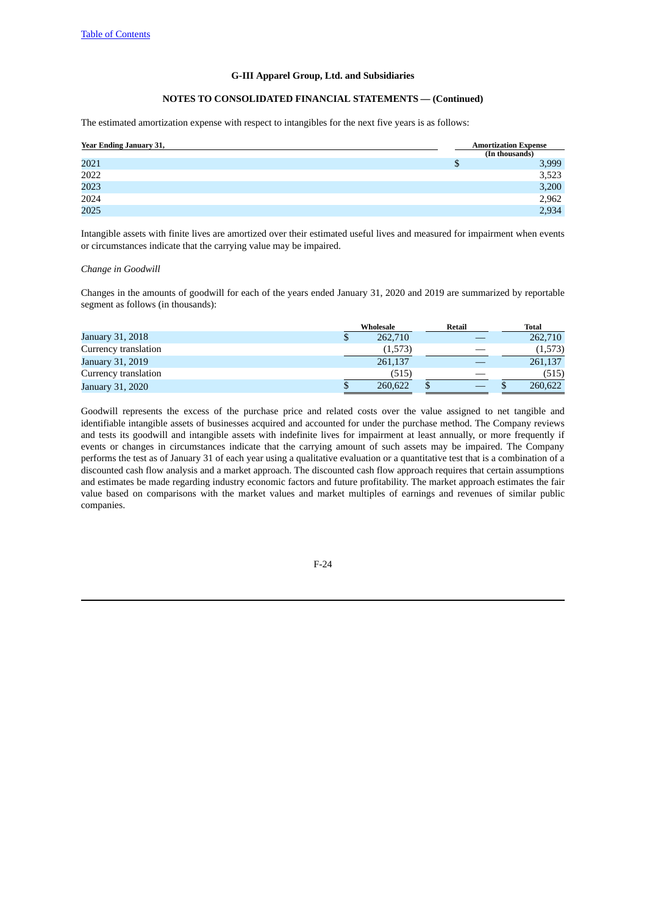## **NOTES TO CONSOLIDATED FINANCIAL STATEMENTS — (Continued)**

The estimated amortization expense with respect to intangibles for the next five years is as follows:

| <b>Year Ending January 31,</b> | <b>Amortization Expense</b> |       |
|--------------------------------|-----------------------------|-------|
|                                | (In thousands)              |       |
| 2021                           | \$                          | 3,999 |
| 2022                           |                             | 3,523 |
| 2023                           |                             | 3,200 |
| 2024                           |                             | 2,962 |
| 2025                           |                             | 2.934 |

Intangible assets with finite lives are amortized over their estimated useful lives and measured for impairment when events or circumstances indicate that the carrying value may be impaired.

#### *Change in Goodwill*

Changes in the amounts of goodwill for each of the years ended January 31, 2020 and 2019 are summarized by reportable segment as follows (in thousands):

|                      | Wholesale<br>Retail |  | <b>Total</b> |
|----------------------|---------------------|--|--------------|
| January 31, 2018     | 262,710             |  | 262,710      |
| Currency translation | (1,573)             |  | (1,573)      |
| January 31, 2019     | 261,137             |  | 261,137      |
| Currency translation | (515)               |  | (515)        |
| January 31, 2020     | 260,622             |  | 260,622      |

Goodwill represents the excess of the purchase price and related costs over the value assigned to net tangible and identifiable intangible assets of businesses acquired and accounted for under the purchase method. The Company reviews and tests its goodwill and intangible assets with indefinite lives for impairment at least annually, or more frequently if events or changes in circumstances indicate that the carrying amount of such assets may be impaired. The Company performs the test as of January 31 of each year using a qualitative evaluation or a quantitative test that is a combination of a discounted cash flow analysis and a market approach. The discounted cash flow approach requires that certain assumptions and estimates be made regarding industry economic factors and future profitability. The market approach estimates the fair value based on comparisons with the market values and market multiples of earnings and revenues of similar public companies.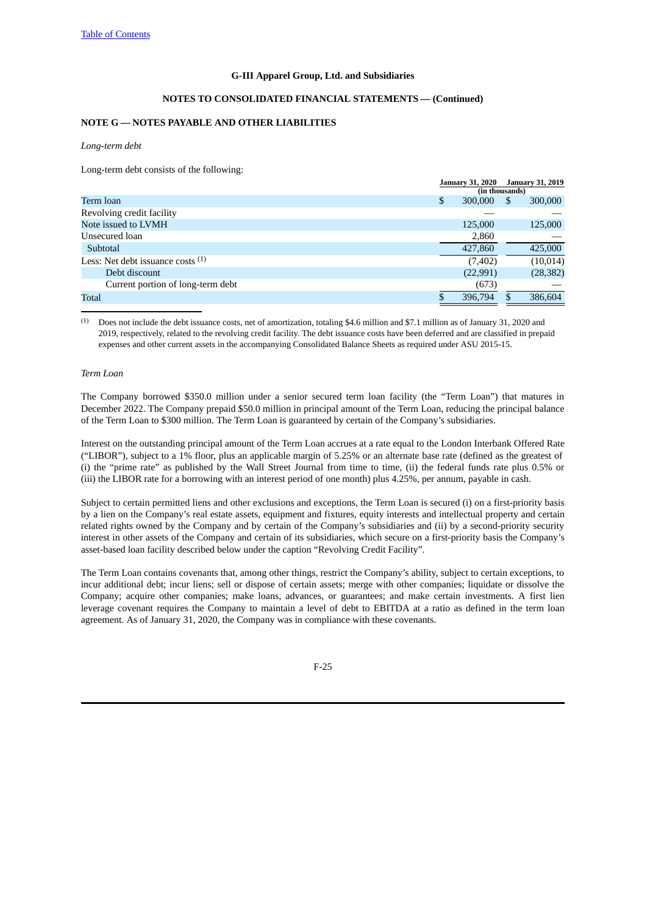## **NOTES TO CONSOLIDATED FINANCIAL STATEMENTS — (Continued)**

### **NOTE G — NOTES PAYABLE AND OTHER LIABILITIES**

*Long-term debt*

Long-term debt consists of the following:

|                                     | <b>January 31, 2020</b> |    | <b>January 31, 2019</b> |
|-------------------------------------|-------------------------|----|-------------------------|
|                                     | (in thousands)          |    |                         |
| Term loan                           | \$<br>300,000           | -S | 300,000                 |
| Revolving credit facility           |                         |    |                         |
| Note issued to LVMH                 | 125,000                 |    | 125,000                 |
| Unsecured loan                      | 2,860                   |    |                         |
| Subtotal                            | 427,860                 |    | 425,000                 |
| Less: Net debt issuance costs $(1)$ | (7, 402)                |    | (10, 014)               |
| Debt discount                       | (22, 991)               |    | (28, 382)               |
| Current portion of long-term debt   | (673)                   |    |                         |
| Total                               | 396,794                 | S  | 386,604                 |
|                                     |                         |    |                         |

(1) Does not include the debt issuance costs, net of amortization, totaling \$4.6 million and \$7.1 million as of January 31, 2020 and 2019, respectively, related to the revolving credit facility. The debt issuance costs have been deferred and are classified in prepaid expenses and other current assets in the accompanying Consolidated Balance Sheets as required under ASU 2015-15.

#### *Term Loan*

The Company borrowed \$350.0 million under a senior secured term loan facility (the "Term Loan") that matures in December 2022. The Company prepaid \$50.0 million in principal amount of the Term Loan, reducing the principal balance of the Term Loan to \$300 million. The Term Loan is guaranteed by certain of the Company's subsidiaries.

Interest on the outstanding principal amount of the Term Loan accrues at a rate equal to the London Interbank Offered Rate ("LIBOR"), subject to a 1% floor, plus an applicable margin of 5.25% or an alternate base rate (defined as the greatest of (i) the "prime rate" as published by the Wall Street Journal from time to time, (ii) the federal funds rate plus 0.5% or (iii) the LIBOR rate for a borrowing with an interest period of one month) plus 4.25%, per annum, payable in cash.

Subject to certain permitted liens and other exclusions and exceptions, the Term Loan is secured (i) on a first-priority basis by a lien on the Company's real estate assets, equipment and fixtures, equity interests and intellectual property and certain related rights owned by the Company and by certain of the Company's subsidiaries and (ii) by a second-priority security interest in other assets of the Company and certain of its subsidiaries, which secure on a first-priority basis the Company's asset-based loan facility described below under the caption "Revolving Credit Facility".

The Term Loan contains covenants that, among other things, restrict the Company's ability, subject to certain exceptions, to incur additional debt; incur liens; sell or dispose of certain assets; merge with other companies; liquidate or dissolve the Company; acquire other companies; make loans, advances, or guarantees; and make certain investments. A first lien leverage covenant requires the Company to maintain a level of debt to EBITDA at a ratio as defined in the term loan agreement. As of January 31, 2020, the Company was in compliance with these covenants.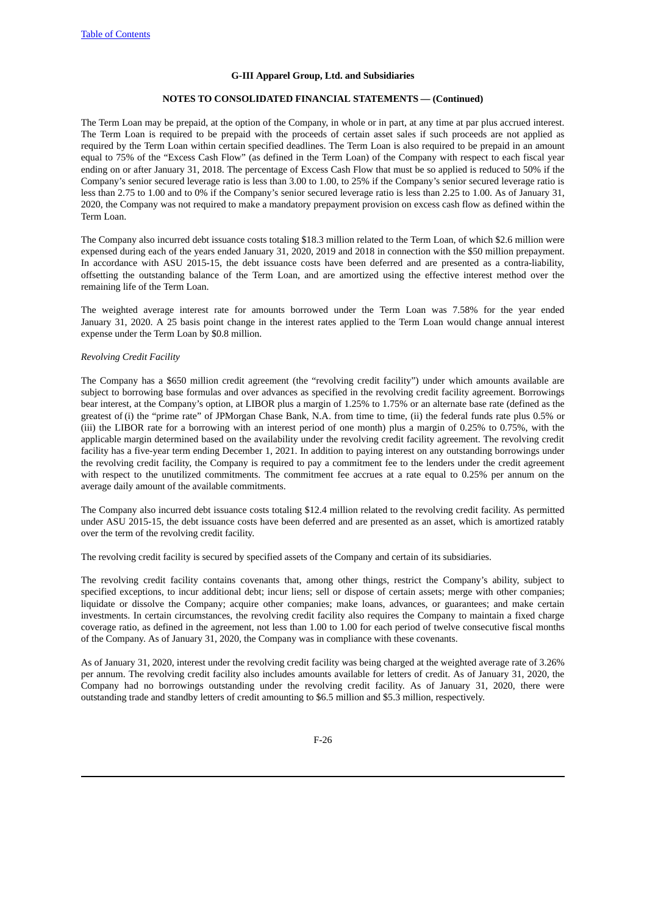## **NOTES TO CONSOLIDATED FINANCIAL STATEMENTS — (Continued)**

The Term Loan may be prepaid, at the option of the Company, in whole or in part, at any time at par plus accrued interest. The Term Loan is required to be prepaid with the proceeds of certain asset sales if such proceeds are not applied as required by the Term Loan within certain specified deadlines. The Term Loan is also required to be prepaid in an amount equal to 75% of the "Excess Cash Flow" (as defined in the Term Loan) of the Company with respect to each fiscal year ending on or after January 31, 2018. The percentage of Excess Cash Flow that must be so applied is reduced to 50% if the Company's senior secured leverage ratio is less than 3.00 to 1.00, to 25% if the Company's senior secured leverage ratio is less than 2.75 to 1.00 and to 0% if the Company's senior secured leverage ratio is less than 2.25 to 1.00. As of January 31, 2020, the Company was not required to make a mandatory prepayment provision on excess cash flow as defined within the Term Loan.

The Company also incurred debt issuance costs totaling \$18.3 million related to the Term Loan, of which \$2.6 million were expensed during each of the years ended January 31, 2020, 2019 and 2018 in connection with the \$50 million prepayment. In accordance with ASU 2015-15, the debt issuance costs have been deferred and are presented as a contra-liability, offsetting the outstanding balance of the Term Loan, and are amortized using the effective interest method over the remaining life of the Term Loan.

The weighted average interest rate for amounts borrowed under the Term Loan was 7.58% for the year ended January 31, 2020. A 25 basis point change in the interest rates applied to the Term Loan would change annual interest expense under the Term Loan by \$0.8 million.

#### *Revolving Credit Facility*

The Company has a \$650 million credit agreement (the "revolving credit facility") under which amounts available are subject to borrowing base formulas and over advances as specified in the revolving credit facility agreement. Borrowings bear interest, at the Company's option, at LIBOR plus a margin of 1.25% to 1.75% or an alternate base rate (defined as the greatest of (i) the "prime rate" of JPMorgan Chase Bank, N.A. from time to time, (ii) the federal funds rate plus 0.5% or (iii) the LIBOR rate for a borrowing with an interest period of one month) plus a margin of 0.25% to 0.75%, with the applicable margin determined based on the availability under the revolving credit facility agreement. The revolving credit facility has a five-year term ending December 1, 2021. In addition to paying interest on any outstanding borrowings under the revolving credit facility, the Company is required to pay a commitment fee to the lenders under the credit agreement with respect to the unutilized commitments. The commitment fee accrues at a rate equal to 0.25% per annum on the average daily amount of the available commitments.

The Company also incurred debt issuance costs totaling \$12.4 million related to the revolving credit facility. As permitted under ASU 2015-15, the debt issuance costs have been deferred and are presented as an asset, which is amortized ratably over the term of the revolving credit facility.

The revolving credit facility is secured by specified assets of the Company and certain of its subsidiaries.

The revolving credit facility contains covenants that, among other things, restrict the Company's ability, subject to specified exceptions, to incur additional debt; incur liens; sell or dispose of certain assets; merge with other companies; liquidate or dissolve the Company; acquire other companies; make loans, advances, or guarantees; and make certain investments. In certain circumstances, the revolving credit facility also requires the Company to maintain a fixed charge coverage ratio, as defined in the agreement, not less than 1.00 to 1.00 for each period of twelve consecutive fiscal months of the Company. As of January 31, 2020, the Company was in compliance with these covenants.

As of January 31, 2020, interest under the revolving credit facility was being charged at the weighted average rate of 3.26% per annum. The revolving credit facility also includes amounts available for letters of credit. As of January 31, 2020, the Company had no borrowings outstanding under the revolving credit facility. As of January 31, 2020, there were outstanding trade and standby letters of credit amounting to \$6.5 million and \$5.3 million, respectively.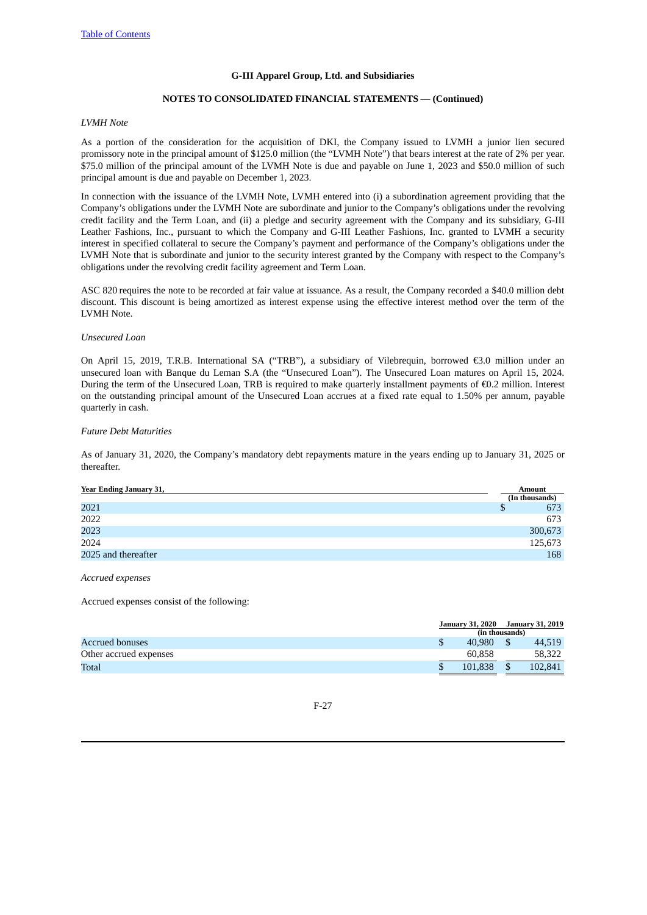## **NOTES TO CONSOLIDATED FINANCIAL STATEMENTS — (Continued)**

#### *LVMH Note*

As a portion of the consideration for the acquisition of DKI, the Company issued to LVMH a junior lien secured promissory note in the principal amount of \$125.0 million (the "LVMH Note") that bears interest at the rate of 2% per year. \$75.0 million of the principal amount of the LVMH Note is due and payable on June 1, 2023 and \$50.0 million of such principal amount is due and payable on December 1, 2023.

In connection with the issuance of the LVMH Note, LVMH entered into (i) a subordination agreement providing that the Company's obligations under the LVMH Note are subordinate and junior to the Company's obligations under the revolving credit facility and the Term Loan, and (ii) a pledge and security agreement with the Company and its subsidiary, G-III Leather Fashions, Inc., pursuant to which the Company and G-III Leather Fashions, Inc. granted to LVMH a security interest in specified collateral to secure the Company's payment and performance of the Company's obligations under the LVMH Note that is subordinate and junior to the security interest granted by the Company with respect to the Company's obligations under the revolving credit facility agreement and Term Loan.

ASC 820 requires the note to be recorded at fair value at issuance. As a result, the Company recorded a \$40.0 million debt discount. This discount is being amortized as interest expense using the effective interest method over the term of the LVMH Note.

#### *Unsecured Loan*

On April 15, 2019, T.R.B. International SA ("TRB"), a subsidiary of Vilebrequin, borrowed €3.0 million under an unsecured loan with Banque du Leman S.A (the "Unsecured Loan"). The Unsecured Loan matures on April 15, 2024. During the term of the Unsecured Loan, TRB is required to make quarterly installment payments of  $\epsilon$ 0.2 million. Interest on the outstanding principal amount of the Unsecured Loan accrues at a fixed rate equal to 1.50% per annum, payable quarterly in cash.

#### *Future Debt Maturities*

As of January 31, 2020, the Company's mandatory debt repayments mature in the years ending up to January 31, 2025 or thereafter.

#### **Year Ending January 31, Amount**

|                     |   | (In thousands) |
|---------------------|---|----------------|
| 2021                | Φ | 673            |
| 2022                |   | 673            |
| 2023                |   | 300,673        |
| 2024                |   | 125,673        |
| 2025 and thereafter |   | 168            |
|                     |   |                |

*Accrued expenses*

Accrued expenses consist of the following:

|                        | January 31, 2020 January 31, 2019 |                |  |         |
|------------------------|-----------------------------------|----------------|--|---------|
|                        |                                   | (in thousands) |  |         |
| Accrued bonuses        |                                   | 40,980         |  | 44.519  |
| Other accrued expenses |                                   | 60.858         |  | 58.322  |
| Total                  |                                   | 101.838        |  | 102.841 |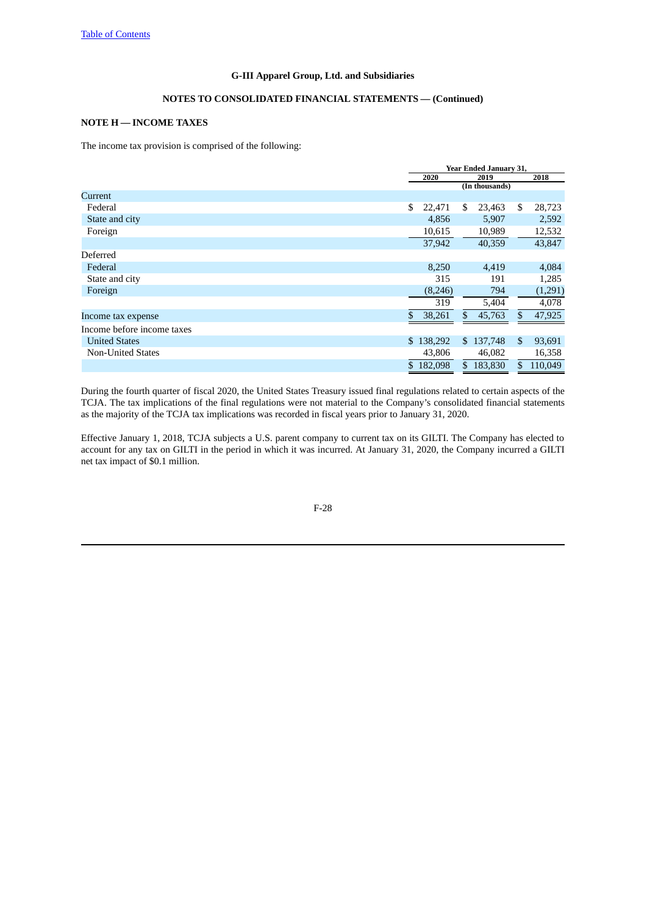# **NOTES TO CONSOLIDATED FINANCIAL STATEMENTS — (Continued)**

### **NOTE H — INCOME TAXES**

The income tax provision is comprised of the following:

|                            | Year Ended January 31, |      |                |              |         |
|----------------------------|------------------------|------|----------------|--------------|---------|
|                            | 2020                   | 2019 |                |              | 2018    |
|                            |                        |      | (In thousands) |              |         |
| <b>Current</b>             |                        |      |                |              |         |
| Federal                    | \$<br>22,471           | \$   | 23.463         | \$           | 28,723  |
| State and city             | 4,856                  |      | 5,907          |              | 2,592   |
| Foreign                    | 10,615                 |      | 10,989         |              | 12,532  |
|                            | 37,942                 |      | 40,359         |              | 43,847  |
| Deferred                   |                        |      |                |              |         |
| Federal                    | 8,250                  |      | 4,419          |              | 4,084   |
| State and city             | 315                    |      | 191            |              | 1,285   |
| Foreign                    | (8, 246)               |      | 794            |              | (1,291) |
|                            | 319                    |      | 5,404          |              | 4,078   |
| Income tax expense         | \$<br>38,261           | \$   | 45,763         | $\mathbb{S}$ | 47,925  |
| Income before income taxes |                        |      |                |              |         |
| <b>United States</b>       | \$138,292              | \$.  | 137,748        | \$           | 93,691  |
| <b>Non-United States</b>   | 43,806                 |      | 46,082         |              | 16,358  |
|                            | \$182,098              | \$   | 183,830        | \$           | 110,049 |

During the fourth quarter of fiscal 2020, the United States Treasury issued final regulations related to certain aspects of the TCJA. The tax implications of the final regulations were not material to the Company's consolidated financial statements as the majority of the TCJA tax implications was recorded in fiscal years prior to January 31, 2020.

Effective January 1, 2018, TCJA subjects a U.S. parent company to current tax on its GILTI. The Company has elected to account for any tax on GILTI in the period in which it was incurred. At January 31, 2020, the Company incurred a GILTI net tax impact of \$0.1 million.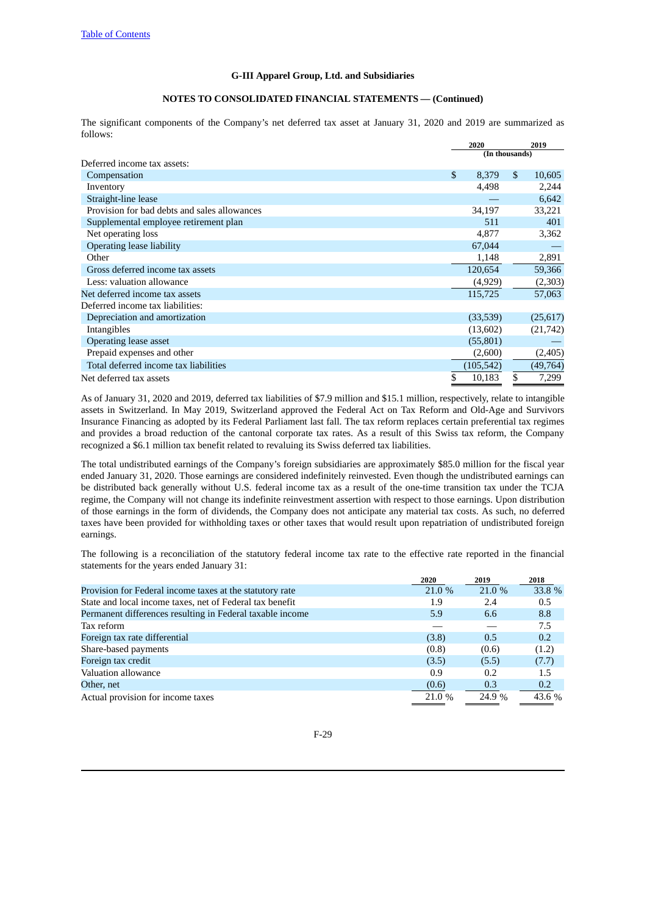## **NOTES TO CONSOLIDATED FINANCIAL STATEMENTS — (Continued)**

The significant components of the Company's net deferred tax asset at January 31, 2020 and 2019 are summarized as follows:

|                                              |              | 2020           |     | 2019      |  |
|----------------------------------------------|--------------|----------------|-----|-----------|--|
|                                              |              | (In thousands) |     |           |  |
| Deferred income tax assets:                  |              |                |     |           |  |
| Compensation                                 | $\mathbb{S}$ | 8,379          | \$. | 10,605    |  |
| Inventory                                    |              | 4,498          |     | 2,244     |  |
| Straight-line lease                          |              |                |     | 6,642     |  |
| Provision for bad debts and sales allowances |              | 34,197         |     | 33,221    |  |
| Supplemental employee retirement plan        |              | 511            |     | 401       |  |
| Net operating loss                           |              | 4,877          |     | 3,362     |  |
| Operating lease liability                    |              | 67,044         |     |           |  |
| Other                                        |              | 1,148          |     | 2,891     |  |
| Gross deferred income tax assets             |              | 120,654        |     | 59,366    |  |
| Less: valuation allowance                    |              | (4,929)        |     | (2,303)   |  |
| Net deferred income tax assets               |              | 115,725        |     | 57,063    |  |
| Deferred income tax liabilities:             |              |                |     |           |  |
| Depreciation and amortization                |              | (33,539)       |     | (25, 617) |  |
| Intangibles                                  |              | (13,602)       |     | (21,742)  |  |
| <b>Operating lease asset</b>                 |              | (55, 801)      |     |           |  |
| Prepaid expenses and other                   |              | (2,600)        |     | (2,405)   |  |
| Total deferred income tax liabilities        |              | (105, 542)     |     | (49, 764) |  |
| Net deferred tax assets                      | \$           | 10,183         | \$  | 7,299     |  |

As of January 31, 2020 and 2019, deferred tax liabilities of \$7.9 million and \$15.1 million, respectively, relate to intangible assets in Switzerland. In May 2019, Switzerland approved the Federal Act on Tax Reform and Old-Age and Survivors Insurance Financing as adopted by its Federal Parliament last fall. The tax reform replaces certain preferential tax regimes and provides a broad reduction of the cantonal corporate tax rates. As a result of this Swiss tax reform, the Company recognized a \$6.1 million tax benefit related to revaluing its Swiss deferred tax liabilities.

The total undistributed earnings of the Company's foreign subsidiaries are approximately \$85.0 million for the fiscal year ended January 31, 2020. Those earnings are considered indefinitely reinvested. Even though the undistributed earnings can be distributed back generally without U.S. federal income tax as a result of the one-time transition tax under the TCJA regime, the Company will not change its indefinite reinvestment assertion with respect to those earnings. Upon distribution of those earnings in the form of dividends, the Company does not anticipate any material tax costs. As such, no deferred taxes have been provided for withholding taxes or other taxes that would result upon repatriation of undistributed foreign earnings.

The following is a reconciliation of the statutory federal income tax rate to the effective rate reported in the financial statements for the years ended January 31:

|                                                           | 2020   | 2019   | 2018   |
|-----------------------------------------------------------|--------|--------|--------|
| Provision for Federal income taxes at the statutory rate  | 21.0 % | 21.0 % | 33.8 % |
| State and local income taxes, net of Federal tax benefit  | 1.9    | 2.4    | 0.5    |
| Permanent differences resulting in Federal taxable income | 5.9    | 6.6    | 8.8    |
| Tax reform                                                |        |        | 7.5    |
| Foreign tax rate differential                             | (3.8)  | 0.5    | 0.2    |
| Share-based payments                                      | (0.8)  | (0.6)  | (1.2)  |
| Foreign tax credit                                        | (3.5)  | (5.5)  | (7.7)  |
| Valuation allowance                                       | 0.9    | 0.2    | 1.5    |
| Other, net                                                | (0.6)  | 0.3    | 0.2    |
| Actual provision for income taxes                         | 21.0 % | 24.9 % | 43.6 % |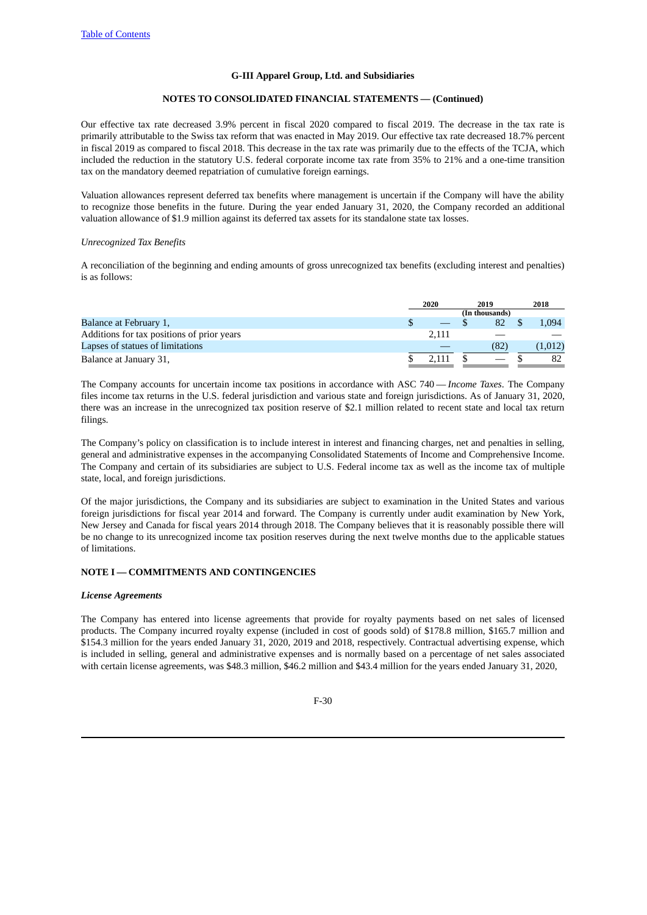### **NOTES TO CONSOLIDATED FINANCIAL STATEMENTS — (Continued)**

Our effective tax rate decreased 3.9% percent in fiscal 2020 compared to fiscal 2019. The decrease in the tax rate is primarily attributable to the Swiss tax reform that was enacted in May 2019. Our effective tax rate decreased 18.7% percent in fiscal 2019 as compared to fiscal 2018. This decrease in the tax rate was primarily due to the effects of the TCJA, which included the reduction in the statutory U.S. federal corporate income tax rate from 35% to 21% and a one-time transition tax on the mandatory deemed repatriation of cumulative foreign earnings.

Valuation allowances represent deferred tax benefits where management is uncertain if the Company will have the ability to recognize those benefits in the future. During the year ended January 31, 2020, the Company recorded an additional valuation allowance of \$1.9 million against its deferred tax assets for its standalone state tax losses.

### *Unrecognized Tax Benefits*

A reconciliation of the beginning and ending amounts of gross unrecognized tax benefits (excluding interest and penalties) is as follows:

|                                            | 2020  | 2019 |                | 2018   |
|--------------------------------------------|-------|------|----------------|--------|
|                                            |       |      | (In thousands) |        |
| Balance at February 1,                     |       |      | 82             | 1.094  |
| Additions for tax positions of prior years | 2.111 |      |                |        |
| Lapses of statues of limitations           |       |      | (82)           | 1,012) |
| Balance at January 31,                     |       |      |                | 82     |

The Company accounts for uncertain income tax positions in accordance with ASC 740 — *Income Taxes*. The Company files income tax returns in the U.S. federal jurisdiction and various state and foreign jurisdictions. As of January 31, 2020, there was an increase in the unrecognized tax position reserve of \$2.1 million related to recent state and local tax return filings.

The Company's policy on classification is to include interest in interest and financing charges, net and penalties in selling, general and administrative expenses in the accompanying Consolidated Statements of Income and Comprehensive Income. The Company and certain of its subsidiaries are subject to U.S. Federal income tax as well as the income tax of multiple state, local, and foreign jurisdictions.

Of the major jurisdictions, the Company and its subsidiaries are subject to examination in the United States and various foreign jurisdictions for fiscal year 2014 and forward. The Company is currently under audit examination by New York, New Jersey and Canada for fiscal years 2014 through 2018. The Company believes that it is reasonably possible there will be no change to its unrecognized income tax position reserves during the next twelve months due to the applicable statues of limitations.

### **NOTE I — COMMITMENTS AND CONTINGENCIES**

#### *License Agreements*

The Company has entered into license agreements that provide for royalty payments based on net sales of licensed products. The Company incurred royalty expense (included in cost of goods sold) of \$178.8 million, \$165.7 million and \$154.3 million for the years ended January 31, 2020, 2019 and 2018, respectively. Contractual advertising expense, which is included in selling, general and administrative expenses and is normally based on a percentage of net sales associated with certain license agreements, was \$48.3 million, \$46.2 million and \$43.4 million for the years ended January 31, 2020,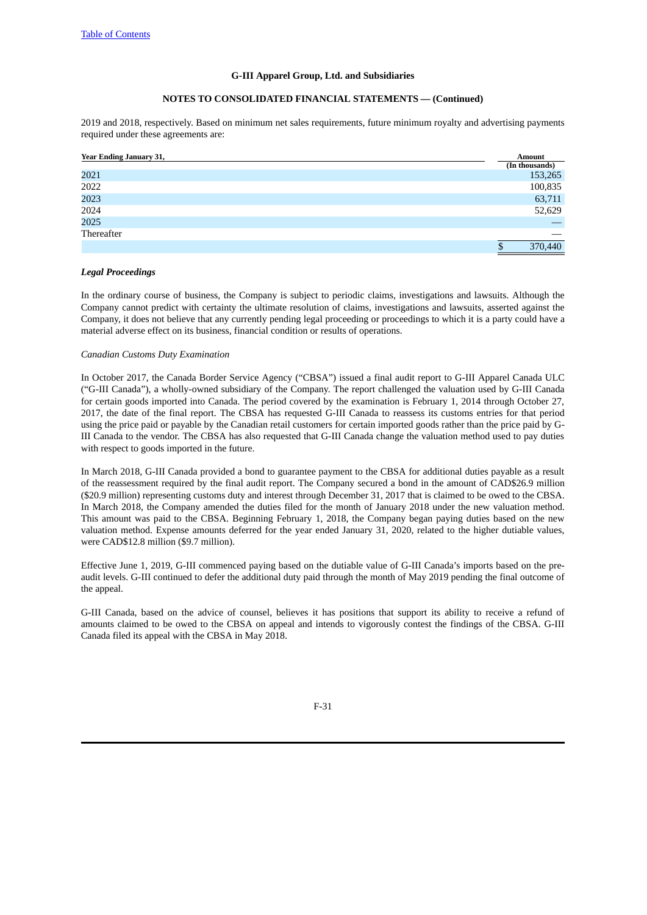### **NOTES TO CONSOLIDATED FINANCIAL STATEMENTS — (Continued)**

2019 and 2018, respectively. Based on minimum net sales requirements, future minimum royalty and advertising payments required under these agreements are:

| <b>Year Ending January 31,</b> | Amount         |
|--------------------------------|----------------|
|                                | (In thousands) |
| 2021                           | 153,265        |
| 2022                           | 100,835        |
| 2023                           | 63,711         |
| 2024                           | 52,629         |
| 2025                           |                |
| Thereafter                     |                |
|                                | 370,440<br>Φ   |

### *Legal Proceedings*

In the ordinary course of business, the Company is subject to periodic claims, investigations and lawsuits. Although the Company cannot predict with certainty the ultimate resolution of claims, investigations and lawsuits, asserted against the Company, it does not believe that any currently pending legal proceeding or proceedings to which it is a party could have a material adverse effect on its business, financial condition or results of operations.

#### *Canadian Customs Duty Examination*

In October 2017, the Canada Border Service Agency ("CBSA") issued a final audit report to G-III Apparel Canada ULC ("G-III Canada"), a wholly-owned subsidiary of the Company. The report challenged the valuation used by G-III Canada for certain goods imported into Canada. The period covered by the examination is February 1, 2014 through October 27, 2017, the date of the final report. The CBSA has requested G-III Canada to reassess its customs entries for that period using the price paid or payable by the Canadian retail customers for certain imported goods rather than the price paid by G-III Canada to the vendor. The CBSA has also requested that G-III Canada change the valuation method used to pay duties with respect to goods imported in the future.

In March 2018, G-III Canada provided a bond to guarantee payment to the CBSA for additional duties payable as a result of the reassessment required by the final audit report. The Company secured a bond in the amount of CAD\$26.9 million (\$20.9 million) representing customs duty and interest through December 31, 2017 that is claimed to be owed to the CBSA. In March 2018, the Company amended the duties filed for the month of January 2018 under the new valuation method. This amount was paid to the CBSA. Beginning February 1, 2018, the Company began paying duties based on the new valuation method. Expense amounts deferred for the year ended January 31, 2020, related to the higher dutiable values, were CAD\$12.8 million (\$9.7 million).

Effective June 1, 2019, G-III commenced paying based on the dutiable value of G-III Canada's imports based on the preaudit levels. G-III continued to defer the additional duty paid through the month of May 2019 pending the final outcome of the appeal.

G-III Canada, based on the advice of counsel, believes it has positions that support its ability to receive a refund of amounts claimed to be owed to the CBSA on appeal and intends to vigorously contest the findings of the CBSA. G-III Canada filed its appeal with the CBSA in May 2018.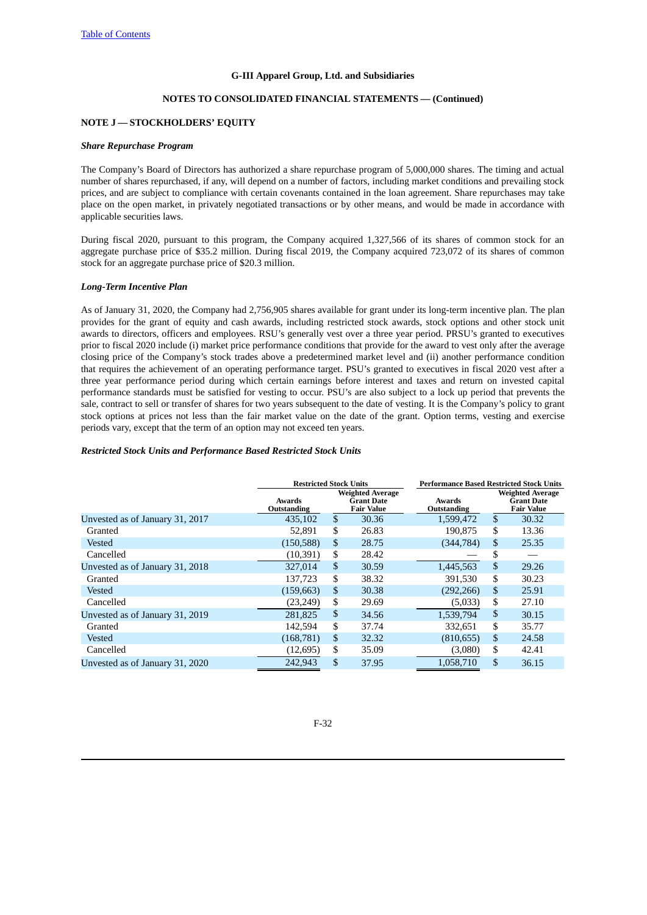## **NOTES TO CONSOLIDATED FINANCIAL STATEMENTS — (Continued)**

#### **NOTE J — STOCKHOLDERS' EQUITY**

#### *Share Repurchase Program*

The Company's Board of Directors has authorized a share repurchase program of 5,000,000 shares. The timing and actual number of shares repurchased, if any, will depend on a number of factors, including market conditions and prevailing stock prices, and are subject to compliance with certain covenants contained in the loan agreement. Share repurchases may take place on the open market, in privately negotiated transactions or by other means, and would be made in accordance with applicable securities laws.

During fiscal 2020, pursuant to this program, the Company acquired 1,327,566 of its shares of common stock for an aggregate purchase price of \$35.2 million. During fiscal 2019, the Company acquired 723,072 of its shares of common stock for an aggregate purchase price of \$20.3 million.

#### *Long-Term Incentive Plan*

As of January 31, 2020, the Company had 2,756,905 shares available for grant under its long-term incentive plan. The plan provides for the grant of equity and cash awards, including restricted stock awards, stock options and other stock unit awards to directors, officers and employees. RSU's generally vest over a three year period. PRSU's granted to executives prior to fiscal 2020 include (i) market price performance conditions that provide for the award to vest only after the average closing price of the Company's stock trades above a predetermined market level and (ii) another performance condition that requires the achievement of an operating performance target. PSU's granted to executives in fiscal 2020 vest after a three year performance period during which certain earnings before interest and taxes and return on invested capital performance standards must be satisfied for vesting to occur. PSU's are also subject to a lock up period that prevents the sale, contract to sell or transfer of shares for two years subsequent to the date of vesting. It is the Company's policy to grant stock options at prices not less than the fair market value on the date of the grant. Option terms, vesting and exercise periods vary, except that the term of an option may not exceed ten years.

#### *Restricted Stock Units and Performance Based Restricted Stock Units*

|                                 |                       | <b>Restricted Stock Units</b>                                     |       |                              |               | <b>Performance Based Restricted Stock Units</b>                   |
|---------------------------------|-----------------------|-------------------------------------------------------------------|-------|------------------------------|---------------|-------------------------------------------------------------------|
|                                 | Awards<br>Outstanding | <b>Weighted Average</b><br><b>Grant Date</b><br><b>Fair Value</b> |       | <b>Awards</b><br>Outstanding |               | <b>Weighted Average</b><br><b>Grant Date</b><br><b>Fair Value</b> |
| Unvested as of January 31, 2017 | 435,102               | \$                                                                | 30.36 | 1,599,472                    | <sup>\$</sup> | 30.32                                                             |
| Granted                         | 52.891                | \$                                                                | 26.83 | 190.875                      | \$            | 13.36                                                             |
| <b>Vested</b>                   | (150, 588)            | \$                                                                | 28.75 | (344, 784)                   | \$            | 25.35                                                             |
| Cancelled                       | (10, 391)             | \$                                                                | 28.42 |                              | \$            |                                                                   |
| Unvested as of January 31, 2018 | 327,014               | \$                                                                | 30.59 | 1,445,563                    | \$            | 29.26                                                             |
| Granted                         | 137,723               | \$                                                                | 38.32 | 391,530                      | \$            | 30.23                                                             |
| <b>Vested</b>                   | (159, 663)            | \$                                                                | 30.38 | (292, 266)                   | \$            | 25.91                                                             |
| Cancelled                       | (23, 249)             | \$                                                                | 29.69 | (5,033)                      | \$            | 27.10                                                             |
| Unvested as of January 31, 2019 | 281,825               | \$                                                                | 34.56 | 1,539,794                    | \$            | 30.15                                                             |
| Granted                         | 142,594               | \$                                                                | 37.74 | 332.651                      | \$            | 35.77                                                             |
| <b>Vested</b>                   | (168, 781)            | \$                                                                | 32.32 | (810, 655)                   | \$            | 24.58                                                             |
| Cancelled                       | (12, 695)             | \$                                                                | 35.09 | (3,080)                      | \$            | 42.41                                                             |
| Unvested as of January 31, 2020 | 242,943               | \$                                                                | 37.95 | 1.058.710                    | \$            | 36.15                                                             |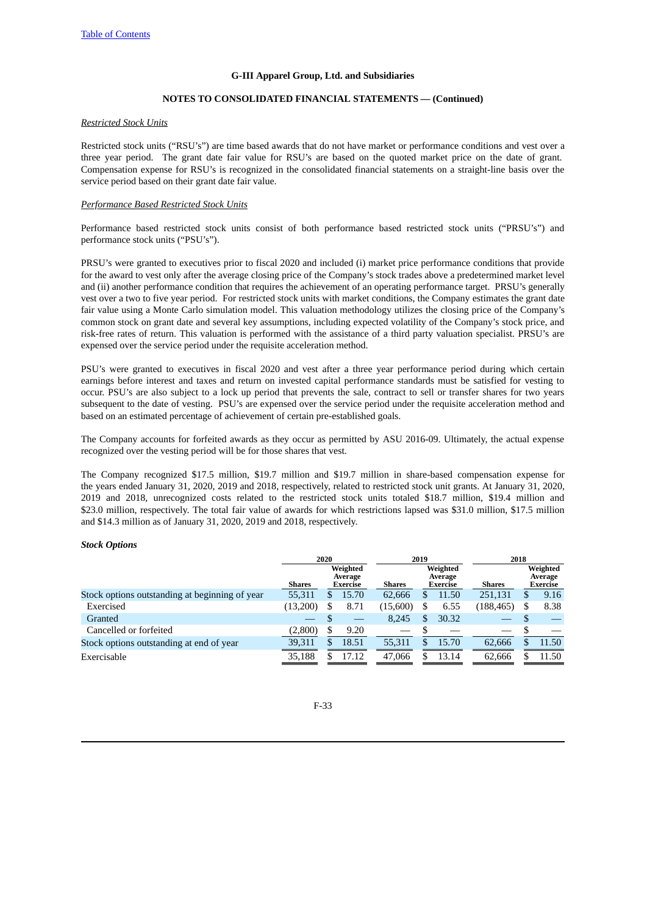## **NOTES TO CONSOLIDATED FINANCIAL STATEMENTS — (Continued)**

#### *Restricted Stock Units*

Restricted stock units ("RSU's") are time based awards that do not have market or performance conditions and vest over a three year period. The grant date fair value for RSU's are based on the quoted market price on the date of grant. Compensation expense for RSU's is recognized in the consolidated financial statements on a straight-line basis over the service period based on their grant date fair value.

#### *Performance Based Restricted Stock Units*

Performance based restricted stock units consist of both performance based restricted stock units ("PRSU's") and performance stock units ("PSU's").

PRSU's were granted to executives prior to fiscal 2020 and included (i) market price performance conditions that provide for the award to vest only after the average closing price of the Company's stock trades above a predetermined market level and (ii) another performance condition that requires the achievement of an operating performance target. PRSU's generally vest over a two to five year period. For restricted stock units with market conditions, the Company estimates the grant date fair value using a Monte Carlo simulation model. This valuation methodology utilizes the closing price of the Company's common stock on grant date and several key assumptions, including expected volatility of the Company's stock price, and risk-free rates of return. This valuation is performed with the assistance of a third party valuation specialist. PRSU's are expensed over the service period under the requisite acceleration method.

PSU's were granted to executives in fiscal 2020 and vest after a three year performance period during which certain earnings before interest and taxes and return on invested capital performance standards must be satisfied for vesting to occur. PSU's are also subject to a lock up period that prevents the sale, contract to sell or transfer shares for two years subsequent to the date of vesting. PSU's are expensed over the service period under the requisite acceleration method and based on an estimated percentage of achievement of certain pre-established goals.

The Company accounts for forfeited awards as they occur as permitted by ASU 2016-09. Ultimately, the actual expense recognized over the vesting period will be for those shares that vest.

The Company recognized \$17.5 million, \$19.7 million and \$19.7 million in share-based compensation expense for the years ended January 31, 2020, 2019 and 2018, respectively, related to restricted stock unit grants. At January 31, 2020, 2019 and 2018, unrecognized costs related to the restricted stock units totaled \$18.7 million, \$19.4 million and \$23.0 million, respectively. The total fair value of awards for which restrictions lapsed was \$31.0 million, \$17.5 million and \$14.3 million as of January 31, 2020, 2019 and 2018, respectively.

#### *Stock Options*

|                                                | 2020     |                                        |       |          | 2019 |       | 2018       |   |       |  |  |               |  |  |  |                                 |               |  |                                 |
|------------------------------------------------|----------|----------------------------------------|-------|----------|------|-------|------------|---|-------|--|--|---------------|--|--|--|---------------------------------|---------------|--|---------------------------------|
|                                                | Shares   | Weighted<br>Average<br><b>Exercise</b> |       |          |      |       |            |   |       |  |  | <b>Shares</b> |  |  |  | Weighted<br>Average<br>Exercise | <b>Shares</b> |  | Weighted<br>Average<br>Exercise |
| Stock options outstanding at beginning of year | 55,311   | S                                      | 15.70 | 62,666   | \$   | 11.50 | 251,131    | S | 9.16  |  |  |               |  |  |  |                                 |               |  |                                 |
| Exercised                                      | (13,200) | \$                                     | 8.71  | (15,600) |      | 6.55  | (188, 465) |   | 8.38  |  |  |               |  |  |  |                                 |               |  |                                 |
| Granted                                        |          |                                        |       | 8,245    | S.   | 30.32 |            |   |       |  |  |               |  |  |  |                                 |               |  |                                 |
| Cancelled or forfeited                         | (2,800)  | S                                      | 9.20  |          |      |       |            |   |       |  |  |               |  |  |  |                                 |               |  |                                 |
| Stock options outstanding at end of year       | 39,311   |                                        | 18.51 | 55,311   |      | 15.70 | 62.666     |   | 11.50 |  |  |               |  |  |  |                                 |               |  |                                 |
| Exercisable                                    | 35,188   |                                        | 17.12 | 47,066   |      | 13.14 | 62,666     |   | 11.50 |  |  |               |  |  |  |                                 |               |  |                                 |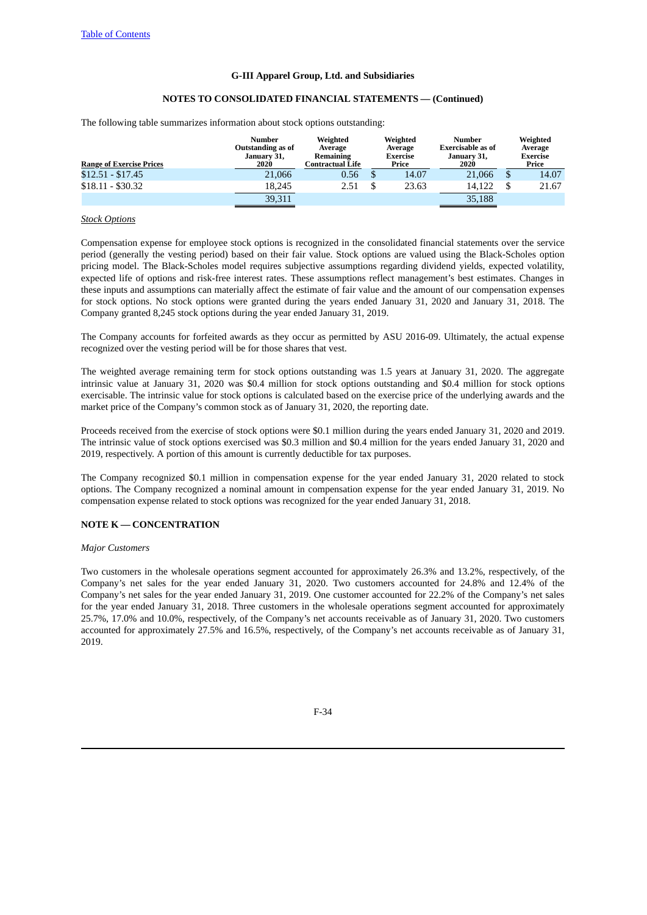## **NOTES TO CONSOLIDATED FINANCIAL STATEMENTS — (Continued)**

The following table summarizes information about stock options outstanding:

| <b>Range of Exercise Prices</b> | Number<br>Outstanding as of<br>January 31,<br>2020 | Weighted<br>Average<br><b>Remaining</b><br>Contractual Life | Weighted<br>Average<br>Exercise<br>Price | <b>Number</b><br><b>Exercisable as of</b><br>January 31,<br>2020 | Weighted<br>Average<br>Exercise<br>Price |
|---------------------------------|----------------------------------------------------|-------------------------------------------------------------|------------------------------------------|------------------------------------------------------------------|------------------------------------------|
| $$12.51 - $17.45$               | 21,066                                             | 0.56                                                        | 14.07                                    | 21,066                                                           | \$<br>14.07                              |
| $$18.11 - $30.32$               | 18.245                                             | 2.51                                                        | \$<br>23.63                              | 14.122                                                           | \$<br>21.67                              |
|                                 | 39,311                                             |                                                             |                                          | 35,188                                                           |                                          |

### *Stock Options*

Compensation expense for employee stock options is recognized in the consolidated financial statements over the service period (generally the vesting period) based on their fair value. Stock options are valued using the Black-Scholes option pricing model. The Black-Scholes model requires subjective assumptions regarding dividend yields, expected volatility, expected life of options and risk-free interest rates. These assumptions reflect management's best estimates. Changes in these inputs and assumptions can materially affect the estimate of fair value and the amount of our compensation expenses for stock options. No stock options were granted during the years ended January 31, 2020 and January 31, 2018. The Company granted 8,245 stock options during the year ended January 31, 2019.

The Company accounts for forfeited awards as they occur as permitted by ASU 2016-09. Ultimately, the actual expense recognized over the vesting period will be for those shares that vest.

The weighted average remaining term for stock options outstanding was 1.5 years at January 31, 2020. The aggregate intrinsic value at January 31, 2020 was \$0.4 million for stock options outstanding and \$0.4 million for stock options exercisable. The intrinsic value for stock options is calculated based on the exercise price of the underlying awards and the market price of the Company's common stock as of January 31, 2020, the reporting date.

Proceeds received from the exercise of stock options were \$0.1 million during the years ended January 31, 2020 and 2019. The intrinsic value of stock options exercised was \$0.3 million and \$0.4 million for the years ended January 31, 2020 and 2019, respectively. A portion of this amount is currently deductible for tax purposes.

The Company recognized \$0.1 million in compensation expense for the year ended January 31, 2020 related to stock options. The Company recognized a nominal amount in compensation expense for the year ended January 31, 2019. No compensation expense related to stock options was recognized for the year ended January 31, 2018.

### **NOTE K — CONCENTRATION**

#### *Major Customers*

Two customers in the wholesale operations segment accounted for approximately 26.3% and 13.2%, respectively, of the Company's net sales for the year ended January 31, 2020. Two customers accounted for 24.8% and 12.4% of the Company's net sales for the year ended January 31, 2019. One customer accounted for 22.2% of the Company's net sales for the year ended January 31, 2018. Three customers in the wholesale operations segment accounted for approximately 25.7%, 17.0% and 10.0%, respectively, of the Company's net accounts receivable as of January 31, 2020. Two customers accounted for approximately 27.5% and 16.5%, respectively, of the Company's net accounts receivable as of January 31, 2019.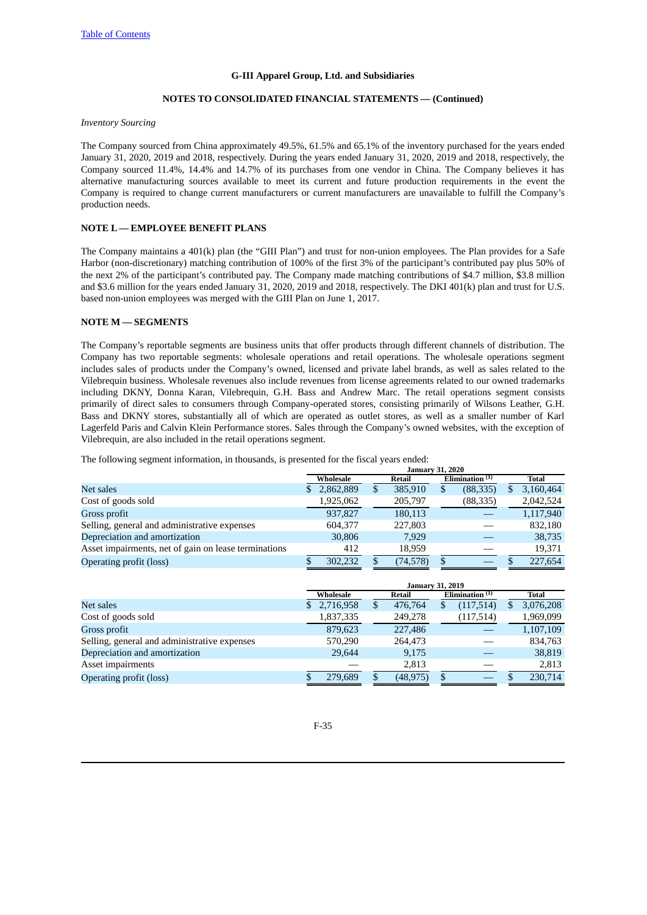## **NOTES TO CONSOLIDATED FINANCIAL STATEMENTS — (Continued)**

#### *Inventory Sourcing*

The Company sourced from China approximately 49.5%, 61.5% and 65.1% of the inventory purchased for the years ended January 31, 2020, 2019 and 2018, respectively. During the years ended January 31, 2020, 2019 and 2018, respectively, the Company sourced 11.4%, 14.4% and 14.7% of its purchases from one vendor in China. The Company believes it has alternative manufacturing sources available to meet its current and future production requirements in the event the Company is required to change current manufacturers or current manufacturers are unavailable to fulfill the Company's production needs.

#### **NOTE L— EMPLOYEE BENEFIT PLANS**

The Company maintains a 401(k) plan (the "GIII Plan") and trust for non-union employees. The Plan provides for a Safe Harbor (non-discretionary) matching contribution of 100% of the first 3% of the participant's contributed pay plus 50% of the next 2% of the participant's contributed pay. The Company made matching contributions of \$4.7 million, \$3.8 million and \$3.6 million for the years ended January 31, 2020, 2019 and 2018, respectively. The DKI 401(k) plan and trust for U.S. based non-union employees was merged with the GIII Plan on June 1, 2017.

### **NOTE M — SEGMENTS**

The Company's reportable segments are business units that offer products through different channels of distribution. The Company has two reportable segments: wholesale operations and retail operations. The wholesale operations segment includes sales of products under the Company's owned, licensed and private label brands, as well as sales related to the Vilebrequin business. Wholesale revenues also include revenues from license agreements related to our owned trademarks including DKNY, Donna Karan, Vilebrequin, G.H. Bass and Andrew Marc. The retail operations segment consists primarily of direct sales to consumers through Company-operated stores, consisting primarily of Wilsons Leather, G.H. Bass and DKNY stores, substantially all of which are operated as outlet stores, as well as a smaller number of Karl Lagerfeld Paris and Calvin Klein Performance stores. Sales through the Company's owned websites, with the exception of Vilebrequin, are also included in the retail operations segment.

The following segment information, in thousands, is presented for the fiscal years ended:

|                                                      | <b>January 31, 2020</b> |           |     |                             |    |           |   |              |  |  |
|------------------------------------------------------|-------------------------|-----------|-----|-----------------------------|----|-----------|---|--------------|--|--|
|                                                      |                         | Wholesale |     | Elimination $(1)$<br>Retail |    |           |   | <b>Total</b> |  |  |
| Net sales                                            | S.                      | 2,862,889 | \$. | 385,910                     | S. | (88, 335) | S | 3,160,464    |  |  |
| Cost of goods sold                                   |                         | 1,925,062 |     | 205,797                     |    | (88, 335) |   | 2,042,524    |  |  |
| Gross profit                                         |                         | 937,827   |     | 180,113                     |    |           |   | 1,117,940    |  |  |
| Selling, general and administrative expenses         |                         | 604,377   |     | 227,803                     |    |           |   | 832,180      |  |  |
| Depreciation and amortization                        |                         | 30,806    |     | 7.929                       |    |           |   | 38,735       |  |  |
| Asset impairments, net of gain on lease terminations |                         | 412       |     | 18,959                      |    |           |   | 19,371       |  |  |
| <b>Operating profit (loss)</b>                       |                         | 302.232   |     | (74, 578)                   | \$ |           |   | 227.654      |  |  |

|                                              | <b>January 31, 2019</b> |           |  |           |    |                   |   |              |  |  |
|----------------------------------------------|-------------------------|-----------|--|-----------|----|-------------------|---|--------------|--|--|
|                                              | Wholesale               |           |  | Retail    |    | Elimination $(1)$ |   | <b>Total</b> |  |  |
| Net sales                                    |                         | 2,716,958 |  | 476.764   | S  | (117,514)         | S | 3,076,208    |  |  |
| Cost of goods sold                           |                         | 1,837,335 |  | 249,278   |    | (117, 514)        |   | 1,969,099    |  |  |
| Gross profit                                 |                         | 879,623   |  | 227,486   |    |                   |   | 1,107,109    |  |  |
| Selling, general and administrative expenses |                         | 570,290   |  | 264,473   |    |                   |   | 834,763      |  |  |
| Depreciation and amortization                |                         | 29.644    |  | 9,175     |    |                   |   | 38,819       |  |  |
| Asset impairments                            |                         |           |  | 2,813     |    |                   |   | 2,813        |  |  |
| <b>Operating profit (loss)</b>               |                         | 279,689   |  | (48, 975) | \$ |                   |   | 230,714      |  |  |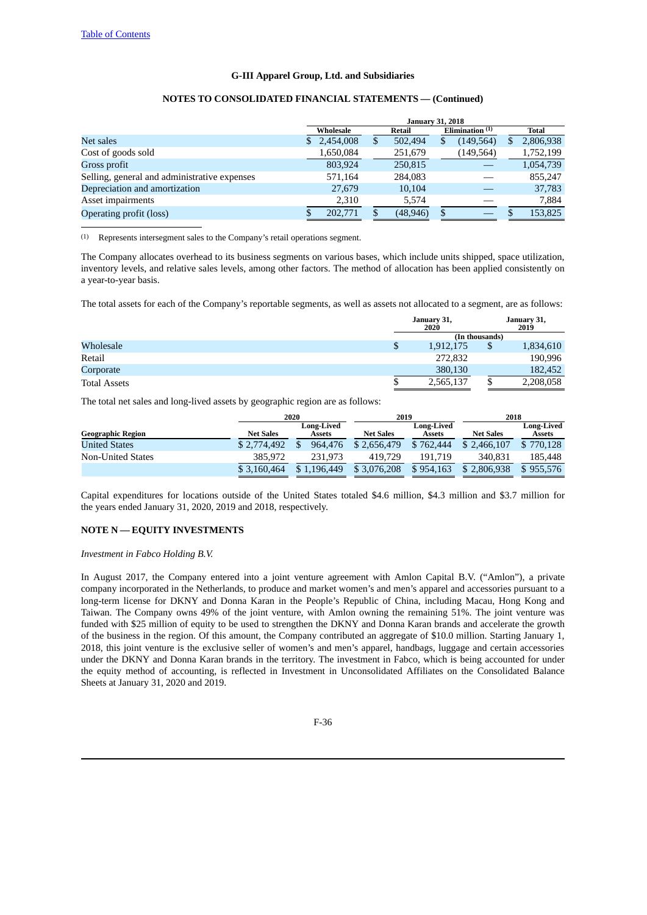## **NOTES TO CONSOLIDATED FINANCIAL STATEMENTS — (Continued)**

|                                              | <b>January 31, 2018</b> |           |   |           |    |                   |   |              |  |
|----------------------------------------------|-------------------------|-----------|---|-----------|----|-------------------|---|--------------|--|
|                                              |                         | Wholesale |   | Retail    |    | Elimination $(1)$ |   | <b>Total</b> |  |
| Net sales                                    | S.                      | 2,454,008 | S | 502,494   | \$ | (149, 564)        | S | 2,806,938    |  |
| Cost of goods sold                           |                         | 1,650,084 |   | 251,679   |    | (149, 564)        |   | 1,752,199    |  |
| Gross profit                                 |                         | 803.924   |   | 250,815   |    |                   |   | 1,054,739    |  |
| Selling, general and administrative expenses |                         | 571,164   |   | 284,083   |    |                   |   | 855,247      |  |
| Depreciation and amortization                |                         | 27,679    |   | 10,104    |    |                   |   | 37,783       |  |
| Asset impairments                            |                         | 2,310     |   | 5,574     |    |                   |   | 7,884        |  |
| <b>Operating profit (loss)</b>               |                         | 202,771   |   | (48, 946) | \$ |                   |   | 153,825      |  |

(1) Represents intersegment sales to the Company's retail operations segment.

The Company allocates overhead to its business segments on various bases, which include units shipped, space utilization, inventory levels, and relative sales levels, among other factors. The method of allocation has been applied consistently on a year-to-year basis.

The total assets for each of the Company's reportable segments, as well as assets not allocated to a segment, are as follows:

|                     |   | January 31,<br>2020 | January 31,<br>2019 |           |  |
|---------------------|---|---------------------|---------------------|-----------|--|
|                     |   |                     | (In thousands)      |           |  |
| Wholesale           | Φ | 1,912,175           | Φ                   | 1,834,610 |  |
| Retail              |   | 272,832             |                     | 190,996   |  |
| Corporate           |   | 380,130             |                     | 182,452   |  |
| <b>Total Assets</b> |   | 2,565,137           |                     | 2,208,058 |  |

The total net sales and long-lived assets by geographic region are as follows:

|                          | 2020             |  | 2019                        |                  | 2018                        |                           |                             |  |
|--------------------------|------------------|--|-----------------------------|------------------|-----------------------------|---------------------------|-----------------------------|--|
| <b>Geographic Region</b> | <b>Net Sales</b> |  | <b>Long-Lived</b><br>Assets | <b>Net Sales</b> | <b>Long-Lived</b><br>Assets | <b>Net Sales</b>          | <b>Long-Lived</b><br>Assets |  |
| <b>United States</b>     | \$2,774,492      |  | 964.476                     | \$2,656,479      | \$762,444                   | \$2,466,107               | \$770,128                   |  |
| Non-United States        | 385.972          |  | 231.973                     | 419.729          | 191.719                     | 340.831                   | 185.448                     |  |
|                          | \$3.160,464      |  | \$1,196,449                 | \$3,076,208      | \$954,163                   | $\mathbf{S}$<br>2.806.938 | \$955.576                   |  |

Capital expenditures for locations outside of the United States totaled \$4.6 million, \$4.3 million and \$3.7 million for the years ended January 31, 2020, 2019 and 2018, respectively.

## **NOTE N — EQUITY INVESTMENTS**

### *Investment in Fabco Holding B.V.*

In August 2017, the Company entered into a joint venture agreement with Amlon Capital B.V. ("Amlon"), a private company incorporated in the Netherlands, to produce and market women's and men's apparel and accessories pursuant to a long-term license for DKNY and Donna Karan in the People's Republic of China, including Macau, Hong Kong and Taiwan. The Company owns 49% of the joint venture, with Amlon owning the remaining 51%. The joint venture was funded with \$25 million of equity to be used to strengthen the DKNY and Donna Karan brands and accelerate the growth of the business in the region. Of this amount, the Company contributed an aggregate of \$10.0 million. Starting January 1, 2018, this joint venture is the exclusive seller of women's and men's apparel, handbags, luggage and certain accessories under the DKNY and Donna Karan brands in the territory. The investment in Fabco, which is being accounted for under the equity method of accounting, is reflected in Investment in Unconsolidated Affiliates on the Consolidated Balance Sheets at January 31, 2020 and 2019.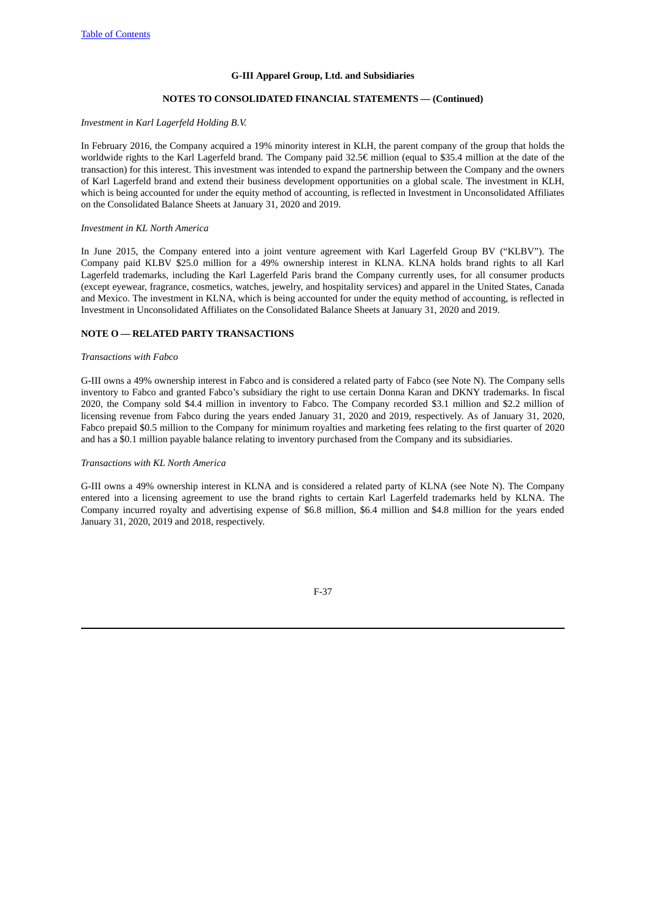## **NOTES TO CONSOLIDATED FINANCIAL STATEMENTS — (Continued)**

#### *Investment in Karl Lagerfeld Holding B.V.*

In February 2016, the Company acquired a 19% minority interest in KLH, the parent company of the group that holds the worldwide rights to the Karl Lagerfeld brand. The Company paid 32.5€ million (equal to \$35.4 million at the date of the transaction) for this interest. This investment was intended to expand the partnership between the Company and the owners of Karl Lagerfeld brand and extend their business development opportunities on a global scale. The investment in KLH, which is being accounted for under the equity method of accounting, is reflected in Investment in Unconsolidated Affiliates on the Consolidated Balance Sheets at January 31, 2020 and 2019.

#### *Investment in KL North America*

In June 2015, the Company entered into a joint venture agreement with Karl Lagerfeld Group BV ("KLBV"). The Company paid KLBV \$25.0 million for a 49% ownership interest in KLNA. KLNA holds brand rights to all Karl Lagerfeld trademarks, including the Karl Lagerfeld Paris brand the Company currently uses, for all consumer products (except eyewear, fragrance, cosmetics, watches, jewelry, and hospitality services) and apparel in the United States, Canada and Mexico. The investment in KLNA, which is being accounted for under the equity method of accounting, is reflected in Investment in Unconsolidated Affiliates on the Consolidated Balance Sheets at January 31, 2020 and 2019.

#### **NOTE O — RELATED PARTY TRANSACTIONS**

#### *Transactions with Fabco*

G-III owns a 49% ownership interest in Fabco and is considered a related party of Fabco (see Note N). The Company sells inventory to Fabco and granted Fabco's subsidiary the right to use certain Donna Karan and DKNY trademarks. In fiscal 2020, the Company sold \$4.4 million in inventory to Fabco. The Company recorded \$3.1 million and \$2.2 million of licensing revenue from Fabco during the years ended January 31, 2020 and 2019, respectively. As of January 31, 2020, Fabco prepaid \$0.5 million to the Company for minimum royalties and marketing fees relating to the first quarter of 2020 and has a \$0.1 million payable balance relating to inventory purchased from the Company and its subsidiaries.

#### *Transactions with KL North America*

G-III owns a 49% ownership interest in KLNA and is considered a related party of KLNA (see Note N). The Company entered into a licensing agreement to use the brand rights to certain Karl Lagerfeld trademarks held by KLNA. The Company incurred royalty and advertising expense of \$6.8 million, \$6.4 million and \$4.8 million for the years ended January 31, 2020, 2019 and 2018, respectively.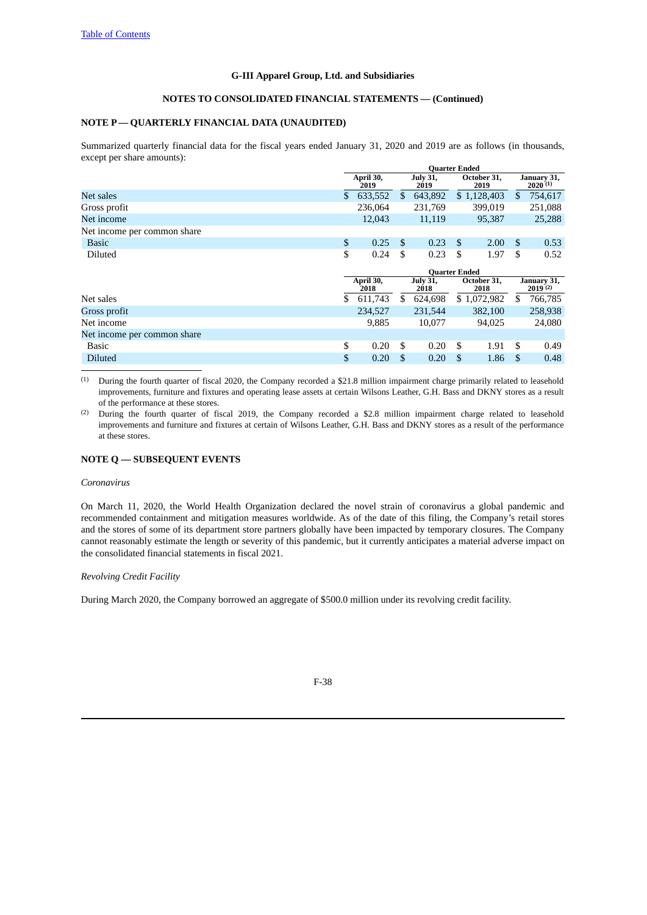## **NOTES TO CONSOLIDATED FINANCIAL STATEMENTS — (Continued)**

### **NOTE P— QUARTERLY FINANCIAL DATA (UNAUDITED)**

Summarized quarterly financial data for the fiscal years ended January 31, 2020 and 2019 are as follows (in thousands, except per share amounts): **Quarter Ended**

|                             |              | Ouarter Ended     |               |                         |                     |             |     |                        |  |
|-----------------------------|--------------|-------------------|---------------|-------------------------|---------------------|-------------|-----|------------------------|--|
|                             |              | April 30,<br>2019 |               | <b>July 31,</b><br>2019 | October 31.<br>2019 |             |     | January 31,<br>2020(1) |  |
| Net sales                   | $\mathbb{S}$ | 633,552           | \$            | 643.892                 |                     | \$1,128,403 | \$  | 754,617                |  |
| Gross profit                |              | 236,064           |               | 231,769                 |                     | 399,019     |     | 251,088                |  |
| Net income                  |              | 12,043            |               | 11,119                  |                     | 95,387      |     | 25,288                 |  |
| Net income per common share |              |                   |               |                         |                     |             |     |                        |  |
| <b>Basic</b>                | \$           | 0.25              | <sup>\$</sup> | 0.23                    | S.                  | 2.00        | \$  | 0.53                   |  |
| <b>Diluted</b>              | \$           | 0.24              | \$            | 0.23                    | \$                  | 1.97        | \$. | 0.52                   |  |
|                             |              |                   |               | <b>Quarter Ended</b>    |                     |             |     |                        |  |
|                             |              | April 30,<br>2018 |               | <b>July 31,</b><br>2018 | October 31,<br>2018 |             |     | January 31,<br>2019(2) |  |
|                             |              |                   |               |                         |                     |             |     |                        |  |
| Net sales                   | \$.          | 611.743           | \$.           | 624.698                 |                     | \$1,072,982 | \$  | 766,785                |  |
| Gross profit                |              | 234,527           |               | 231,544                 |                     | 382,100     |     | 258,938                |  |
| Net income                  |              | 9,885             |               | 10,077                  |                     | 94,025      |     | 24,080                 |  |
| Net income per common share |              |                   |               |                         |                     |             |     |                        |  |
| Basic                       | \$           | 0.20              | \$            | 0.20                    | \$                  | 1.91        | \$  | 0.49                   |  |

(1) During the fourth quarter of fiscal 2020, the Company recorded a \$21.8 million impairment charge primarily related to leasehold improvements, furniture and fixtures and operating lease assets at certain Wilsons Leather, G.H. Bass and DKNY stores as a result of the performance at these stores.

(2) During the fourth quarter of fiscal 2019, the Company recorded a \$2.8 million impairment charge related to leasehold improvements and furniture and fixtures at certain of Wilsons Leather, G.H. Bass and DKNY stores as a result of the performance at these stores.

## **NOTE Q — SUBSEQUENT EVENTS**

### *Coronavirus*

On March 11, 2020, the World Health Organization declared the novel strain of coronavirus a global pandemic and recommended containment and mitigation measures worldwide. As of the date of this filing, the Company's retail stores and the stores of some of its department store partners globally have been impacted by temporary closures. The Company cannot reasonably estimate the length or severity of this pandemic, but it currently anticipates a material adverse impact on the consolidated financial statements in fiscal 2021.

#### *Revolving Credit Facility*

During March 2020, the Company borrowed an aggregate of \$500.0 million under its revolving credit facility.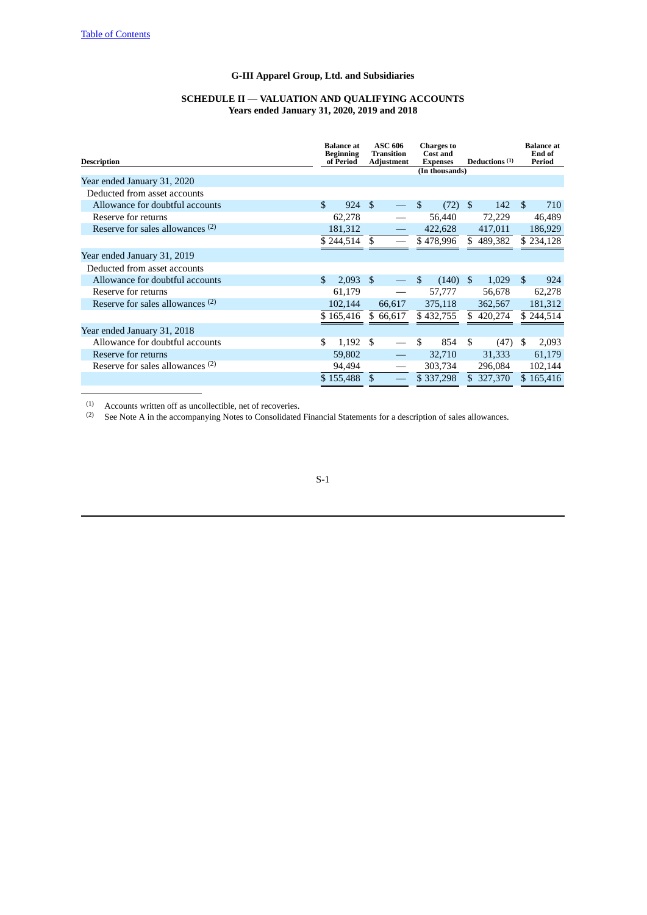# **SCHEDULE II** — **VALUATION AND QUALIFYING ACCOUNTS Years ended January 31, 2020, 2019 and 2018**

| <b>Description</b>                 | <b>Balance</b> at<br>Beginning<br>of Period | <b>ASC 606</b><br><b>Transition</b><br><b>Adjustment</b> |          | <b>Charges to</b><br>Cost and<br><b>Expenses</b> |           |               | Deductions <sup>(1)</sup> |               | <b>Balance</b> at<br>End of<br>Period |
|------------------------------------|---------------------------------------------|----------------------------------------------------------|----------|--------------------------------------------------|-----------|---------------|---------------------------|---------------|---------------------------------------|
|                                    |                                             |                                                          |          | (In thousands)                                   |           |               |                           |               |                                       |
| Year ended January 31, 2020        |                                             |                                                          |          |                                                  |           |               |                           |               |                                       |
| Deducted from asset accounts       |                                             |                                                          |          |                                                  |           |               |                           |               |                                       |
| Allowance for doubtful accounts    | \$<br>924                                   | -\$                                                      |          | $\mathbb{S}$                                     | (72)      | <sup>\$</sup> | 142                       | \$            | 710                                   |
| Reserve for returns                | 62,278                                      |                                                          |          |                                                  | 56,440    |               | 72,229                    |               | 46,489                                |
| Reserve for sales allowances $(2)$ | 181,312                                     |                                                          |          |                                                  | 422,628   |               | 417,011                   |               | 186,929                               |
|                                    | \$244,514                                   | \$.                                                      |          |                                                  | \$478,996 |               | \$489,382                 |               | \$234,128                             |
| Year ended January 31, 2019        |                                             |                                                          |          |                                                  |           |               |                           |               |                                       |
| Deducted from asset accounts       |                                             |                                                          |          |                                                  |           |               |                           |               |                                       |
| Allowance for doubtful accounts    | \$<br>2,093                                 | -\$                                                      |          | \$                                               | (140)     | <sup>\$</sup> | 1,029                     | <sup>\$</sup> | 924                                   |
| Reserve for returns                | 61.179                                      |                                                          |          |                                                  | 57,777    |               | 56,678                    |               | 62,278                                |
| Reserve for sales allowances $(2)$ | 102,144                                     |                                                          | 66,617   |                                                  | 375,118   |               | 362,567                   |               | 181,312                               |
|                                    | \$165,416                                   |                                                          | \$66,617 |                                                  | \$432,755 |               | \$420,274                 |               | \$244,514                             |
| Year ended January 31, 2018        |                                             |                                                          |          |                                                  |           |               |                           |               |                                       |
| Allowance for doubtful accounts    | \$<br>$1,192$ \$                            |                                                          |          | \$                                               | 854       | \$            | (47)                      | \$            | 2,093                                 |
| Reserve for returns                | 59,802                                      |                                                          |          |                                                  | 32,710    |               | 31,333                    |               | 61,179                                |
| Reserve for sales allowances $(2)$ | 94,494                                      |                                                          |          |                                                  | 303,734   |               | 296,084                   |               | 102,144                               |
|                                    | \$155,488                                   | \$                                                       |          |                                                  | \$337,298 |               | \$ 327,370                |               | \$165,416                             |

 $(1)$  Accounts written off as uncollectible, net of recoveries.

(2) See Note A in the accompanying Notes to Consolidated Financial Statements for a description of sales allowances.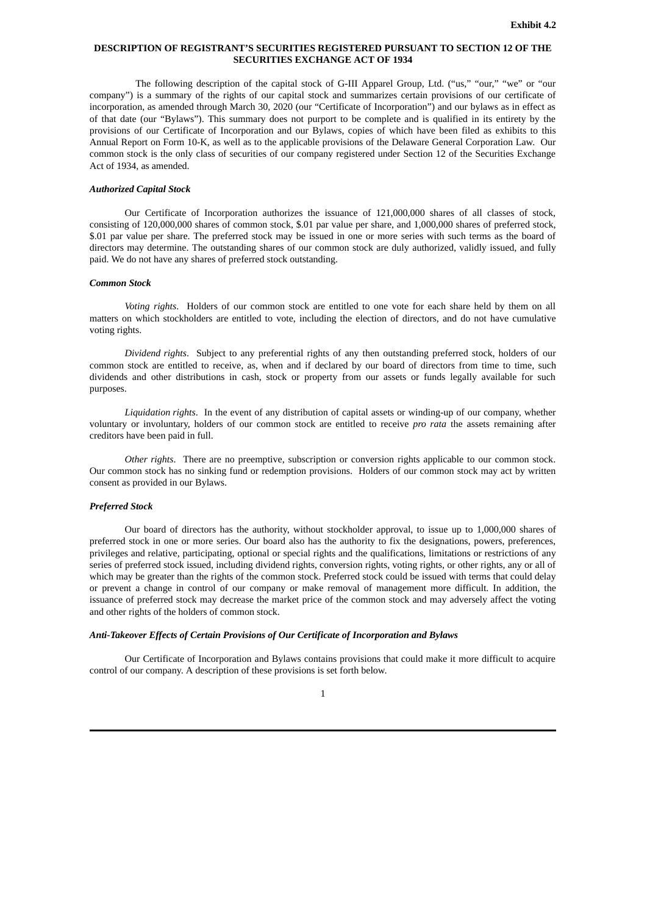### **DESCRIPTION OF REGISTRANT'S SECURITIES REGISTERED PURSUANT TO SECTION 12 OF THE SECURITIES EXCHANGE ACT OF 1934**

The following description of the capital stock of G-III Apparel Group, Ltd. ("us," "our," "we" or "our company") is a summary of the rights of our capital stock and summarizes certain provisions of our certificate of incorporation, as amended through March 30, 2020 (our "Certificate of Incorporation") and our bylaws as in effect as of that date (our "Bylaws"). This summary does not purport to be complete and is qualified in its entirety by the provisions of our Certificate of Incorporation and our Bylaws, copies of which have been filed as exhibits to this Annual Report on Form 10-K, as well as to the applicable provisions of the Delaware General Corporation Law. Our common stock is the only class of securities of our company registered under Section 12 of the Securities Exchange Act of 1934, as amended.

#### *Authorized Capital Stock*

Our Certificate of Incorporation authorizes the issuance of 121,000,000 shares of all classes of stock, consisting of 120,000,000 shares of common stock, \$.01 par value per share, and 1,000,000 shares of preferred stock, \$.01 par value per share. The preferred stock may be issued in one or more series with such terms as the board of directors may determine. The outstanding shares of our common stock are duly authorized, validly issued, and fully paid. We do not have any shares of preferred stock outstanding.

#### *Common Stock*

*Voting rights*. Holders of our common stock are entitled to one vote for each share held by them on all matters on which stockholders are entitled to vote, including the election of directors, and do not have cumulative voting rights.

*Dividend rights*. Subject to any preferential rights of any then outstanding preferred stock, holders of our common stock are entitled to receive, as, when and if declared by our board of directors from time to time, such dividends and other distributions in cash, stock or property from our assets or funds legally available for such purposes.

*Liquidation rights*. In the event of any distribution of capital assets or winding-up of our company, whether voluntary or involuntary, holders of our common stock are entitled to receive *pro rata* the assets remaining after creditors have been paid in full.

*Other rights*. There are no preemptive, subscription or conversion rights applicable to our common stock. Our common stock has no sinking fund or redemption provisions. Holders of our common stock may act by written consent as provided in our Bylaws.

#### *Preferred Stock*

Our board of directors has the authority, without stockholder approval, to issue up to 1,000,000 shares of preferred stock in one or more series. Our board also has the authority to fix the designations, powers, preferences, privileges and relative, participating, optional or special rights and the qualifications, limitations or restrictions of any series of preferred stock issued, including dividend rights, conversion rights, voting rights, or other rights, any or all of which may be greater than the rights of the common stock. Preferred stock could be issued with terms that could delay or prevent a change in control of our company or make removal of management more difficult. In addition, the issuance of preferred stock may decrease the market price of the common stock and may adversely affect the voting and other rights of the holders of common stock.

### *Anti-Takeover Effects of Certain Provisions of Our Certificate of Incorporation and Bylaws*

Our Certificate of Incorporation and Bylaws contains provisions that could make it more difficult to acquire control of our company. A description of these provisions is set forth below.

1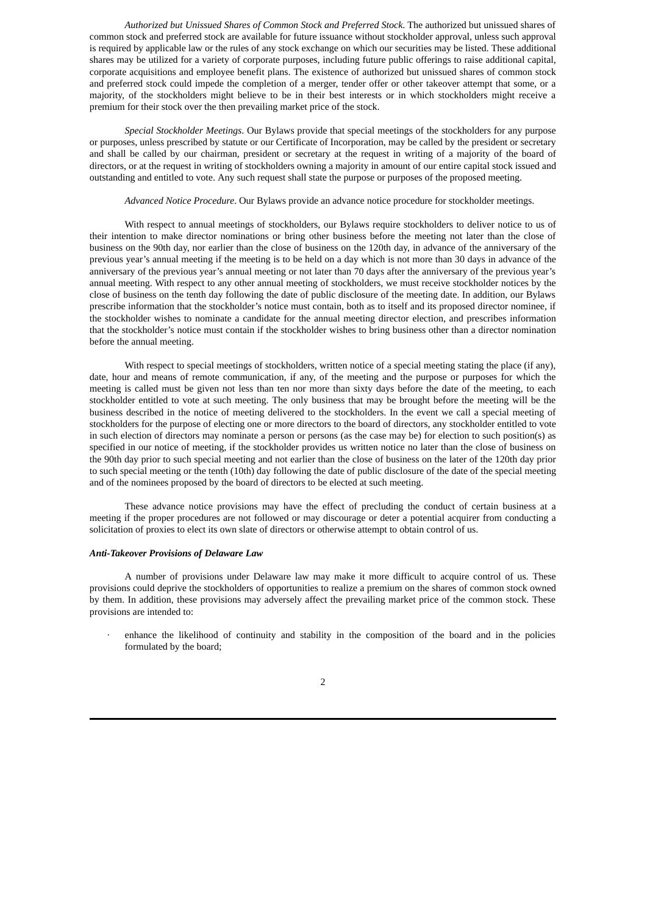*Authorized but Unissued Shares of Common Stock and Preferred Stock*. The authorized but unissued shares of common stock and preferred stock are available for future issuance without stockholder approval, unless such approval is required by applicable law or the rules of any stock exchange on which our securities may be listed. These additional shares may be utilized for a variety of corporate purposes, including future public offerings to raise additional capital, corporate acquisitions and employee benefit plans. The existence of authorized but unissued shares of common stock and preferred stock could impede the completion of a merger, tender offer or other takeover attempt that some, or a majority, of the stockholders might believe to be in their best interests or in which stockholders might receive a premium for their stock over the then prevailing market price of the stock.

*Special Stockholder Meetings*. Our Bylaws provide that special meetings of the stockholders for any purpose or purposes, unless prescribed by statute or our Certificate of Incorporation, may be called by the president or secretary and shall be called by our chairman, president or secretary at the request in writing of a majority of the board of directors, or at the request in writing of stockholders owning a majority in amount of our entire capital stock issued and outstanding and entitled to vote. Any such request shall state the purpose or purposes of the proposed meeting.

*Advanced Notice Procedure*. Our Bylaws provide an advance notice procedure for stockholder meetings.

With respect to annual meetings of stockholders, our Bylaws require stockholders to deliver notice to us of their intention to make director nominations or bring other business before the meeting not later than the close of business on the 90th day, nor earlier than the close of business on the 120th day, in advance of the anniversary of the previous year's annual meeting if the meeting is to be held on a day which is not more than 30 days in advance of the anniversary of the previous year's annual meeting or not later than 70 days after the anniversary of the previous year's annual meeting. With respect to any other annual meeting of stockholders, we must receive stockholder notices by the close of business on the tenth day following the date of public disclosure of the meeting date. In addition, our Bylaws prescribe information that the stockholder's notice must contain, both as to itself and its proposed director nominee, if the stockholder wishes to nominate a candidate for the annual meeting director election, and prescribes information that the stockholder's notice must contain if the stockholder wishes to bring business other than a director nomination before the annual meeting.

With respect to special meetings of stockholders, written notice of a special meeting stating the place (if any), date, hour and means of remote communication, if any, of the meeting and the purpose or purposes for which the meeting is called must be given not less than ten nor more than sixty days before the date of the meeting, to each stockholder entitled to vote at such meeting. The only business that may be brought before the meeting will be the business described in the notice of meeting delivered to the stockholders. In the event we call a special meeting of stockholders for the purpose of electing one or more directors to the board of directors, any stockholder entitled to vote in such election of directors may nominate a person or persons (as the case may be) for election to such position(s) as specified in our notice of meeting, if the stockholder provides us written notice no later than the close of business on the 90th day prior to such special meeting and not earlier than the close of business on the later of the 120th day prior to such special meeting or the tenth (10th) day following the date of public disclosure of the date of the special meeting and of the nominees proposed by the board of directors to be elected at such meeting.

These advance notice provisions may have the effect of precluding the conduct of certain business at a meeting if the proper procedures are not followed or may discourage or deter a potential acquirer from conducting a solicitation of proxies to elect its own slate of directors or otherwise attempt to obtain control of us.

#### *Anti-Takeover Provisions of Delaware Law*

A number of provisions under Delaware law may make it more difficult to acquire control of us. These provisions could deprive the stockholders of opportunities to realize a premium on the shares of common stock owned by them. In addition, these provisions may adversely affect the prevailing market price of the common stock. These provisions are intended to:

enhance the likelihood of continuity and stability in the composition of the board and in the policies formulated by the board;

### 2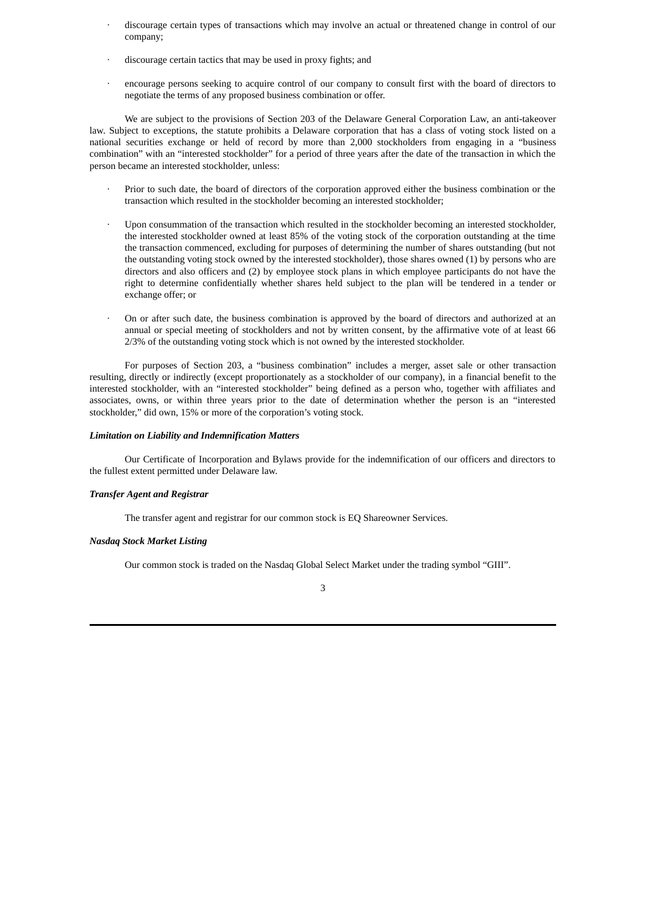- discourage certain types of transactions which may involve an actual or threatened change in control of our company;
- discourage certain tactics that may be used in proxy fights; and
- · encourage persons seeking to acquire control of our company to consult first with the board of directors to negotiate the terms of any proposed business combination or offer.

We are subject to the provisions of Section 203 of the Delaware General Corporation Law, an anti-takeover law. Subject to exceptions, the statute prohibits a Delaware corporation that has a class of voting stock listed on a national securities exchange or held of record by more than 2,000 stockholders from engaging in a "business combination" with an "interested stockholder" for a period of three years after the date of the transaction in which the person became an interested stockholder, unless:

- Prior to such date, the board of directors of the corporation approved either the business combination or the transaction which resulted in the stockholder becoming an interested stockholder;
- · Upon consummation of the transaction which resulted in the stockholder becoming an interested stockholder, the interested stockholder owned at least 85% of the voting stock of the corporation outstanding at the time the transaction commenced, excluding for purposes of determining the number of shares outstanding (but not the outstanding voting stock owned by the interested stockholder), those shares owned (1) by persons who are directors and also officers and (2) by employee stock plans in which employee participants do not have the right to determine confidentially whether shares held subject to the plan will be tendered in a tender or exchange offer; or
- On or after such date, the business combination is approved by the board of directors and authorized at an annual or special meeting of stockholders and not by written consent, by the affirmative vote of at least 66 2/3% of the outstanding voting stock which is not owned by the interested stockholder.

For purposes of Section 203, a "business combination" includes a merger, asset sale or other transaction resulting, directly or indirectly (except proportionately as a stockholder of our company), in a financial benefit to the interested stockholder, with an "interested stockholder" being defined as a person who, together with affiliates and associates, owns, or within three years prior to the date of determination whether the person is an "interested stockholder," did own, 15% or more of the corporation's voting stock.

### *Limitation on Liability and Indemnification Matters*

Our Certificate of Incorporation and Bylaws provide for the indemnification of our officers and directors to the fullest extent permitted under Delaware law.

### *Transfer Agent and Registrar*

The transfer agent and registrar for our common stock is EQ Shareowner Services.

### *Nasdaq Stock Market Listing*

Our common stock is traded on the Nasdaq Global Select Market under the trading symbol "GIII".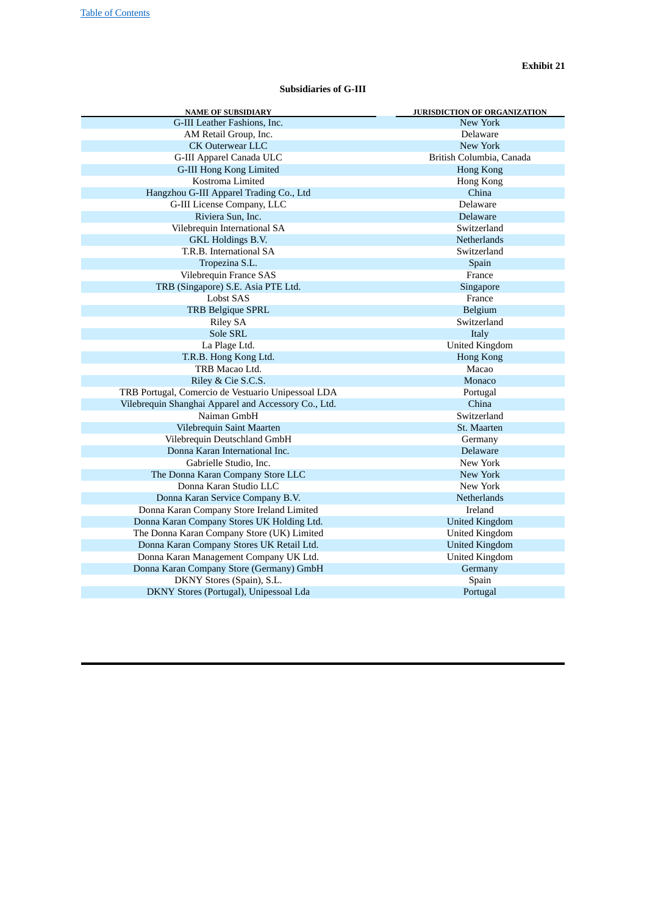# **Subsidiaries of G-III**

| <b>NAME OF SUBSIDIARY</b>                            | <b>JURISDICTION OF ORGANIZATION</b> |
|------------------------------------------------------|-------------------------------------|
| G-III Leather Fashions, Inc.                         | New York                            |
| AM Retail Group, Inc.                                | Delaware                            |
| CK Outerwear LLC                                     | New York                            |
| G-III Apparel Canada ULC                             | British Columbia, Canada            |
| G-III Hong Kong Limited                              | <b>Hong Kong</b>                    |
| Kostroma Limited                                     | Hong Kong                           |
| Hangzhou G-III Apparel Trading Co., Ltd              | China                               |
| G-III License Company, LLC                           | Delaware                            |
| Riviera Sun, Inc.                                    | Delaware                            |
| Vilebrequin International SA                         | Switzerland                         |
| GKL Holdings B.V.                                    | <b>Netherlands</b>                  |
| T.R.B. International SA                              | Switzerland                         |
| Tropezina S.L.                                       | Spain                               |
| Vilebrequin France SAS                               | France                              |
| TRB (Singapore) S.E. Asia PTE Ltd.                   | Singapore                           |
| <b>Lobst SAS</b>                                     | France                              |
| <b>TRB Belgique SPRL</b>                             | Belgium                             |
| <b>Riley SA</b>                                      | Switzerland                         |
| Sole SRL                                             | Italy                               |
| La Plage Ltd.                                        | <b>United Kingdom</b>               |
| T.R.B. Hong Kong Ltd.                                | <b>Hong Kong</b>                    |
| TRB Macao Ltd.                                       | Macao                               |
| Riley & Cie S.C.S.                                   | Monaco                              |
| TRB Portugal, Comercio de Vestuario Unipessoal LDA   | Portugal                            |
| Vilebrequin Shanghai Apparel and Accessory Co., Ltd. | China                               |
| Naiman GmbH                                          | Switzerland                         |
| Vilebrequin Saint Maarten                            | St. Maarten                         |
| Vilebrequin Deutschland GmbH                         | Germany                             |
| Donna Karan International Inc.                       | <b>Delaware</b>                     |
| Gabrielle Studio, Inc.                               | New York                            |
| The Donna Karan Company Store LLC                    | New York                            |
| Donna Karan Studio LLC                               | New York                            |
| Donna Karan Service Company B.V.                     | <b>Netherlands</b>                  |
| Donna Karan Company Store Ireland Limited            | Ireland                             |
| Donna Karan Company Stores UK Holding Ltd.           | <b>United Kingdom</b>               |
| The Donna Karan Company Store (UK) Limited           | <b>United Kingdom</b>               |
| Donna Karan Company Stores UK Retail Ltd.            | <b>United Kingdom</b>               |
| Donna Karan Management Company UK Ltd.               | <b>United Kingdom</b>               |
| Donna Karan Company Store (Germany) GmbH             | Germany                             |
| DKNY Stores (Spain), S.L.                            | Spain                               |
| DKNY Stores (Portugal), Unipessoal Lda               | Portugal                            |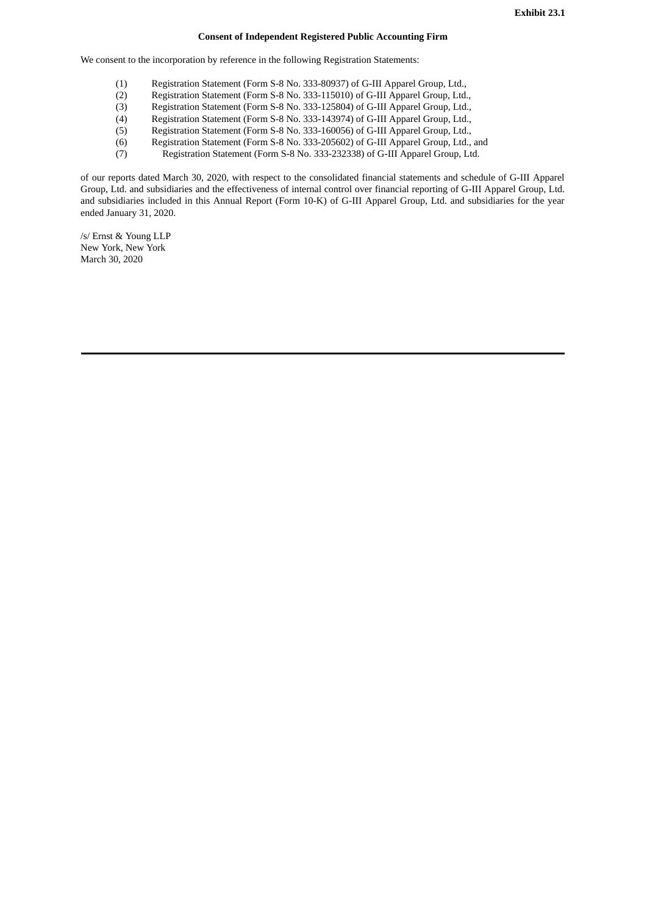### **Consent of Independent Registered Public Accounting Firm**

We consent to the incorporation by reference in the following Registration Statements:

- (1) Registration Statement (Form S-8 No. 333-80937) of G-III Apparel Group, Ltd.,
- (2) Registration Statement (Form S-8 No. 333-115010) of G-III Apparel Group, Ltd.,
- (3) Registration Statement (Form S-8 No. 333-125804) of G-III Apparel Group, Ltd.,
- (4) Registration Statement (Form S-8 No. 333-143974) of G-III Apparel Group, Ltd.,
- (5) Registration Statement (Form S-8 No. 333-160056) of G-III Apparel Group, Ltd., (6) Registration Statement (Form S-8 No. 333-205602) of G-III Apparel Group, Ltd., and
- (7) Registration Statement (Form S-8 No. 333-232338) of G-III Apparel Group, Ltd.

of our reports dated March 30, 2020, with respect to the consolidated financial statements and schedule of G-III Apparel Group, Ltd. and subsidiaries and the effectiveness of internal control over financial reporting of G-III Apparel Group, Ltd. and subsidiaries included in this Annual Report (Form 10-K) of G-III Apparel Group, Ltd. and subsidiaries for the year ended January 31, 2020.

/s/ Ernst & Young LLP New York, New York March 30, 2020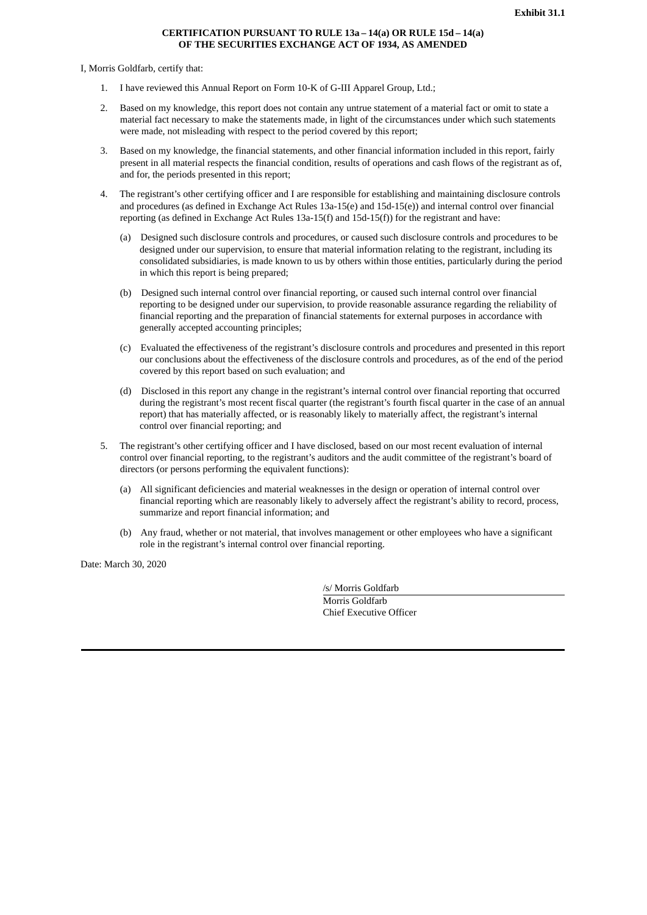## **CERTIFICATION PURSUANT TO RULE 13a – 14(a) OR RULE 15d – 14(a) OF THE SECURITIES EXCHANGE ACT OF 1934, AS AMENDED**

#### I, Morris Goldfarb, certify that:

- 1. I have reviewed this Annual Report on Form 10-K of G-III Apparel Group, Ltd.;
- 2. Based on my knowledge, this report does not contain any untrue statement of a material fact or omit to state a material fact necessary to make the statements made, in light of the circumstances under which such statements were made, not misleading with respect to the period covered by this report;
- 3. Based on my knowledge, the financial statements, and other financial information included in this report, fairly present in all material respects the financial condition, results of operations and cash flows of the registrant as of, and for, the periods presented in this report;
- 4. The registrant's other certifying officer and I are responsible for establishing and maintaining disclosure controls and procedures (as defined in Exchange Act Rules 13a-15(e) and 15d-15(e)) and internal control over financial reporting (as defined in Exchange Act Rules 13a-15(f) and 15d-15(f)) for the registrant and have:
	- (a) Designed such disclosure controls and procedures, or caused such disclosure controls and procedures to be designed under our supervision, to ensure that material information relating to the registrant, including its consolidated subsidiaries, is made known to us by others within those entities, particularly during the period in which this report is being prepared;
	- (b) Designed such internal control over financial reporting, or caused such internal control over financial reporting to be designed under our supervision, to provide reasonable assurance regarding the reliability of financial reporting and the preparation of financial statements for external purposes in accordance with generally accepted accounting principles;
	- (c) Evaluated the effectiveness of the registrant's disclosure controls and procedures and presented in this report our conclusions about the effectiveness of the disclosure controls and procedures, as of the end of the period covered by this report based on such evaluation; and
	- (d) Disclosed in this report any change in the registrant's internal control over financial reporting that occurred during the registrant's most recent fiscal quarter (the registrant's fourth fiscal quarter in the case of an annual report) that has materially affected, or is reasonably likely to materially affect, the registrant's internal control over financial reporting; and
- 5. The registrant's other certifying officer and I have disclosed, based on our most recent evaluation of internal control over financial reporting, to the registrant's auditors and the audit committee of the registrant's board of directors (or persons performing the equivalent functions):
	- (a) All significant deficiencies and material weaknesses in the design or operation of internal control over financial reporting which are reasonably likely to adversely affect the registrant's ability to record, process, summarize and report financial information; and
	- (b) Any fraud, whether or not material, that involves management or other employees who have a significant role in the registrant's internal control over financial reporting.

Date: March 30, 2020

/s/ Morris Goldfarb

Morris Goldfarb Chief Executive Officer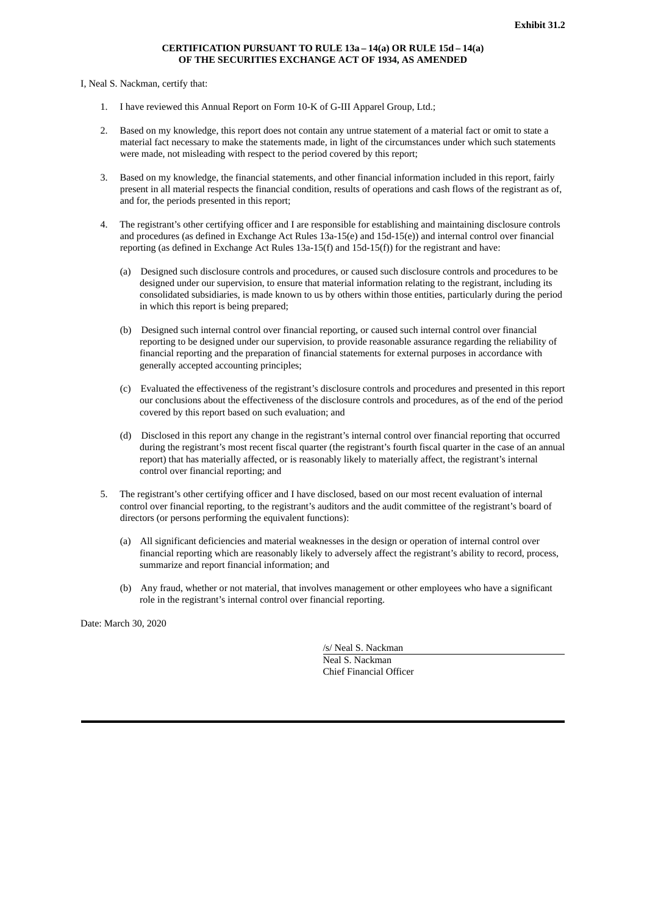## **CERTIFICATION PURSUANT TO RULE 13a – 14(a) OR RULE 15d – 14(a) OF THE SECURITIES EXCHANGE ACT OF 1934, AS AMENDED**

I, Neal S. Nackman, certify that:

- 1. I have reviewed this Annual Report on Form 10-K of G-III Apparel Group, Ltd.;
- 2. Based on my knowledge, this report does not contain any untrue statement of a material fact or omit to state a material fact necessary to make the statements made, in light of the circumstances under which such statements were made, not misleading with respect to the period covered by this report;
- 3. Based on my knowledge, the financial statements, and other financial information included in this report, fairly present in all material respects the financial condition, results of operations and cash flows of the registrant as of, and for, the periods presented in this report;
- 4. The registrant's other certifying officer and I are responsible for establishing and maintaining disclosure controls and procedures (as defined in Exchange Act Rules 13a-15(e) and 15d-15(e)) and internal control over financial reporting (as defined in Exchange Act Rules 13a-15(f) and 15d-15(f)) for the registrant and have:
	- (a) Designed such disclosure controls and procedures, or caused such disclosure controls and procedures to be designed under our supervision, to ensure that material information relating to the registrant, including its consolidated subsidiaries, is made known to us by others within those entities, particularly during the period in which this report is being prepared;
	- (b) Designed such internal control over financial reporting, or caused such internal control over financial reporting to be designed under our supervision, to provide reasonable assurance regarding the reliability of financial reporting and the preparation of financial statements for external purposes in accordance with generally accepted accounting principles;
	- (c) Evaluated the effectiveness of the registrant's disclosure controls and procedures and presented in this report our conclusions about the effectiveness of the disclosure controls and procedures, as of the end of the period covered by this report based on such evaluation; and
	- (d) Disclosed in this report any change in the registrant's internal control over financial reporting that occurred during the registrant's most recent fiscal quarter (the registrant's fourth fiscal quarter in the case of an annual report) that has materially affected, or is reasonably likely to materially affect, the registrant's internal control over financial reporting; and
- 5. The registrant's other certifying officer and I have disclosed, based on our most recent evaluation of internal control over financial reporting, to the registrant's auditors and the audit committee of the registrant's board of directors (or persons performing the equivalent functions):
	- (a) All significant deficiencies and material weaknesses in the design or operation of internal control over financial reporting which are reasonably likely to adversely affect the registrant's ability to record, process, summarize and report financial information; and
	- (b) Any fraud, whether or not material, that involves management or other employees who have a significant role in the registrant's internal control over financial reporting.

Date: March 30, 2020

/s/ Neal S. Nackman Neal S. Nackman Chief Financial Officer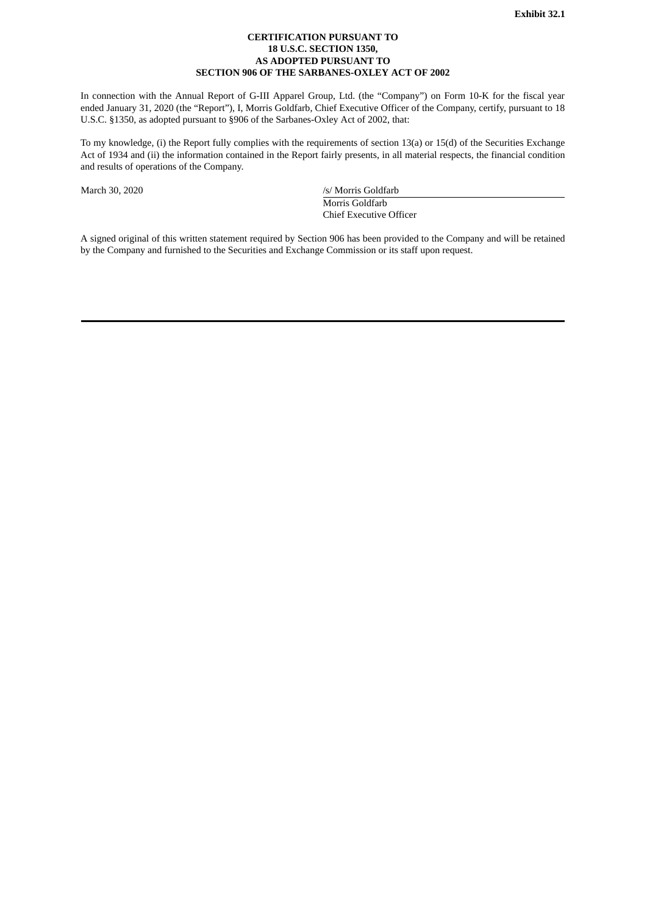## **CERTIFICATION PURSUANT TO 18 U.S.C. SECTION 1350, AS ADOPTED PURSUANT TO SECTION 906 OF THE SARBANES-OXLEY ACT OF 2002**

In connection with the Annual Report of G-III Apparel Group, Ltd. (the "Company") on Form 10-K for the fiscal year ended January 31, 2020 (the "Report"), I, Morris Goldfarb, Chief Executive Officer of the Company, certify, pursuant to 18 U.S.C. §1350, as adopted pursuant to §906 of the Sarbanes-Oxley Act of 2002, that:

To my knowledge, (i) the Report fully complies with the requirements of section 13(a) or 15(d) of the Securities Exchange Act of 1934 and (ii) the information contained in the Report fairly presents, in all material respects, the financial condition and results of operations of the Company.

March 30, 2020 /s/ Morris Goldfarb Morris Goldfarb Chief Executive Officer

A signed original of this written statement required by Section 906 has been provided to the Company and will be retained by the Company and furnished to the Securities and Exchange Commission or its staff upon request.